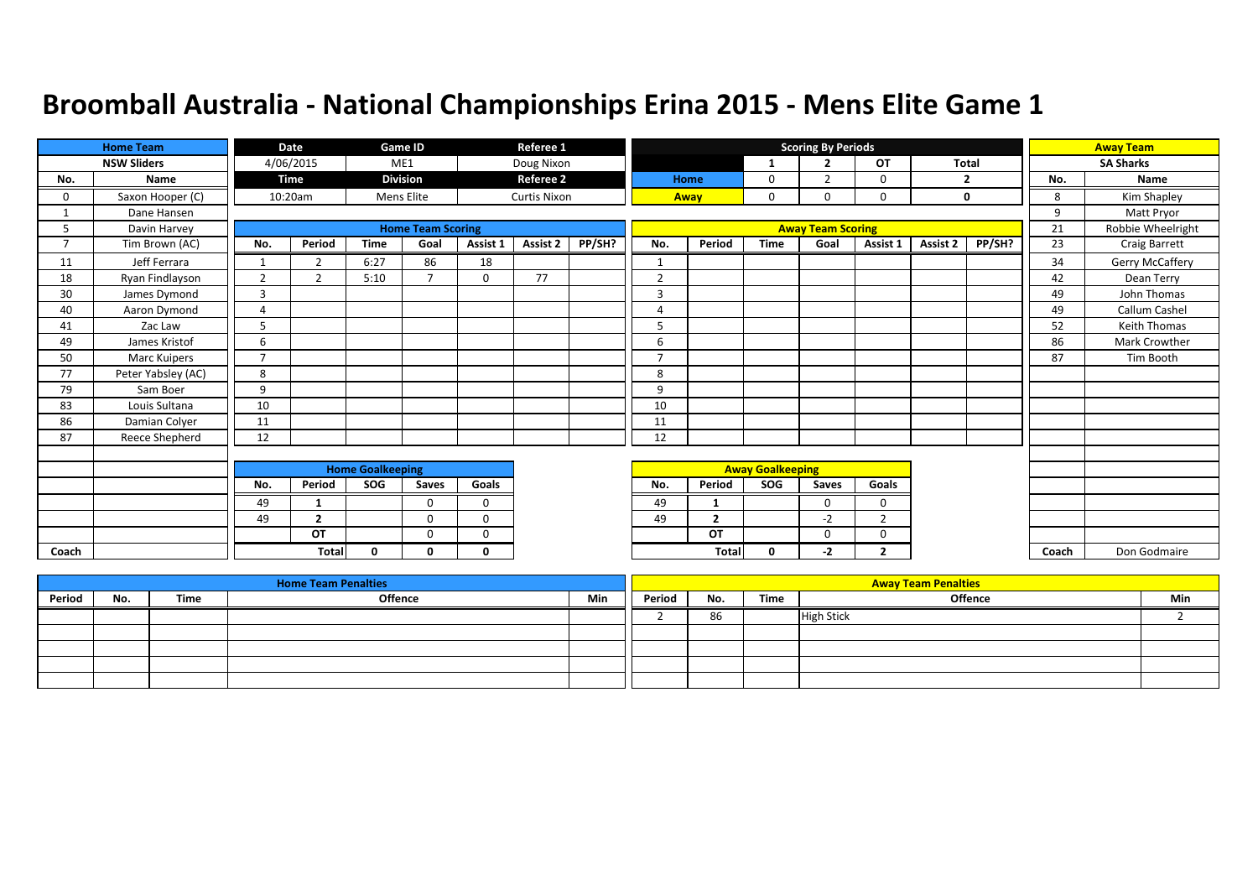|                | <b>Home Team</b>   |                | Date           |                         | Game ID                  |              | Referee 1           |        |                          |                |                         | <b>Scoring By Periods</b> |                |              |             |       | <b>Away Team</b>  |
|----------------|--------------------|----------------|----------------|-------------------------|--------------------------|--------------|---------------------|--------|--------------------------|----------------|-------------------------|---------------------------|----------------|--------------|-------------|-------|-------------------|
|                | <b>NSW Sliders</b> |                | 4/06/2015      |                         | ME1                      |              | Doug Nixon          |        |                          |                | 1                       | $\overline{2}$            | <b>OT</b>      | <b>Total</b> |             |       | <b>SA Sharks</b>  |
| No.            | Name               |                | Time           |                         | <b>Division</b>          |              | <b>Referee 2</b>    |        |                          | Home           | 0                       | $\overline{2}$            | 0              |              | 2           | No.   | Name              |
| 0              | Saxon Hooper (C)   |                | 10:20am        |                         | Mens Elite               |              | <b>Curtis Nixon</b> |        |                          | Away           | 0                       | $\Omega$                  | 0              |              | $\mathbf 0$ | 8     | Kim Shapley       |
|                | Dane Hansen        |                |                |                         |                          |              |                     |        |                          |                |                         |                           |                |              |             | 9     | Matt Pryor        |
| 5              | Davin Harvey       |                |                |                         | <b>Home Team Scoring</b> |              |                     |        |                          |                |                         | <b>Away Team Scoring</b>  |                |              |             | 21    | Robbie Wheelright |
| $\overline{7}$ | Tim Brown (AC)     | No.            | Period         | <b>Time</b>             | Goal                     | Assist 1     | Assist 2            | PP/SH? | No.                      | Period         | <b>Time</b>             | Goal                      | Assist 1       | Assist 2     | PP/SH?      | 23    | Craig Barrett     |
| 11             | Jeff Ferrara       |                | $\overline{2}$ | 6:27                    | 86                       | 18           |                     |        | $\mathbf{1}$             |                |                         |                           |                |              |             | 34    | Gerry McCaffery   |
| 18             | Ryan Findlayson    | $\overline{2}$ | 2              | 5:10                    | $\overline{\phantom{a}}$ | $\mathbf 0$  | 77                  |        | $\overline{2}$           |                |                         |                           |                |              |             | 42    | Dean Terry        |
| 30             | James Dymond       | 3              |                |                         |                          |              |                     |        | 3                        |                |                         |                           |                |              |             | 49    | John Thomas       |
| 40             | Aaron Dymond       | $\overline{4}$ |                |                         |                          |              |                     |        | 4                        |                |                         |                           |                |              |             | 49    | Callum Cashel     |
| 41             | Zac Law            | 5              |                |                         |                          |              |                     |        | 5                        |                |                         |                           |                |              |             | 52    | Keith Thomas      |
| 49             | James Kristof      | 6              |                |                         |                          |              |                     |        | 6                        |                |                         |                           |                |              |             | 86    | Mark Crowther     |
| 50             | Marc Kuipers       | $\overline{ }$ |                |                         |                          |              |                     |        | $\overline{\phantom{a}}$ |                |                         |                           |                |              |             | 87    | Tim Booth         |
| 77             | Peter Yabsley (AC) | 8              |                |                         |                          |              |                     |        | 8                        |                |                         |                           |                |              |             |       |                   |
| 79             | Sam Boer           | 9              |                |                         |                          |              |                     |        | 9                        |                |                         |                           |                |              |             |       |                   |
| 83             | Louis Sultana      | 10             |                |                         |                          |              |                     |        | 10                       |                |                         |                           |                |              |             |       |                   |
| 86             | Damian Colyer      | 11             |                |                         |                          |              |                     |        | 11                       |                |                         |                           |                |              |             |       |                   |
| 87             | Reece Shepherd     | 12             |                |                         |                          |              |                     |        | 12                       |                |                         |                           |                |              |             |       |                   |
|                |                    |                |                |                         |                          |              |                     |        |                          |                |                         |                           |                |              |             |       |                   |
|                |                    |                |                | <b>Home Goalkeeping</b> |                          |              |                     |        |                          |                | <b>Away Goalkeeping</b> |                           |                |              |             |       |                   |
|                |                    | No.            | Period         | SOG                     | Saves                    | Goals        |                     |        | No.                      | Period         | SOG                     | Saves                     | Goals          |              |             |       |                   |
|                |                    | 49             | 1              |                         | $\Omega$                 | $\Omega$     |                     |        | 49                       |                |                         | $\Omega$                  | $\mathbf 0$    |              |             |       |                   |
|                |                    | 49             | $\overline{2}$ |                         | $\Omega$                 | $\Omega$     |                     |        | 49                       | $\overline{2}$ |                         | $-2$                      | $\overline{2}$ |              |             |       |                   |
|                |                    |                | <b>OT</b>      |                         | $\mathbf 0$              | $\mathbf 0$  |                     |        |                          | OT             |                         | 0                         | $\mathbf 0$    |              |             |       |                   |
| Coach          |                    |                | <b>Total</b>   | $\mathbf{0}$            | 0                        | $\mathbf{0}$ |                     |        |                          | Total          | 0                       | $-2$                      | $\overline{2}$ |              |             | Coach | Don Godmaire      |

|        |     |      | <b>Home Team Penalties</b> |     |        |     |      | <b>Away Team Penalties</b> |     |
|--------|-----|------|----------------------------|-----|--------|-----|------|----------------------------|-----|
| Period | No. | Time | <b>Offence</b>             | Min | Period | No. | Time | <b>Offence</b>             | Min |
|        |     |      |                            |     |        | 86  |      | <b>High Stick</b>          |     |
|        |     |      |                            |     |        |     |      |                            |     |
|        |     |      |                            |     |        |     |      |                            |     |
|        |     |      |                            |     |        |     |      |                            |     |
|        |     |      |                            |     |        |     |      |                            |     |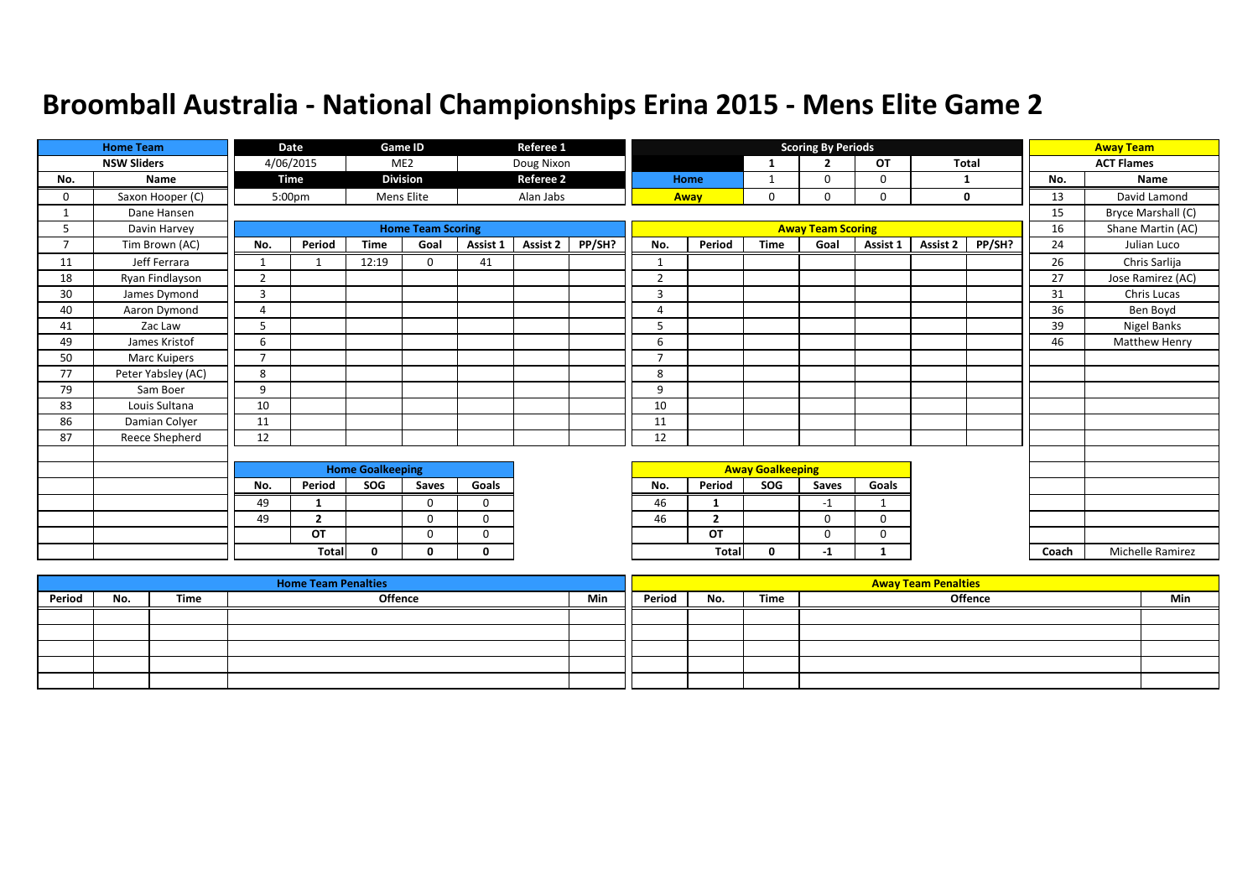|                | <b>Home Team</b>   |                | Date                    |             | <b>Game ID</b>           |              | Referee 1        |        |                          |                         |              | <b>Scoring By Periods</b> |          |          |              |       | <b>Away Team</b>     |
|----------------|--------------------|----------------|-------------------------|-------------|--------------------------|--------------|------------------|--------|--------------------------|-------------------------|--------------|---------------------------|----------|----------|--------------|-------|----------------------|
|                | <b>NSW Sliders</b> |                | 4/06/2015               |             | ME <sub>2</sub>          |              | Doug Nixon       |        |                          |                         | $\mathbf{1}$ | $\overline{2}$            | OT       |          | <b>Total</b> |       | <b>ACT Flames</b>    |
| No.            | Name               |                | Time                    |             | <b>Division</b>          |              | <b>Referee 2</b> |        |                          | Home                    | $\mathbf{1}$ | $\Omega$                  | 0        | -1       |              | No.   | Name                 |
| 0              | Saxon Hooper (C)   |                | 5:00pm                  |             | <b>Mens Elite</b>        |              | Alan Jabs        |        |                          | Away                    | 0            | 0                         | 0        |          | 0            | 13    | David Lamond         |
|                | Dane Hansen        |                |                         |             |                          |              |                  |        |                          |                         |              |                           |          |          |              | 15    | Bryce Marshall (C)   |
| 5              | Davin Harvey       |                |                         |             | <b>Home Team Scoring</b> |              |                  |        |                          |                         |              | <b>Away Team Scoring</b>  |          |          |              | 16    | Shane Martin (AC)    |
| $\overline{7}$ | Tim Brown (AC)     | No.            | Period                  | <b>Time</b> | Goal                     | Assist 1     | Assist 2         | PP/SH? | No.                      | Period                  | <b>Time</b>  | Goal                      | Assist 1 | Assist 2 | PP/SH?       | 24    | Julian Luco          |
| 11             | Jeff Ferrara       | $\mathbf{1}$   | -1                      | 12:19       | $\Omega$                 | 41           |                  |        | $\mathbf{1}$             |                         |              |                           |          |          |              | 26    | Chris Sarlija        |
| 18             | Ryan Findlayson    | 2              |                         |             |                          |              |                  |        | $\overline{2}$           |                         |              |                           |          |          |              | 27    | Jose Ramirez (AC)    |
| 30             | James Dymond       | 3              |                         |             |                          |              |                  |        | $\overline{3}$           |                         |              |                           |          |          |              | 31    | Chris Lucas          |
| 40             | Aaron Dymond       | $\overline{4}$ |                         |             |                          |              |                  |        | 4                        |                         |              |                           |          |          |              | 36    | Ben Boyd             |
| 41             | Zac Law            | 5              |                         |             |                          |              |                  |        | 5                        |                         |              |                           |          |          |              | 39    | <b>Nigel Banks</b>   |
| 49             | James Kristof      | 6              |                         |             |                          |              |                  |        | 6                        |                         |              |                           |          |          |              | 46    | <b>Matthew Henry</b> |
| 50             | Marc Kuipers       | $\overline{7}$ |                         |             |                          |              |                  |        | $\overline{\phantom{a}}$ |                         |              |                           |          |          |              |       |                      |
| 77             | Peter Yabsley (AC) | 8              |                         |             |                          |              |                  |        | 8                        |                         |              |                           |          |          |              |       |                      |
| 79             | Sam Boer           | 9              |                         |             |                          |              |                  |        | 9                        |                         |              |                           |          |          |              |       |                      |
| 83             | Louis Sultana      | 10             |                         |             |                          |              |                  |        | 10                       |                         |              |                           |          |          |              |       |                      |
| 86             | Damian Colyer      | 11             |                         |             |                          |              |                  |        | 11                       |                         |              |                           |          |          |              |       |                      |
| 87             | Reece Shepherd     | 12             |                         |             |                          |              |                  |        | 12                       |                         |              |                           |          |          |              |       |                      |
|                |                    |                |                         |             |                          |              |                  |        |                          |                         |              |                           |          |          |              |       |                      |
|                |                    |                | <b>Home Goalkeeping</b> |             |                          |              |                  |        |                          | <b>Away Goalkeeping</b> |              |                           |          |          |              |       |                      |
|                |                    | No.            | Period                  | SOG         | Saves                    | Goals        |                  |        | No.                      | Period                  | SOG          | Saves                     | Goals    |          |              |       |                      |
|                |                    | 49             | -1                      |             | $\Omega$                 | $\Omega$     |                  |        | 46                       |                         |              | $-1$                      |          |          |              |       |                      |
|                |                    | 49             | $\overline{2}$          |             | $\Omega$                 | $\Omega$     |                  |        | 46                       | $\overline{2}$          |              | 0                         | 0        |          |              |       |                      |
|                |                    |                | OT                      |             | $\Omega$                 | $\Omega$     |                  |        |                          | OT                      |              | 0                         | 0        |          |              |       |                      |
|                |                    |                | Total                   | $\Omega$    | n                        | $\mathbf{0}$ |                  |        |                          | Total                   | 0            | $-1$                      | 1        |          |              | Coach | Michelle Ramirez     |

|        |     |             | <b>Home Team Penalties</b> |     |        |     |      | <b>Away Team Penalties</b> |     |
|--------|-----|-------------|----------------------------|-----|--------|-----|------|----------------------------|-----|
| Period | No. | <b>Time</b> | <b>Offence</b>             | Min | Period | No. | Time | Offence                    | Min |
|        |     |             |                            |     |        |     |      |                            |     |
|        |     |             |                            |     |        |     |      |                            |     |
|        |     |             |                            |     |        |     |      |                            |     |
|        |     |             |                            |     |        |     |      |                            |     |
|        |     |             |                            |     |        |     |      |                            |     |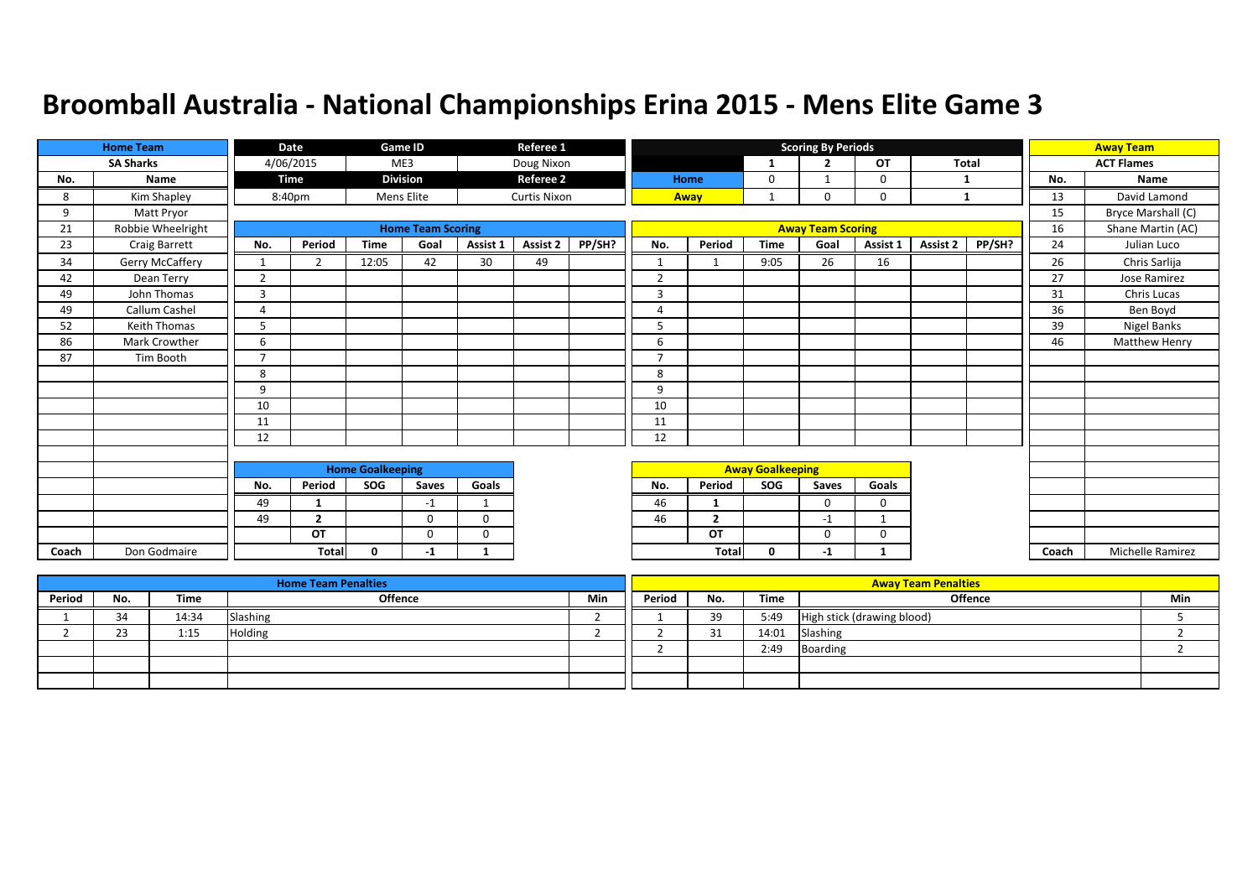|       | <b>Home Team</b>  |                | <b>Date</b>    |                         | Game ID                  |              | Referee 1           |        |                |                |                         | <b>Scoring By Periods</b> |          |              |        |       | <b>Away Team</b>     |
|-------|-------------------|----------------|----------------|-------------------------|--------------------------|--------------|---------------------|--------|----------------|----------------|-------------------------|---------------------------|----------|--------------|--------|-------|----------------------|
|       | <b>SA Sharks</b>  |                | 4/06/2015      |                         | ME3                      |              | Doug Nixon          |        |                |                | 1                       | $\overline{2}$            | OT       | <b>Total</b> |        |       | <b>ACT Flames</b>    |
| No.   | Name              |                | <b>Time</b>    |                         | <b>Division</b>          |              | <b>Referee 2</b>    |        |                | Home           | 0                       |                           | $\Omega$ |              |        | No.   | Name                 |
| 8     | Kim Shapley       |                | 8:40pm         |                         | Mens Elite               |              | <b>Curtis Nixon</b> |        |                | Away           | $\mathbf{1}$            | 0                         | 0        | $\mathbf{1}$ |        | 13    | David Lamond         |
| 9     | Matt Pryor        |                |                |                         |                          |              |                     |        |                |                |                         |                           |          |              |        | 15    | Bryce Marshall (C)   |
| 21    | Robbie Wheelright |                |                |                         | <b>Home Team Scoring</b> |              |                     |        |                |                |                         | <b>Away Team Scoring</b>  |          |              |        | 16    | Shane Martin (AC)    |
| 23    | Craig Barrett     | No.            | Period         | <b>Time</b>             | Goal                     | Assist 1     | Assist 2            | PP/SH? | No.            | Period         | <b>Time</b>             | Goal                      | Assist 1 | Assist 2     | PP/SH? | 24    | Julian Luco          |
| 34    | Gerry McCaffery   | 1              | $\overline{2}$ | 12:05                   | 42                       | 30           | 49                  |        | $\mathbf{1}$   |                | 9:05                    | 26                        | 16       |              |        | 26    | Chris Sarlija        |
| 42    | Dean Terry        | $\overline{2}$ |                |                         |                          |              |                     |        | 2              |                |                         |                           |          |              |        | 27    | Jose Ramirez         |
| 49    | John Thomas       | 3              |                |                         |                          |              |                     |        | 3              |                |                         |                           |          |              |        | 31    | Chris Lucas          |
| 49    | Callum Cashel     | $\Delta$       |                |                         |                          |              |                     |        | Δ              |                |                         |                           |          |              |        | 36    | Ben Boyd             |
| 52    | Keith Thomas      |                |                |                         |                          |              |                     |        | 5              |                |                         |                           |          |              |        | 39    | Nigel Banks          |
| 86    | Mark Crowther     | 6              |                |                         |                          |              |                     |        | 6              |                |                         |                           |          |              |        | 46    | <b>Matthew Henry</b> |
| 87    | Tim Booth         | $\overline{7}$ |                |                         |                          |              |                     |        | $\overline{ }$ |                |                         |                           |          |              |        |       |                      |
|       |                   | 8              |                |                         |                          |              |                     |        | 8              |                |                         |                           |          |              |        |       |                      |
|       |                   | 9              |                |                         |                          |              |                     |        | 9              |                |                         |                           |          |              |        |       |                      |
|       |                   | 10             |                |                         |                          |              |                     |        | 10             |                |                         |                           |          |              |        |       |                      |
|       |                   | 11             |                |                         |                          |              |                     |        | 11             |                |                         |                           |          |              |        |       |                      |
|       |                   | 12             |                |                         |                          |              |                     |        | 12             |                |                         |                           |          |              |        |       |                      |
|       |                   |                |                |                         |                          |              |                     |        |                |                |                         |                           |          |              |        |       |                      |
|       |                   |                |                | <b>Home Goalkeeping</b> |                          |              |                     |        |                |                | <b>Away Goalkeeping</b> |                           |          |              |        |       |                      |
|       |                   | No.            | Period         | SOG                     | Saves                    | Goals        |                     |        | No.            | Period         | SOG                     | Saves                     | Goals    |              |        |       |                      |
|       |                   | 49             | 1              |                         | $-1$                     | $\mathbf{1}$ |                     |        | 46             | $\mathbf{1}$   |                         | $\Omega$                  | $\Omega$ |              |        |       |                      |
|       |                   | 49             | $\overline{2}$ |                         | $\Omega$                 | $\Omega$     |                     |        | 46             | $\overline{2}$ |                         | $-1$                      | -1       |              |        |       |                      |
|       |                   |                | OT             |                         | $\Omega$                 | $\Omega$     |                     |        |                | OT             |                         | $\Omega$                  | 0        |              |        |       |                      |
| Coach | Don Godmaire      |                | Total          | $\Omega$                | -1                       | $\mathbf{1}$ |                     |        |                | Total          | $\mathbf 0$             | $-1$                      | 1        |              |        | Coach | Michelle Ramirez     |

|        |     |       | <b>Home Team Penalties</b> |     |        |         |       | <b>Away Team Penalties</b> |     |
|--------|-----|-------|----------------------------|-----|--------|---------|-------|----------------------------|-----|
| Period | No. | Time  | <b>Offence</b>             | Min | Period | No.     | Time  | Offence                    | Min |
|        | 34  | 14:34 | Slashing                   |     |        | 39      | 5:49  | High stick (drawing blood) |     |
|        | 23  | 1:15  | <b>Holding</b>             |     |        | 21<br>ັ | 14:01 | Slashing                   |     |
|        |     |       |                            |     |        |         | 2:49  | Boarding                   |     |
|        |     |       |                            |     |        |         |       |                            |     |
|        |     |       |                            |     |        |         |       |                            |     |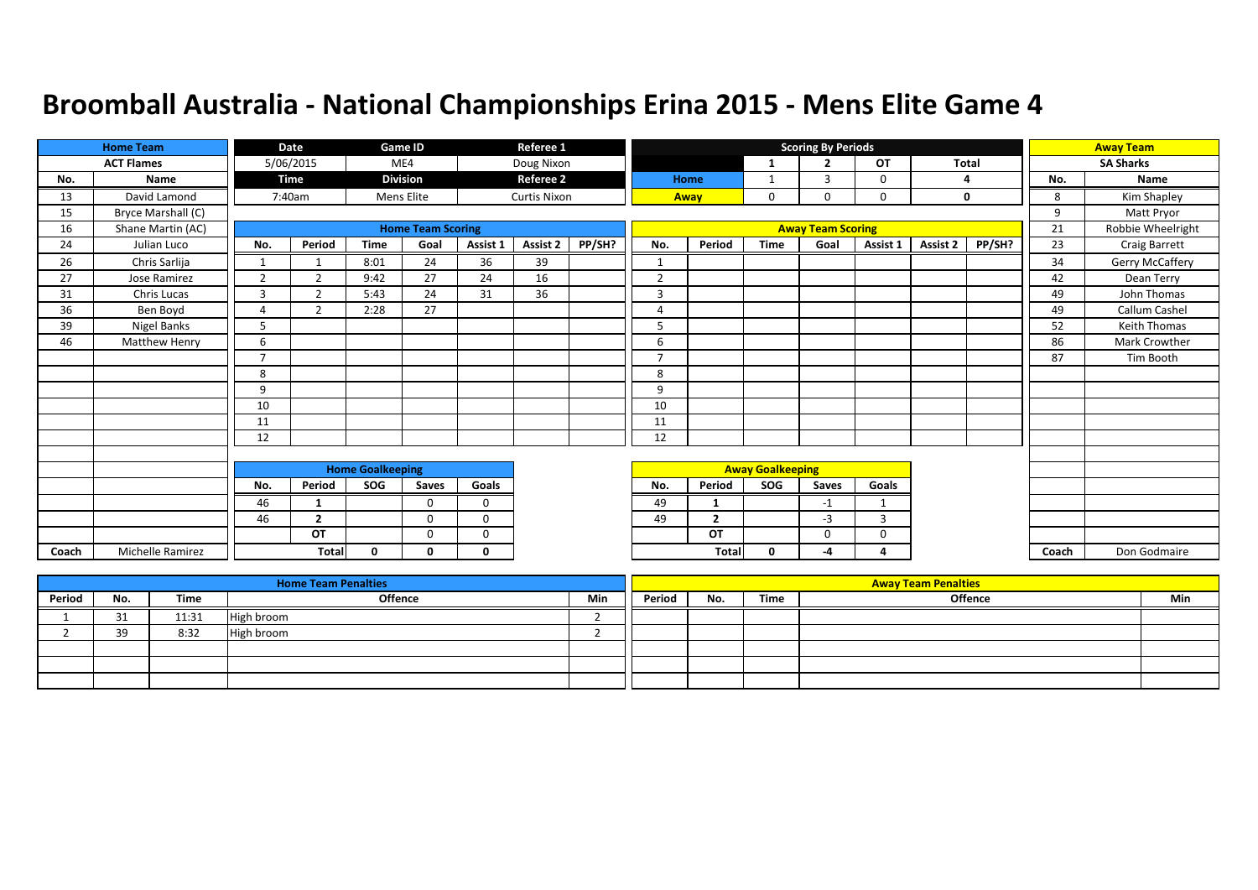|       | <b>Home Team</b>   |                | Date           |                         | Game ID                  |             | Referee 1           |        |                |                |                         | <b>Scoring By Periods</b> |              |          |        |       | <b>Away Team</b>  |
|-------|--------------------|----------------|----------------|-------------------------|--------------------------|-------------|---------------------|--------|----------------|----------------|-------------------------|---------------------------|--------------|----------|--------|-------|-------------------|
|       | <b>ACT Flames</b>  |                | 5/06/2015      |                         | ME4                      |             | Doug Nixon          |        |                |                | -1                      | $\overline{2}$            | OT           | Total    |        |       | <b>SA Sharks</b>  |
| No.   | Name               |                | <b>Time</b>    |                         | <b>Division</b>          |             | <b>Referee 2</b>    |        |                | Home           | 1                       | 3                         | $\Omega$     |          | 4      | No.   | <b>Name</b>       |
| 13    | David Lamond       |                | 7:40am         |                         | Mens Elite               |             | <b>Curtis Nixon</b> |        |                | Away           | 0                       | 0                         | 0            |          | 0      | 8     | Kim Shapley       |
| 15    | Bryce Marshall (C) |                |                |                         |                          |             |                     |        |                |                |                         |                           |              |          |        | 9     | Matt Pryor        |
| 16    | Shane Martin (AC)  |                |                |                         | <b>Home Team Scoring</b> |             |                     |        |                |                |                         | <b>Away Team Scoring</b>  |              |          |        | 21    | Robbie Wheelright |
| 24    | Julian Luco        | No.            | Period         | Time                    | Goal                     | Assist 1    | Assist 2            | PP/SH? | No.            | Period         | <b>Time</b>             | Goal                      | Assist 1     | Assist 2 | PP/SH? | 23    | Craig Barrett     |
| 26    | Chris Sarlija      |                |                | 8:01                    | 24                       | 36          | 39                  |        | $\mathbf{1}$   |                |                         |                           |              |          |        | 34    | Gerry McCaffery   |
| 27    | Jose Ramirez       | $\overline{2}$ | $\overline{2}$ | 9:42                    | 27                       | 24          | 16                  |        | 2              |                |                         |                           |              |          |        | 42    | Dean Terry        |
| 31    | Chris Lucas        | 3              | $\overline{2}$ | 5:43                    | 24                       | 31          | 36                  |        | $\overline{3}$ |                |                         |                           |              |          |        | 49    | John Thomas       |
| 36    | Ben Boyd           | $\Delta$       | 2              | 2:28                    | 27                       |             |                     |        | Δ              |                |                         |                           |              |          |        | 49    | Callum Cashel     |
| 39    | Nigel Banks        | 5              |                |                         |                          |             |                     |        | 5              |                |                         |                           |              |          |        | 52    | Keith Thomas      |
| 46    | Matthew Henry      | 6              |                |                         |                          |             |                     |        | 6              |                |                         |                           |              |          |        | 86    | Mark Crowther     |
|       |                    | $\overline{7}$ |                |                         |                          |             |                     |        | $\overline{ }$ |                |                         |                           |              |          |        | 87    | Tim Booth         |
|       |                    | 8              |                |                         |                          |             |                     |        | 8              |                |                         |                           |              |          |        |       |                   |
|       |                    | 9              |                |                         |                          |             |                     |        | 9              |                |                         |                           |              |          |        |       |                   |
|       |                    | 10             |                |                         |                          |             |                     |        | 10             |                |                         |                           |              |          |        |       |                   |
|       |                    | 11             |                |                         |                          |             |                     |        | 11             |                |                         |                           |              |          |        |       |                   |
|       |                    | 12             |                |                         |                          |             |                     |        | 12             |                |                         |                           |              |          |        |       |                   |
|       |                    |                |                |                         |                          |             |                     |        |                |                |                         |                           |              |          |        |       |                   |
|       |                    |                |                | <b>Home Goalkeeping</b> |                          |             |                     |        |                |                | <b>Away Goalkeeping</b> |                           |              |          |        |       |                   |
|       |                    | No.            | Period         | SOG                     | Saves                    | Goals       |                     |        | No.            | Period         | SOG                     | Saves                     | Goals        |          |        |       |                   |
|       |                    | 46             | $\mathbf{1}$   |                         | $\Omega$                 | $\mathbf 0$ |                     |        | 49             | $\mathbf{1}$   |                         | $-1$                      | $\mathbf{1}$ |          |        |       |                   |
|       |                    | 46             | $\overline{2}$ |                         | $\Omega$                 | $\Omega$    |                     |        | 49             | $\overline{2}$ |                         | $-3$                      | 3            |          |        |       |                   |
|       |                    |                | OT             |                         | $\Omega$                 | $\Omega$    |                     |        |                | OT             |                         | 0                         | 0            |          |        |       |                   |
| Coach | Michelle Ramirez   |                | <b>Total</b>   | $\Omega$                | n                        | $\Omega$    |                     |        |                | <b>Tota</b>    | 0                       | -4                        | Δ            |          |        | Coach | Don Godmaire      |

|        |         |       | <b>Home Team Penalties</b> |     |        |     |      | <b>Away Team Penalties</b> |     |
|--------|---------|-------|----------------------------|-----|--------|-----|------|----------------------------|-----|
| Period | No.     | Time  | Offence                    | Min | Period | No. | Time | Offence                    | Min |
|        |         | 11:31 | High broom                 |     |        |     |      |                            |     |
|        | 20<br>. | 8:32  | High broom                 |     |        |     |      |                            |     |
|        |         |       |                            |     |        |     |      |                            |     |
|        |         |       |                            |     |        |     |      |                            |     |
|        |         |       |                            |     |        |     |      |                            |     |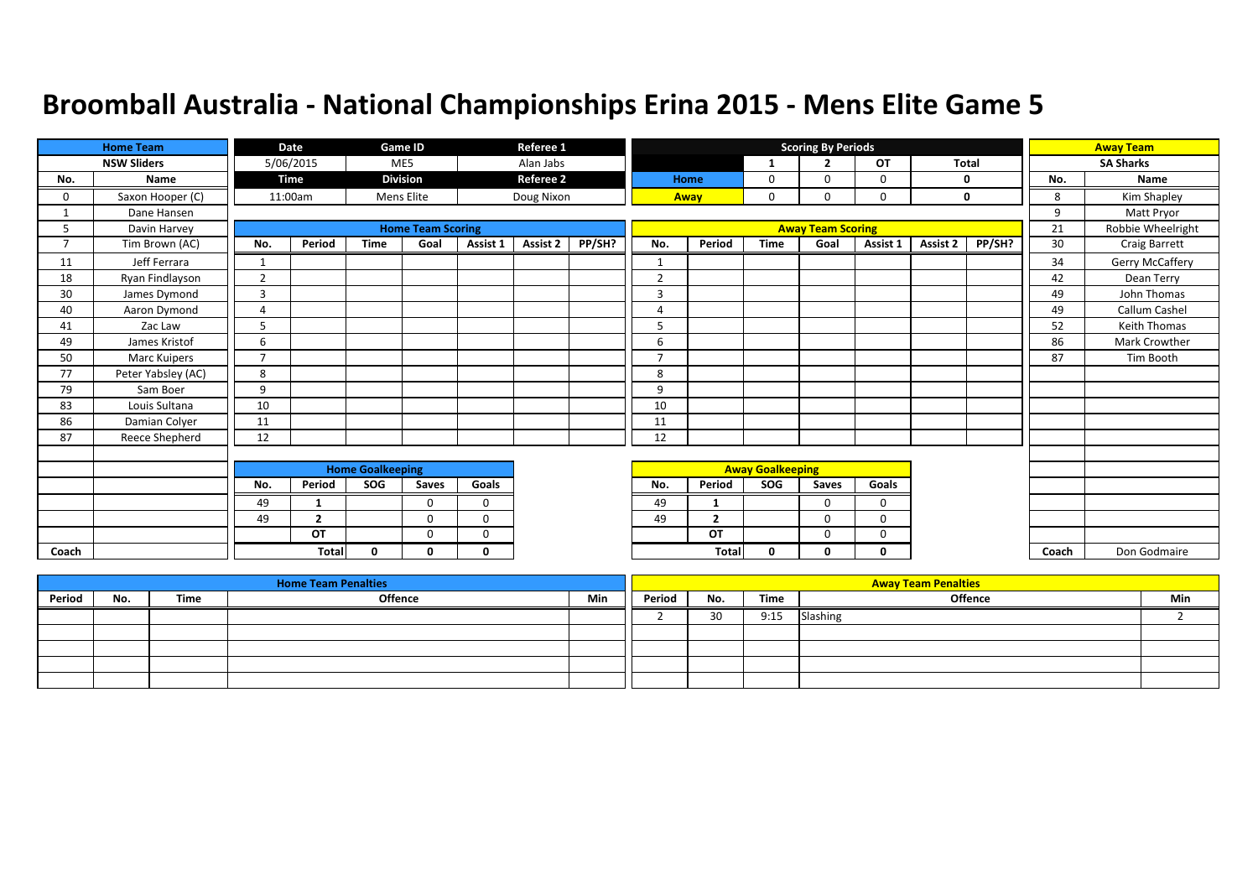|                | <b>Home Team</b>   |                | Date           |                         | Game ID                  |              | Referee 1        |        |                          |                |                         | <b>Scoring By Periods</b> |           |              |             |       | <b>Away Team</b>  |
|----------------|--------------------|----------------|----------------|-------------------------|--------------------------|--------------|------------------|--------|--------------------------|----------------|-------------------------|---------------------------|-----------|--------------|-------------|-------|-------------------|
|                | <b>NSW Sliders</b> |                | 5/06/2015      |                         | ME5                      |              | Alan Jabs        |        |                          |                | 1                       | $\overline{2}$            | <b>OT</b> | <b>Total</b> |             |       | <b>SA Sharks</b>  |
| No.            | Name               |                | Time           |                         | <b>Division</b>          |              | <b>Referee 2</b> |        |                          | Home           | 0                       | $\Omega$                  | 0         | $\mathbf 0$  |             | No.   | Name              |
| 0              | Saxon Hooper (C)   |                | 11:00am        |                         | Mens Elite               |              | Doug Nixon       |        | Away                     |                | 0                       | $\Omega$                  | 0         |              | $\mathbf 0$ | 8     | Kim Shapley       |
|                | Dane Hansen        |                |                |                         |                          |              |                  |        |                          |                |                         |                           |           |              |             | 9     | Matt Pryor        |
| 5              | Davin Harvey       |                |                |                         | <b>Home Team Scoring</b> |              |                  |        |                          |                |                         | <b>Away Team Scoring</b>  |           |              |             | 21    | Robbie Wheelright |
| $\overline{7}$ | Tim Brown (AC)     | No.            | Period         | <b>Time</b>             | Goal                     | Assist 1     | Assist 2         | PP/SH? | No.                      | Period         | <b>Time</b>             | Goal                      | Assist 1  | Assist 2     | PP/SH?      | 30    | Craig Barrett     |
| 11             | Jeff Ferrara       |                |                |                         |                          |              |                  |        | $\mathbf{1}$             |                |                         |                           |           |              |             | 34    | Gerry McCaffery   |
| 18             | Ryan Findlayson    | $\overline{2}$ |                |                         |                          |              |                  |        | $\overline{2}$           |                |                         |                           |           |              |             | 42    | Dean Terry        |
| 30             | James Dymond       | 3              |                |                         |                          |              |                  |        | 3                        |                |                         |                           |           |              |             | 49    | John Thomas       |
| 40             | Aaron Dymond       | 4              |                |                         |                          |              |                  |        | 4                        |                |                         |                           |           |              |             | 49    | Callum Cashel     |
| 41             | Zac Law            | 5              |                |                         |                          |              |                  |        | 5                        |                |                         |                           |           |              |             | 52    | Keith Thomas      |
| 49             | James Kristof      | 6              |                |                         |                          |              |                  |        | 6                        |                |                         |                           |           |              |             | 86    | Mark Crowther     |
| 50             | Marc Kuipers       | $\overline{ }$ |                |                         |                          |              |                  |        | $\overline{\phantom{a}}$ |                |                         |                           |           |              |             | 87    | Tim Booth         |
| 77             | Peter Yabsley (AC) | 8              |                |                         |                          |              |                  |        | 8                        |                |                         |                           |           |              |             |       |                   |
| 79             | Sam Boer           | 9              |                |                         |                          |              |                  |        | 9                        |                |                         |                           |           |              |             |       |                   |
| 83             | Louis Sultana      | 10             |                |                         |                          |              |                  |        | 10                       |                |                         |                           |           |              |             |       |                   |
| 86             | Damian Colyer      | 11             |                |                         |                          |              |                  |        | 11                       |                |                         |                           |           |              |             |       |                   |
| 87             | Reece Shepherd     | 12             |                |                         |                          |              |                  |        | 12                       |                |                         |                           |           |              |             |       |                   |
|                |                    |                |                |                         |                          |              |                  |        |                          |                |                         |                           |           |              |             |       |                   |
|                |                    |                |                | <b>Home Goalkeeping</b> |                          |              |                  |        |                          |                | <b>Away Goalkeeping</b> |                           |           |              |             |       |                   |
|                |                    | No.            | Period         | SOG                     | Saves                    | Goals        |                  |        | No.                      | Period         | SOG                     | Saves                     | Goals     |              |             |       |                   |
|                |                    | 49             | 1              |                         | $\Omega$                 | $\Omega$     |                  |        | 49                       |                |                         | $\Omega$                  | $\Omega$  |              |             |       |                   |
|                |                    | 49             | $\overline{2}$ |                         | $\Omega$                 | $\Omega$     |                  |        | 49                       | $\overline{2}$ |                         | $\Omega$                  | 0         |              |             |       |                   |
|                |                    |                | <b>OT</b>      |                         | $\mathbf 0$              | $\mathbf 0$  |                  |        |                          | OT             |                         | 0                         | 0         |              |             |       |                   |
| Coach          |                    |                | <b>Total</b>   | $\mathbf{0}$            | 0                        | $\mathbf{0}$ |                  |        |                          | Total          | 0                       | 0                         | 0         |              |             | Coach | Don Godmaire      |

|        |     |      | <b>Home Team Penalties</b> |     |        |     |      | <b>Away Team Penalties</b> |     |
|--------|-----|------|----------------------------|-----|--------|-----|------|----------------------------|-----|
| Period | No. | Time | Offence                    | Min | Period | No. | Time | <b>Offence</b>             | Min |
|        |     |      |                            |     |        | 30  | 9:15 | Slashing                   |     |
|        |     |      |                            |     |        |     |      |                            |     |
|        |     |      |                            |     |        |     |      |                            |     |
|        |     |      |                            |     |        |     |      |                            |     |
|        |     |      |                            |     |        |     |      |                            |     |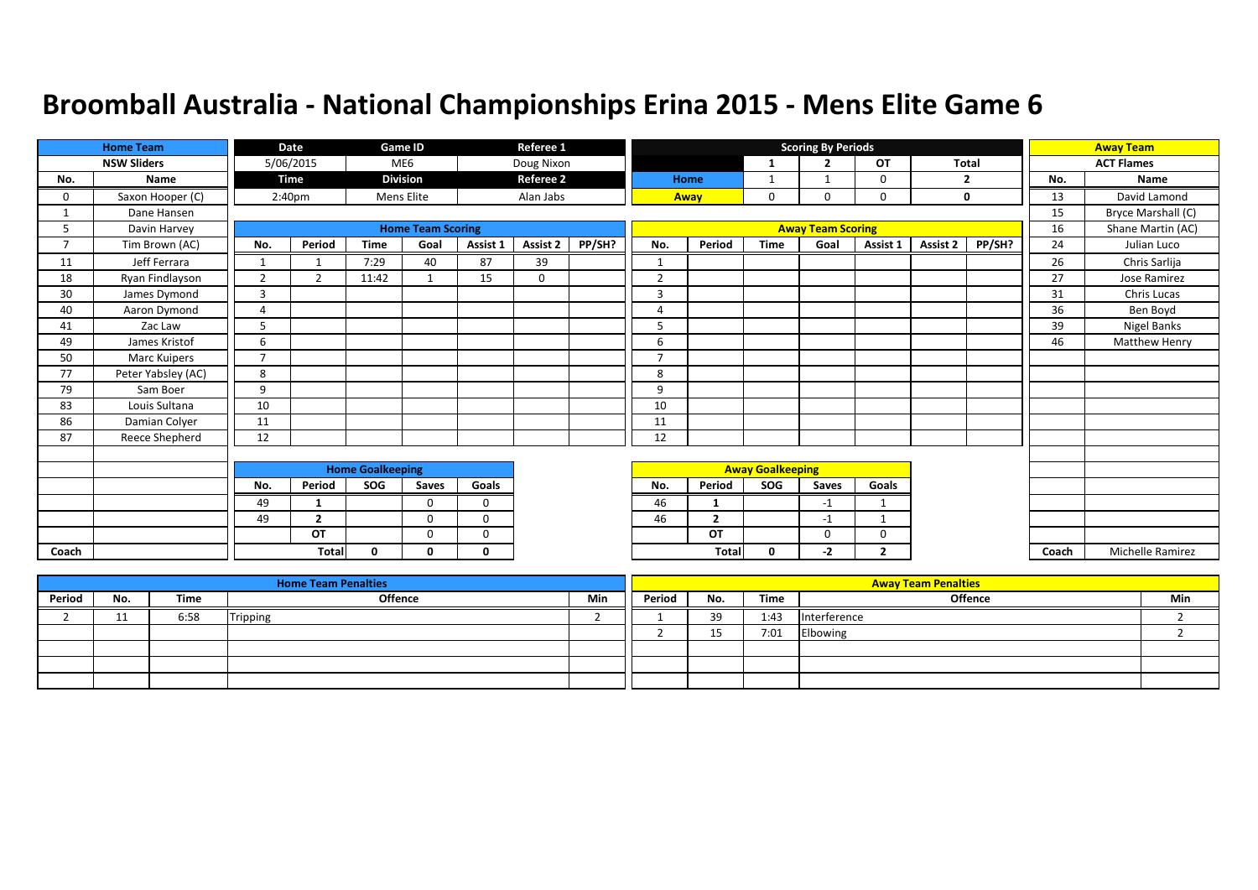|                | <b>Home Team</b>   |                          | Date               |                         | Game ID                  |             | Referee 1        |        |                |                |                         | <b>Scoring By Periods</b> |              |          |                |       | <b>Away Team</b>        |
|----------------|--------------------|--------------------------|--------------------|-------------------------|--------------------------|-------------|------------------|--------|----------------|----------------|-------------------------|---------------------------|--------------|----------|----------------|-------|-------------------------|
|                | <b>NSW Sliders</b> |                          | 5/06/2015          |                         | ME6                      |             | Doug Nixon       |        |                |                | -1                      | $\overline{2}$            | OT           | Total    |                |       | <b>ACT Flames</b>       |
| No.            | Name               |                          | <b>Time</b>        |                         | <b>Division</b>          |             | <b>Referee 2</b> |        |                | Home           | $\mathbf{1}$            | -1                        | 0            |          | $\overline{2}$ | No.   | Name                    |
| 0              | Saxon Hooper (C)   |                          | 2:40 <sub>pm</sub> |                         | Mens Elite               |             | Alan Jabs        |        |                | Away           | 0                       | 0                         | 0            |          | 0              | 13    | David Lamond            |
|                | Dane Hansen        |                          |                    |                         |                          |             |                  |        |                |                |                         |                           |              |          |                | 15    | Bryce Marshall (C)      |
| 5              | Davin Harvey       |                          |                    |                         | <b>Home Team Scoring</b> |             |                  |        |                |                |                         | <b>Away Team Scoring</b>  |              |          |                | 16    | Shane Martin (AC)       |
| $\overline{7}$ | Tim Brown (AC)     | No.                      | Period             | <b>Time</b>             | Goal                     | Assist 1    | Assist 2         | PP/SH? | No.            | Period         | <b>Time</b>             | Goal                      | Assist 1     | Assist 2 | PP/SH?         | 24    | Julian Luco             |
| 11             | Jeff Ferrara       | $\mathbf{1}$             |                    | 7:29                    | 40                       | 87          | 39               |        | $\mathbf{1}$   |                |                         |                           |              |          |                | 26    | Chris Sarlija           |
| 18             | Ryan Findlayson    | $\overline{2}$           | $\overline{2}$     | 11:42                   |                          | 15          | 0                |        | $\overline{2}$ |                |                         |                           |              |          |                | 27    | Jose Ramirez            |
| 30             | James Dymond       | $\overline{3}$           |                    |                         |                          |             |                  |        | 3              |                |                         |                           |              |          |                | 31    | Chris Lucas             |
| 40             | Aaron Dymond       | $\overline{A}$           |                    |                         |                          |             |                  |        | 4              |                |                         |                           |              |          |                | 36    | Ben Boyd                |
| 41             | Zac Law            | 5                        |                    |                         |                          |             |                  |        | 5              |                |                         |                           |              |          |                | 39    | Nigel Banks             |
| 49             | James Kristof      | 6                        |                    |                         |                          |             |                  |        | 6              |                |                         |                           |              |          |                | 46    | <b>Matthew Henry</b>    |
| 50             | Marc Kuipers       | $\overline{\phantom{a}}$ |                    |                         |                          |             |                  |        | $\overline{7}$ |                |                         |                           |              |          |                |       |                         |
| 77             | Peter Yabsley (AC) | 8                        |                    |                         |                          |             |                  |        | 8              |                |                         |                           |              |          |                |       |                         |
| 79             | Sam Boer           | 9                        |                    |                         |                          |             |                  |        | 9              |                |                         |                           |              |          |                |       |                         |
| 83             | Louis Sultana      | 10                       |                    |                         |                          |             |                  |        | 10             |                |                         |                           |              |          |                |       |                         |
| 86             | Damian Colyer      | 11                       |                    |                         |                          |             |                  |        | 11             |                |                         |                           |              |          |                |       |                         |
| 87             | Reece Shepherd     | 12                       |                    |                         |                          |             |                  |        | 12             |                |                         |                           |              |          |                |       |                         |
|                |                    |                          |                    |                         |                          |             |                  |        |                |                |                         |                           |              |          |                |       |                         |
|                |                    |                          |                    | <b>Home Goalkeeping</b> |                          |             |                  |        |                |                | <b>Away Goalkeeping</b> |                           |              |          |                |       |                         |
|                |                    | No.                      | Period             | SOG                     | Saves                    | Goals       |                  |        | No.            | Period         | SOG                     | Saves                     | Goals        |          |                |       |                         |
|                |                    | 49                       | 1                  |                         | $\Omega$                 | $\Omega$    |                  |        | 46             | -1             |                         | $-1$                      | $\mathbf 1$  |          |                |       |                         |
|                |                    | 49                       | $\overline{2}$     |                         | $\Omega$                 | $\mathbf 0$ |                  |        | 46             | $\overline{2}$ |                         | $-1$                      |              |          |                |       |                         |
|                |                    |                          | OT                 |                         | $\Omega$                 | $\Omega$    |                  |        |                | OT             |                         | $\Omega$                  | $\Omega$     |          |                |       |                         |
| Coach          |                    |                          | <b>Total</b>       | 0                       | $\Omega$                 | 0           |                  |        |                | <b>Tota</b>    | 0                       | $-2$                      | $\mathbf{2}$ |          |                | Coach | <b>Michelle Ramirez</b> |

|        |     |      | <b>Home Team Penalties</b> |     |        |          |      | <b>Away Team Penalties</b> |     |
|--------|-----|------|----------------------------|-----|--------|----------|------|----------------------------|-----|
| Period | No. | Time | Offence                    | Min | Period | No.      | Time | Offence                    | Min |
|        |     | 6:58 | Tripping                   |     |        | 30       | 1:43 | Interference               |     |
|        |     |      |                            |     |        | 1 E<br>ᅩ | 7:01 | Elbowing                   |     |
|        |     |      |                            |     |        |          |      |                            |     |
|        |     |      |                            |     |        |          |      |                            |     |
|        |     |      |                            |     |        |          |      |                            |     |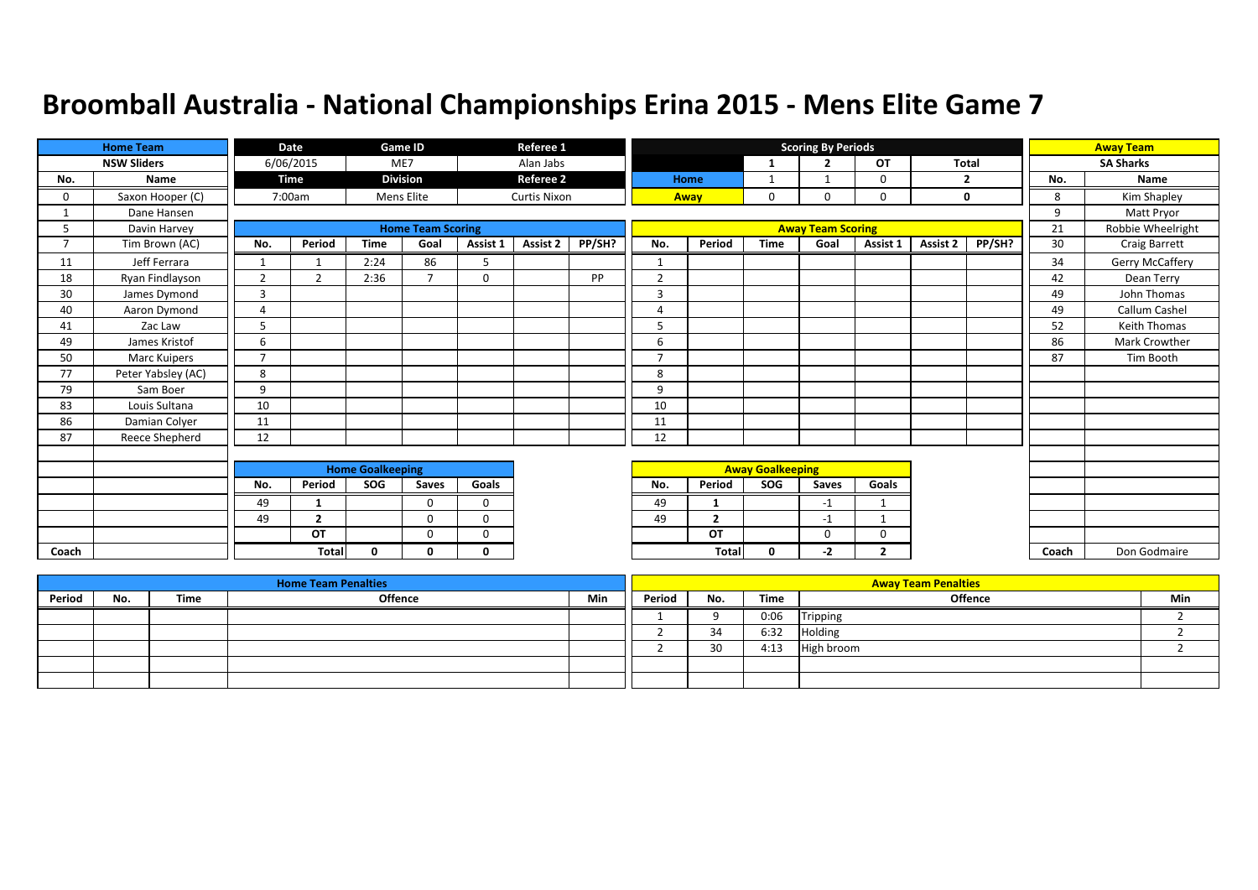|                | <b>Home Team</b>   |                | Date           |                         | Game ID                  |              | Referee 1           |        |                          |                |                         | <b>Scoring By Periods</b> |                |              |             |       | <b>Away Team</b>  |
|----------------|--------------------|----------------|----------------|-------------------------|--------------------------|--------------|---------------------|--------|--------------------------|----------------|-------------------------|---------------------------|----------------|--------------|-------------|-------|-------------------|
|                | <b>NSW Sliders</b> |                | 6/06/2015      |                         | ME7                      |              | Alan Jabs           |        |                          |                | 1                       | $\overline{2}$            | <b>OT</b>      | <b>Total</b> |             |       | <b>SA Sharks</b>  |
| No.            | Name               |                | Time           |                         | <b>Division</b>          |              | <b>Referee 2</b>    |        |                          | Home           | 1                       |                           | 0              |              | 2           | No.   | Name              |
| 0              | Saxon Hooper (C)   |                | 7:00am         |                         | Mens Elite               |              | <b>Curtis Nixon</b> |        | Away                     |                | 0                       | $\Omega$                  | 0              |              | $\mathbf 0$ | 8     | Kim Shapley       |
|                | Dane Hansen        |                |                |                         |                          |              |                     |        |                          |                |                         |                           |                |              |             | 9     | Matt Pryor        |
| 5              | Davin Harvey       |                |                |                         | <b>Home Team Scoring</b> |              |                     |        |                          |                |                         | <b>Away Team Scoring</b>  |                |              |             | 21    | Robbie Wheelright |
| $\overline{7}$ | Tim Brown (AC)     | No.            | Period         | <b>Time</b>             | Goal                     | Assist 1     | Assist 2            | PP/SH? | No.                      | Period         | <b>Time</b>             | Goal                      | Assist 1       | Assist 2     | PP/SH?      | 30    | Craig Barrett     |
| 11             | Jeff Ferrara       |                |                | 2:24                    | 86                       | 5            |                     |        | $\mathbf{1}$             |                |                         |                           |                |              |             | 34    | Gerry McCaffery   |
| 18             | Ryan Findlayson    | $\overline{2}$ | 2              | 2:36                    | $\overline{\phantom{a}}$ | $\mathbf 0$  |                     | PP     | $\overline{2}$           |                |                         |                           |                |              |             | 42    | Dean Terry        |
| 30             | James Dymond       | 3              |                |                         |                          |              |                     |        | 3                        |                |                         |                           |                |              |             | 49    | John Thomas       |
| 40             | Aaron Dymond       | $\overline{4}$ |                |                         |                          |              |                     |        | 4                        |                |                         |                           |                |              |             | 49    | Callum Cashel     |
| 41             | Zac Law            | 5              |                |                         |                          |              |                     |        | 5                        |                |                         |                           |                |              |             | 52    | Keith Thomas      |
| 49             | James Kristof      | 6              |                |                         |                          |              |                     |        | 6                        |                |                         |                           |                |              |             | 86    | Mark Crowther     |
| 50             | Marc Kuipers       | $\overline{ }$ |                |                         |                          |              |                     |        | $\overline{\phantom{a}}$ |                |                         |                           |                |              |             | 87    | Tim Booth         |
| 77             | Peter Yabsley (AC) | 8              |                |                         |                          |              |                     |        | 8                        |                |                         |                           |                |              |             |       |                   |
| 79             | Sam Boer           | 9              |                |                         |                          |              |                     |        | 9                        |                |                         |                           |                |              |             |       |                   |
| 83             | Louis Sultana      | 10             |                |                         |                          |              |                     |        | 10                       |                |                         |                           |                |              |             |       |                   |
| 86             | Damian Colyer      | 11             |                |                         |                          |              |                     |        | 11                       |                |                         |                           |                |              |             |       |                   |
| 87             | Reece Shepherd     | 12             |                |                         |                          |              |                     |        | 12                       |                |                         |                           |                |              |             |       |                   |
|                |                    |                |                |                         |                          |              |                     |        |                          |                |                         |                           |                |              |             |       |                   |
|                |                    |                |                | <b>Home Goalkeeping</b> |                          |              |                     |        |                          |                | <b>Away Goalkeeping</b> |                           |                |              |             |       |                   |
|                |                    | No.            | Period         | SOG                     | Saves                    | Goals        |                     |        | No.                      | Period         | SOG                     | Saves                     | Goals          |              |             |       |                   |
|                |                    | 49             | 1              |                         | $\Omega$                 | $\Omega$     |                     |        | 49                       |                |                         | $-1$                      |                |              |             |       |                   |
|                |                    | 49             | $\overline{2}$ |                         | $\Omega$                 | $\Omega$     |                     |        | 49                       | $\overline{2}$ |                         | $-1$                      |                |              |             |       |                   |
|                |                    |                | <b>OT</b>      |                         | $\mathbf 0$              | $\mathbf 0$  |                     |        |                          | OT             |                         | 0                         | 0              |              |             |       |                   |
| Coach          |                    |                | <b>Total</b>   | $\mathbf{0}$            | 0                        | $\mathbf{0}$ |                     |        |                          | Total          | 0                       | $-2$                      | $\overline{2}$ |              |             | Coach | Don Godmaire      |

|        |     |      | <b>Home Team Penalties</b> |     |        |     |      | <b>Away Team Penalties</b> |     |
|--------|-----|------|----------------------------|-----|--------|-----|------|----------------------------|-----|
| Period | No. | Time | Offence                    | Min | Period | No. | Time | <b>Offence</b>             | Min |
|        |     |      |                            |     |        |     | 0:06 | Tripping                   |     |
|        |     |      |                            |     |        | 34  | 6:32 | Holding                    |     |
|        |     |      |                            |     |        | 30  | 4:13 | High broom                 |     |
|        |     |      |                            |     |        |     |      |                            |     |
|        |     |      |                            |     |        |     |      |                            |     |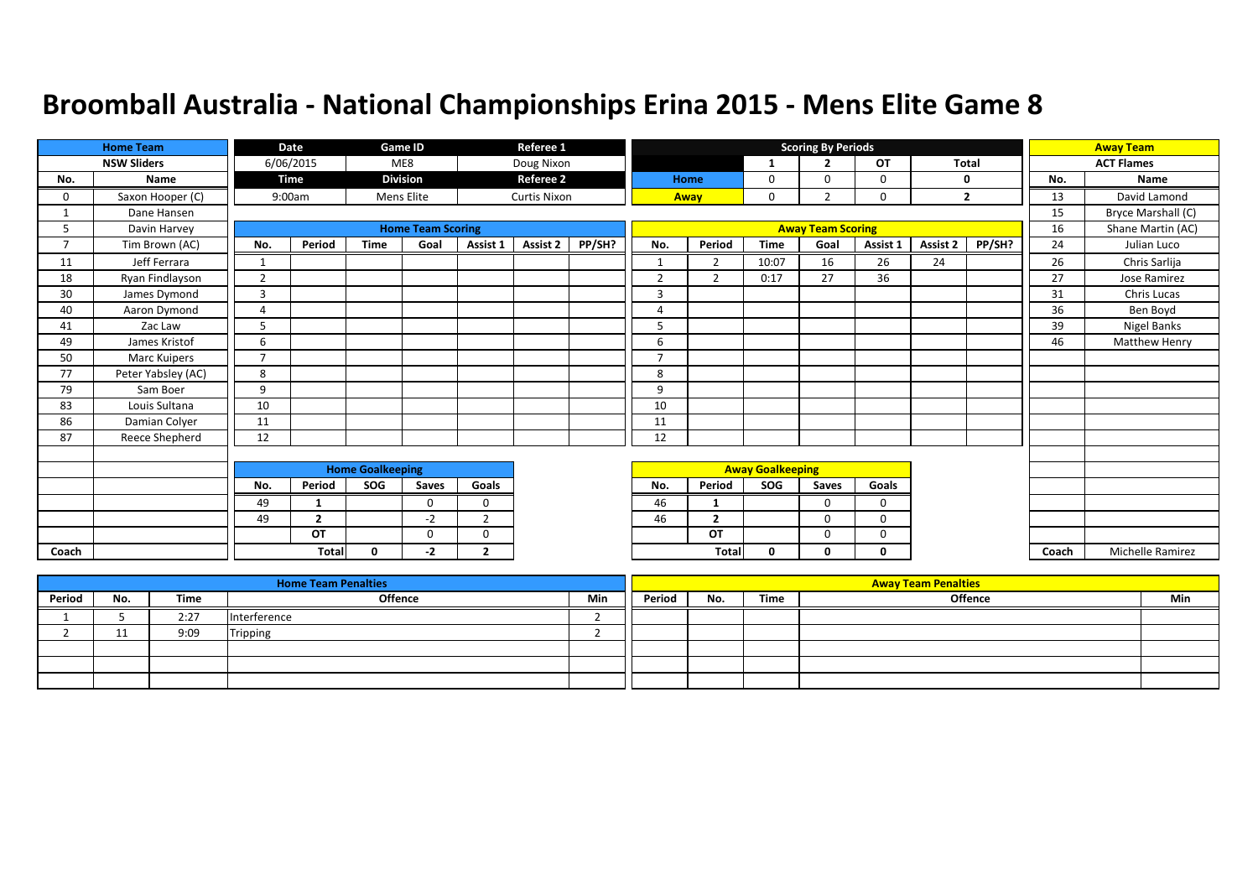|                | <b>Home Team</b>   |                          | Date                     |                         | Game ID                  |                | Referee 1           |        |                         |                |                         | <b>Scoring By Periods</b> |          |          |                |       | <b>Away Team</b>     |
|----------------|--------------------|--------------------------|--------------------------|-------------------------|--------------------------|----------------|---------------------|--------|-------------------------|----------------|-------------------------|---------------------------|----------|----------|----------------|-------|----------------------|
|                | <b>NSW Sliders</b> |                          | 6/06/2015                |                         | ME8                      |                | Doug Nixon          |        |                         |                | 1                       | $\overline{\phantom{a}}$  | OT       | Total    |                |       | <b>ACT Flames</b>    |
| No.            | Name               |                          | <b>Time</b>              |                         | <b>Division</b>          |                | <b>Referee 2</b>    |        |                         | <b>Home</b>    | 0                       | $\Omega$                  | 0        |          | 0              | No.   | Name                 |
| 0              | Saxon Hooper (C)   |                          | 9:00am                   |                         | Mens Elite               |                | <b>Curtis Nixon</b> |        |                         | Away           | 0                       | h                         | 0        |          | $\overline{2}$ | 13    | David Lamond         |
|                | Dane Hansen        |                          |                          |                         |                          |                |                     |        |                         |                |                         |                           |          |          |                | 15    | Bryce Marshall (C)   |
| 5              | Davin Harvey       |                          |                          |                         | <b>Home Team Scoring</b> |                |                     |        |                         |                |                         | <b>Away Team Scoring</b>  |          |          |                | 16    | Shane Martin (AC)    |
| $\overline{7}$ | Tim Brown (AC)     | No.                      | Period                   | <b>Time</b>             | Goal                     | Assist 1       | Assist 2            | PP/SH? | No.                     | Period         | <b>Time</b>             | Goal                      | Assist 1 | Assist 2 | PP/SH?         | 24    | Julian Luco          |
| 11             | Jeff Ferrara       | 1                        |                          |                         |                          |                |                     |        | $\mathbf{\overline{1}}$ | $\overline{2}$ | 10:07                   | 16                        | 26       | 24       |                | 26    | Chris Sarlija        |
| 18             | Ryan Findlayson    | 2                        |                          |                         |                          |                |                     |        | $\overline{2}$          | $\overline{2}$ | 0:17                    | 27                        | 36       |          |                | 27    | Jose Ramirez         |
| 30             | James Dymond       | 3                        |                          |                         |                          |                |                     |        | 3                       |                |                         |                           |          |          |                | 31    | Chris Lucas          |
| 40             | Aaron Dymond       | $\overline{a}$           |                          |                         |                          |                |                     |        | 4                       |                |                         |                           |          |          |                | 36    | Ben Boyd             |
| 41             | Zac Law            | 5                        |                          |                         |                          |                |                     |        | 5                       |                |                         |                           |          |          |                | 39    | Nigel Banks          |
| 49             | James Kristof      | 6                        |                          |                         |                          |                |                     |        | 6                       |                |                         |                           |          |          |                | 46    | <b>Matthew Henry</b> |
| 50             | Marc Kuipers       | $\overline{\phantom{a}}$ |                          |                         |                          |                |                     |        | $\overline{ }$          |                |                         |                           |          |          |                |       |                      |
| 77             | Peter Yabsley (AC) | 8                        |                          |                         |                          |                |                     |        | 8                       |                |                         |                           |          |          |                |       |                      |
| 79             | Sam Boer           | 9                        |                          |                         |                          |                |                     |        | 9                       |                |                         |                           |          |          |                |       |                      |
| 83             | Louis Sultana      | 10                       |                          |                         |                          |                |                     |        | 10                      |                |                         |                           |          |          |                |       |                      |
| 86             | Damian Colyer      | 11                       |                          |                         |                          |                |                     |        | 11                      |                |                         |                           |          |          |                |       |                      |
| 87             | Reece Shepherd     | 12                       |                          |                         |                          |                |                     |        | 12                      |                |                         |                           |          |          |                |       |                      |
|                |                    |                          |                          |                         |                          |                |                     |        |                         |                |                         |                           |          |          |                |       |                      |
|                |                    |                          |                          | <b>Home Goalkeeping</b> |                          |                |                     |        |                         |                | <b>Away Goalkeeping</b> |                           |          |          |                |       |                      |
|                |                    | No.                      | Period                   | SOG                     | Saves                    | Goals          |                     |        | No.                     | Period         | SOG                     | Saves                     | Goals    |          |                |       |                      |
|                |                    | 49                       |                          |                         | $\Omega$                 | $\Omega$       |                     |        | 46                      |                |                         | $\Omega$                  | $\Omega$ |          |                |       |                      |
|                |                    | 49                       | $\overline{\phantom{a}}$ |                         | $-2$                     | $\mathcal{L}$  |                     |        | 46                      | $\overline{2}$ |                         | $\Omega$                  | $\Omega$ |          |                |       |                      |
|                |                    |                          | OT                       |                         | $\Omega$                 | $\Omega$       |                     |        |                         | OT             |                         | $\Omega$                  | 0        |          |                |       |                      |
| Coach          |                    |                          | Total                    | $\Omega$                | -2                       | $\overline{2}$ |                     |        |                         | Total          | 0                       | 0                         | 0        |          |                | Coach | Michelle Ramirez     |

|        |     |      | <b>Home Team Penalties</b> |     |        |     |      | <b>Away Team Penalties</b> |     |
|--------|-----|------|----------------------------|-----|--------|-----|------|----------------------------|-----|
| Period | No. | Time | Offence                    | Min | Period | No. | Time | <b>Offence</b>             | Min |
|        |     | 2:27 | Interference               |     |        |     |      |                            |     |
|        |     | 9:09 | <b>Tripping</b>            |     |        |     |      |                            |     |
|        |     |      |                            |     |        |     |      |                            |     |
|        |     |      |                            |     |        |     |      |                            |     |
|        |     |      |                            |     |        |     |      |                            |     |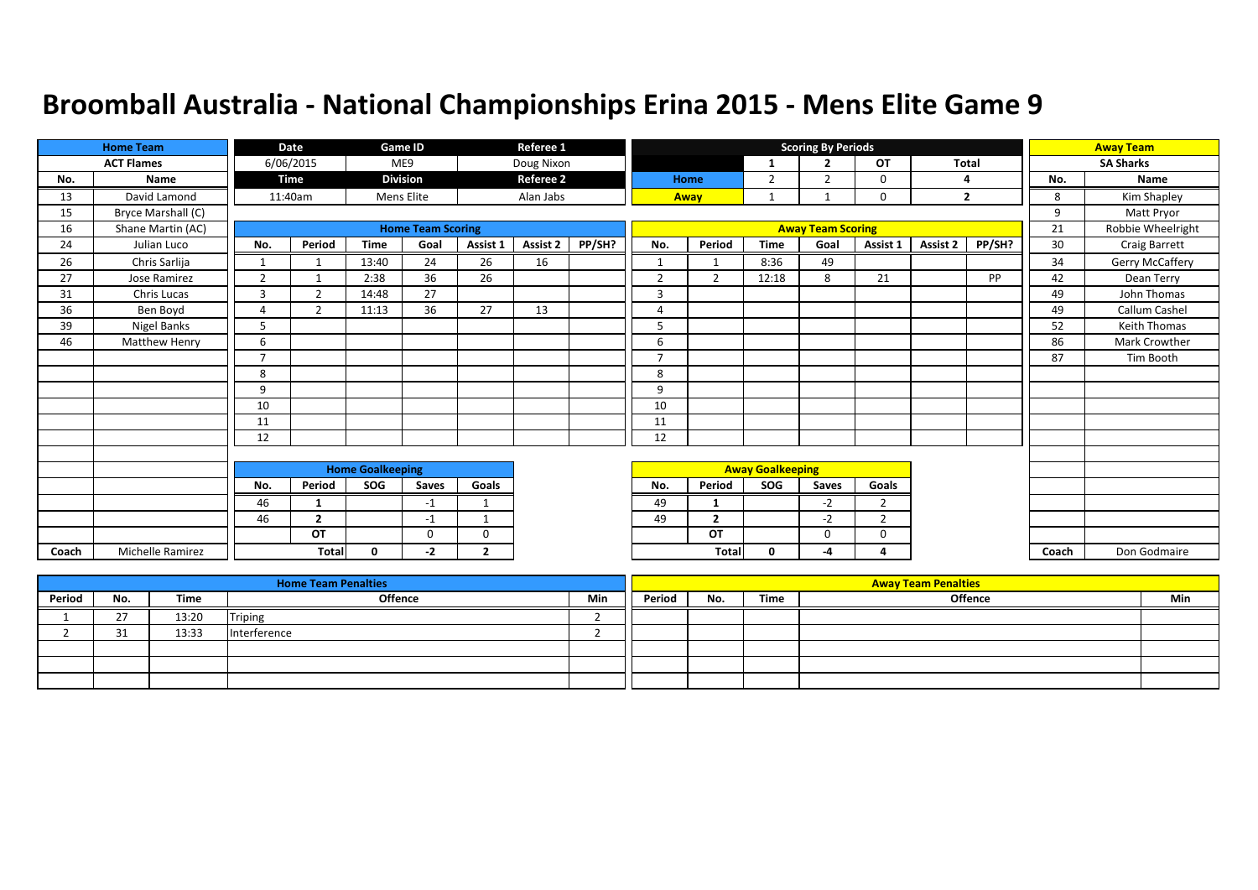|       | <b>Home Team</b>   |                | Date           |                         | Game ID                  |                | Referee 1        |        |                |                |                         | <b>Scoring By Periods</b> |                |          |                |       | <b>Away Team</b>     |
|-------|--------------------|----------------|----------------|-------------------------|--------------------------|----------------|------------------|--------|----------------|----------------|-------------------------|---------------------------|----------------|----------|----------------|-------|----------------------|
|       | <b>ACT Flames</b>  |                | 6/06/2015      |                         | ME9                      |                | Doug Nixon       |        |                |                | -1                      | $\overline{2}$            | <b>OT</b>      | Total    |                |       | <b>SA Sharks</b>     |
| No.   | Name               |                | Time           |                         | <b>Division</b>          |                | <b>Referee 2</b> |        |                | Home           | $\overline{2}$          | $\overline{2}$            | 0              |          | 4              | No.   | <b>Name</b>          |
| 13    | David Lamond       |                | 11:40am        |                         | Mens Elite               |                | Alan Jabs        |        |                | Away           | 1                       |                           | 0              |          | $\overline{2}$ | 8     | Kim Shapley          |
| 15    | Bryce Marshall (C) |                |                |                         |                          |                |                  |        |                |                |                         |                           |                |          |                | 9     | Matt Pryor           |
| 16    | Shane Martin (AC)  |                |                |                         | <b>Home Team Scoring</b> |                |                  |        |                |                |                         | <b>Away Team Scoring</b>  |                |          |                | 21    | Robbie Wheelright    |
| 24    | Julian Luco        | No.            | Period         | <b>Time</b>             | Goal                     | Assist 1       | Assist 2         | PP/SH? | No.            | Period         | <b>Time</b>             | Goal                      | Assist 1       | Assist 2 | PP/SH?         | 30    | <b>Craig Barrett</b> |
| 26    | Chris Sarlija      | 1              |                | 13:40                   | 24                       | 26             | 16               |        | -1             |                | 8:36                    | 49                        |                |          |                | 34    | Gerry McCaffery      |
| 27    | Jose Ramirez       | $\overline{2}$ |                | 2:38                    | 36                       | 26             |                  |        | $\overline{2}$ | $\overline{2}$ | 12:18                   | 8                         | 21             |          | PP             | 42    | Dean Terry           |
| 31    | Chris Lucas        | 3              | ຳ              | 14:48                   | 27                       |                |                  |        | 3              |                |                         |                           |                |          |                | 49    | John Thomas          |
| 36    | Ben Boyd           | 4              | $\overline{2}$ | 11:13                   | 36                       | 27             | 13               |        | $\overline{A}$ |                |                         |                           |                |          |                | 49    | Callum Cashel        |
| 39    | Nigel Banks        | 5              |                |                         |                          |                |                  |        | 5              |                |                         |                           |                |          |                | 52    | <b>Keith Thomas</b>  |
| 46    | Matthew Henry      | 6              |                |                         |                          |                |                  |        | 6              |                |                         |                           |                |          |                | 86    | Mark Crowther        |
|       |                    | $\overline{7}$ |                |                         |                          |                |                  |        | $\overline{7}$ |                |                         |                           |                |          |                | 87    | Tim Booth            |
|       |                    | 8              |                |                         |                          |                |                  |        | 8              |                |                         |                           |                |          |                |       |                      |
|       |                    | 9              |                |                         |                          |                |                  |        | 9              |                |                         |                           |                |          |                |       |                      |
|       |                    | 10             |                |                         |                          |                |                  |        | 10             |                |                         |                           |                |          |                |       |                      |
|       |                    | 11             |                |                         |                          |                |                  |        | 11             |                |                         |                           |                |          |                |       |                      |
|       |                    | 12             |                |                         |                          |                |                  |        | 12             |                |                         |                           |                |          |                |       |                      |
|       |                    |                |                |                         |                          |                |                  |        |                |                |                         |                           |                |          |                |       |                      |
|       |                    |                |                | <b>Home Goalkeeping</b> |                          |                |                  |        |                |                | <b>Away Goalkeeping</b> |                           |                |          |                |       |                      |
|       |                    | No.            | Period         | SOG                     | Saves                    | Goals          |                  |        | No.            | Period         | SOG                     | Saves                     | Goals          |          |                |       |                      |
|       |                    | 46             | $\mathbf{1}$   |                         | $-1$                     | $\mathbf{1}$   |                  |        | 49             | -1             |                         | $-2$                      | $\overline{2}$ |          |                |       |                      |
|       |                    | 46             | $\overline{2}$ |                         | $-1$                     | $\mathbf 1$    |                  |        | 49             | $\overline{2}$ |                         | $-2$                      | $\overline{2}$ |          |                |       |                      |
|       |                    |                | OT             |                         | $\Omega$                 | $\mathbf 0$    |                  |        |                | OT             |                         | $\Omega$                  | $\Omega$       |          |                |       |                      |
| Coach | Michelle Ramirez   |                | <b>Total</b>   | $\mathbf{0}$            | -2                       | $\overline{2}$ |                  |        |                | <b>Total</b>   | $\mathbf{0}$            | -4                        | Δ              |          |                | Coach | Don Godmaire         |

|        |          |       | <b>Home Team Penalties</b> |     |        |     |      | <b>Away Team Penalties</b> |     |
|--------|----------|-------|----------------------------|-----|--------|-----|------|----------------------------|-----|
| Period | No.      | Time  | Offence                    | Min | Period | No. | Time | Offence                    | Min |
|        | <u>.</u> | 13:20 | Triping                    |     |        |     |      |                            |     |
|        |          | 13:33 | Interference               |     |        |     |      |                            |     |
|        |          |       |                            |     |        |     |      |                            |     |
|        |          |       |                            |     |        |     |      |                            |     |
|        |          |       |                            |     |        |     |      |                            |     |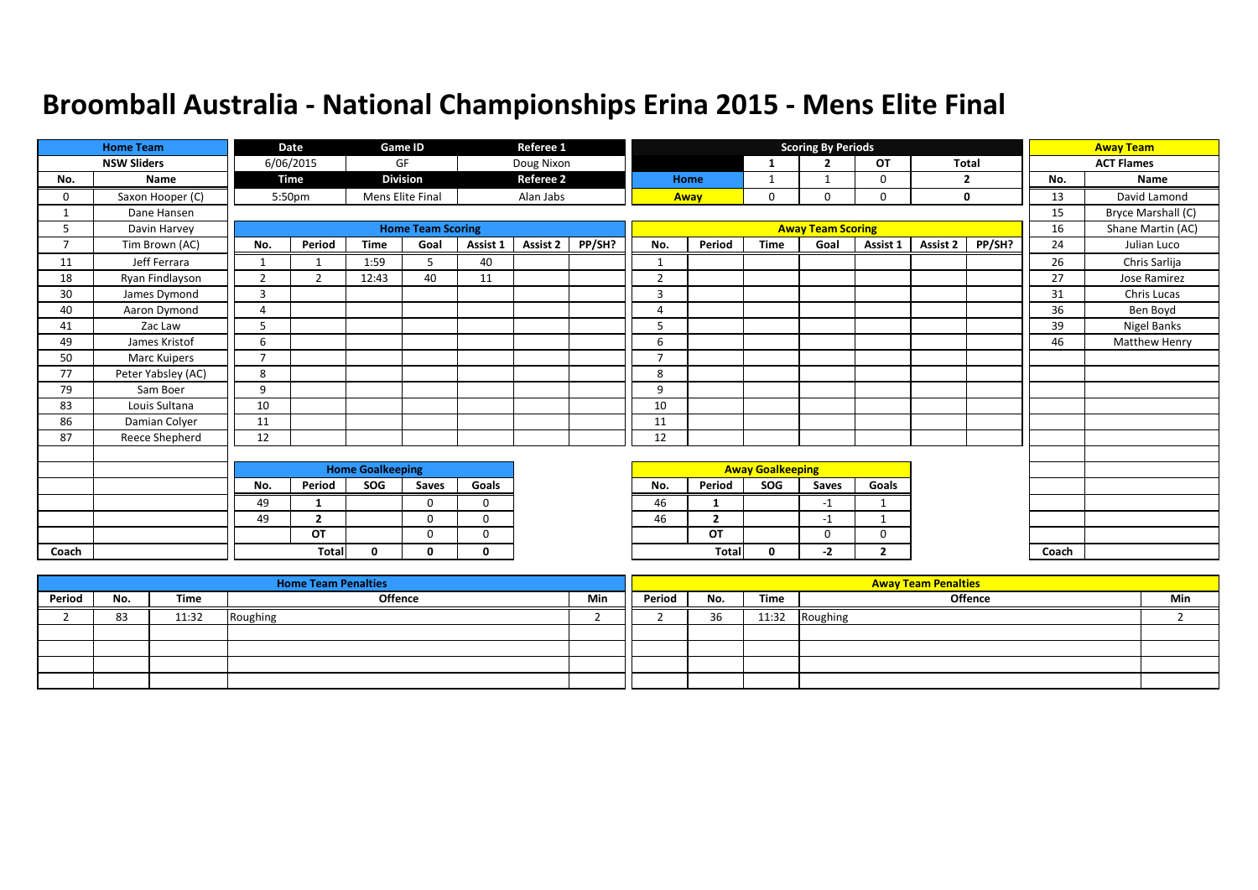|                | <b>Home Team</b>   |                | <b>Date</b>    |                         | <b>Game ID</b>           |          | Referee 1        |        |                |                         |                         | <b>Scoring By Periods</b> |                |          |                |       | <b>Away Team</b>     |
|----------------|--------------------|----------------|----------------|-------------------------|--------------------------|----------|------------------|--------|----------------|-------------------------|-------------------------|---------------------------|----------------|----------|----------------|-------|----------------------|
|                | <b>NSW Sliders</b> |                | 6/06/2015      |                         | GF                       |          | Doug Nixon       |        |                |                         | 1                       | $\overline{2}$            | OT             | Total    |                |       | <b>ACT Flames</b>    |
| No.            | Name               |                | Time           |                         | <b>Division</b>          |          | <b>Referee 2</b> |        |                | Home                    | 1                       | -1                        | 0              |          | $\overline{2}$ | No.   | <b>Name</b>          |
| 0              | Saxon Hooper (C)   |                | 5:50pm         |                         | Mens Elite Final         |          | Alan Jabs        |        |                | Away                    | 0                       | 0                         | 0              |          | 0              | 13    | David Lamond         |
|                | Dane Hansen        |                |                |                         |                          |          |                  |        |                |                         |                         |                           |                |          |                | 15    | Bryce Marshall (C)   |
| 5              | Davin Harvey       |                |                |                         | <b>Home Team Scoring</b> |          |                  |        |                |                         |                         | <b>Away Team Scoring</b>  |                |          |                | 16    | Shane Martin (AC)    |
| $\overline{7}$ | Tim Brown (AC)     | No.            | Period         | <b>Time</b>             | Goal                     | Assist 1 | <b>Assist 2</b>  | PP/SH? | No.            | Period                  | <b>Time</b>             | Goal                      | Assist 1       | Assist 2 | PP/SH?         | 24    | Julian Luco          |
| 11             | Jeff Ferrara       | $\mathbf{1}$   |                | 1:59                    | 5                        | 40       |                  |        | $\mathbf{1}$   |                         |                         |                           |                |          |                | 26    | Chris Sarlija        |
| 18             | Ryan Findlayson    | $\overline{2}$ | $\overline{2}$ | 12:43                   | 40                       | 11       |                  |        | $\overline{2}$ |                         |                         |                           |                |          |                | 27    | Jose Ramirez         |
| 30             | James Dymond       | 3              |                |                         |                          |          |                  |        | 3              |                         |                         |                           |                |          |                | 31    | Chris Lucas          |
| 40             | Aaron Dymond       | $\overline{4}$ |                |                         |                          |          |                  |        | $\overline{A}$ |                         |                         |                           |                |          |                | 36    | Ben Boyd             |
| 41             | Zac Law            | 5              |                |                         |                          |          |                  |        | 5              |                         |                         |                           |                |          |                | 39    | <b>Nigel Banks</b>   |
| 49             | James Kristof      | 6              |                |                         |                          |          |                  |        | 6              |                         |                         |                           |                |          |                | 46    | <b>Matthew Henry</b> |
| 50             | Marc Kuipers       | $\overline{7}$ |                |                         |                          |          |                  |        | $\overline{7}$ |                         |                         |                           |                |          |                |       |                      |
| 77             | Peter Yabsley (AC) | 8              |                |                         |                          |          |                  |        | 8              |                         |                         |                           |                |          |                |       |                      |
| 79             | Sam Boer           | 9              |                |                         |                          |          |                  |        | 9              |                         |                         |                           |                |          |                |       |                      |
| 83             | Louis Sultana      | 10             |                |                         |                          |          |                  |        | 10             |                         |                         |                           |                |          |                |       |                      |
| 86             | Damian Colyer      | 11             |                |                         |                          |          |                  |        | 11             |                         |                         |                           |                |          |                |       |                      |
| 87             | Reece Shepherd     | 12             |                |                         |                          |          |                  |        | 12             |                         |                         |                           |                |          |                |       |                      |
|                |                    |                |                |                         |                          |          |                  |        |                |                         |                         |                           |                |          |                |       |                      |
|                |                    |                |                | <b>Home Goalkeeping</b> |                          |          |                  |        |                |                         | <b>Away Goalkeeping</b> |                           |                |          |                |       |                      |
|                |                    | No.            | Period         | SOG                     | Saves                    | Goals    |                  |        | No.            | Period                  | SOG                     | Saves                     | Goals          |          |                |       |                      |
|                |                    | 49             | 1              |                         | $\Omega$                 | $\Omega$ |                  |        | 46             | 1                       |                         | $-1$                      | $\mathbf{1}$   |          |                |       |                      |
|                |                    | 49             | $\overline{2}$ |                         | $\Omega$                 | $\Omega$ |                  |        | 46             | $\overline{\mathbf{z}}$ |                         | $-1$                      |                |          |                |       |                      |
|                |                    |                | OT             |                         | $\Omega$                 | $\Omega$ |                  |        |                | OT                      |                         | $\Omega$                  | $\mathbf 0$    |          |                |       |                      |
| Coach          |                    |                | <b>Total</b>   | 0                       | 0                        | 0        |                  |        |                | <b>Total</b>            | 0                       | $-2$                      | $\overline{2}$ |          |                | Coach |                      |

|        |     |       | <b>Home Team Penalties</b> |     |        |     |       | <b>Away Team Penalties</b> |     |
|--------|-----|-------|----------------------------|-----|--------|-----|-------|----------------------------|-----|
| Period | No. | Time  | Offence                    | Min | Period | No. | Time  | <b>Offence</b>             | Min |
|        | 83  | 11:32 | Roughing                   |     |        | 36  | 11:32 | Roughing                   |     |
|        |     |       |                            |     |        |     |       |                            |     |
|        |     |       |                            |     |        |     |       |                            |     |
|        |     |       |                            |     |        |     |       |                            |     |
|        |     |       |                            |     |        |     |       |                            |     |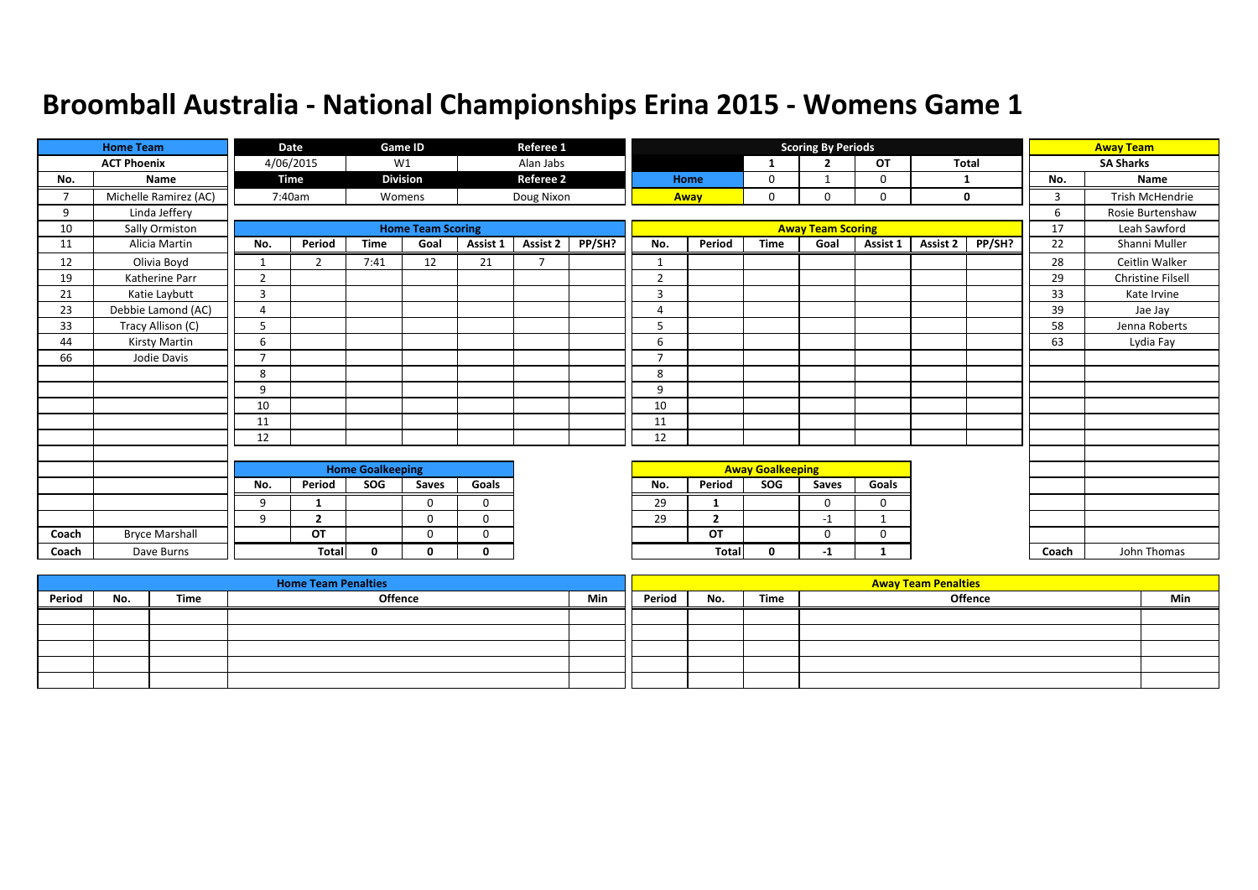|                | <b>Home Team</b>      |                | Date           |                         | Game ID                  |             | Referee 1                |        |                |                |                         | <b>Scoring By Periods</b> |             |          |        |       | <b>Away Team</b>  |
|----------------|-----------------------|----------------|----------------|-------------------------|--------------------------|-------------|--------------------------|--------|----------------|----------------|-------------------------|---------------------------|-------------|----------|--------|-------|-------------------|
|                | <b>ACT Phoenix</b>    |                | 4/06/2015      |                         | W1                       |             | Alan Jabs                |        |                |                | -1                      | $\overline{2}$            | <b>OT</b>   | Total    |        |       | <b>SA Sharks</b>  |
| No.            | <b>Name</b>           |                | Time           |                         | <b>Division</b>          |             | <b>Referee 2</b>         |        |                | Home           | 0                       |                           | $\Omega$    |          |        | No.   | <b>Name</b>       |
| $\overline{7}$ | Michelle Ramirez (AC) |                | 7:40am         |                         | Womens                   |             | Doug Nixon               |        |                | Away           | 0                       | 0                         | $\mathbf 0$ |          | 0      | 3     | Trish McHendrie   |
| 9              | Linda Jeffery         |                |                |                         |                          |             |                          |        |                |                |                         |                           |             |          |        | 6     | Rosie Burtenshaw  |
| 10             | Sally Ormiston        |                |                |                         | <b>Home Team Scoring</b> |             |                          |        |                |                |                         | <b>Away Team Scoring</b>  |             |          |        | 17    | Leah Sawford      |
| 11             | Alicia Martin         | No.            | Period         | <b>Time</b>             | Goal                     | Assist 1    | Assist 2                 | PP/SH? | No.            | Period         | <b>Time</b>             | Goal                      | Assist 1    | Assist 2 | PP/SH? | 22    | Shanni Muller     |
| 12             | Olivia Boyd           | $\mathbf{1}$   | C.             | 7:41                    | 12                       | 21          | $\overline{\phantom{a}}$ |        |                |                |                         |                           |             |          |        | 28    | Ceitlin Walker    |
| 19             | Katherine Parr        | $\overline{2}$ |                |                         |                          |             |                          |        | $\overline{2}$ |                |                         |                           |             |          |        | 29    | Christine Filsell |
| 21             | Katie Laybutt         | 3              |                |                         |                          |             |                          |        | 3              |                |                         |                           |             |          |        | 33    | Kate Irvine       |
| 23             | Debbie Lamond (AC)    | $\overline{A}$ |                |                         |                          |             |                          |        | $\overline{4}$ |                |                         |                           |             |          |        | 39    | Jae Jay           |
| 33             | Tracy Allison (C)     | 5              |                |                         |                          |             |                          |        | 5              |                |                         |                           |             |          |        | 58    | Jenna Roberts     |
| 44             | Kirsty Martin         | 6              |                |                         |                          |             |                          |        | 6              |                |                         |                           |             |          |        | 63    | Lydia Fay         |
| 66             | Jodie Davis           | $\overline{7}$ |                |                         |                          |             |                          |        | $\overline{ }$ |                |                         |                           |             |          |        |       |                   |
|                |                       | 8              |                |                         |                          |             |                          |        | 8              |                |                         |                           |             |          |        |       |                   |
|                |                       | 9              |                |                         |                          |             |                          |        | 9              |                |                         |                           |             |          |        |       |                   |
|                |                       | 10             |                |                         |                          |             |                          |        | 10             |                |                         |                           |             |          |        |       |                   |
|                |                       | 11             |                |                         |                          |             |                          |        | 11             |                |                         |                           |             |          |        |       |                   |
|                |                       | 12             |                |                         |                          |             |                          |        | 12             |                |                         |                           |             |          |        |       |                   |
|                |                       |                |                |                         |                          |             |                          |        |                |                |                         |                           |             |          |        |       |                   |
|                |                       |                |                | <b>Home Goalkeeping</b> |                          |             |                          |        |                |                | <b>Away Goalkeeping</b> |                           |             |          |        |       |                   |
|                |                       | No.            | Period         | SOG                     | Saves                    | Goals       |                          |        | No.            | Period         | SOG                     | Saves                     | Goals       |          |        |       |                   |
|                |                       | 9              | 1              |                         | $\Omega$                 | $\mathbf 0$ |                          |        | 29             | -1             |                         | 0                         | 0           |          |        |       |                   |
|                |                       | 9              | $\overline{2}$ |                         | $\Omega$                 | $\Omega$    |                          |        | 29             | $\overline{2}$ |                         | $-1$                      |             |          |        |       |                   |
| Coach          | <b>Bryce Marshall</b> |                | OT             |                         | $\Omega$                 | $\Omega$    |                          |        |                | OT             |                         | $\Omega$                  | $\Omega$    |          |        |       |                   |
| Coach          | Dave Burns            |                | Total          | 0                       | 0                        | 0           |                          |        |                | <b>Total</b>   | 0                       | $-1$                      |             |          |        | Coach | John Thomas       |

|        |     |      | <b>Home Team Penalties</b> |     |        |     |      | <b>Away Team Penalties</b> |     |
|--------|-----|------|----------------------------|-----|--------|-----|------|----------------------------|-----|
| Period | No. | Time | Offence                    | Min | Period | No. | Time | Offence                    | Min |
|        |     |      |                            |     |        |     |      |                            |     |
|        |     |      |                            |     |        |     |      |                            |     |
|        |     |      |                            |     |        |     |      |                            |     |
|        |     |      |                            |     |        |     |      |                            |     |
|        |     |      |                            |     |        |     |      |                            |     |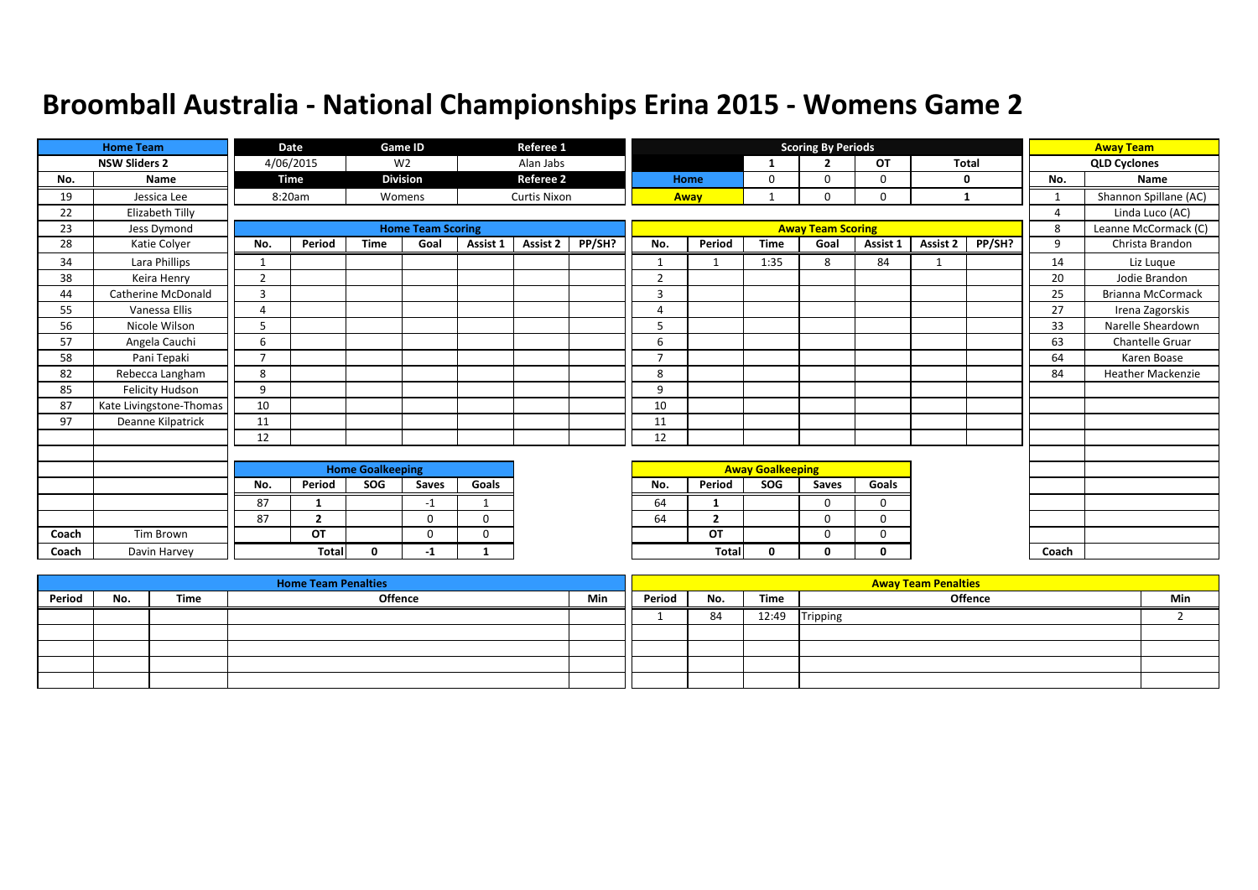|       | <b>Home Team</b>          |                | Date           |                         | <b>Game ID</b>           |          | Referee 1           |        |                |                |                         | <b>Scoring By Periods</b> |          |              |        |                | <b>Away Team</b>         |
|-------|---------------------------|----------------|----------------|-------------------------|--------------------------|----------|---------------------|--------|----------------|----------------|-------------------------|---------------------------|----------|--------------|--------|----------------|--------------------------|
|       | <b>NSW Sliders 2</b>      |                | 4/06/2015      |                         | W <sub>2</sub>           |          | Alan Jabs           |        |                |                | 1                       | $\overline{2}$            | OT       | <b>Total</b> |        |                | <b>QLD Cyclones</b>      |
| No.   | Name                      |                | Time           |                         | <b>Division</b>          |          | <b>Referee 2</b>    |        |                | Home           | 0                       | $\Omega$                  | 0        |              | 0      | No.            | Name                     |
| 19    | Jessica Lee               |                | 8:20am         |                         | Womens                   |          | <b>Curtis Nixon</b> |        |                | Away           | $\mathbf{1}$            | 0                         | 0        | $\mathbf{1}$ |        | 1              | Shannon Spillane (AC)    |
| 22    | Elizabeth Tilly           |                |                |                         |                          |          |                     |        |                |                |                         |                           |          |              |        | $\overline{4}$ | Linda Luco (AC)          |
| 23    | Jess Dymond               |                |                |                         | <b>Home Team Scoring</b> |          |                     |        |                |                |                         | <b>Away Team Scoring</b>  |          |              |        | 8              | Leanne McCormack (C)     |
| 28    | Katie Colyer              | No.            | Period         | <b>Time</b>             | Goal                     | Assist 1 | <b>Assist 2</b>     | PP/SH? | No.            | Period         | <b>Time</b>             | Goal                      | Assist 1 | Assist 2     | PP/SH? | 9              | Christa Brandon          |
| 34    | Lara Phillips             | $\mathbf{1}$   |                |                         |                          |          |                     |        | $\mathbf{1}$   | $\mathbf 1$    | 1:35                    | 8                         | 84       | -1           |        | 14             | Liz Luque                |
| 38    | Keira Henry               | 2              |                |                         |                          |          |                     |        | $\overline{2}$ |                |                         |                           |          |              |        | 20             | Jodie Brandon            |
| 44    | <b>Catherine McDonald</b> | $\overline{3}$ |                |                         |                          |          |                     |        | 3              |                |                         |                           |          |              |        | 25             | <b>Brianna McCormack</b> |
| 55    | Vanessa Ellis             | Δ              |                |                         |                          |          |                     |        | 4              |                |                         |                           |          |              |        | 27             | Irena Zagorskis          |
| 56    | Nicole Wilson             | 5              |                |                         |                          |          |                     |        | 5              |                |                         |                           |          |              |        | 33             | Narelle Sheardown        |
| 57    | Angela Cauchi             | 6              |                |                         |                          |          |                     |        | 6              |                |                         |                           |          |              |        | 63             | <b>Chantelle Gruar</b>   |
| 58    | Pani Tepaki               | $\overline{7}$ |                |                         |                          |          |                     |        | ⇁              |                |                         |                           |          |              |        | 64             | Karen Boase              |
| 82    | Rebecca Langham           | 8              |                |                         |                          |          |                     |        | 8              |                |                         |                           |          |              |        | 84             | <b>Heather Mackenzie</b> |
| 85    | Felicity Hudson           | 9              |                |                         |                          |          |                     |        | 9              |                |                         |                           |          |              |        |                |                          |
| 87    | Kate Livingstone-Thomas   | 10             |                |                         |                          |          |                     |        | 10             |                |                         |                           |          |              |        |                |                          |
| 97    | Deanne Kilpatrick         | 11             |                |                         |                          |          |                     |        | 11             |                |                         |                           |          |              |        |                |                          |
|       |                           | 12             |                |                         |                          |          |                     |        | 12             |                |                         |                           |          |              |        |                |                          |
|       |                           |                |                |                         |                          |          |                     |        |                |                |                         |                           |          |              |        |                |                          |
|       |                           |                |                | <b>Home Goalkeeping</b> |                          |          |                     |        |                |                | <b>Away Goalkeeping</b> |                           |          |              |        |                |                          |
|       |                           | No.            | Period         | SOG                     | Saves                    | Goals    |                     |        | No.            | Period         | SOG                     | Saves                     | Goals    |              |        |                |                          |
|       |                           | 87             |                |                         | -1                       |          |                     |        | 64             | -1             |                         | 0                         | $\Omega$ |              |        |                |                          |
|       |                           | 87             | $\overline{2}$ |                         | $\Omega$                 | $\Omega$ |                     |        | 64             | $\overline{2}$ |                         | $\Omega$                  | $\Omega$ |              |        |                |                          |
| Coach | Tim Brown                 |                | OT             |                         | $\Omega$                 | $\Omega$ |                     |        |                | OT             |                         | $\Omega$                  | 0        |              |        |                |                          |
| Coach | Davin Harvey              |                | <b>Total</b>   | $\Omega$                | -1                       |          |                     |        |                | Total          | 0                       | 0                         | 0        |              |        | Coach          |                          |

|        |     |      | <b>Home Team Penalties</b> |     |        |     |       | <b>Away Team Penalties</b> |     |
|--------|-----|------|----------------------------|-----|--------|-----|-------|----------------------------|-----|
| Period | No. | Time | Offence                    | Min | Period | No. | Time  | <b>Offence</b>             | Min |
|        |     |      |                            |     |        | 84  | 12:49 | Tripping                   |     |
|        |     |      |                            |     |        |     |       |                            |     |
|        |     |      |                            |     |        |     |       |                            |     |
|        |     |      |                            |     |        |     |       |                            |     |
|        |     |      |                            |     |        |     |       |                            |     |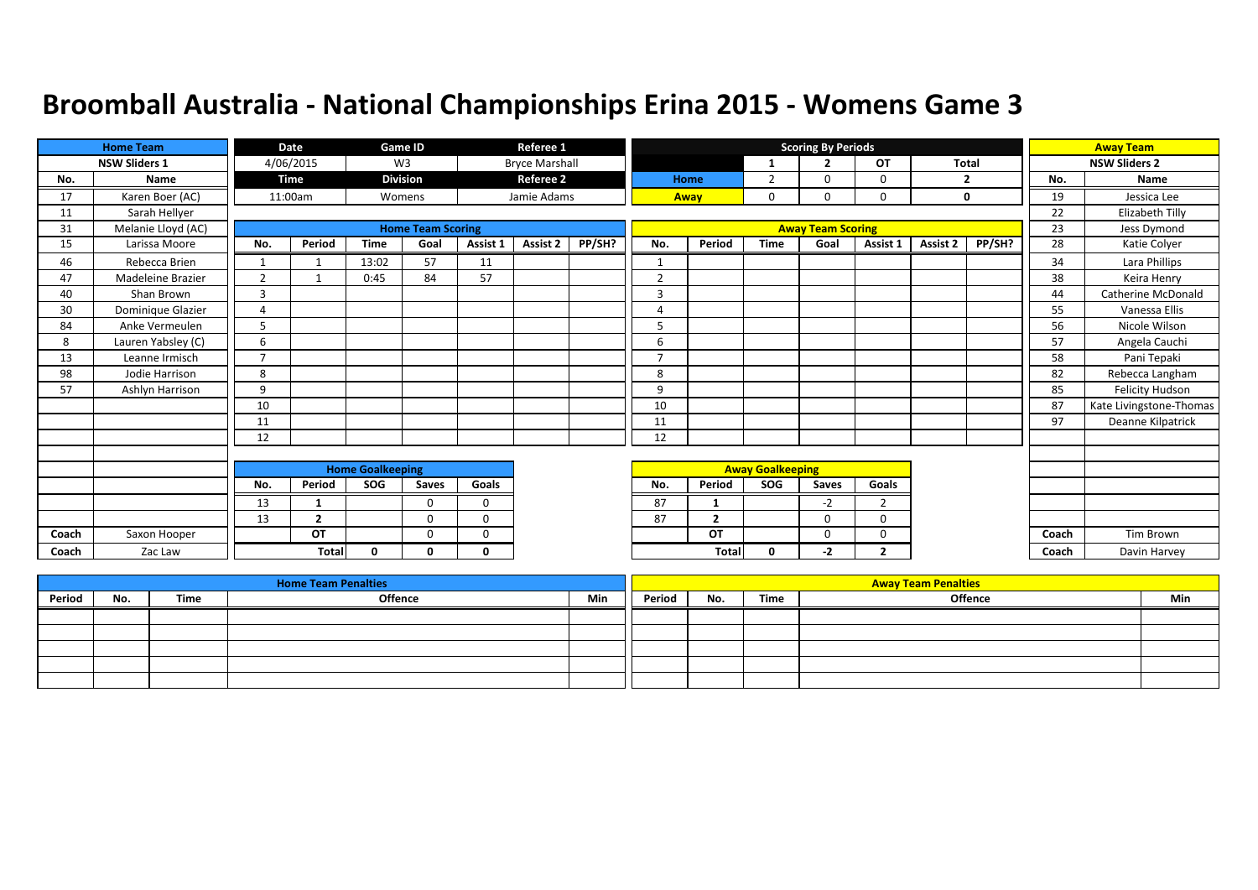|       | <b>Home Team</b>         |                | Date           |                         | Game ID                  |          | Referee 1             |        |                          |                |                         | <b>Scoring By Periods</b> |                |              |                |       | <b>Away Team</b>        |
|-------|--------------------------|----------------|----------------|-------------------------|--------------------------|----------|-----------------------|--------|--------------------------|----------------|-------------------------|---------------------------|----------------|--------------|----------------|-------|-------------------------|
|       | <b>NSW Sliders 1</b>     |                | 4/06/2015      |                         | W <sub>3</sub>           |          | <b>Bryce Marshall</b> |        |                          |                | 1                       | $\overline{2}$            | OT             | <b>Total</b> |                |       | <b>NSW Sliders 2</b>    |
| No.   | Name                     |                | <b>Time</b>    |                         | <b>Division</b>          |          | <b>Referee 2</b>      |        |                          | Home           | $\overline{2}$          | 0                         | 0              |              | $\overline{2}$ | No.   | <b>Name</b>             |
| 17    | Karen Boer (AC)          |                | 11:00am        |                         | Womens                   |          | Jamie Adams           |        |                          | Away           | 0                       | 0                         | 0              |              | 0              | 19    | Jessica Lee             |
| 11    | Sarah Hellyer            |                |                |                         |                          |          |                       |        |                          |                |                         |                           |                |              |                | 22    | Elizabeth Tilly         |
| 31    | Melanie Lloyd (AC)       |                |                |                         | <b>Home Team Scoring</b> |          |                       |        |                          |                |                         | <b>Away Team Scoring</b>  |                |              |                | 23    | Jess Dymond             |
| 15    | Larissa Moore            | No.            | Period         | <b>Time</b>             | Goal                     | Assist 1 | Assist 2              | PP/SH? | No.                      | Period         | <b>Time</b>             | Goal                      | Assist 1       | Assist 2     | PP/SH?         | 28    | Katie Colyer            |
| 46    | Rebecca Brien            |                |                | 13:02                   | 57                       | 11       |                       |        | $\mathbf{1}$             |                |                         |                           |                |              |                | 34    | Lara Phillips           |
| 47    | <b>Madeleine Brazier</b> | $\overline{2}$ |                | 0:45                    | 84                       | 57       |                       |        | $\overline{2}$           |                |                         |                           |                |              |                | 38    | Keira Henry             |
| 40    | Shan Brown               | $\overline{3}$ |                |                         |                          |          |                       |        | 3                        |                |                         |                           |                |              |                | 44    | Catherine McDonald      |
| 30    | Dominique Glazier        | $\overline{4}$ |                |                         |                          |          |                       |        | 4                        |                |                         |                           |                |              |                | 55    | Vanessa Ellis           |
| 84    | Anke Vermeulen           | 5              |                |                         |                          |          |                       |        | 5                        |                |                         |                           |                |              |                | 56    | Nicole Wilson           |
| 8     | Lauren Yabsley (C)       | 6              |                |                         |                          |          |                       |        | 6                        |                |                         |                           |                |              |                | 57    | Angela Cauchi           |
| 13    | Leanne Irmisch           | $\overline{7}$ |                |                         |                          |          |                       |        | $\overline{\phantom{a}}$ |                |                         |                           |                |              |                | 58    | Pani Tepaki             |
| 98    | Jodie Harrison           | 8              |                |                         |                          |          |                       |        | 8                        |                |                         |                           |                |              |                | 82    | Rebecca Langham         |
| 57    | Ashlyn Harrison          | 9              |                |                         |                          |          |                       |        | 9                        |                |                         |                           |                |              |                | 85    | <b>Felicity Hudson</b>  |
|       |                          | 10             |                |                         |                          |          |                       |        | 10                       |                |                         |                           |                |              |                | 87    | Kate Livingstone-Thomas |
|       |                          | 11             |                |                         |                          |          |                       |        | 11                       |                |                         |                           |                |              |                | 97    | Deanne Kilpatrick       |
|       |                          | 12             |                |                         |                          |          |                       |        | 12                       |                |                         |                           |                |              |                |       |                         |
|       |                          |                |                |                         |                          |          |                       |        |                          |                |                         |                           |                |              |                |       |                         |
|       |                          |                |                | <b>Home Goalkeeping</b> |                          |          |                       |        |                          |                | <b>Away Goalkeeping</b> |                           |                |              |                |       |                         |
|       |                          | No.            | Period         | SOG                     | Saves                    | Goals    |                       |        | No.                      | Period         | SOG                     | Saves                     | Goals          |              |                |       |                         |
|       |                          | 13             | 1              |                         | $\Omega$                 | $\Omega$ |                       |        | 87                       | $\mathbf{1}$   |                         | $-2$                      | $\overline{2}$ |              |                |       |                         |
|       |                          | 13             | $\overline{2}$ |                         | $\Omega$                 | 0        |                       |        | 87                       | $\overline{2}$ |                         | 0                         | 0              |              |                |       |                         |
| Coach | Saxon Hooper             |                | OT             |                         | $\Omega$                 | $\Omega$ |                       |        |                          | OT             |                         | $\Omega$                  | $\Omega$       |              |                | Coach | Tim Brown               |
| Coach | Zac Law                  |                | <b>Total</b>   | <sup>n</sup>            | n                        | $\Omega$ |                       |        |                          | <b>Total</b>   | 0                       | -2                        | $\overline{2}$ |              |                | Coach | Davin Harvey            |

|        |     |      | <b>Home Team Penalties</b> |     |        |     |      | <b>Away Team Penalties</b> |     |
|--------|-----|------|----------------------------|-----|--------|-----|------|----------------------------|-----|
| Period | No. | Time | <b>Offence</b>             | Min | Period | No. | Time | Offence                    | Min |
|        |     |      |                            |     |        |     |      |                            |     |
|        |     |      |                            |     |        |     |      |                            |     |
|        |     |      |                            |     |        |     |      |                            |     |
|        |     |      |                            |     |        |     |      |                            |     |
|        |     |      |                            |     |        |     |      |                            |     |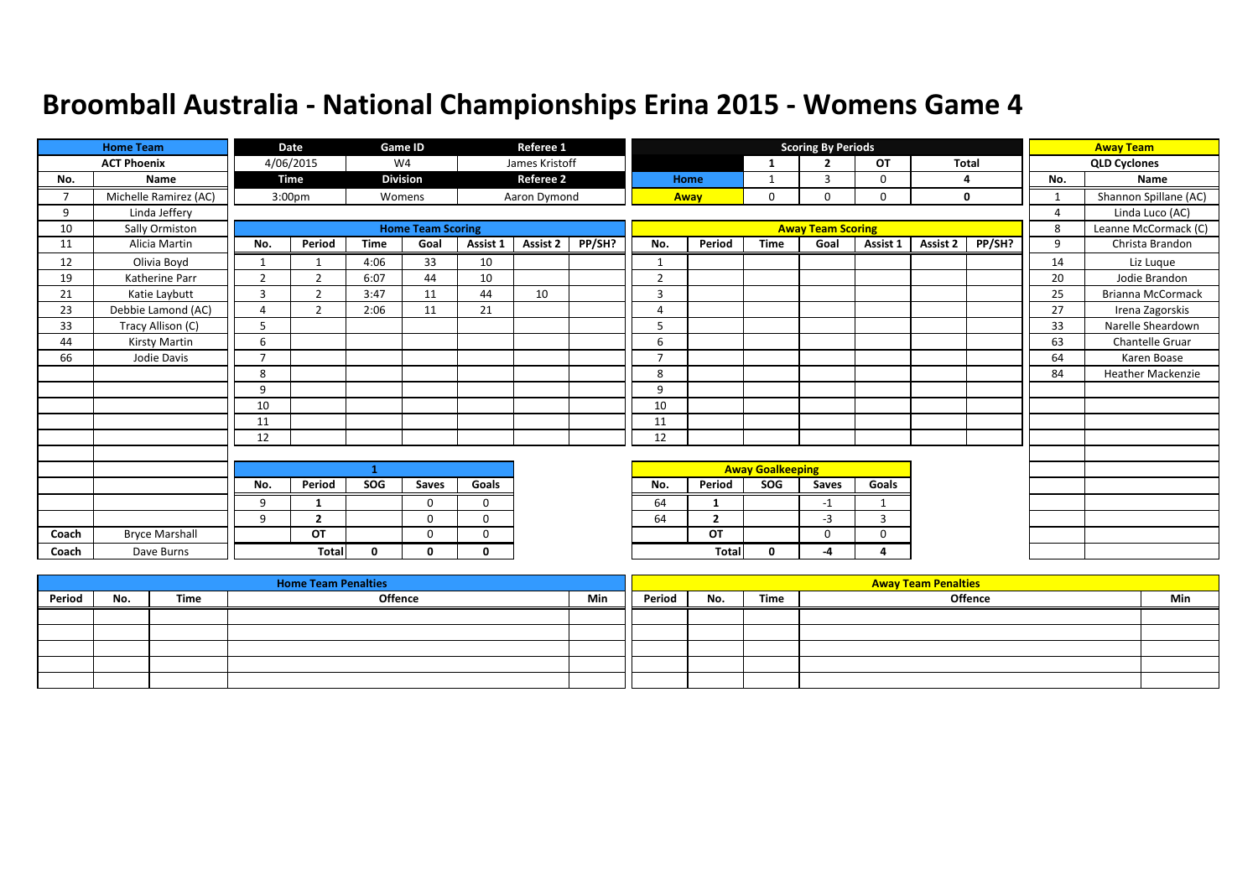|               | <b>Home Team</b>      |                | Date               |             | Game ID                  |             | Referee 1        |        |                |                |                         | <b>Scoring By Periods</b> |              |          |        |                | <b>Away Team</b>         |
|---------------|-----------------------|----------------|--------------------|-------------|--------------------------|-------------|------------------|--------|----------------|----------------|-------------------------|---------------------------|--------------|----------|--------|----------------|--------------------------|
|               | <b>ACT Phoenix</b>    |                | 4/06/2015          |             | W <sub>4</sub>           |             | James Kristoff   |        |                |                | -1                      | $\overline{2}$            | OT           | Total    |        |                | <b>QLD Cyclones</b>      |
| No.           | Name                  |                | Time               |             | <b>Division</b>          |             | <b>Referee 2</b> |        |                | Home           | 1                       | 3                         | $\Omega$     |          | 4      | No.            | Name                     |
| $\mathcal{L}$ | Michelle Ramirez (AC) |                | 3:00 <sub>pm</sub> |             | Womens                   |             | Aaron Dymond     |        |                | Away           | $\mathbf 0$             | 0                         | $\mathbf 0$  |          | 0      |                | Shannon Spillane (AC)    |
| 9             | Linda Jeffery         |                |                    |             |                          |             |                  |        |                |                |                         |                           |              |          |        | $\overline{4}$ | Linda Luco (AC)          |
| 10            | Sally Ormiston        |                |                    |             | <b>Home Team Scoring</b> |             |                  |        |                |                |                         | <b>Away Team Scoring</b>  |              |          |        | 8              | Leanne McCormack (C)     |
| 11            | Alicia Martin         | No.            | Period             | <b>Time</b> | Goal                     | Assist 1    | Assist 2         | PP/SH? | No.            | Period         | <b>Time</b>             | Goal                      | Assist 1     | Assist 2 | PP/SH? | 9              | Christa Brandon          |
| 12            | Olivia Boyd           | $\mathbf{1}$   |                    | 4:06        | 33                       | 10          |                  |        | -1             |                |                         |                           |              |          |        | 14             | Liz Luque                |
| 19            | Katherine Parr        | $\overline{2}$ | $\overline{2}$     | 6:07        | 44                       | 10          |                  |        | $\overline{2}$ |                |                         |                           |              |          |        | 20             | Jodie Brandon            |
| 21            | Katie Laybutt         | 3              | $\mathbf{r}$       | 3:47        | 11                       | 44          | 10               |        | 3              |                |                         |                           |              |          |        | 25             | <b>Brianna McCormack</b> |
| 23            | Debbie Lamond (AC)    | 4              | $\mathcal{P}$      | 2:06        | 11                       | 21          |                  |        | $\overline{A}$ |                |                         |                           |              |          |        | 27             | Irena Zagorskis          |
| 33            | Tracy Allison (C)     | 5              |                    |             |                          |             |                  |        | 5              |                |                         |                           |              |          |        | 33             | Narelle Sheardown        |
| 44            | Kirsty Martin         | 6              |                    |             |                          |             |                  |        | 6              |                |                         |                           |              |          |        | 63             | Chantelle Gruar          |
| 66            | Jodie Davis           | $\overline{ }$ |                    |             |                          |             |                  |        | 7              |                |                         |                           |              |          |        | 64             | Karen Boase              |
|               |                       | 8              |                    |             |                          |             |                  |        | 8              |                |                         |                           |              |          |        | 84             | <b>Heather Mackenzie</b> |
|               |                       | 9              |                    |             |                          |             |                  |        | 9              |                |                         |                           |              |          |        |                |                          |
|               |                       | 10             |                    |             |                          |             |                  |        | 10             |                |                         |                           |              |          |        |                |                          |
|               |                       | 11             |                    |             |                          |             |                  |        | 11             |                |                         |                           |              |          |        |                |                          |
|               |                       | 12             |                    |             |                          |             |                  |        | 12             |                |                         |                           |              |          |        |                |                          |
|               |                       |                |                    |             |                          |             |                  |        |                |                |                         |                           |              |          |        |                |                          |
|               |                       |                |                    | 1           |                          |             |                  |        |                |                | <b>Away Goalkeeping</b> |                           |              |          |        |                |                          |
|               |                       | No.            | Period             | SOG         | Saves                    | Goals       |                  |        | No.            | Period         | SOG                     | Saves                     | Goals        |          |        |                |                          |
|               |                       | 9              | $\mathbf{1}$       |             | $\Omega$                 | $\Omega$    |                  |        | 64             | $\mathbf{1}$   |                         | $-1$                      | $\mathbf{1}$ |          |        |                |                          |
|               |                       | 9              | $\overline{2}$     |             | $\mathbf{0}$             | $\mathbf 0$ |                  |        | 64             | $\overline{2}$ |                         | $-3$                      | 3            |          |        |                |                          |
| Coach         | <b>Bryce Marshall</b> |                | OT                 |             | $\Omega$                 | $\Omega$    |                  |        |                | OT             |                         | $\Omega$                  | 0            |          |        |                |                          |
| Coach         | Dave Burns            |                | <b>Total</b>       | $\Omega$    | 0                        | $\Omega$    |                  |        |                | <b>Total</b>   | 0                       | -4                        | Δ            |          |        |                |                          |

|        |     |      | <b>Home Team Penalties</b> |     |        |     |      | <b>Away Team Penalties</b> |     |
|--------|-----|------|----------------------------|-----|--------|-----|------|----------------------------|-----|
| Period | No. | Time | Offence                    | Min | Period | No. | Time | <b>Offence</b>             | Min |
|        |     |      |                            |     |        |     |      |                            |     |
|        |     |      |                            |     |        |     |      |                            |     |
|        |     |      |                            |     |        |     |      |                            |     |
|        |     |      |                            |     |        |     |      |                            |     |
|        |     |      |                            |     |        |     |      |                            |     |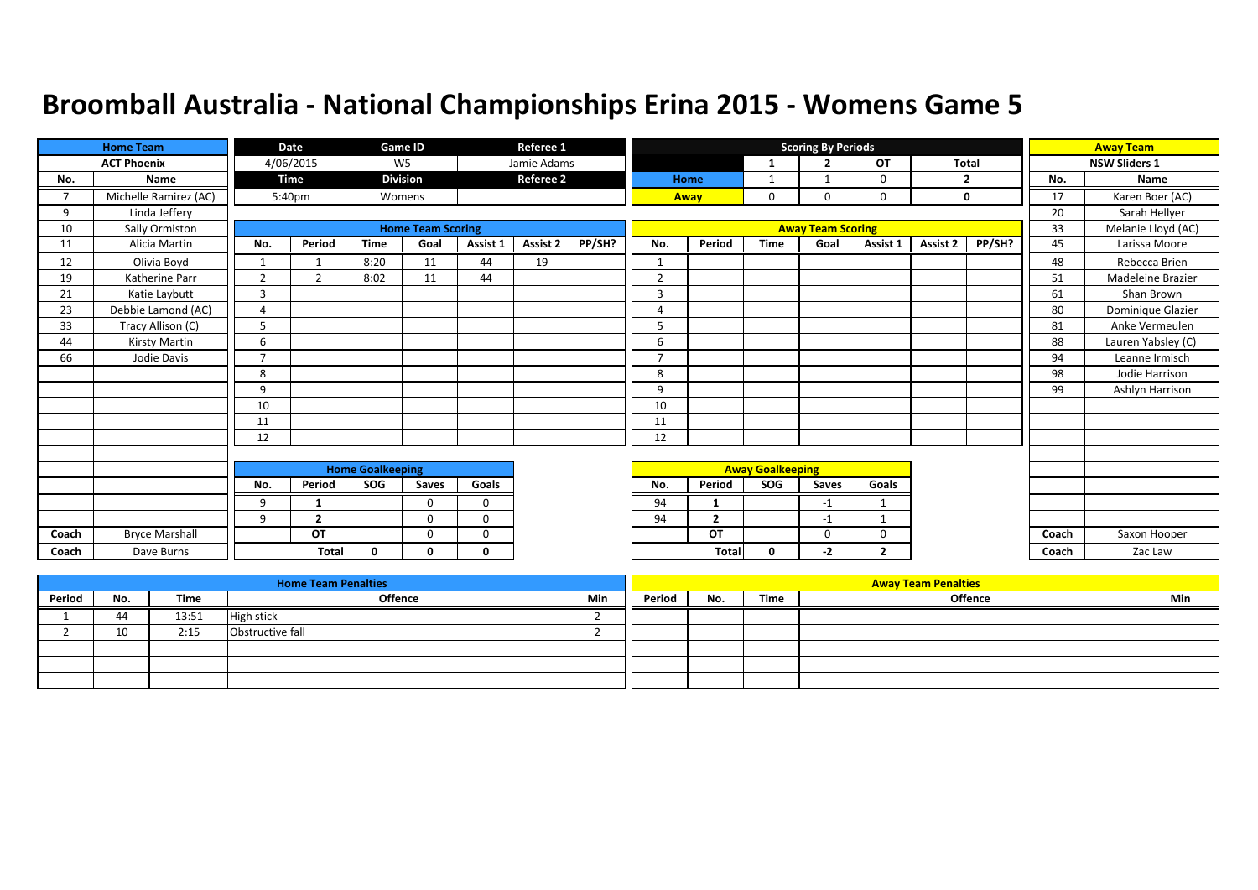|       | <b>Home Team</b>      |                | Date                     |                         | Game ID                  |             | Referee 1        |        |                |                |                         | <b>Scoring By Periods</b> |                |              |                |       | <b>Away Team</b>     |
|-------|-----------------------|----------------|--------------------------|-------------------------|--------------------------|-------------|------------------|--------|----------------|----------------|-------------------------|---------------------------|----------------|--------------|----------------|-------|----------------------|
|       | <b>ACT Phoenix</b>    |                | 4/06/2015                |                         | W <sub>5</sub>           |             | Jamie Adams      |        |                |                | 1                       | $\overline{2}$            | <b>OT</b>      | <b>Total</b> |                |       | <b>NSW Sliders 1</b> |
| No.   | Name                  |                | <b>Time</b>              |                         | <b>Division</b>          |             | <b>Referee 2</b> |        |                | Home           |                         |                           | 0              |              | $\overline{2}$ | No.   | Name                 |
| 7     | Michelle Ramirez (AC) |                | 5:40pm                   |                         | Womens                   |             |                  |        |                | Away           | $\mathbf 0$             | $\Omega$                  | $\Omega$       |              | $\mathbf 0$    | 17    | Karen Boer (AC)      |
| 9     | Linda Jeffery         |                |                          |                         |                          |             |                  |        |                |                |                         |                           |                |              |                | 20    | Sarah Hellyer        |
| 10    | Sally Ormiston        |                |                          |                         | <b>Home Team Scoring</b> |             |                  |        |                |                |                         | <b>Away Team Scoring</b>  |                |              |                | 33    | Melanie Lloyd (AC)   |
| 11    | Alicia Martin         | No.            | Period                   | <b>Time</b>             | Goal                     | Assist 1    | Assist 2         | PP/SH? | No.            | Period         | <b>Time</b>             | Goal                      | Assist 1       | Assist 2     | PP/SH?         | 45    | Larissa Moore        |
| 12    | Olivia Boyd           | $\mathbf{1}$   | $\overline{\phantom{a}}$ | 8:20                    | 11                       | 44          | 19               |        | 1              |                |                         |                           |                |              |                | 48    | Rebecca Brien        |
| 19    | Katherine Parr        | $\overline{2}$ | $\overline{2}$           | 8:02                    | 11                       | 44          |                  |        | $\overline{2}$ |                |                         |                           |                |              |                | 51    | Madeleine Brazier    |
| 21    | Katie Laybutt         | 3              |                          |                         |                          |             |                  |        | 3              |                |                         |                           |                |              |                | 61    | Shan Brown           |
| 23    | Debbie Lamond (AC)    | $\overline{4}$ |                          |                         |                          |             |                  |        | $\overline{4}$ |                |                         |                           |                |              |                | 80    | Dominique Glazier    |
| 33    | Tracy Allison (C)     | 5              |                          |                         |                          |             |                  |        | 5              |                |                         |                           |                |              |                | 81    | Anke Vermeulen       |
| 44    | Kirsty Martin         | 6              |                          |                         |                          |             |                  |        | 6              |                |                         |                           |                |              |                | 88    | Lauren Yabsley (C)   |
| 66    | Jodie Davis           | $\overline{7}$ |                          |                         |                          |             |                  |        | $\overline{7}$ |                |                         |                           |                |              |                | 94    | Leanne Irmisch       |
|       |                       | 8              |                          |                         |                          |             |                  |        | 8              |                |                         |                           |                |              |                | 98    | Jodie Harrison       |
|       |                       | 9              |                          |                         |                          |             |                  |        | 9              |                |                         |                           |                |              |                | 99    | Ashlyn Harrison      |
|       |                       | 10             |                          |                         |                          |             |                  |        | 10             |                |                         |                           |                |              |                |       |                      |
|       |                       | 11             |                          |                         |                          |             |                  |        | 11             |                |                         |                           |                |              |                |       |                      |
|       |                       | 12             |                          |                         |                          |             |                  |        | 12             |                |                         |                           |                |              |                |       |                      |
|       |                       |                |                          |                         |                          |             |                  |        |                |                |                         |                           |                |              |                |       |                      |
|       |                       |                |                          | <b>Home Goalkeeping</b> |                          |             |                  |        |                |                | <b>Away Goalkeeping</b> |                           |                |              |                |       |                      |
|       |                       | No.            | Period                   | <b>SOG</b>              | Saves                    | Goals       |                  |        | No.            | Period         | <b>SOG</b>              | Saves                     | Goals          |              |                |       |                      |
|       |                       | 9              | 1                        |                         | 0                        | $\mathbf 0$ |                  |        | 94             |                |                         | $-1$                      |                |              |                |       |                      |
|       |                       | 9              | $\overline{2}$           |                         | $\Omega$                 | 0           |                  |        | 94             | $\overline{2}$ |                         | $-1$                      |                |              |                |       |                      |
| Coach | <b>Bryce Marshall</b> |                | OT                       |                         | $\Omega$                 | 0           |                  |        |                | OT             |                         | $\Omega$                  | $\Omega$       |              |                | Coach | Saxon Hooper         |
| Coach | Dave Burns            |                | Total                    | 0                       | 0                        | 0           |                  |        |                | <b>Total</b>   | 0                       | -2                        | $\overline{2}$ |              |                | Coach | Zac Law              |

|        |     |       | <b>Home Team Penalties</b> |     |        |     |      | <b>Away Team Penalties</b> |     |
|--------|-----|-------|----------------------------|-----|--------|-----|------|----------------------------|-----|
| Period | No. | Time  | Offence                    | Min | Period | No. | Time | <b>Offence</b>             | Min |
|        | 44  | 13:51 | <b>High stick</b>          |     |        |     |      |                            |     |
|        | 10  | 2:15  | Obstructive fall           |     |        |     |      |                            |     |
|        |     |       |                            |     |        |     |      |                            |     |
|        |     |       |                            |     |        |     |      |                            |     |
|        |     |       |                            |     |        |     |      |                            |     |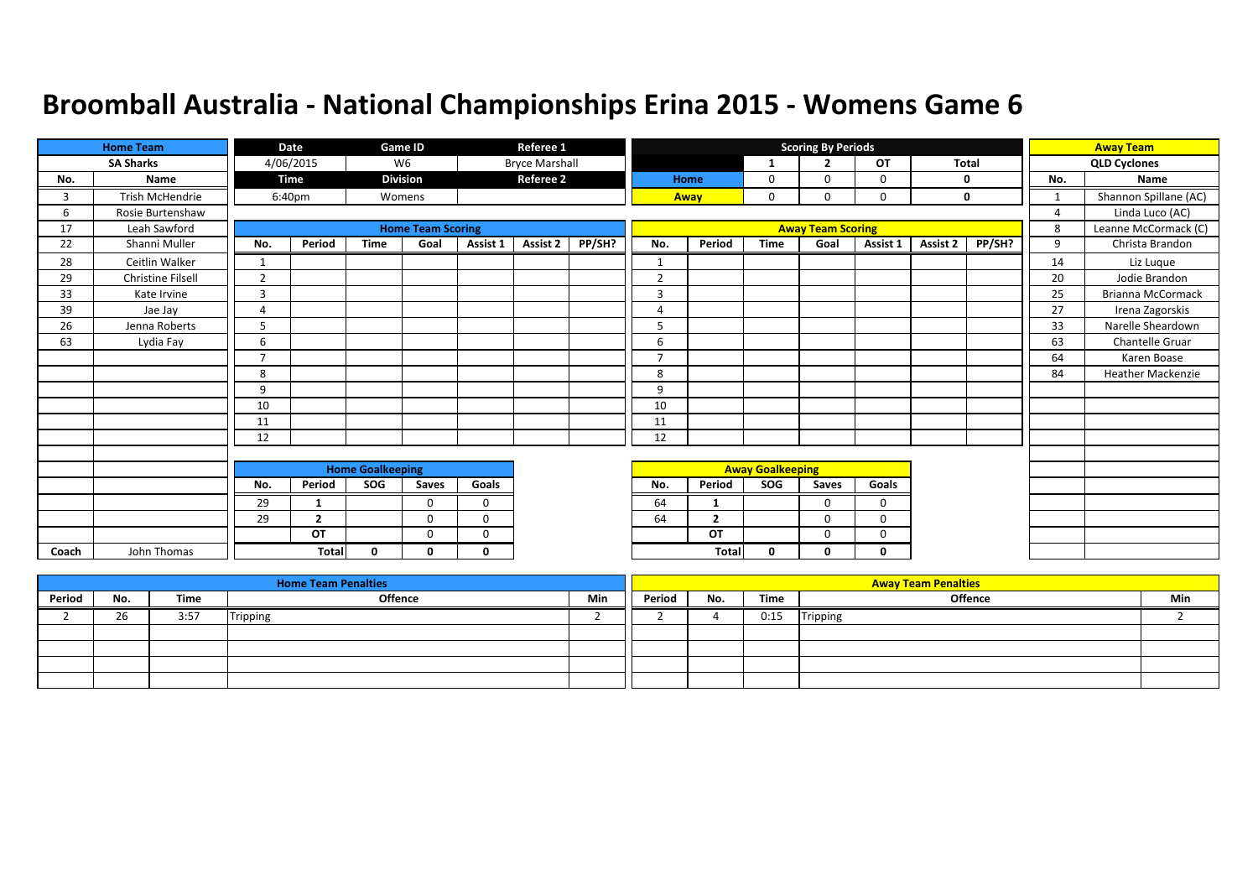|       | <b>Home Team</b>  |                | Date           |                         | Game ID                  |              | Referee 1             |        |                |                |                         | <b>Scoring By Periods</b> |           |              |        |                | <b>Away Team</b>         |
|-------|-------------------|----------------|----------------|-------------------------|--------------------------|--------------|-----------------------|--------|----------------|----------------|-------------------------|---------------------------|-----------|--------------|--------|----------------|--------------------------|
|       | <b>SA Sharks</b>  |                | 4/06/2015      |                         | W <sub>6</sub>           |              | <b>Bryce Marshall</b> |        |                |                | 1                       | $\overline{2}$            | <b>OT</b> | <b>Total</b> |        |                | <b>QLD Cyclones</b>      |
| No.   | Name              |                | Time           |                         | <b>Division</b>          |              | <b>Referee 2</b>      |        |                | Home           | 0                       | $\Omega$                  | $\Omega$  |              | 0      | No.            | Name                     |
| 3     | Trish McHendrie   |                | 6:40pm         |                         | Womens                   |              |                       |        |                | Away           | 0                       | 0                         | 0         |              | 0      | 1              | Shannon Spillane (AC)    |
| 6     | Rosie Burtenshaw  |                |                |                         |                          |              |                       |        |                |                |                         |                           |           |              |        | $\overline{4}$ | Linda Luco (AC)          |
| 17    | Leah Sawford      |                |                |                         | <b>Home Team Scoring</b> |              |                       |        |                |                |                         | <b>Away Team Scoring</b>  |           |              |        | 8              | Leanne McCormack (C)     |
| 22    | Shanni Muller     | No.            | Period         | <b>Time</b>             | Goal                     | Assist 1     | Assist 2              | PP/SH? | No.            | Period         | <b>Time</b>             | Goal                      | Assist 1  | Assist 2     | PP/SH? | 9              | Christa Brandon          |
| 28    | Ceitlin Walker    | 1              |                |                         |                          |              |                       |        |                |                |                         |                           |           |              |        | 14             | Liz Luque                |
| 29    | Christine Filsell | $\overline{2}$ |                |                         |                          |              |                       |        | $\overline{2}$ |                |                         |                           |           |              |        | 20             | Jodie Brandon            |
| 33    | Kate Irvine       | 3              |                |                         |                          |              |                       |        | 3              |                |                         |                           |           |              |        | 25             | Brianna McCormack        |
| 39    | Jae Jay           | 4              |                |                         |                          |              |                       |        | $\Delta$       |                |                         |                           |           |              |        | 27             | Irena Zagorskis          |
| 26    | Jenna Roberts     | 5              |                |                         |                          |              |                       |        | 5              |                |                         |                           |           |              |        | 33             | Narelle Sheardown        |
| 63    | Lydia Fay         | 6              |                |                         |                          |              |                       |        | 6              |                |                         |                           |           |              |        | 63             | Chantelle Gruar          |
|       |                   | $\overline{7}$ |                |                         |                          |              |                       |        | $\overline{7}$ |                |                         |                           |           |              |        | 64             | Karen Boase              |
|       |                   | 8              |                |                         |                          |              |                       |        | 8              |                |                         |                           |           |              |        | 84             | <b>Heather Mackenzie</b> |
|       |                   | 9              |                |                         |                          |              |                       |        | 9              |                |                         |                           |           |              |        |                |                          |
|       |                   | 10             |                |                         |                          |              |                       |        | 10             |                |                         |                           |           |              |        |                |                          |
|       |                   | 11             |                |                         |                          |              |                       |        | 11             |                |                         |                           |           |              |        |                |                          |
|       |                   | 12             |                |                         |                          |              |                       |        | 12             |                |                         |                           |           |              |        |                |                          |
|       |                   |                |                |                         |                          |              |                       |        |                |                |                         |                           |           |              |        |                |                          |
|       |                   |                |                | <b>Home Goalkeeping</b> |                          |              |                       |        |                |                | <b>Away Goalkeeping</b> |                           |           |              |        |                |                          |
|       |                   | No.            | Period         | SOG                     | Saves                    | Goals        |                       |        | No.            | Period         | SOG                     | Saves                     | Goals     |              |        |                |                          |
|       |                   | 29             | 1              |                         | $\Omega$                 | $\mathbf 0$  |                       |        | 64             | -1             |                         | $\Omega$                  | $\Omega$  |              |        |                |                          |
|       |                   | 29             | $\overline{2}$ |                         | $\Omega$                 | $\Omega$     |                       |        | 64             | $\overline{2}$ |                         | $\Omega$                  | $\Omega$  |              |        |                |                          |
|       |                   |                | OT             |                         | $\Omega$                 | $\mathbf 0$  |                       |        |                | OT             |                         | $\Omega$                  | 0         |              |        |                |                          |
| Coach | John Thomas       |                | <b>Total</b>   | $\mathbf{0}$            | 0                        | $\mathbf{0}$ |                       |        |                | Total          | 0                       | n                         | 0         |              |        |                |                          |

|        |     |      | <b>Home Team Penalties</b> |     |        |     |      | <b>Away Team Penalties</b> |     |
|--------|-----|------|----------------------------|-----|--------|-----|------|----------------------------|-----|
| Period | No. | Time | <b>Offence</b>             | Min | Period | No. | Time | <b>Offence</b>             | Min |
|        | 26  | 3:57 | Tripping                   |     |        |     | 0:15 | Tripping                   |     |
|        |     |      |                            |     |        |     |      |                            |     |
|        |     |      |                            |     |        |     |      |                            |     |
|        |     |      |                            |     |        |     |      |                            |     |
|        |     |      |                            |     |        |     |      |                            |     |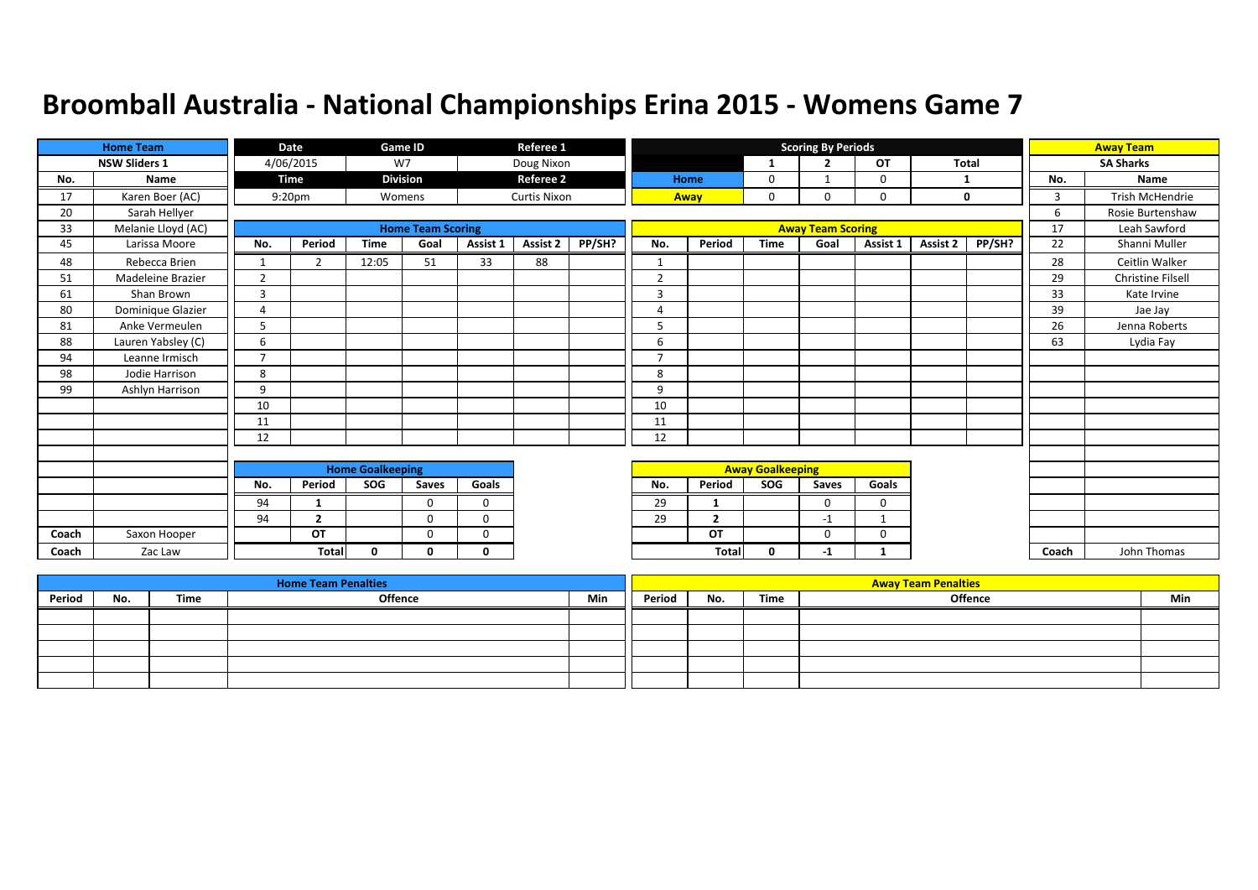|       | <b>Home Team</b>         |                | Date               |                         | Game ID                  |              | Referee 1           |        |                |                |                         | <b>Scoring By Periods</b> |          |              |        |       | <b>Away Team</b>  |
|-------|--------------------------|----------------|--------------------|-------------------------|--------------------------|--------------|---------------------|--------|----------------|----------------|-------------------------|---------------------------|----------|--------------|--------|-------|-------------------|
|       | <b>NSW Sliders 1</b>     |                | 4/06/2015          |                         | W7                       |              | Doug Nixon          |        |                |                | 1                       | $\overline{2}$            | OT       | <b>Total</b> |        |       | <b>SA Sharks</b>  |
| No.   | <b>Name</b>              |                | <b>Time</b>        |                         | <b>Division</b>          |              | <b>Referee 2</b>    |        |                | Home           | 0                       |                           | $\Omega$ |              |        | No.   | <b>Name</b>       |
| 17    | Karen Boer (AC)          |                | 9:20 <sub>pm</sub> |                         | Womens                   |              | <b>Curtis Nixon</b> |        |                | Away           | 0                       | 0                         | 0        |              | 0      | 3     | Trish McHendrie   |
| 20    | Sarah Hellyer            |                |                    |                         |                          |              |                     |        |                |                |                         |                           |          |              |        | 6     | Rosie Burtenshaw  |
| 33    | Melanie Lloyd (AC)       |                |                    |                         | <b>Home Team Scoring</b> |              |                     |        |                |                |                         | <b>Away Team Scoring</b>  |          |              |        | 17    | Leah Sawford      |
| 45    | Larissa Moore            | No.            | Period             | <b>Time</b>             | Goal                     | Assist 1     | Assist 2            | PP/SH? | No.            | Period         | <b>Time</b>             | Goal                      | Assist 1 | Assist 2     | PP/SH? | 22    | Shanni Muller     |
| 48    | Rebecca Brien            |                | $\overline{2}$     | 12:05                   | 51                       | 33           | 88                  |        | $\mathbf{1}$   |                |                         |                           |          |              |        | 28    | Ceitlin Walker    |
| 51    | <b>Madeleine Brazier</b> | $\overline{2}$ |                    |                         |                          |              |                     |        | $\overline{2}$ |                |                         |                           |          |              |        | 29    | Christine Filsell |
| 61    | Shan Brown               | 3              |                    |                         |                          |              |                     |        | $\overline{3}$ |                |                         |                           |          |              |        | 33    | Kate Irvine       |
| 80    | Dominique Glazier        | $\overline{4}$ |                    |                         |                          |              |                     |        | 4              |                |                         |                           |          |              |        | 39    | Jae Jay           |
| 81    | Anke Vermeulen           | 5              |                    |                         |                          |              |                     |        | 5              |                |                         |                           |          |              |        | 26    | Jenna Roberts     |
| 88    | Lauren Yabsley (C)       | 6              |                    |                         |                          |              |                     |        | 6              |                |                         |                           |          |              |        | 63    | Lydia Fay         |
| 94    | Leanne Irmisch           | $\overline{7}$ |                    |                         |                          |              |                     |        | $\overline{7}$ |                |                         |                           |          |              |        |       |                   |
| 98    | Jodie Harrison           | 8              |                    |                         |                          |              |                     |        | 8              |                |                         |                           |          |              |        |       |                   |
| 99    | Ashlyn Harrison          | 9              |                    |                         |                          |              |                     |        | 9              |                |                         |                           |          |              |        |       |                   |
|       |                          | 10             |                    |                         |                          |              |                     |        | 10             |                |                         |                           |          |              |        |       |                   |
|       |                          | 11             |                    |                         |                          |              |                     |        | 11             |                |                         |                           |          |              |        |       |                   |
|       |                          | 12             |                    |                         |                          |              |                     |        | 12             |                |                         |                           |          |              |        |       |                   |
|       |                          |                |                    |                         |                          |              |                     |        |                |                |                         |                           |          |              |        |       |                   |
|       |                          |                |                    | <b>Home Goalkeeping</b> |                          |              |                     |        |                |                | <b>Away Goalkeeping</b> |                           |          |              |        |       |                   |
|       |                          | No.            | Period             | SOG                     | Saves                    | Goals        |                     |        | No.            | Period         | SOG                     | <b>Saves</b>              | Goals    |              |        |       |                   |
|       |                          | 94             | 1                  |                         | $\Omega$                 | $\mathbf 0$  |                     |        | 29             | -1             |                         | $\mathbf{0}$              | 0        |              |        |       |                   |
|       |                          | 94             | $\overline{2}$     |                         | $\Omega$                 | $\Omega$     |                     |        | 29             | $\overline{2}$ |                         | $-1$                      | -1       |              |        |       |                   |
| Coach | Saxon Hooper             |                | OT                 |                         | $\Omega$                 | 0            |                     |        |                | OT             |                         | $\Omega$                  | 0        |              |        |       |                   |
| Coach | Zac Law                  |                | <b>Total</b>       | $\mathbf{0}$            | 0                        | $\mathbf{0}$ |                     |        |                | Total          | 0                       | $-1$                      |          |              |        | Coach | John Thomas       |

|        |     |      | <b>Home Team Penalties</b> |     |        |     |      | <b>Away Team Penalties</b> |     |
|--------|-----|------|----------------------------|-----|--------|-----|------|----------------------------|-----|
| Period | No. | Time | Offence                    | Min | Period | No. | Time | Offence                    | Min |
|        |     |      |                            |     |        |     |      |                            |     |
|        |     |      |                            |     |        |     |      |                            |     |
|        |     |      |                            |     |        |     |      |                            |     |
|        |     |      |                            |     |        |     |      |                            |     |
|        |     |      |                            |     |        |     |      |                            |     |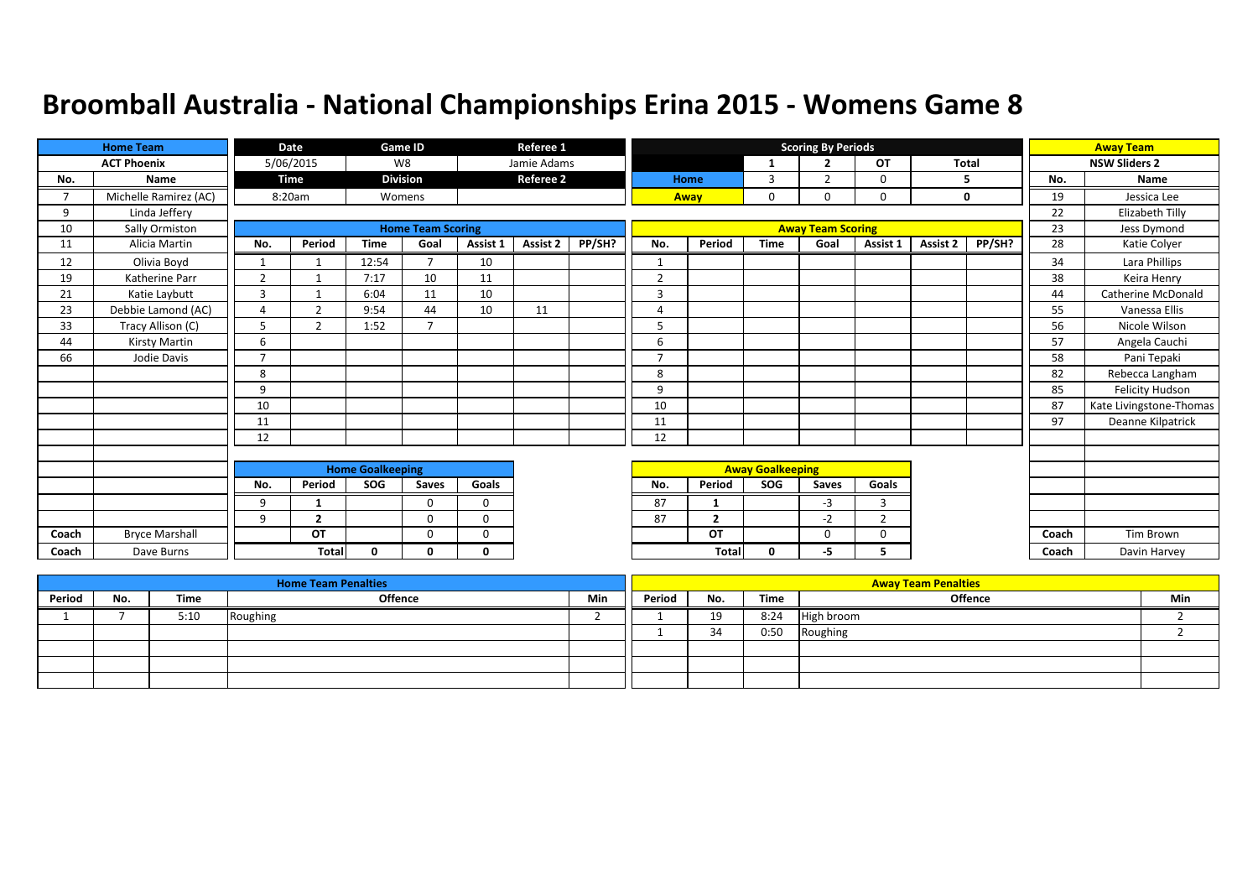|                          | <b>Home Team</b>      |                | Date                     |                         | <b>Game ID</b>           |             | Referee 1        |        |                |                |                         | <b>Scoring By Periods</b> |                |              |        |       | <b>Away Team</b>        |
|--------------------------|-----------------------|----------------|--------------------------|-------------------------|--------------------------|-------------|------------------|--------|----------------|----------------|-------------------------|---------------------------|----------------|--------------|--------|-------|-------------------------|
|                          | <b>ACT Phoenix</b>    |                | 5/06/2015                |                         | W8                       |             | Jamie Adams      |        |                |                |                         | $\overline{2}$            | <b>OT</b>      | <b>Total</b> |        |       | <b>NSW Sliders 2</b>    |
| No.                      | Name                  |                | <b>Time</b>              |                         | <b>Division</b>          |             | <b>Referee 2</b> |        |                | Home           | 3                       | $\overline{2}$            | 0              |              | 5      | No.   | <b>Name</b>             |
| $\overline{\phantom{a}}$ | Michelle Ramirez (AC) |                | 8:20am                   |                         | Womens                   |             |                  |        |                | Away           | $\mathbf 0$             | $\Omega$                  | $\Omega$       |              | 0      | 19    | Jessica Lee             |
| 9                        | Linda Jeffery         |                |                          |                         |                          |             |                  |        |                |                |                         |                           |                |              |        | 22    | Elizabeth Tilly         |
| 10                       | Sally Ormiston        |                |                          |                         | <b>Home Team Scoring</b> |             |                  |        |                |                |                         | <b>Away Team Scoring</b>  |                |              |        | 23    | Jess Dymond             |
| 11                       | Alicia Martin         | No.            | Period                   | <b>Time</b>             | Goal                     | Assist 1    | <b>Assist 2</b>  | PP/SH? | No.            | Period         | <b>Time</b>             | Goal                      | Assist 1       | Assist 2     | PP/SH? | 28    | Katie Colyer            |
| 12                       | Olivia Boyd           | $\mathbf{1}$   | $\overline{\phantom{a}}$ | 12:54                   | $\overline{7}$           | 10          |                  |        |                |                |                         |                           |                |              |        | 34    | Lara Phillips           |
| 19                       | Katherine Parr        | $\overline{2}$ | $\mathbf{1}$             | 7:17                    | 10                       | 11          |                  |        | $\overline{2}$ |                |                         |                           |                |              |        | 38    | Keira Henry             |
| 21                       | Katie Laybutt         | 3              |                          | 6:04                    | 11                       | 10          |                  |        | 3              |                |                         |                           |                |              |        | 44    | Catherine McDonald      |
| 23                       | Debbie Lamond (AC)    | $\overline{4}$ | $\overline{2}$           | 9:54                    | 44                       | 10          | 11               |        | $\overline{4}$ |                |                         |                           |                |              |        | 55    | Vanessa Ellis           |
| 33                       | Tracy Allison (C)     | 5              | $\mathbf{r}$             | 1:52                    | $\overline{\phantom{a}}$ |             |                  |        | 5              |                |                         |                           |                |              |        | 56    | Nicole Wilson           |
| 44                       | Kirsty Martin         | 6              |                          |                         |                          |             |                  |        | 6              |                |                         |                           |                |              |        | 57    | Angela Cauchi           |
| 66                       | Jodie Davis           | $\overline{7}$ |                          |                         |                          |             |                  |        | $\overline{7}$ |                |                         |                           |                |              |        | 58    | Pani Tepaki             |
|                          |                       | 8              |                          |                         |                          |             |                  |        | 8              |                |                         |                           |                |              |        | 82    | Rebecca Langham         |
|                          |                       | 9              |                          |                         |                          |             |                  |        | 9              |                |                         |                           |                |              |        | 85    | Felicity Hudson         |
|                          |                       | 10             |                          |                         |                          |             |                  |        | 10             |                |                         |                           |                |              |        | 87    | Kate Livingstone-Thomas |
|                          |                       | 11             |                          |                         |                          |             |                  |        | 11             |                |                         |                           |                |              |        | 97    | Deanne Kilpatrick       |
|                          |                       | 12             |                          |                         |                          |             |                  |        | 12             |                |                         |                           |                |              |        |       |                         |
|                          |                       |                |                          |                         |                          |             |                  |        |                |                |                         |                           |                |              |        |       |                         |
|                          |                       |                |                          | <b>Home Goalkeeping</b> |                          |             |                  |        |                |                | <b>Away Goalkeeping</b> |                           |                |              |        |       |                         |
|                          |                       | No.            | Period                   | <b>SOG</b>              | Saves                    | Goals       |                  |        | No.            | Period         | <b>SOG</b>              | Saves                     | Goals          |              |        |       |                         |
|                          |                       | 9              | -1                       |                         | 0                        | $\mathbf 0$ |                  |        | 87             |                |                         | $-3$                      | $\overline{3}$ |              |        |       |                         |
|                          |                       | 9              | $\overline{2}$           |                         | $\Omega$                 | $\Omega$    |                  |        | 87             | $\overline{2}$ |                         | $-2$                      | $\overline{2}$ |              |        |       |                         |
| Coach                    | <b>Bryce Marshall</b> |                | OT                       |                         | $\Omega$                 | 0           |                  |        |                | OT             |                         | $\Omega$                  | $\Omega$       |              |        | Coach | <b>Tim Brown</b>        |
| Coach                    | Dave Burns            |                | Total                    | 0                       | 0                        | 0           |                  |        |                | <b>Total</b>   | 0                       | -5                        | 5.             |              |        | Coach | Davin Harvey            |

|        |     |      | <b>Home Team Penalties</b> |     |        |           |      | <b>Away Team Penalties</b> |     |
|--------|-----|------|----------------------------|-----|--------|-----------|------|----------------------------|-----|
| Period | No. | Time | Offence                    | Min | Period | No.       | Time | <b>Offence</b>             | Min |
|        |     | 5:10 | Roughing                   |     |        | 19<br>--- | 8:24 | High broom                 |     |
|        |     |      |                            |     |        | 21        | 0:50 | Roughing                   |     |
|        |     |      |                            |     |        |           |      |                            |     |
|        |     |      |                            |     |        |           |      |                            |     |
|        |     |      |                            |     |        |           |      |                            |     |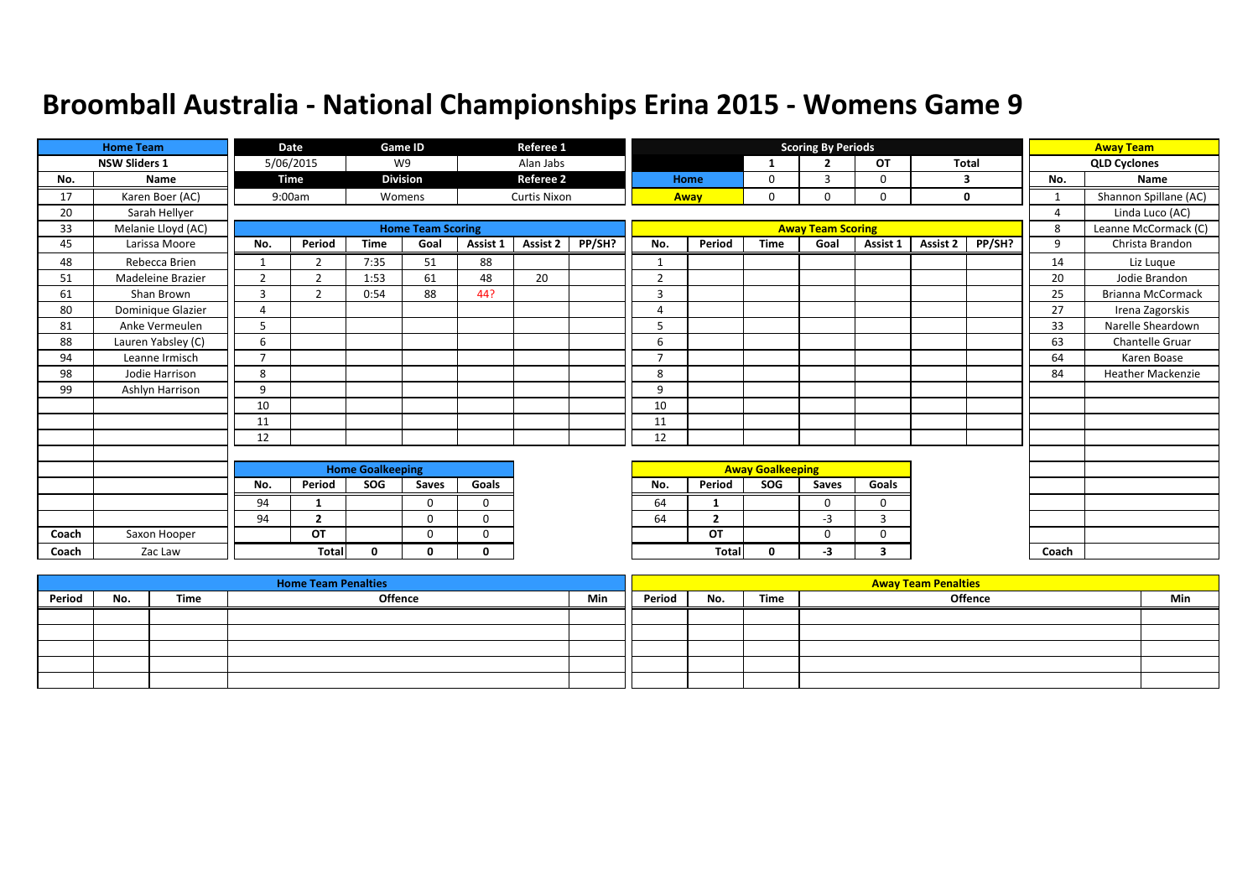|       | <b>Home Team</b>     |                | Date           |                         | Game ID                  |              | Referee 1           |        |                |                |                         | <b>Scoring By Periods</b> |           |          |        |                | <b>Away Team</b>         |
|-------|----------------------|----------------|----------------|-------------------------|--------------------------|--------------|---------------------|--------|----------------|----------------|-------------------------|---------------------------|-----------|----------|--------|----------------|--------------------------|
|       | <b>NSW Sliders 1</b> |                | 5/06/2015      |                         | W9                       |              | Alan Jabs           |        |                |                | 1                       | $\overline{2}$            | <b>OT</b> | Total    |        |                | <b>QLD Cyclones</b>      |
| No.   | Name                 |                | <b>Time</b>    |                         | <b>Division</b>          |              | <b>Referee 2</b>    |        |                | Home           | 0                       | 3                         | 0         | 3        |        | No.            | Name                     |
| 17    | Karen Boer (AC)      |                | 9:00am         |                         | Womens                   |              | <b>Curtis Nixon</b> |        |                | Away           | 0                       | $\Omega$                  | 0         |          | 0      | 1              | Shannon Spillane (AC)    |
| 20    | Sarah Hellyer        |                |                |                         |                          |              |                     |        |                |                |                         |                           |           |          |        | $\overline{4}$ | Linda Luco (AC)          |
| 33    | Melanie Lloyd (AC)   |                |                |                         | <b>Home Team Scoring</b> |              |                     |        |                |                |                         | <b>Away Team Scoring</b>  |           |          |        | 8              | Leanne McCormack (C)     |
| 45    | Larissa Moore        | No.            | Period         | <b>Time</b>             | Goal                     | Assist 1     | Assist 2            | PP/SH? | No.            | Period         | <b>Time</b>             | Goal                      | Assist 1  | Assist 2 | PP/SH? | 9              | Christa Brandon          |
| 48    | Rebecca Brien        | $\mathbf{1}$   | $\overline{2}$ | 7:35                    | 51                       | 88           |                     |        | $\mathbf{1}$   |                |                         |                           |           |          |        | 14             | Liz Luque                |
| 51    | Madeleine Brazier    | 2              | $\overline{2}$ | 1:53                    | 61                       | 48           | 20                  |        | $\overline{2}$ |                |                         |                           |           |          |        | 20             | Jodie Brandon            |
| 61    | Shan Brown           | 3              | 2              | 0:54                    | 88                       | 44?          |                     |        | 3              |                |                         |                           |           |          |        | 25             | <b>Brianna McCormack</b> |
| 80    | Dominique Glazier    | 4              |                |                         |                          |              |                     |        | $\Delta$       |                |                         |                           |           |          |        | 27             | Irena Zagorskis          |
| 81    | Anke Vermeulen       | 5              |                |                         |                          |              |                     |        | 5              |                |                         |                           |           |          |        | 33             | Narelle Sheardown        |
| 88    | Lauren Yabsley (C)   | 6              |                |                         |                          |              |                     |        | 6              |                |                         |                           |           |          |        | 63             | <b>Chantelle Gruar</b>   |
| 94    | Leanne Irmisch       | $\overline{7}$ |                |                         |                          |              |                     |        | 7              |                |                         |                           |           |          |        | 64             | Karen Boase              |
| 98    | Jodie Harrison       | 8              |                |                         |                          |              |                     |        | 8              |                |                         |                           |           |          |        | 84             | <b>Heather Mackenzie</b> |
| 99    | Ashlyn Harrison      | 9              |                |                         |                          |              |                     |        | 9              |                |                         |                           |           |          |        |                |                          |
|       |                      | 10             |                |                         |                          |              |                     |        | 10             |                |                         |                           |           |          |        |                |                          |
|       |                      | 11             |                |                         |                          |              |                     |        | 11             |                |                         |                           |           |          |        |                |                          |
|       |                      | 12             |                |                         |                          |              |                     |        | 12             |                |                         |                           |           |          |        |                |                          |
|       |                      |                |                |                         |                          |              |                     |        |                |                |                         |                           |           |          |        |                |                          |
|       |                      |                |                | <b>Home Goalkeeping</b> |                          |              |                     |        |                |                | <b>Away Goalkeeping</b> |                           |           |          |        |                |                          |
|       |                      | No.            | Period         | SOG                     | Saves                    | Goals        |                     |        | No.            | Period         | SOG                     | Saves                     | Goals     |          |        |                |                          |
|       |                      | 94             | $\mathbf 1$    |                         | $\Omega$                 | $\mathbf 0$  |                     |        | 64             | -1             |                         | $\Omega$                  | $\Omega$  |          |        |                |                          |
|       |                      | 94             | $\overline{2}$ |                         | $\mathbf{0}$             | $\mathbf 0$  |                     |        | 64             | $\overline{2}$ |                         | $-3$                      | 3         |          |        |                |                          |
| Coach | Saxon Hooper         |                | OT             |                         | $\Omega$                 | $\Omega$     |                     |        |                | OT             |                         | $\Omega$                  | $\Omega$  |          |        |                |                          |
| Coach | Zac Law              |                | <b>Total</b>   | $\mathbf{0}$            | <sup>0</sup>             | $\mathbf{0}$ |                     |        |                | Total          | $\mathbf{0}$            | -3                        | 3         |          |        | Coach          |                          |

|        |     |      | <b>Home Team Penalties</b> |     |        |     |      | <b>Away Team Penalties</b> |     |
|--------|-----|------|----------------------------|-----|--------|-----|------|----------------------------|-----|
| Period | No. | Time | Offence                    | Min | Period | No. | Time | Offence                    | Min |
|        |     |      |                            |     |        |     |      |                            |     |
|        |     |      |                            |     |        |     |      |                            |     |
|        |     |      |                            |     |        |     |      |                            |     |
|        |     |      |                            |     |        |     |      |                            |     |
|        |     |      |                            |     |        |     |      |                            |     |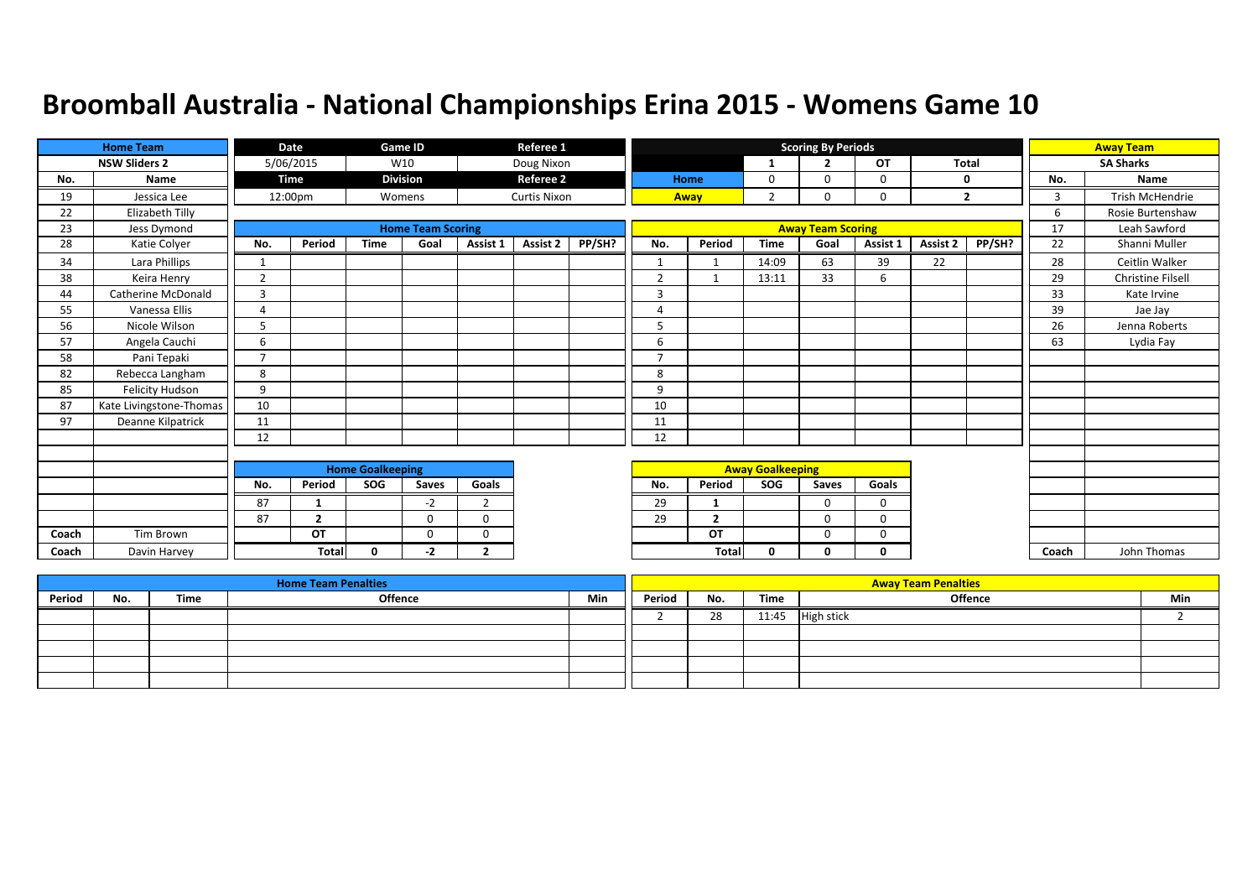|       | <b>Home Team</b>        |                | Date           |                         | <b>Game ID</b>           |                | Referee 1           |        |                |                |                         | <b>Scoring By Periods</b> |          |              |                |       | <b>Away Team</b>         |
|-------|-------------------------|----------------|----------------|-------------------------|--------------------------|----------------|---------------------|--------|----------------|----------------|-------------------------|---------------------------|----------|--------------|----------------|-------|--------------------------|
|       | <b>NSW Sliders 2</b>    |                | 5/06/2015      |                         | W10                      |                | Doug Nixon          |        |                |                | 1                       | $\overline{\phantom{a}}$  | OT       | <b>Total</b> |                |       | <b>SA Sharks</b>         |
| No.   | <b>Name</b>             |                | Time           |                         | <b>Division</b>          |                | <b>Referee 2</b>    |        |                | Home           | 0                       | <sup>0</sup>              | 0        |              | 0              | No.   | Name                     |
| 19    | Jessica Lee             |                | 12:00pm        |                         | Womens                   |                | <b>Curtis Nixon</b> |        |                | Away           | $\overline{2}$          | 0                         | 0        |              | $\overline{2}$ | 3     | Trish McHendrie          |
| 22    | Elizabeth Tilly         |                |                |                         |                          |                |                     |        |                |                |                         |                           |          |              |                | 6     | Rosie Burtenshaw         |
| 23    | Jess Dymond             |                |                |                         | <b>Home Team Scoring</b> |                |                     |        |                |                |                         | <b>Away Team Scoring</b>  |          |              |                | 17    | Leah Sawford             |
| 28    | Katie Colyer            | No.            | Period         | <b>Time</b>             | Goal                     | Assist 1       | Assist 2            | PP/SH? | No.            | Period         | <b>Time</b>             | Goal                      | Assist 1 | Assist 2     | PP/SH?         | 22    | Shanni Muller            |
| 34    | Lara Phillips           | 1              |                |                         |                          |                |                     |        | $\mathbf{1}$   | $\mathbf{1}$   | 14:09                   | 63                        | 39       | 22           |                | 28    | Ceitlin Walker           |
| 38    | Keira Henry             | $\overline{2}$ |                |                         |                          |                |                     |        | $\overline{2}$ | $\mathbf{1}$   | 13:11                   | 33                        | 6        |              |                | 29    | <b>Christine Filsell</b> |
| 44    | Catherine McDonald      | $\overline{3}$ |                |                         |                          |                |                     |        | 3              |                |                         |                           |          |              |                | 33    | Kate Irvine              |
| 55    | Vanessa Ellis           | Δ              |                |                         |                          |                |                     |        | Δ              |                |                         |                           |          |              |                | 39    | Jae Jay                  |
| 56    | Nicole Wilson           |                |                |                         |                          |                |                     |        | 5              |                |                         |                           |          |              |                | 26    | Jenna Roberts            |
| 57    | Angela Cauchi           | 6              |                |                         |                          |                |                     |        | 6              |                |                         |                           |          |              |                | 63    | Lydia Fay                |
| 58    | Pani Tepaki             | $\overline{7}$ |                |                         |                          |                |                     |        | $\overline{7}$ |                |                         |                           |          |              |                |       |                          |
| 82    | Rebecca Langham         | 8              |                |                         |                          |                |                     |        | 8              |                |                         |                           |          |              |                |       |                          |
| 85    | <b>Felicity Hudson</b>  | 9              |                |                         |                          |                |                     |        | 9              |                |                         |                           |          |              |                |       |                          |
| 87    | Kate Livingstone-Thomas | 10             |                |                         |                          |                |                     |        | 10             |                |                         |                           |          |              |                |       |                          |
| 97    | Deanne Kilpatrick       | 11             |                |                         |                          |                |                     |        | 11             |                |                         |                           |          |              |                |       |                          |
|       |                         | 12             |                |                         |                          |                |                     |        | 12             |                |                         |                           |          |              |                |       |                          |
|       |                         |                |                |                         |                          |                |                     |        |                |                |                         |                           |          |              |                |       |                          |
|       |                         |                |                | <b>Home Goalkeeping</b> |                          |                |                     |        |                |                | <b>Away Goalkeeping</b> |                           |          |              |                |       |                          |
|       |                         | No.            | Period         | SOG                     | Saves                    | Goals          |                     |        | No.            | Period         | <b>SOG</b>              | Saves                     | Goals    |              |                |       |                          |
|       |                         | 87             |                |                         | $-2$                     | $\overline{2}$ |                     |        | 29             | -1             |                         | $\Omega$                  | $\Omega$ |              |                |       |                          |
|       |                         | 87             | $\overline{2}$ |                         | $\Omega$                 | $\Omega$       |                     |        | 29             | $\overline{2}$ |                         | $\Omega$                  | $\Omega$ |              |                |       |                          |
| Coach | Tim Brown               |                | OT             |                         | $\Omega$                 | $\Omega$       |                     |        |                | OT             |                         | $\Omega$                  | 0        |              |                |       |                          |
| Coach | Davin Harvey            |                | <b>Total</b>   | $\Omega$                | -2                       | $\overline{2}$ |                     |        |                | Total          | 0                       | 0                         | 0        |              |                | Coach | John Thomas              |

|        |     |      | <b>Home Team Penalties</b> |     |        |     |       | <b>Away Team Penalties</b> |     |
|--------|-----|------|----------------------------|-----|--------|-----|-------|----------------------------|-----|
| Period | No. | Time | Offence                    | Min | Period | No. | Time  | Offence                    | Min |
|        |     |      |                            |     |        | 28  | 11:45 | <b>High stick</b>          |     |
|        |     |      |                            |     |        |     |       |                            |     |
|        |     |      |                            |     |        |     |       |                            |     |
|        |     |      |                            |     |        |     |       |                            |     |
|        |     |      |                            |     |        |     |       |                            |     |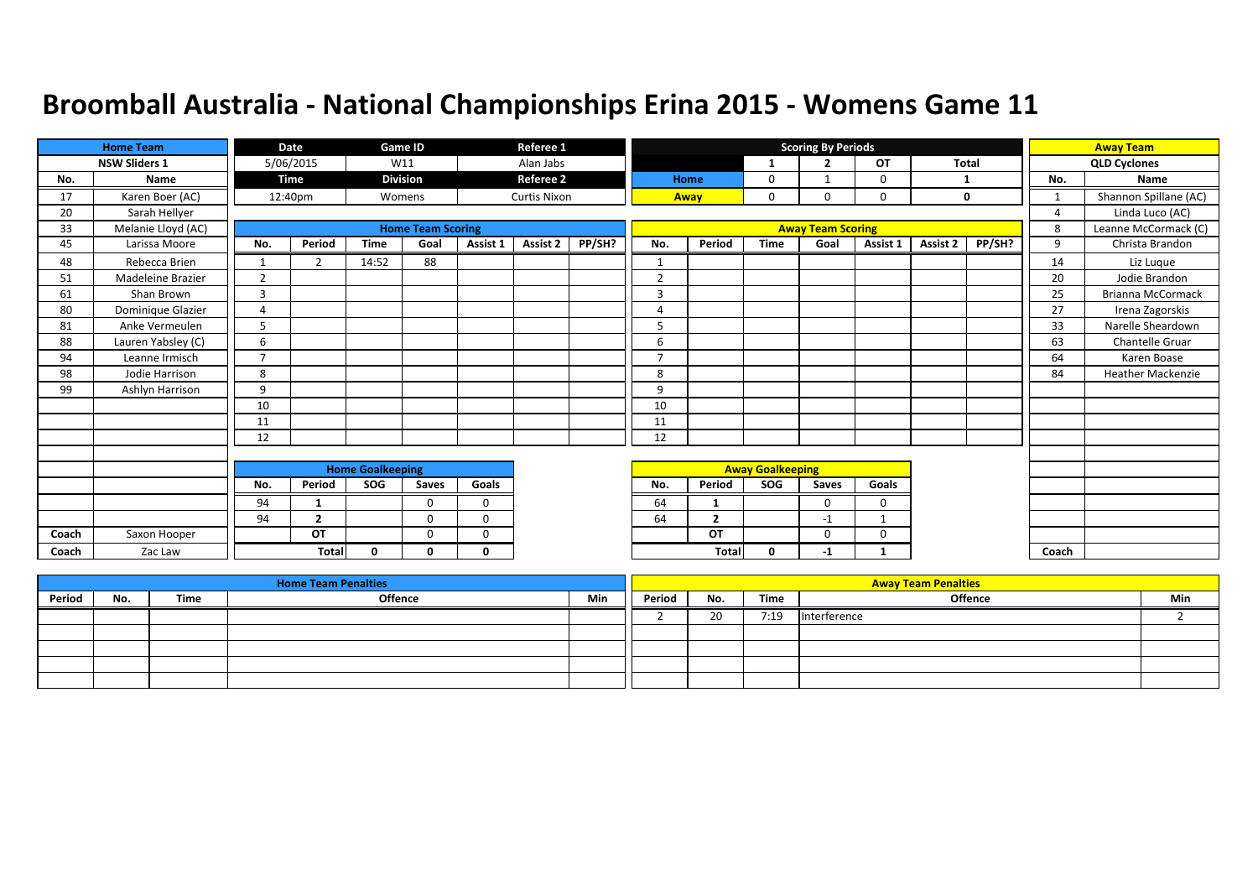|       | <b>Home Team</b>     |                | Date           |                         | Game ID                  |          | Referee 1           |        |              |                |                         | <b>Scoring By Periods</b> |              |              |        |                | <b>Away Team</b>         |
|-------|----------------------|----------------|----------------|-------------------------|--------------------------|----------|---------------------|--------|--------------|----------------|-------------------------|---------------------------|--------------|--------------|--------|----------------|--------------------------|
|       | <b>NSW Sliders 1</b> |                | 5/06/2015      |                         | W11                      |          | Alan Jabs           |        |              |                | 1                       | $\overline{2}$            | OT           | <b>Total</b> |        |                | <b>QLD Cyclones</b>      |
| No.   | Name                 |                | Time           |                         | <b>Division</b>          |          | <b>Referee 2</b>    |        |              | Home           | 0                       | 1                         | 0            | -1           |        | No.            | Name                     |
| 17    | Karen Boer (AC)      |                | 12:40pm        |                         | Womens                   |          | <b>Curtis Nixon</b> |        |              | Away           | 0                       | 0                         | 0            |              | 0      | 1              | Shannon Spillane (AC)    |
| 20    | Sarah Hellyer        |                |                |                         |                          |          |                     |        |              |                |                         |                           |              |              |        | $\overline{4}$ | Linda Luco (AC)          |
| 33    | Melanie Lloyd (AC)   |                |                |                         | <b>Home Team Scoring</b> |          |                     |        |              |                |                         | <b>Away Team Scoring</b>  |              |              |        | 8              | Leanne McCormack (C)     |
| 45    | Larissa Moore        | No.            | Period         | <b>Time</b>             | Goal                     | Assist 1 | <b>Assist 2</b>     | PP/SH? | No.          | Period         | <b>Time</b>             | Goal                      | Assist 1     | Assist 2     | PP/SH? | 9              | Christa Brandon          |
| 48    | Rebecca Brien        | 1              | $\overline{2}$ | 14:52                   | 88                       |          |                     |        | $\mathbf{1}$ |                |                         |                           |              |              |        | 14             | Liz Luque                |
| 51    | Madeleine Brazier    | 2              |                |                         |                          |          |                     |        | 2            |                |                         |                           |              |              |        | 20             | Jodie Brandon            |
| 61    | Shan Brown           | $\overline{3}$ |                |                         |                          |          |                     |        | 3            |                |                         |                           |              |              |        | 25             | Brianna McCormack        |
| 80    | Dominique Glazier    | $\Delta$       |                |                         |                          |          |                     |        | 4            |                |                         |                           |              |              |        | 27             | Irena Zagorskis          |
| 81    | Anke Vermeulen       | 5              |                |                         |                          |          |                     |        | 5            |                |                         |                           |              |              |        | 33             | Narelle Sheardown        |
| 88    | Lauren Yabsley (C)   | 6              |                |                         |                          |          |                     |        | 6            |                |                         |                           |              |              |        | 63             | <b>Chantelle Gruar</b>   |
| 94    | Leanne Irmisch       | $\overline{7}$ |                |                         |                          |          |                     |        | ⇁            |                |                         |                           |              |              |        | 64             | Karen Boase              |
| 98    | Jodie Harrison       | 8              |                |                         |                          |          |                     |        | 8            |                |                         |                           |              |              |        | 84             | <b>Heather Mackenzie</b> |
| 99    | Ashlyn Harrison      | 9              |                |                         |                          |          |                     |        | 9            |                |                         |                           |              |              |        |                |                          |
|       |                      | 10             |                |                         |                          |          |                     |        | 10           |                |                         |                           |              |              |        |                |                          |
|       |                      | 11             |                |                         |                          |          |                     |        | 11           |                |                         |                           |              |              |        |                |                          |
|       |                      | 12             |                |                         |                          |          |                     |        | 12           |                |                         |                           |              |              |        |                |                          |
|       |                      |                |                |                         |                          |          |                     |        |              |                |                         |                           |              |              |        |                |                          |
|       |                      |                |                | <b>Home Goalkeeping</b> |                          |          |                     |        |              |                | <b>Away Goalkeeping</b> |                           |              |              |        |                |                          |
|       |                      | No.            | Period         | SOG                     | Saves                    | Goals    |                     |        | No.          | Period         | <b>SOG</b>              | Saves                     | Goals        |              |        |                |                          |
|       |                      | 94             |                |                         | $\Omega$                 | $\Omega$ |                     |        | 64           | -1             |                         | 0                         | $\Omega$     |              |        |                |                          |
|       |                      | 94             | $\overline{2}$ |                         | $\Omega$                 | $\Omega$ |                     |        | 64           | $\overline{2}$ |                         | $-1$                      | $\mathbf{1}$ |              |        |                |                          |
| Coach | Saxon Hooper         |                | OT             |                         | $\Omega$                 | $\Omega$ |                     |        |              | OT             |                         | $\Omega$                  | 0            |              |        |                |                          |
| Coach | Zac Law              |                | <b>Total</b>   | $\Omega$                | n                        | $\Omega$ |                     |        |              | Total          | $\mathbf{0}$            | -1                        | 1            |              |        | Coach          |                          |

|        |     |      | <b>Home Team Penalties</b> |     |        |     |      | <b>Away Team Penalties</b> |     |
|--------|-----|------|----------------------------|-----|--------|-----|------|----------------------------|-----|
| Period | No. | Time | Offence                    | Min | Period | No. | Time | <b>Offence</b>             | Min |
|        |     |      |                            |     |        | 20  | 7:19 | Interference               |     |
|        |     |      |                            |     |        |     |      |                            |     |
|        |     |      |                            |     |        |     |      |                            |     |
|        |     |      |                            |     |        |     |      |                            |     |
|        |     |      |                            |     |        |     |      |                            |     |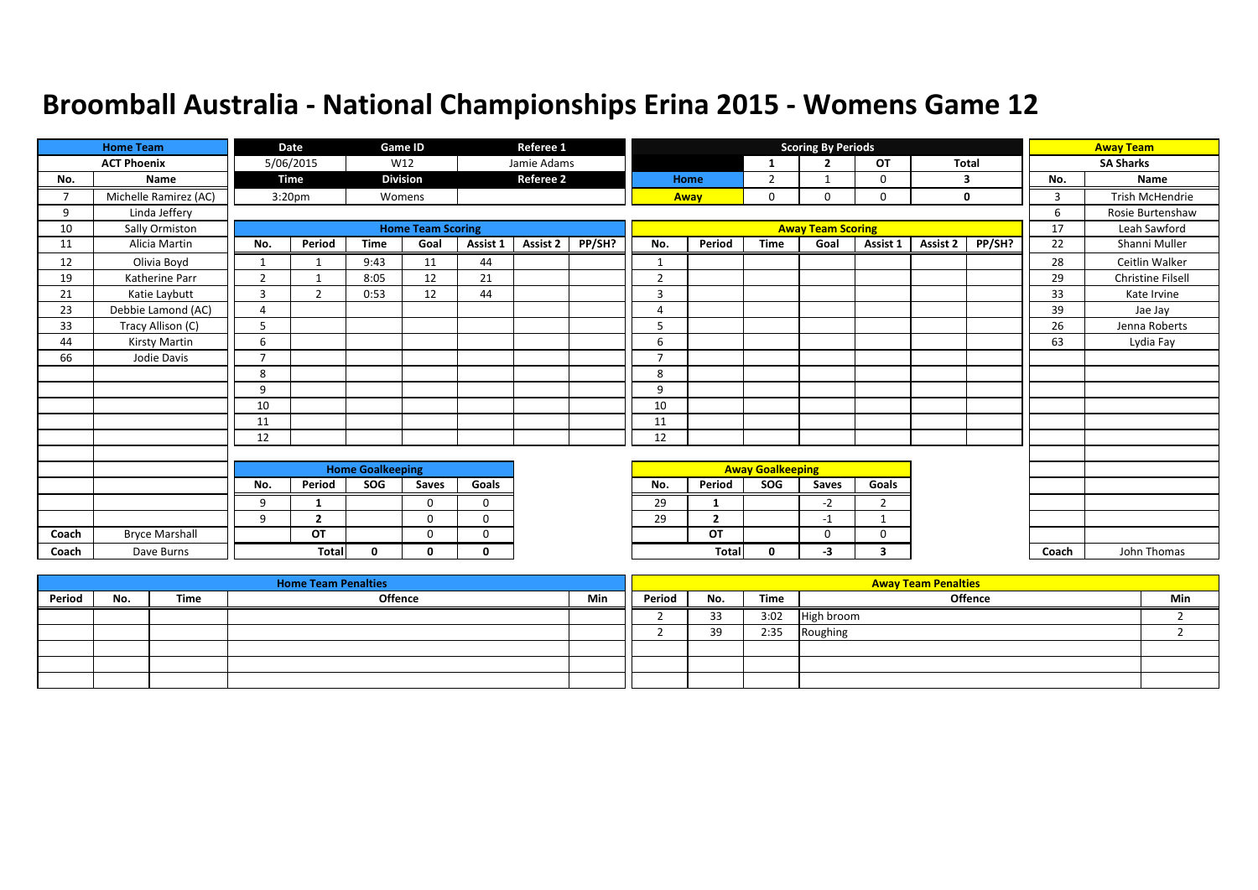|                | <b>Home Team</b>      |                | Date               |                         | <b>Game ID</b>           |             | Referee 1        |        |                |                |                         | <b>Scoring By Periods</b> |                |          |        |       | <b>Away Team</b>  |
|----------------|-----------------------|----------------|--------------------|-------------------------|--------------------------|-------------|------------------|--------|----------------|----------------|-------------------------|---------------------------|----------------|----------|--------|-------|-------------------|
|                | <b>ACT Phoenix</b>    |                | 5/06/2015          |                         | W12                      |             | Jamie Adams      |        |                |                | -1                      | $\overline{2}$            | <b>OT</b>      | Total    |        |       | <b>SA Sharks</b>  |
| No.            | Name                  |                | <b>Time</b>        |                         | <b>Division</b>          |             | <b>Referee 2</b> |        |                | Home           | $\overline{2}$          |                           | $\Omega$       |          | 3      | No.   | <b>Name</b>       |
| $\overline{7}$ | Michelle Ramirez (AC) |                | 3:20 <sub>pm</sub> |                         | Womens                   |             |                  |        |                | Away           | 0                       | 0                         | 0              |          | 0      | 3     | Trish McHendrie   |
| 9              | Linda Jeffery         |                |                    |                         |                          |             |                  |        |                |                |                         |                           |                |          |        | 6     | Rosie Burtenshaw  |
| 10             | Sally Ormiston        |                |                    |                         | <b>Home Team Scoring</b> |             |                  |        |                |                |                         | <b>Away Team Scoring</b>  |                |          |        | 17    | Leah Sawford      |
| 11             | Alicia Martin         | No.            | Period             | <b>Time</b>             | Goal                     | Assist 1    | <b>Assist 2</b>  | PP/SH? | No.            | Period         | <b>Time</b>             | Goal                      | Assist 1       | Assist 2 | PP/SH? | 22    | Shanni Muller     |
| 12             | Olivia Boyd           | $\mathbf{1}$   |                    | 9:43                    | 11                       | 44          |                  |        | -1             |                |                         |                           |                |          |        | 28    | Ceitlin Walker    |
| 19             | Katherine Parr        | $\overline{2}$ |                    | 8:05                    | 12                       | 21          |                  |        | $\overline{2}$ |                |                         |                           |                |          |        | 29    | Christine Filsell |
| 21             | Katie Laybutt         | 3              | 2                  | 0:53                    | 12                       | 44          |                  |        | 3              |                |                         |                           |                |          |        | 33    | Kate Irvine       |
| 23             | Debbie Lamond (AC)    | $\overline{a}$ |                    |                         |                          |             |                  |        | 4              |                |                         |                           |                |          |        | 39    | Jae Jay           |
| 33             | Tracy Allison (C)     | 5              |                    |                         |                          |             |                  |        | 5              |                |                         |                           |                |          |        | 26    | Jenna Roberts     |
| 44             | Kirsty Martin         | 6              |                    |                         |                          |             |                  |        | 6              |                |                         |                           |                |          |        | 63    | Lydia Fay         |
| 66             | Jodie Davis           | $\overline{7}$ |                    |                         |                          |             |                  |        | $\overline{7}$ |                |                         |                           |                |          |        |       |                   |
|                |                       | 8              |                    |                         |                          |             |                  |        | 8              |                |                         |                           |                |          |        |       |                   |
|                |                       | 9              |                    |                         |                          |             |                  |        | 9              |                |                         |                           |                |          |        |       |                   |
|                |                       | 10             |                    |                         |                          |             |                  |        | 10             |                |                         |                           |                |          |        |       |                   |
|                |                       | 11             |                    |                         |                          |             |                  |        | 11             |                |                         |                           |                |          |        |       |                   |
|                |                       | 12             |                    |                         |                          |             |                  |        | 12             |                |                         |                           |                |          |        |       |                   |
|                |                       |                |                    |                         |                          |             |                  |        |                |                |                         |                           |                |          |        |       |                   |
|                |                       |                |                    | <b>Home Goalkeeping</b> |                          |             |                  |        |                |                | <b>Away Goalkeeping</b> |                           |                |          |        |       |                   |
|                |                       | No.            | Period             | SOG                     | Saves                    | Goals       |                  |        | No.            | Period         | SOG                     | Saves                     | Goals          |          |        |       |                   |
|                |                       | 9              | 1                  |                         | $\mathbf{0}$             | $\mathbf 0$ |                  |        | 29             | -1             |                         | $-2$                      | $\overline{2}$ |          |        |       |                   |
|                |                       | 9              | $\mathbf{2}$       |                         | $\Omega$                 | $\Omega$    |                  |        | 29             | $\overline{2}$ |                         | $-1$                      | $\mathbf 1$    |          |        |       |                   |
| Coach          | <b>Bryce Marshall</b> |                | OT                 |                         | $\Omega$                 | 0           |                  |        |                | OT             |                         | $\Omega$                  | $\Omega$       |          |        |       |                   |
| Coach          | Dave Burns            |                | <b>Total</b>       | 0                       | 0                        | 0           |                  |        |                | Total          | 0                       | -3                        | 3              |          |        | Coach | John Thomas       |

|        |     |      | <b>Home Team Penalties</b> |     |        |     |      | <b>Away Team Penalties</b> |     |
|--------|-----|------|----------------------------|-----|--------|-----|------|----------------------------|-----|
| Period | No. | Time | Offence                    | Min | Period | No. | Time | <b>Offence</b>             | Min |
|        |     |      |                            |     |        | 33  | 3:02 | High broom                 |     |
|        |     |      |                            |     |        | 30  | 2:35 | Roughing                   |     |
|        |     |      |                            |     |        |     |      |                            |     |
|        |     |      |                            |     |        |     |      |                            |     |
|        |     |      |                            |     |        |     |      |                            |     |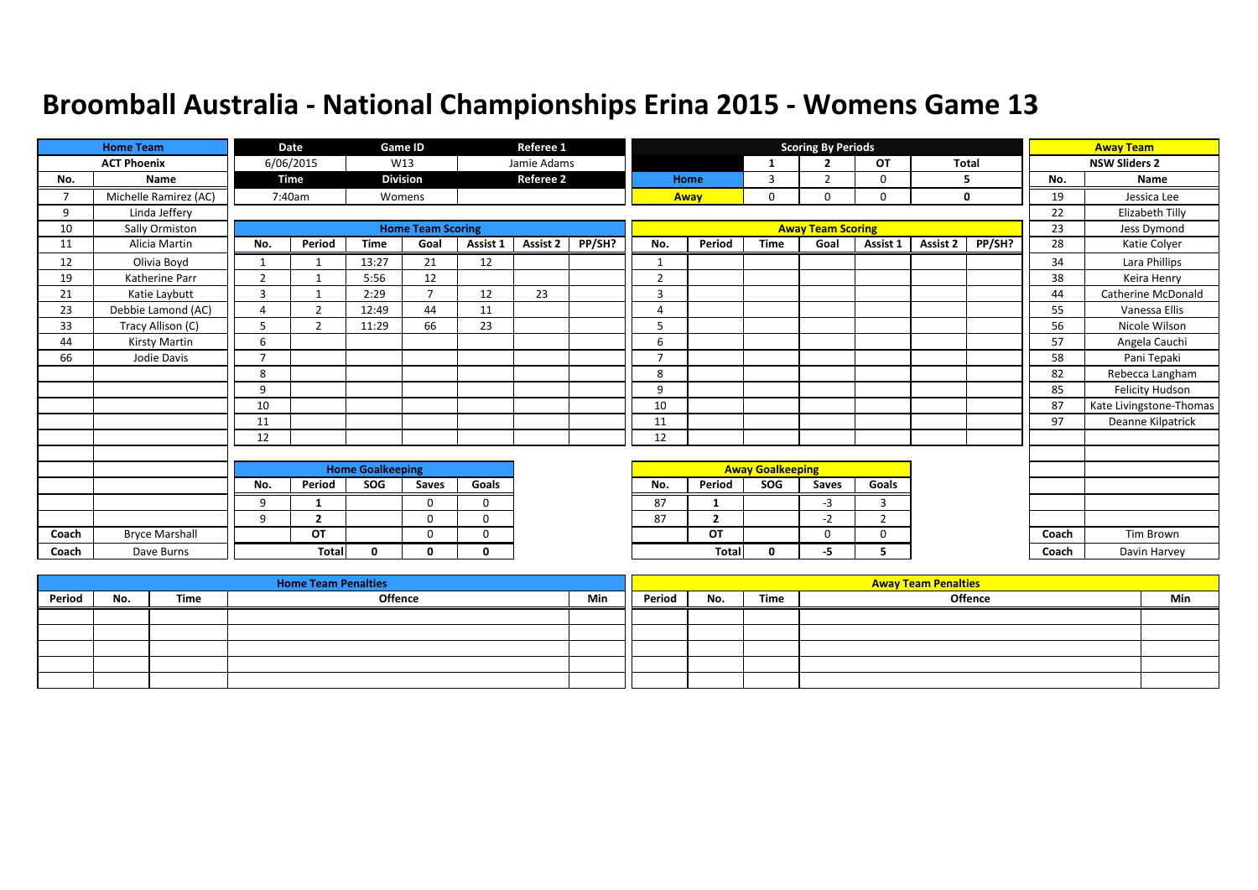|                          | <b>Home Team</b>      |                | Date                     |                         | <b>Game ID</b>           |             | Referee 1        |        |                |                |                         | <b>Scoring By Periods</b> |                |              |        |       | <b>Away Team</b>        |
|--------------------------|-----------------------|----------------|--------------------------|-------------------------|--------------------------|-------------|------------------|--------|----------------|----------------|-------------------------|---------------------------|----------------|--------------|--------|-------|-------------------------|
|                          | <b>ACT Phoenix</b>    |                | 6/06/2015                |                         | W13                      |             | Jamie Adams      |        |                |                |                         | $\overline{2}$            | <b>OT</b>      | <b>Total</b> |        |       | <b>NSW Sliders 2</b>    |
| No.                      | <b>Name</b>           |                | <b>Time</b>              |                         | <b>Division</b>          |             | <b>Referee 2</b> |        |                | Home           | $\overline{3}$          | $\overline{2}$            | 0              |              | 5      | No.   | <b>Name</b>             |
| $\overline{\phantom{a}}$ | Michelle Ramirez (AC) |                | 7:40am                   |                         | Womens                   |             |                  |        |                | Away           | 0                       |                           | 0              |              | 0      | 19    | Jessica Lee             |
| 9                        | Linda Jeffery         |                |                          |                         |                          |             |                  |        |                |                |                         |                           |                |              |        | 22    | Elizabeth Tilly         |
| 10                       | Sally Ormiston        |                |                          |                         | <b>Home Team Scoring</b> |             |                  |        |                |                |                         | <b>Away Team Scoring</b>  |                |              |        | 23    | Jess Dymond             |
| 11                       | Alicia Martin         | No.            | Period                   | <b>Time</b>             | Goal                     | Assist 1    | <b>Assist 2</b>  | PP/SH? | No.            | Period         | <b>Time</b>             | Goal                      | Assist 1       | Assist 2     | PP/SH? | 28    | Katie Colyer            |
| 12                       | Olivia Boyd           | $\mathbf{1}$   |                          | 13:27                   | 21                       | 12          |                  |        |                |                |                         |                           |                |              |        | 34    | Lara Phillips           |
| 19                       | Katherine Parr        | $\overline{2}$ | $\overline{\phantom{a}}$ | 5:56                    | 12                       |             |                  |        | $\overline{2}$ |                |                         |                           |                |              |        | 38    | Keira Henry             |
| 21                       | Katie Laybutt         | 3              |                          | 2:29                    | $\overline{\phantom{a}}$ | 12          | 23               |        | $\overline{3}$ |                |                         |                           |                |              |        | 44    | Catherine McDonald      |
| 23                       | Debbie Lamond (AC)    | $\overline{4}$ | C.                       | 12:49                   | 44                       | 11          |                  |        | $\Delta$       |                |                         |                           |                |              |        | 55    | Vanessa Ellis           |
| 33                       | Tracy Allison (C)     | 5              | $\overline{2}$           | 11:29                   | 66                       | 23          |                  |        | 5              |                |                         |                           |                |              |        | 56    | Nicole Wilson           |
| 44                       | Kirsty Martin         | 6              |                          |                         |                          |             |                  |        | 6              |                |                         |                           |                |              |        | 57    | Angela Cauchi           |
| 66                       | Jodie Davis           | $\overline{7}$ |                          |                         |                          |             |                  |        | $\overline{ }$ |                |                         |                           |                |              |        | 58    | Pani Tepaki             |
|                          |                       | 8              |                          |                         |                          |             |                  |        | 8              |                |                         |                           |                |              |        | 82    | Rebecca Langham         |
|                          |                       | 9              |                          |                         |                          |             |                  |        | 9              |                |                         |                           |                |              |        | 85    | <b>Felicity Hudson</b>  |
|                          |                       | 10             |                          |                         |                          |             |                  |        | 10             |                |                         |                           |                |              |        | 87    | Kate Livingstone-Thomas |
|                          |                       | 11             |                          |                         |                          |             |                  |        | 11             |                |                         |                           |                |              |        | 97    | Deanne Kilpatrick       |
|                          |                       | 12             |                          |                         |                          |             |                  |        | 12             |                |                         |                           |                |              |        |       |                         |
|                          |                       |                |                          |                         |                          |             |                  |        |                |                |                         |                           |                |              |        |       |                         |
|                          |                       |                |                          | <b>Home Goalkeeping</b> |                          |             |                  |        |                |                | <b>Away Goalkeeping</b> |                           |                |              |        |       |                         |
|                          |                       | No.            | Period                   | SOG                     | <b>Saves</b>             | Goals       |                  |        | No.            | Period         | <b>SOG</b>              | Saves                     | Goals          |              |        |       |                         |
|                          |                       | 9              | -1                       |                         | 0                        | 0           |                  |        | 87             |                |                         | $-3$                      | $\overline{3}$ |              |        |       |                         |
|                          |                       | 9              | $\overline{2}$           |                         | $\Omega$                 | $\mathbf 0$ |                  |        | 87             | $\overline{2}$ |                         | $-2$                      | $\overline{2}$ |              |        |       |                         |
| Coach                    | <b>Bryce Marshall</b> |                | OT                       |                         | $\Omega$                 | 0           |                  |        |                | OT             |                         | O                         | $\Omega$       |              |        | Coach | <b>Tim Brown</b>        |
| Coach                    | Dave Burns            |                | Total                    | 0                       | 0                        | 0           |                  |        |                | <b>Total</b>   | 0                       | -5                        | 5              |              |        | Coach | Davin Harvey            |

|        |     |      | <b>Home Team Penalties</b> |     |        |     |      | <b>Away Team Penalties</b> |     |
|--------|-----|------|----------------------------|-----|--------|-----|------|----------------------------|-----|
| Period | No. | Time | <b>Offence</b>             | Min | Period | No. | Time | <b>Offence</b>             | Min |
|        |     |      |                            |     |        |     |      |                            |     |
|        |     |      |                            |     |        |     |      |                            |     |
|        |     |      |                            |     |        |     |      |                            |     |
|        |     |      |                            |     |        |     |      |                            |     |
|        |     |      |                            |     |        |     |      |                            |     |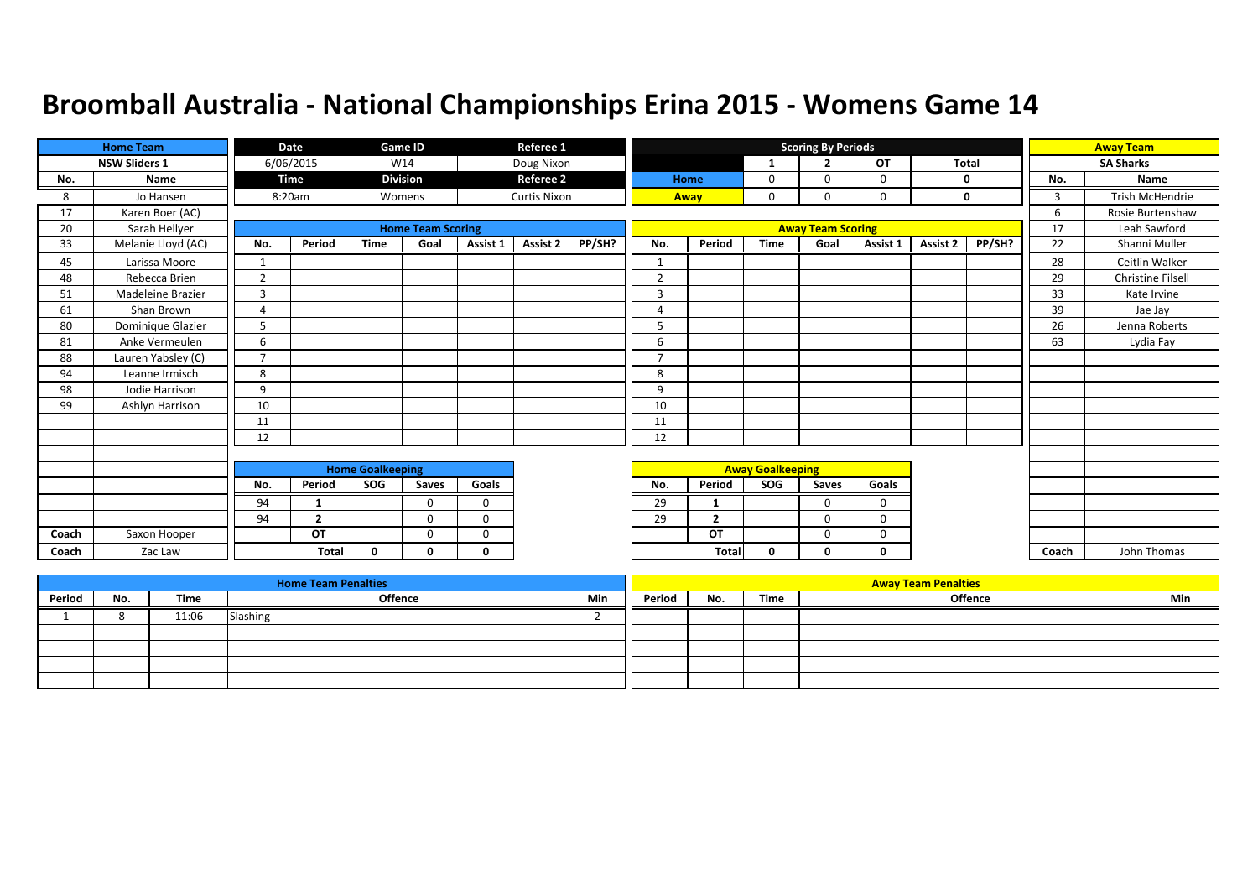|       | <b>Home Team</b>     |                | Date         |                         | Game ID                  |              | Referee 1           |        |                |                |                         | <b>Scoring By Periods</b> |             |              |             |       | <b>Away Team</b>         |
|-------|----------------------|----------------|--------------|-------------------------|--------------------------|--------------|---------------------|--------|----------------|----------------|-------------------------|---------------------------|-------------|--------------|-------------|-------|--------------------------|
|       | <b>NSW Sliders 1</b> |                | 6/06/2015    |                         | W14                      |              | Doug Nixon          |        |                |                | 1                       | $\overline{2}$            | OT          | <b>Total</b> |             |       | <b>SA Sharks</b>         |
| No.   | Name                 |                | Time         |                         | <b>Division</b>          |              | <b>Referee 2</b>    |        |                | Home           | 0                       | $\Omega$                  | $\Omega$    |              | 0           | No.   | Name                     |
| 8     | Jo Hansen            |                | 8:20am       |                         | Womens                   |              | <b>Curtis Nixon</b> |        |                | Away           | $\mathbf 0$             | 0                         | $\mathbf 0$ |              | $\mathbf 0$ | 3     | <b>Trish McHendrie</b>   |
| 17    | Karen Boer (AC)      |                |              |                         |                          |              |                     |        |                |                |                         |                           |             |              |             | 6     | Rosie Burtenshaw         |
| 20    | Sarah Hellyer        |                |              |                         | <b>Home Team Scoring</b> |              |                     |        |                |                |                         | <b>Away Team Scoring</b>  |             |              |             | 17    | Leah Sawford             |
| 33    | Melanie Lloyd (AC)   | No.            | Period       | <b>Time</b>             | Goal                     | Assist 1     | <b>Assist 2</b>     | PP/SH? | No.            | Period         | <b>Time</b>             | Goal                      | Assist 1    | Assist 2     | PP/SH?      | 22    | Shanni Muller            |
| 45    | Larissa Moore        | 1              |              |                         |                          |              |                     |        | 1              |                |                         |                           |             |              |             | 28    | Ceitlin Walker           |
| 48    | Rebecca Brien        | $\overline{2}$ |              |                         |                          |              |                     |        | $\overline{2}$ |                |                         |                           |             |              |             | 29    | <b>Christine Filsell</b> |
| 51    | Madeleine Brazier    | 3              |              |                         |                          |              |                     |        | $\overline{3}$ |                |                         |                           |             |              |             | 33    | Kate Irvine              |
| 61    | Shan Brown           | $\overline{4}$ |              |                         |                          |              |                     |        | 4              |                |                         |                           |             |              |             | 39    | Jae Jay                  |
| 80    | Dominique Glazier    | 5              |              |                         |                          |              |                     |        | 5              |                |                         |                           |             |              |             | 26    | Jenna Roberts            |
| 81    | Anke Vermeulen       | 6              |              |                         |                          |              |                     |        | 6              |                |                         |                           |             |              |             | 63    | Lydia Fay                |
| 88    | Lauren Yabsley (C)   | $\overline{7}$ |              |                         |                          |              |                     |        | $\overline{7}$ |                |                         |                           |             |              |             |       |                          |
| 94    | Leanne Irmisch       | 8              |              |                         |                          |              |                     |        | 8              |                |                         |                           |             |              |             |       |                          |
| 98    | Jodie Harrison       | 9              |              |                         |                          |              |                     |        | 9              |                |                         |                           |             |              |             |       |                          |
| 99    | Ashlyn Harrison      | 10             |              |                         |                          |              |                     |        | 10             |                |                         |                           |             |              |             |       |                          |
|       |                      | 11             |              |                         |                          |              |                     |        | 11             |                |                         |                           |             |              |             |       |                          |
|       |                      | 12             |              |                         |                          |              |                     |        | 12             |                |                         |                           |             |              |             |       |                          |
|       |                      |                |              |                         |                          |              |                     |        |                |                |                         |                           |             |              |             |       |                          |
|       |                      |                |              | <b>Home Goalkeeping</b> |                          |              |                     |        |                |                | <b>Away Goalkeeping</b> |                           |             |              |             |       |                          |
|       |                      | No.            | Period       | SOG                     | Saves                    | Goals        |                     |        | No.            | Period         | <b>SOG</b>              | Saves                     | Goals       |              |             |       |                          |
|       |                      | 94             | 1            |                         | $\Omega$                 | $\mathbf 0$  |                     |        | 29             | 1              |                         | 0                         | 0           |              |             |       |                          |
|       |                      | 94             | $\mathbf{2}$ |                         | $\Omega$                 | $\Omega$     |                     |        | 29             | $\overline{2}$ |                         | $\Omega$                  | $\Omega$    |              |             |       |                          |
| Coach | Saxon Hooper         |                | OT           |                         | $\Omega$                 | $\mathbf 0$  |                     |        |                | OT             |                         | 0                         | 0           |              |             |       |                          |
| Coach | Zac Law              |                | <b>Total</b> | $\mathbf{0}$            | <sup>n</sup>             | $\mathbf{0}$ |                     |        |                | Total          | 0                       | 0                         | 0           |              |             | Coach | John Thomas              |

|        |     |       | <b>Home Team Penalties</b> |     |        |     |      | <b>Away Team Penalties</b> |     |
|--------|-----|-------|----------------------------|-----|--------|-----|------|----------------------------|-----|
| Period | No. | Time  | <b>Offence</b>             | Min | Period | No. | Time | <b>Offence</b>             | Min |
|        |     | 11:06 | Slashing                   |     |        |     |      |                            |     |
|        |     |       |                            |     |        |     |      |                            |     |
|        |     |       |                            |     |        |     |      |                            |     |
|        |     |       |                            |     |        |     |      |                            |     |
|        |     |       |                            |     |        |     |      |                            |     |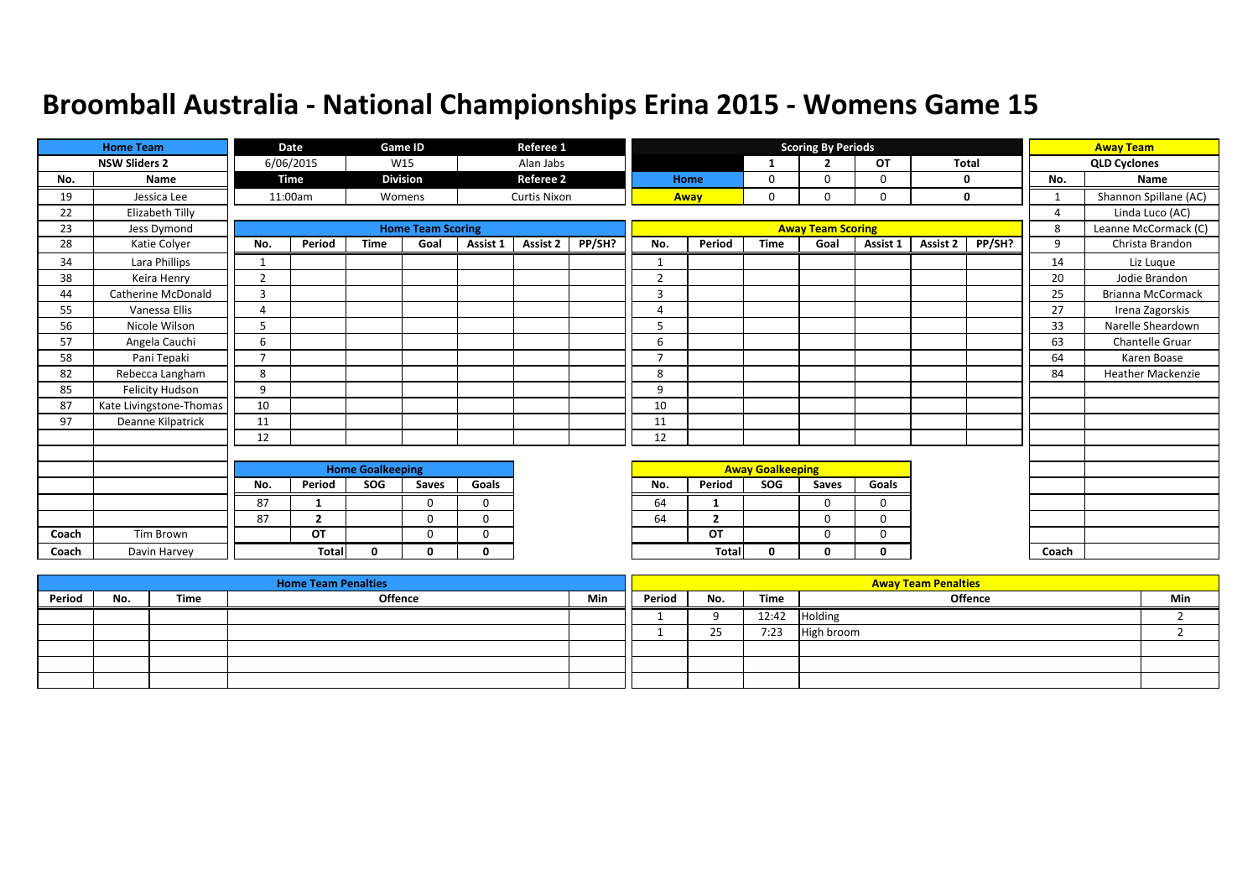|       | <b>Home Team</b>          |                | Date           |                         | Game ID                  |          | Referee 1           |        |                |                |                         | <b>Scoring By Periods</b> |          |              |        |                | <b>Away Team</b>         |
|-------|---------------------------|----------------|----------------|-------------------------|--------------------------|----------|---------------------|--------|----------------|----------------|-------------------------|---------------------------|----------|--------------|--------|----------------|--------------------------|
|       | <b>NSW Sliders 2</b>      |                | 6/06/2015      |                         | W15                      |          | Alan Jabs           |        |                |                | $\mathbf{1}$            | <u>ີ</u>                  | OT       | <b>Total</b> |        |                | <b>QLD Cyclones</b>      |
| No.   | Name                      |                | Time           |                         | <b>Division</b>          |          | <b>Referee 2</b>    |        |                | Home           | $\mathbf 0$             | $\Omega$                  | 0        |              | 0      | No.            | Name                     |
| 19    | Jessica Lee               |                | 11:00am        |                         | Womens                   |          | <b>Curtis Nixon</b> |        |                | Away           | 0                       | 0                         | 0        |              | 0      | $\mathbf{1}$   | Shannon Spillane (AC)    |
| 22    | Elizabeth Tilly           |                |                |                         |                          |          |                     |        |                |                |                         |                           |          |              |        | $\overline{4}$ | Linda Luco (AC)          |
| 23    | Jess Dymond               |                |                |                         | <b>Home Team Scoring</b> |          |                     |        |                |                |                         | <b>Away Team Scoring</b>  |          |              |        | 8              | Leanne McCormack (C)     |
| 28    | Katie Colyer              | No.            | Period         | <b>Time</b>             | Goal                     | Assist 1 | Assist 2            | PP/SH? | No.            | Period         | <b>Time</b>             | Goal                      | Assist 1 | Assist 2     | PP/SH? | 9              | Christa Brandon          |
| 34    | Lara Phillips             | -1             |                |                         |                          |          |                     |        | 1              |                |                         |                           |          |              |        | 14             | Liz Luque                |
| 38    | Keira Henry               | $\overline{2}$ |                |                         |                          |          |                     |        | $\overline{2}$ |                |                         |                           |          |              |        | 20             | Jodie Brandon            |
| 44    | <b>Catherine McDonald</b> | $\overline{3}$ |                |                         |                          |          |                     |        | 3              |                |                         |                           |          |              |        | 25             | <b>Brianna McCormack</b> |
| 55    | Vanessa Ellis             | $\overline{4}$ |                |                         |                          |          |                     |        | 4              |                |                         |                           |          |              |        | 27             | Irena Zagorskis          |
| 56    | Nicole Wilson             | 5              |                |                         |                          |          |                     |        | 5              |                |                         |                           |          |              |        | 33             | Narelle Sheardown        |
| 57    | Angela Cauchi             | 6              |                |                         |                          |          |                     |        | 6              |                |                         |                           |          |              |        | 63             | <b>Chantelle Gruar</b>   |
| 58    | Pani Tepaki               | $\overline{7}$ |                |                         |                          |          |                     |        | 7              |                |                         |                           |          |              |        | 64             | Karen Boase              |
| 82    | Rebecca Langham           | 8              |                |                         |                          |          |                     |        | 8              |                |                         |                           |          |              |        | 84             | <b>Heather Mackenzie</b> |
| 85    | Felicity Hudson           | 9              |                |                         |                          |          |                     |        | 9              |                |                         |                           |          |              |        |                |                          |
| 87    | Kate Livingstone-Thomas   | 10             |                |                         |                          |          |                     |        | 10             |                |                         |                           |          |              |        |                |                          |
| 97    | Deanne Kilpatrick         | 11             |                |                         |                          |          |                     |        | 11             |                |                         |                           |          |              |        |                |                          |
|       |                           | 12             |                |                         |                          |          |                     |        | 12             |                |                         |                           |          |              |        |                |                          |
|       |                           |                |                |                         |                          |          |                     |        |                |                |                         |                           |          |              |        |                |                          |
|       |                           |                |                | <b>Home Goalkeeping</b> |                          |          |                     |        |                |                | <b>Away Goalkeeping</b> |                           |          |              |        |                |                          |
|       |                           | No.            | Period         | SOG                     | Saves                    | Goals    |                     |        | No.            | Period         | <b>SOG</b>              | Saves                     | Goals    |              |        |                |                          |
|       |                           | 87             |                |                         | $\Omega$                 | $\Omega$ |                     |        | 64             | -1             |                         | 0                         | 0        |              |        |                |                          |
|       |                           | 87             | $\overline{2}$ |                         | $\Omega$                 | $\Omega$ |                     |        | 64             | $\overline{2}$ |                         | $\Omega$                  | $\Omega$ |              |        |                |                          |
| Coach | Tim Brown                 |                | OT             |                         | $\Omega$                 | $\Omega$ |                     |        |                | OT             |                         | $\Omega$                  | $\Omega$ |              |        |                |                          |
| Coach | Davin Harvey              |                | <b>Total</b>   | $\Omega$                | n                        | $\Omega$ |                     |        |                | Total          | 0                       | $\Omega$                  | 0        |              |        | Coach          |                          |

|        |     |      | <b>Home Team Penalties</b> |     |        |          |       | <b>Away Team Penalties</b> |     |
|--------|-----|------|----------------------------|-----|--------|----------|-------|----------------------------|-----|
| Period | No. | Time | <b>Offence</b>             | Min | Period | No.      | Time  | <b>Offence</b>             | Min |
|        |     |      |                            |     |        |          | 12:42 | Holding                    |     |
|        |     |      |                            |     |        | つち<br>رے | 7:23  | High broom                 |     |
|        |     |      |                            |     |        |          |       |                            |     |
|        |     |      |                            |     |        |          |       |                            |     |
|        |     |      |                            |     |        |          |       |                            |     |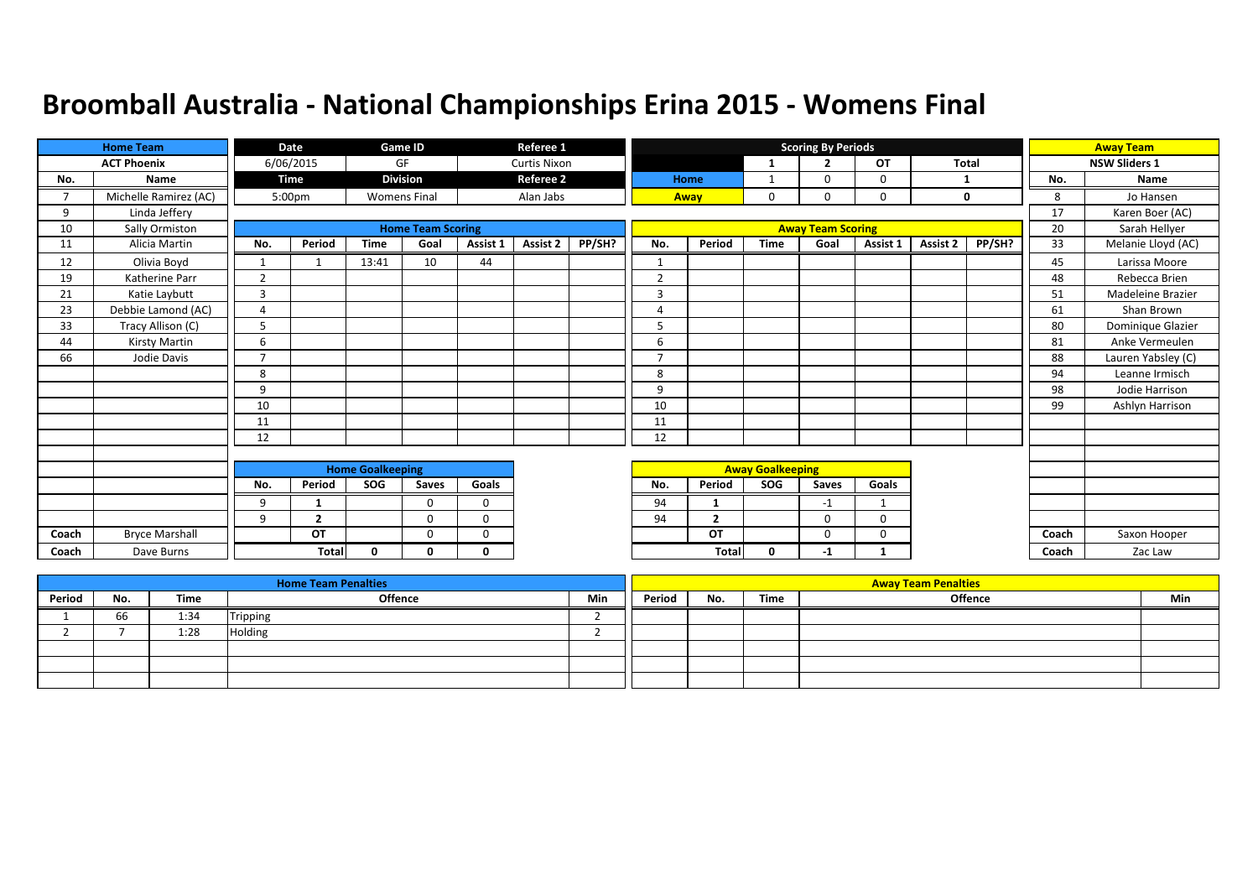|               | <b>Home Team</b>      |                | Date           |                         | <b>Game ID</b>           |          | Referee 1           |        |                |                |                         | <b>Scoring By Periods</b> |           |          |              |       | <b>Away Team</b>     |
|---------------|-----------------------|----------------|----------------|-------------------------|--------------------------|----------|---------------------|--------|----------------|----------------|-------------------------|---------------------------|-----------|----------|--------------|-------|----------------------|
|               | <b>ACT Phoenix</b>    |                | 6/06/2015      |                         | GF                       |          | <b>Curtis Nixon</b> |        |                |                |                         | $\overline{2}$            | <b>OT</b> |          | <b>Total</b> |       | <b>NSW Sliders 1</b> |
| No.           | <b>Name</b>           |                | <b>Time</b>    |                         | <b>Division</b>          |          | <b>Referee 2</b>    |        |                | Home           |                         |                           | 0         |          |              | No.   | <b>Name</b>          |
| $\mathcal{L}$ | Michelle Ramirez (AC) |                | 5:00pm         |                         | <b>Womens Final</b>      |          | Alan Jabs           |        |                | Away           | 0                       | $\Omega$                  | 0         |          | 0            | 8     | Jo Hansen            |
| 9             | Linda Jeffery         |                |                |                         |                          |          |                     |        |                |                |                         |                           |           |          |              | 17    | Karen Boer (AC)      |
| 10            | Sally Ormiston        |                |                |                         | <b>Home Team Scoring</b> |          |                     |        |                |                |                         | <b>Away Team Scoring</b>  |           |          |              | 20    | Sarah Hellyer        |
| 11            | Alicia Martin         | No.            | Period         | <b>Time</b>             | Goal                     | Assist 1 | <b>Assist 2</b>     | PP/SH? | No.            | Period         | <b>Time</b>             | Goal                      | Assist 1  | Assist 2 | PP/SH?       | 33    | Melanie Lloyd (AC)   |
| 12            | Olivia Boyd           | 1              |                | 13:41                   | 10                       | 44       |                     |        |                |                |                         |                           |           |          |              | 45    | Larissa Moore        |
| 19            | Katherine Parr        | $\overline{2}$ |                |                         |                          |          |                     |        | $\overline{2}$ |                |                         |                           |           |          |              | 48    | Rebecca Brien        |
| 21            | Katie Laybutt         | 3              |                |                         |                          |          |                     |        | 3              |                |                         |                           |           |          |              | 51    | Madeleine Brazier    |
| 23            | Debbie Lamond (AC)    | $\overline{4}$ |                |                         |                          |          |                     |        | $\Delta$       |                |                         |                           |           |          |              | 61    | Shan Brown           |
| 33            | Tracy Allison (C)     | 5              |                |                         |                          |          |                     |        | 5              |                |                         |                           |           |          |              | 80    | Dominique Glazier    |
| 44            | Kirsty Martin         | 6              |                |                         |                          |          |                     |        | 6              |                |                         |                           |           |          |              | 81    | Anke Vermeulen       |
| 66            | Jodie Davis           | $\overline{7}$ |                |                         |                          |          |                     |        | $\overline{7}$ |                |                         |                           |           |          |              | 88    | Lauren Yabsley (C)   |
|               |                       | 8              |                |                         |                          |          |                     |        | 8              |                |                         |                           |           |          |              | 94    | Leanne Irmisch       |
|               |                       | 9              |                |                         |                          |          |                     |        | 9              |                |                         |                           |           |          |              | 98    | Jodie Harrison       |
|               |                       | 10             |                |                         |                          |          |                     |        | 10             |                |                         |                           |           |          |              | 99    | Ashlyn Harrison      |
|               |                       | 11             |                |                         |                          |          |                     |        | 11             |                |                         |                           |           |          |              |       |                      |
|               |                       | 12             |                |                         |                          |          |                     |        | 12             |                |                         |                           |           |          |              |       |                      |
|               |                       |                |                |                         |                          |          |                     |        |                |                |                         |                           |           |          |              |       |                      |
|               |                       |                |                | <b>Home Goalkeeping</b> |                          |          |                     |        |                |                | <b>Away Goalkeeping</b> |                           |           |          |              |       |                      |
|               |                       | No.            | Period         | SOG                     | Saves                    | Goals    |                     |        | No.            | Period         | SOG                     | Saves                     | Goals     |          |              |       |                      |
|               |                       | 9              | -1             |                         | $\Omega$                 | 0        |                     |        | 94             | $\mathbf 1$    |                         | $-1$                      |           |          |              |       |                      |
|               |                       | 9              | $\overline{2}$ |                         | $\Omega$                 | $\Omega$ |                     |        | 94             | $\overline{2}$ |                         | $\Omega$                  | $\Omega$  |          |              |       |                      |
| Coach         | <b>Bryce Marshall</b> |                | OT             |                         | 0                        | 0        |                     |        |                | OT             |                         | $\Omega$                  | 0         |          |              | Coach | Saxon Hooper         |
| Coach         | Dave Burns            |                | <b>Total</b>   | $\mathbf{0}$            | 0                        | 0        |                     |        |                | <b>Total</b>   | 0                       | $-1$                      |           |          |              | Coach | Zac Law              |

|        |     |      | <b>Home Team Penalties</b> |     |        |     |      | <b>Away Team Penalties</b> |     |
|--------|-----|------|----------------------------|-----|--------|-----|------|----------------------------|-----|
| Period | No. | Time | Offence                    | Min | Period | No. | Time | <b>Offence</b>             | Min |
|        | 66  | 1:34 | Tripping                   |     |        |     |      |                            |     |
|        |     | 1:28 | Holding                    |     |        |     |      |                            |     |
|        |     |      |                            |     |        |     |      |                            |     |
|        |     |      |                            |     |        |     |      |                            |     |
|        |     |      |                            |     |        |     |      |                            |     |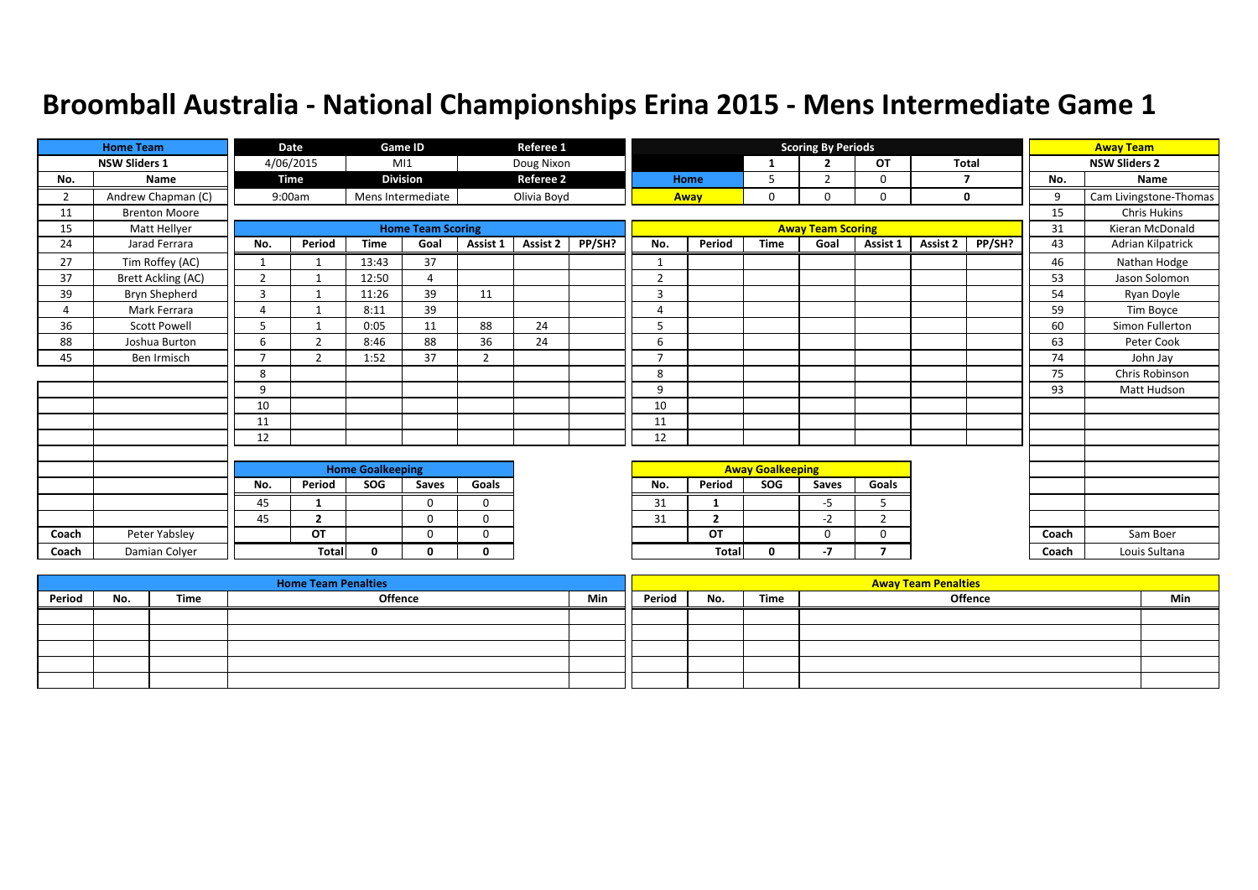|                | <b>Home Team</b>     |                | Date           |                         | Game ID                  |                | Referee 1        |        |                |                |                         | <b>Scoring By Periods</b> |                |              |        |       | <b>Away Team</b>       |
|----------------|----------------------|----------------|----------------|-------------------------|--------------------------|----------------|------------------|--------|----------------|----------------|-------------------------|---------------------------|----------------|--------------|--------|-------|------------------------|
|                | <b>NSW Sliders 1</b> |                | 4/06/2015      |                         | M11                      |                | Doug Nixon       |        |                |                | 1                       | $\overline{2}$            | OT             | <b>Total</b> |        |       | <b>NSW Sliders 2</b>   |
| No.            | Name                 |                | Time           |                         | <b>Division</b>          |                | <b>Referee 2</b> |        |                | Home           | 5                       | $\overline{2}$            | $\mathbf 0$    |              |        | No.   | Name                   |
| $\overline{2}$ | Andrew Chapman (C)   |                | 9:00am         |                         | Mens Intermediate        |                | Olivia Boyd      |        |                | Away           | $\mathbf 0$             | $\mathbf 0$               | $\mathbf 0$    | $\mathbf 0$  |        | 9     | Cam Livingstone-Thomas |
| 11             | <b>Brenton Moore</b> |                |                |                         |                          |                |                  |        |                |                |                         |                           |                |              |        | 15    | <b>Chris Hukins</b>    |
| 15             | Matt Hellyer         |                |                |                         | <b>Home Team Scoring</b> |                |                  |        |                |                |                         | <b>Away Team Scoring</b>  |                |              |        | 31    | Kieran McDonald        |
| 24             | Jarad Ferrara        | No.            | Period         | <b>Time</b>             | Goal                     | Assist 1       | Assist 2         | PP/SH? | No.            | Period         | <b>Time</b>             | Goal                      | Assist 1       | Assist 2     | PP/SH? | 43    | Adrian Kilpatrick      |
| 27             | Tim Roffey (AC)      | $\mathbf{1}$   |                | 13:43                   | 37                       |                |                  |        |                |                |                         |                           |                |              |        | 46    | Nathan Hodge           |
| 37             | Brett Ackling (AC)   | $\overline{2}$ | $\mathbf{1}$   | 12:50                   | 4                        |                |                  |        | $\overline{2}$ |                |                         |                           |                |              |        | 53    | Jason Solomon          |
| 39             | Bryn Shepherd        | 3              |                | 11:26                   | 39                       | 11             |                  |        | 3              |                |                         |                           |                |              |        | 54    | Ryan Doyle             |
| 4              | Mark Ferrara         | 4              |                | 8:11                    | 39                       |                |                  |        | $\overline{4}$ |                |                         |                           |                |              |        | 59    | Tim Boyce              |
| 36             | <b>Scott Powell</b>  | 5              |                | 0:05                    | 11                       | 88             | 24               |        | 5              |                |                         |                           |                |              |        | 60    | Simon Fullerton        |
| 88             | Joshua Burton        | 6              | $\overline{2}$ | 8:46                    | 88                       | 36             | 24               |        | 6              |                |                         |                           |                |              |        | 63    | Peter Cook             |
| 45             | Ben Irmisch          | $\overline{7}$ | $\overline{2}$ | 1:52                    | 37                       | $\overline{2}$ |                  |        | $\overline{7}$ |                |                         |                           |                |              |        | 74    | John Jay               |
|                |                      | 8              |                |                         |                          |                |                  |        | 8              |                |                         |                           |                |              |        | 75    | Chris Robinson         |
|                |                      | 9              |                |                         |                          |                |                  |        | 9              |                |                         |                           |                |              |        | 93    | Matt Hudson            |
|                |                      | 10             |                |                         |                          |                |                  |        | 10             |                |                         |                           |                |              |        |       |                        |
|                |                      | 11             |                |                         |                          |                |                  |        | 11             |                |                         |                           |                |              |        |       |                        |
|                |                      | 12             |                |                         |                          |                |                  |        | 12             |                |                         |                           |                |              |        |       |                        |
|                |                      |                |                |                         |                          |                |                  |        |                |                |                         |                           |                |              |        |       |                        |
|                |                      |                |                | <b>Home Goalkeeping</b> |                          |                |                  |        |                |                | <b>Away Goalkeeping</b> |                           |                |              |        |       |                        |
|                |                      | No.            | Period         | SOG                     | Saves                    | Goals          |                  |        | No.            | Period         | SOG                     | <b>Saves</b>              | Goals          |              |        |       |                        |
|                |                      | 45             | $\mathbf{1}$   |                         | $\Omega$                 | $\mathbf 0$    |                  |        | 31             | -1             |                         | -5                        | 5              |              |        |       |                        |
|                |                      | 45             | $\overline{2}$ |                         | $\Omega$                 | $\Omega$       |                  |        | 31             | $\overline{2}$ |                         | $-2$                      | $\overline{2}$ |              |        |       |                        |
| Coach          | Peter Yabsley        |                | OT             |                         | $\Omega$                 | $\Omega$       |                  |        |                | OT             |                         | $\Omega$                  | 0              |              |        | Coach | Sam Boer               |
| Coach          | Damian Colver        |                | <b>Total</b>   | 0                       | 0                        | 0              |                  |        |                | <b>Total</b>   | $\mathbf 0$             | $-7$                      | 7              |              |        | Coach | Louis Sultana          |

|        |     |      | <b>Home Team Penalties</b> |     |        |     |      | <b>Away Team Penalties</b> |     |
|--------|-----|------|----------------------------|-----|--------|-----|------|----------------------------|-----|
| Period | No. | Time | <b>Offence</b>             | Min | Period | No. | Time | <b>Offence</b>             | Min |
|        |     |      |                            |     |        |     |      |                            |     |
|        |     |      |                            |     |        |     |      |                            |     |
|        |     |      |                            |     |        |     |      |                            |     |
|        |     |      |                            |     |        |     |      |                            |     |
|        |     |      |                            |     |        |     |      |                            |     |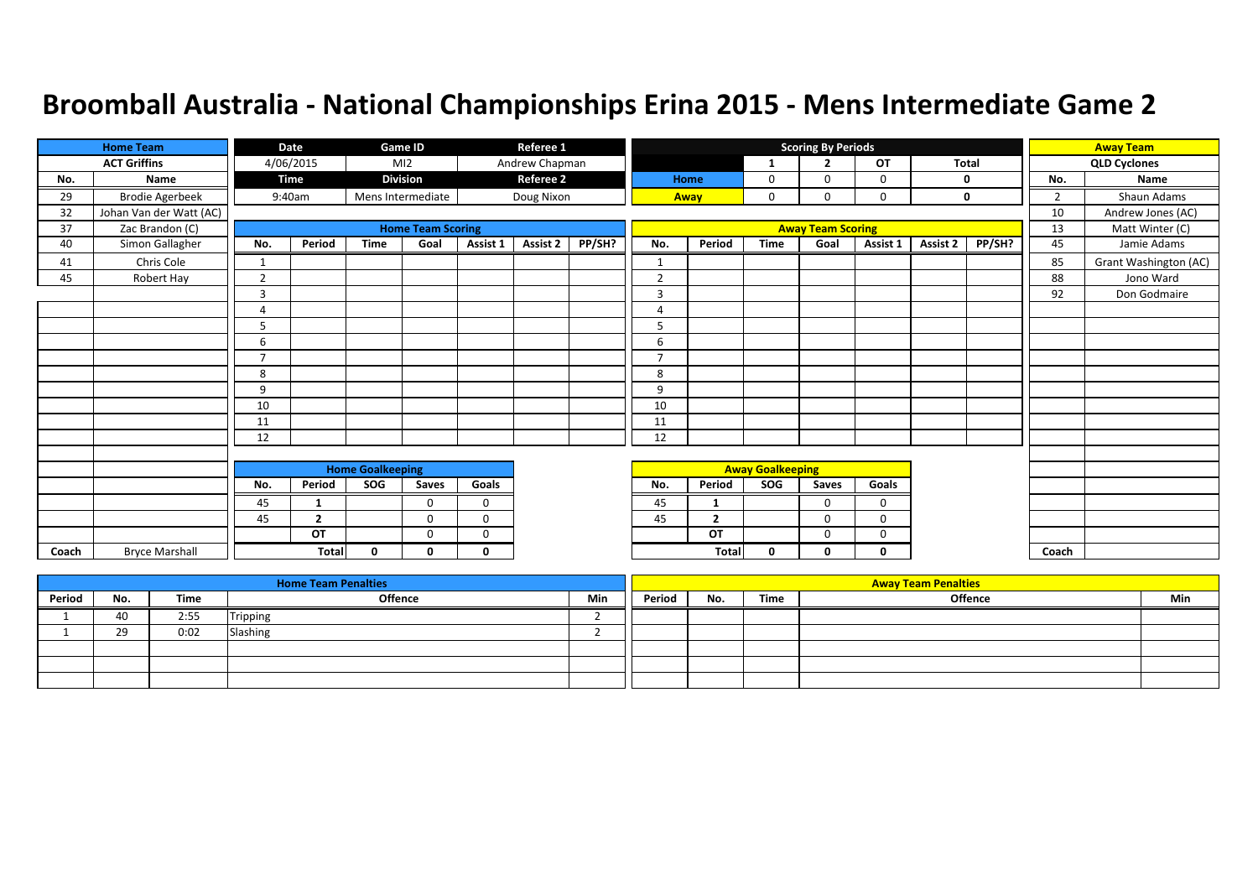|       | <b>Home Team</b>        |                | Date           |                         | Game ID                  |             | Referee 1        |        |                |                |                         | <b>Scoring By Periods</b> |             |          |        |                | <b>Away Team</b>      |
|-------|-------------------------|----------------|----------------|-------------------------|--------------------------|-------------|------------------|--------|----------------|----------------|-------------------------|---------------------------|-------------|----------|--------|----------------|-----------------------|
|       | <b>ACT Griffins</b>     |                | 4/06/2015      |                         | M12                      |             | Andrew Chapman   |        |                |                | 1                       | $\overline{2}$            | <b>OT</b>   | Total    |        |                | <b>QLD Cyclones</b>   |
| No.   | Name                    |                | Time           |                         | <b>Division</b>          |             | <b>Referee 2</b> |        |                | Home           | 0                       | $\Omega$                  | 0           |          | 0      | No.            | Name                  |
| 29    | <b>Brodie Agerbeek</b>  |                | 9:40am         |                         | Mens Intermediate        |             | Doug Nixon       |        |                | Away           | $\mathbf 0$             | 0                         | $\mathbf 0$ |          | 0      | $\overline{2}$ | Shaun Adams           |
| 32    | Johan Van der Watt (AC) |                |                |                         |                          |             |                  |        |                |                |                         |                           |             |          |        | 10             | Andrew Jones (AC)     |
| 37    | Zac Brandon (C)         |                |                |                         | <b>Home Team Scoring</b> |             |                  |        |                |                |                         | <b>Away Team Scoring</b>  |             |          |        | 13             | Matt Winter (C)       |
| 40    | Simon Gallagher         | No.            | Period         | <b>Time</b>             | Goal                     | Assist 1    | <b>Assist 2</b>  | PP/SH? | No.            | Period         | <b>Time</b>             | Goal                      | Assist 1    | Assist 2 | PP/SH? | 45             | Jamie Adams           |
| 41    | Chris Cole              | $\mathbf{1}$   |                |                         |                          |             |                  |        | $\mathbf{1}$   |                |                         |                           |             |          |        | 85             | Grant Washington (AC) |
| 45    | Robert Hay              | $\overline{2}$ |                |                         |                          |             |                  |        | $\overline{2}$ |                |                         |                           |             |          |        | 88             | Jono Ward             |
|       |                         | 3              |                |                         |                          |             |                  |        | 3              |                |                         |                           |             |          |        | 92             | Don Godmaire          |
|       |                         | 4              |                |                         |                          |             |                  |        | 4              |                |                         |                           |             |          |        |                |                       |
|       |                         | 5              |                |                         |                          |             |                  |        | 5              |                |                         |                           |             |          |        |                |                       |
|       |                         | 6              |                |                         |                          |             |                  |        | 6              |                |                         |                           |             |          |        |                |                       |
|       |                         | $\overline{7}$ |                |                         |                          |             |                  |        | $\overline{7}$ |                |                         |                           |             |          |        |                |                       |
|       |                         | 8              |                |                         |                          |             |                  |        | 8              |                |                         |                           |             |          |        |                |                       |
|       |                         | 9              |                |                         |                          |             |                  |        | 9              |                |                         |                           |             |          |        |                |                       |
|       |                         | 10             |                |                         |                          |             |                  |        | 10             |                |                         |                           |             |          |        |                |                       |
|       |                         | 11             |                |                         |                          |             |                  |        | 11             |                |                         |                           |             |          |        |                |                       |
|       |                         | 12             |                |                         |                          |             |                  |        | 12             |                |                         |                           |             |          |        |                |                       |
|       |                         |                |                |                         |                          |             |                  |        |                |                |                         |                           |             |          |        |                |                       |
|       |                         |                |                | <b>Home Goalkeeping</b> |                          |             |                  |        |                |                | <b>Away Goalkeeping</b> |                           |             |          |        |                |                       |
|       |                         | No.            | Period         | SOG                     | Saves                    | Goals       |                  |        | No.            | Period         | SOG                     | Saves                     | Goals       |          |        |                |                       |
|       |                         | 45             | 1              |                         | $\Omega$                 | $\Omega$    |                  |        | 45             | 1              |                         | $\Omega$                  | $\Omega$    |          |        |                |                       |
|       |                         | 45             | $\overline{2}$ |                         | $\Omega$                 | $\mathbf 0$ |                  |        | 45             | $\overline{2}$ |                         | 0                         | $\mathbf 0$ |          |        |                |                       |
|       |                         |                | OT             |                         | $\Omega$                 | $\Omega$    |                  |        |                | OT             |                         | $\mathbf 0$               | $\mathbf 0$ |          |        |                |                       |
| Coach | <b>Bryce Marshall</b>   |                | <b>Total</b>   | 0                       | 0                        | $\mathbf 0$ |                  |        |                | Total          | 0                       | 0                         | 0           |          |        | Coach          |                       |

|        |     |      | <b>Home Team Penalties</b> |     |        |     |      | <b>Away Team Penalties</b> |     |
|--------|-----|------|----------------------------|-----|--------|-----|------|----------------------------|-----|
| Period | No. | Time | <b>Offence</b>             | Min | Period | No. | Time | <b>Offence</b>             | Min |
|        | 40  | 2:55 | Tripping                   |     |        |     |      |                            |     |
|        | 29  | 0:02 | Slashing                   |     |        |     |      |                            |     |
|        |     |      |                            |     |        |     |      |                            |     |
|        |     |      |                            |     |        |     |      |                            |     |
|        |     |      |                            |     |        |     |      |                            |     |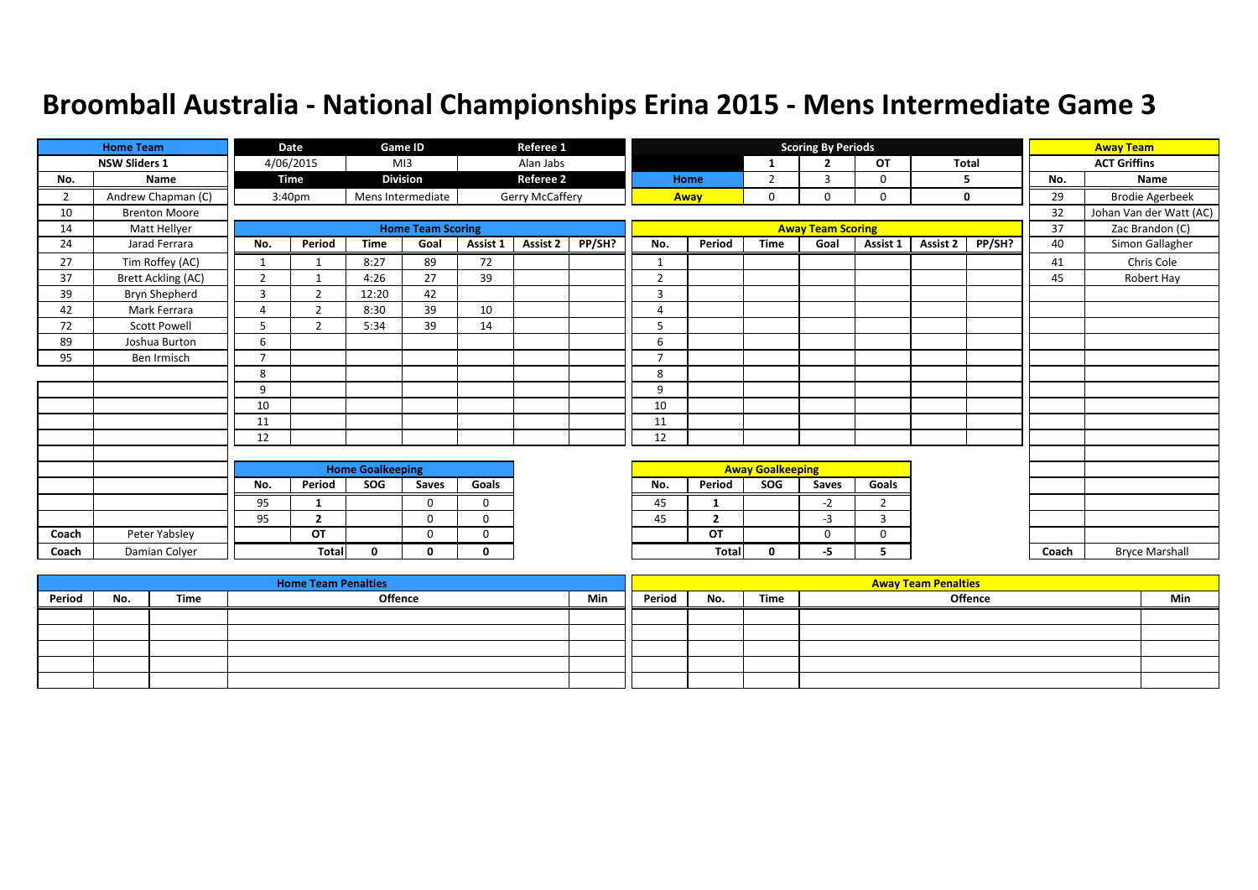|                | <b>Home Team</b>          |                | Date               |                         | <b>Game ID</b>           |              | Referee 1        |        |                          |                |                         | <b>Scoring By Periods</b> |                |          |              |       | <b>Away Team</b>        |
|----------------|---------------------------|----------------|--------------------|-------------------------|--------------------------|--------------|------------------|--------|--------------------------|----------------|-------------------------|---------------------------|----------------|----------|--------------|-------|-------------------------|
|                | <b>NSW Sliders 1</b>      |                | 4/06/2015          |                         | M13                      |              | Alan Jabs        |        |                          |                | $\mathbf{1}$            | $\overline{2}$            | <b>OT</b>      |          | <b>Total</b> |       | <b>ACT Griffins</b>     |
| No.            | Name                      |                | <b>Time</b>        |                         | <b>Division</b>          |              | <b>Referee 2</b> |        |                          | Home           | $\overline{2}$          | 3                         | 0              |          | 5            | No.   | Name                    |
| $\overline{2}$ | Andrew Chapman (C)        |                | 3:40 <sub>pm</sub> |                         | Mens Intermediate        |              | Gerry McCaffery  |        |                          | Away           | 0                       | 0                         | 0              |          | 0            | 29    | <b>Brodie Agerbeek</b>  |
| 10             | <b>Brenton Moore</b>      |                |                    |                         |                          |              |                  |        |                          |                |                         |                           |                |          |              | 32    | Johan Van der Watt (AC) |
| 14             | Matt Hellyer              |                |                    |                         | <b>Home Team Scoring</b> |              |                  |        |                          |                |                         | <b>Away Team Scoring</b>  |                |          |              | 37    | Zac Brandon (C)         |
| 24             | Jarad Ferrara             | No.            | Period             | <b>Time</b>             | Goal                     | Assist 1     | <b>Assist 2</b>  | PP/SH? | No.                      | Period         | <b>Time</b>             | Goal                      | Assist 1       | Assist 2 | PP/SH?       | 40    | Simon Gallagher         |
| 27             | Tim Roffey (AC)           |                |                    | 8:27                    | 89                       | 72           |                  |        | $\overline{\phantom{a}}$ |                |                         |                           |                |          |              | 41    | Chris Cole              |
| 37             | <b>Brett Ackling (AC)</b> | $\overline{2}$ |                    | 4:26                    | 27                       | 39           |                  |        | $\overline{2}$           |                |                         |                           |                |          |              | 45    | Robert Hay              |
| 39             | Bryn Shepherd             | 3              | $\mathcal{L}$      | 12:20                   | 42                       |              |                  |        | 3                        |                |                         |                           |                |          |              |       |                         |
| 42             | Mark Ferrara              | 4              | $\mathcal{P}$      | 8:30                    | 39                       | 10           |                  |        | $\overline{a}$           |                |                         |                           |                |          |              |       |                         |
| 72             | <b>Scott Powell</b>       | 5              | $\mathbf{r}$       | 5:34                    | 39                       | 14           |                  |        | 5                        |                |                         |                           |                |          |              |       |                         |
| 89             | Joshua Burton             | 6              |                    |                         |                          |              |                  |        | 6                        |                |                         |                           |                |          |              |       |                         |
| 95             | Ben Irmisch               | $\overline{7}$ |                    |                         |                          |              |                  |        | $\overline{7}$           |                |                         |                           |                |          |              |       |                         |
|                |                           | 8              |                    |                         |                          |              |                  |        | 8                        |                |                         |                           |                |          |              |       |                         |
|                |                           | 9              |                    |                         |                          |              |                  |        | 9                        |                |                         |                           |                |          |              |       |                         |
|                |                           | 10             |                    |                         |                          |              |                  |        | 10                       |                |                         |                           |                |          |              |       |                         |
|                |                           | 11             |                    |                         |                          |              |                  |        | 11                       |                |                         |                           |                |          |              |       |                         |
|                |                           | 12             |                    |                         |                          |              |                  |        | 12                       |                |                         |                           |                |          |              |       |                         |
|                |                           |                |                    |                         |                          |              |                  |        |                          |                |                         |                           |                |          |              |       |                         |
|                |                           |                |                    | <b>Home Goalkeeping</b> |                          |              |                  |        |                          |                | <b>Away Goalkeeping</b> |                           |                |          |              |       |                         |
|                |                           | No.            | Period             | SOG                     | Saves                    | Goals        |                  |        | No.                      | Period         | SOG                     | Saves                     | Goals          |          |              |       |                         |
|                |                           | 95             |                    |                         | 0                        | $\mathbf 0$  |                  |        | 45                       | -1             |                         | $-2$                      | $\overline{2}$ |          |              |       |                         |
|                |                           | 95             | $\overline{2}$     |                         | $\Omega$                 | $\Omega$     |                  |        | 45                       | $\overline{2}$ |                         | $-3$                      | 3              |          |              |       |                         |
| Coach          | Peter Yabsley             |                | OT                 |                         | $\Omega$                 | 0            |                  |        |                          | OT             |                         | $\Omega$                  | 0              |          |              |       |                         |
| Coach          | Damian Colyer             |                | <b>Total</b>       | $\mathbf{0}$            | 0                        | $\mathbf{0}$ |                  |        |                          | Total          | $\mathbf{0}$            | -5                        | 5.             |          |              | Coach | <b>Bryce Marshall</b>   |

|        |     |      | <b>Home Team Penalties</b> |     |        |     |      | <b>Away Team Penalties</b> |     |
|--------|-----|------|----------------------------|-----|--------|-----|------|----------------------------|-----|
| Period | No. | Time | <b>Offence</b>             | Min | Period | No. | Time | <b>Offence</b>             | Min |
|        |     |      |                            |     |        |     |      |                            |     |
|        |     |      |                            |     |        |     |      |                            |     |
|        |     |      |                            |     |        |     |      |                            |     |
|        |     |      |                            |     |        |     |      |                            |     |
|        |     |      |                            |     |        |     |      |                            |     |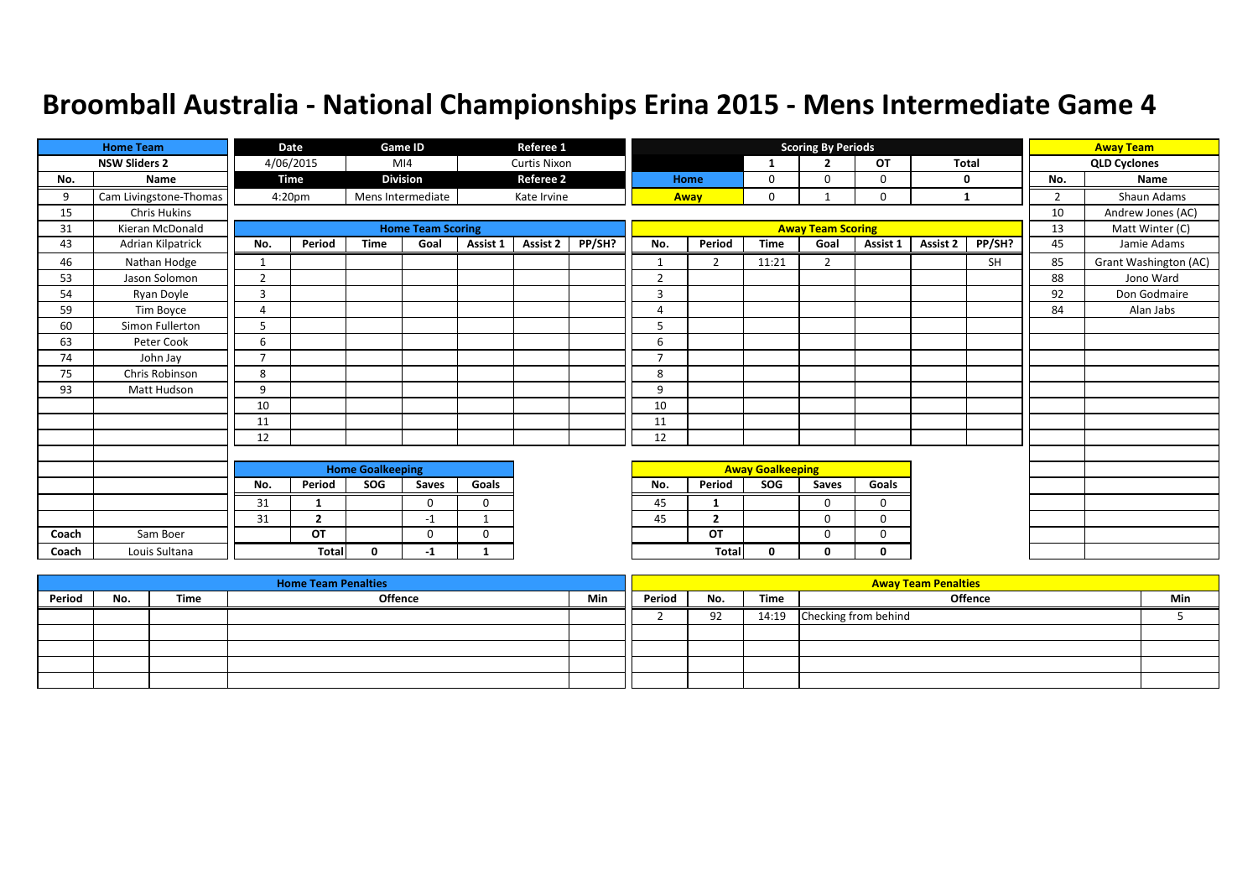|       | <b>Home Team</b>       |                          | Date               |                         | Game ID                  |             | Referee 1           |        |                          |                |                         | <b>Scoring By Periods</b> |             |              |        |                | <b>Away Team</b>      |
|-------|------------------------|--------------------------|--------------------|-------------------------|--------------------------|-------------|---------------------|--------|--------------------------|----------------|-------------------------|---------------------------|-------------|--------------|--------|----------------|-----------------------|
|       | <b>NSW Sliders 2</b>   |                          | 4/06/2015          |                         | M <sub>14</sub>          |             | <b>Curtis Nixon</b> |        |                          |                | -1                      | $\overline{2}$            | <b>OT</b>   | <b>Total</b> |        |                | <b>QLD Cyclones</b>   |
| No.   | Name                   |                          | Time               |                         | <b>Division</b>          |             | <b>Referee 2</b>    |        |                          | Home           | 0                       | $\Omega$                  | 0           | 0            |        | No.            | Name                  |
| 9     | Cam Livingstone-Thomas |                          | 4:20 <sub>pm</sub> |                         | Mens Intermediate        |             | Kate Irvine         |        | Away                     |                | 0                       |                           | 0           | 1            |        | $\overline{2}$ | Shaun Adams           |
| 15    | <b>Chris Hukins</b>    |                          |                    |                         |                          |             |                     |        |                          |                |                         |                           |             |              |        | 10             | Andrew Jones (AC)     |
| 31    | Kieran McDonald        |                          |                    |                         | <b>Home Team Scoring</b> |             |                     |        |                          |                |                         | <b>Away Team Scoring</b>  |             |              |        | 13             | Matt Winter (C)       |
| 43    | Adrian Kilpatrick      | No.                      | Period             | <b>Time</b>             | Goal                     | Assist 1    | Assist 2            | PP/SH? | No.                      | Period         | <b>Time</b>             | Goal                      | Assist 1    | Assist 2     | PP/SH? | 45             | Jamie Adams           |
| 46    | Nathan Hodge           | 1                        |                    |                         |                          |             |                     |        | $\mathbf{1}$             | $\overline{2}$ | 11:21                   | $\overline{2}$            |             |              | SH     | 85             | Grant Washington (AC) |
| 53    | Jason Solomon          | $\overline{2}$           |                    |                         |                          |             |                     |        | $\overline{2}$           |                |                         |                           |             |              |        | 88             | Jono Ward             |
| 54    | Ryan Doyle             | $\overline{3}$           |                    |                         |                          |             |                     |        | 3                        |                |                         |                           |             |              |        | 92             | Don Godmaire          |
| 59    | Tim Boyce              | $\overline{A}$           |                    |                         |                          |             |                     |        | $\overline{a}$           |                |                         |                           |             |              |        | 84             | Alan Jabs             |
| 60    | Simon Fullerton        | 5                        |                    |                         |                          |             |                     |        | 5                        |                |                         |                           |             |              |        |                |                       |
| 63    | Peter Cook             | 6                        |                    |                         |                          |             |                     |        | 6                        |                |                         |                           |             |              |        |                |                       |
| 74    | John Jay               | $\overline{\phantom{a}}$ |                    |                         |                          |             |                     |        | $\overline{\phantom{a}}$ |                |                         |                           |             |              |        |                |                       |
| 75    | Chris Robinson         | 8                        |                    |                         |                          |             |                     |        | 8                        |                |                         |                           |             |              |        |                |                       |
| 93    | Matt Hudson            | 9                        |                    |                         |                          |             |                     |        | 9                        |                |                         |                           |             |              |        |                |                       |
|       |                        | 10                       |                    |                         |                          |             |                     |        | 10                       |                |                         |                           |             |              |        |                |                       |
|       |                        | 11                       |                    |                         |                          |             |                     |        | 11                       |                |                         |                           |             |              |        |                |                       |
|       |                        | 12                       |                    |                         |                          |             |                     |        | 12                       |                |                         |                           |             |              |        |                |                       |
|       |                        |                          |                    |                         |                          |             |                     |        |                          |                |                         |                           |             |              |        |                |                       |
|       |                        |                          |                    | <b>Home Goalkeeping</b> |                          |             |                     |        |                          |                | <b>Away Goalkeeping</b> |                           |             |              |        |                |                       |
|       |                        | No.                      | Period             | SOG                     | Saves                    | Goals       |                     |        | No.                      | Period         | SOG                     | Saves                     | Goals       |              |        |                |                       |
|       |                        | 31                       | 1                  |                         | $\Omega$                 | $\mathbf 0$ |                     |        | 45                       | 1              |                         | $\Omega$                  | $\mathbf 0$ |              |        |                |                       |
|       |                        | 31                       | $\mathbf{2}$       |                         | $-1$                     | -1          |                     |        | 45                       | $\overline{2}$ |                         | $\mathbf 0$               | $\mathbf 0$ |              |        |                |                       |
| Coach | Sam Boer               |                          | OT                 |                         | $\Omega$                 | $\Omega$    |                     |        |                          | OT             |                         | $\Omega$                  | 0           |              |        |                |                       |
| Coach | Louis Sultana          |                          | <b>Total</b>       | $\Omega$                | $-1$                     | 1           |                     |        |                          | Total          | 0                       | Ω                         | 0           |              |        |                |                       |

|        |     |      | <b>Home Team Penalties</b> |     |        |     |       | <b>Away Team Penalties</b> |     |
|--------|-----|------|----------------------------|-----|--------|-----|-------|----------------------------|-----|
| Period | No. | Time | Offence                    | Min | Period | No. | Time  | <b>Offence</b>             | Min |
|        |     |      |                            |     |        | 92  | 14:19 | Checking from behind       |     |
|        |     |      |                            |     |        |     |       |                            |     |
|        |     |      |                            |     |        |     |       |                            |     |
|        |     |      |                            |     |        |     |       |                            |     |
|        |     |      |                            |     |        |     |       |                            |     |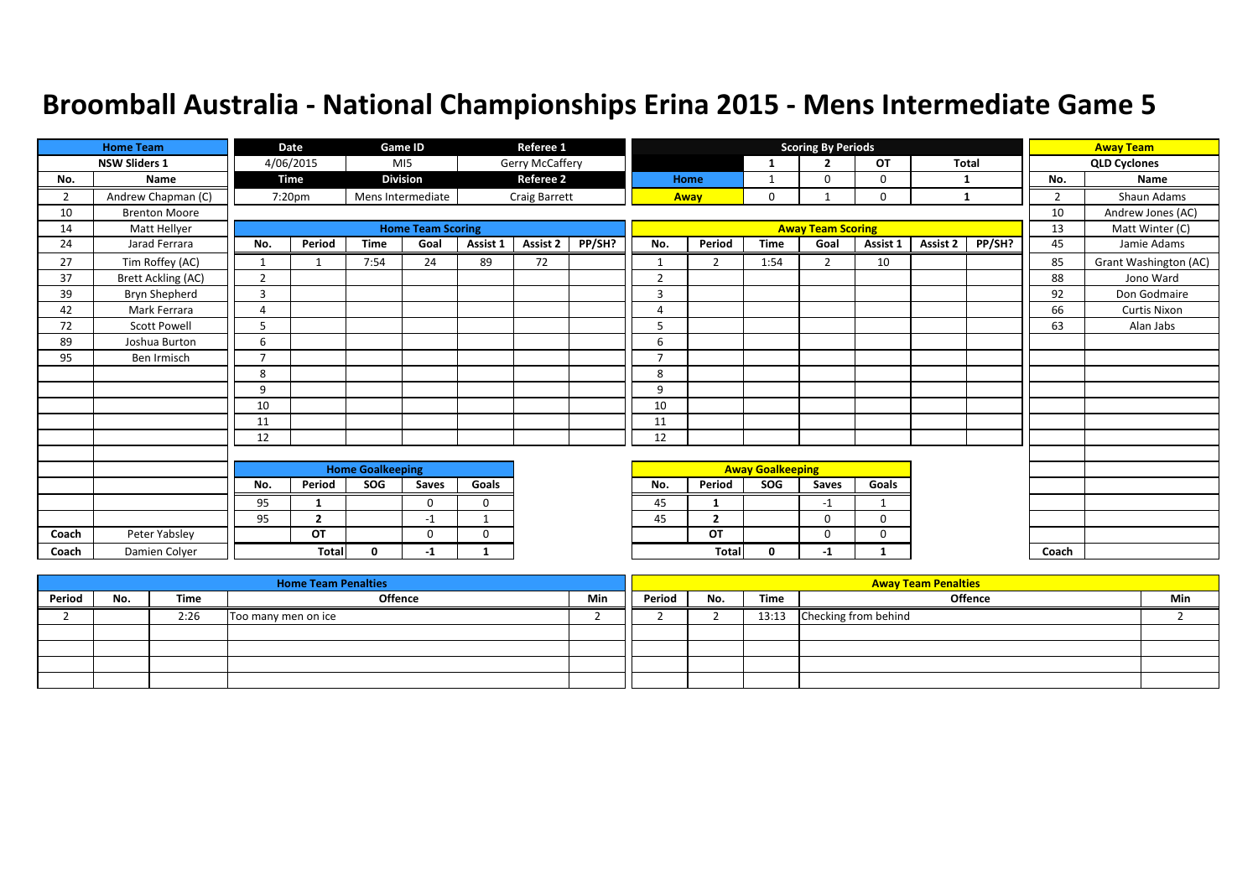|                | <b>Home Team</b>          |                | Date           |                         | Game ID                  |              | Referee 1        |        |                |                |                         | <b>Scoring By Periods</b> |             |              |        |                | <b>Away Team</b>      |
|----------------|---------------------------|----------------|----------------|-------------------------|--------------------------|--------------|------------------|--------|----------------|----------------|-------------------------|---------------------------|-------------|--------------|--------|----------------|-----------------------|
|                | <b>NSW Sliders 1</b>      |                | 4/06/2015      |                         | M <sub>15</sub>          |              | Gerry McCaffery  |        |                |                |                         | $\overline{2}$            | OT          | <b>Total</b> |        |                | <b>QLD Cyclones</b>   |
| No.            | Name                      |                | <b>Time</b>    |                         | <b>Division</b>          |              | <b>Referee 2</b> |        |                | Home           |                         | $\Omega$                  | $\mathbf 0$ | 1            |        | No.            | Name                  |
| $\overline{2}$ | Andrew Chapman (C)        |                | 7:20pm         |                         | Mens Intermediate        |              | Craig Barrett    |        |                | Away           | $\mathbf 0$             |                           | $\mathbf 0$ | $\mathbf{1}$ |        | $\overline{2}$ | Shaun Adams           |
| 10             | <b>Brenton Moore</b>      |                |                |                         |                          |              |                  |        |                |                |                         |                           |             |              |        | 10             | Andrew Jones (AC)     |
| 14             | Matt Hellyer              |                |                |                         | <b>Home Team Scoring</b> |              |                  |        |                |                |                         | <b>Away Team Scoring</b>  |             |              |        | 13             | Matt Winter (C)       |
| 24             | Jarad Ferrara             | No.            | Period         | <b>Time</b>             | Goal                     | Assist 1     | <b>Assist 2</b>  | PP/SH? | No.            | Period         | <b>Time</b>             | Goal                      | Assist 1    | Assist 2     | PP/SH? | 45             | Jamie Adams           |
| 27             | Tim Roffey (AC)           |                |                | 7:54                    | 24                       | 89           | 72               |        |                | 2              | 1:54                    | $\overline{2}$            | 10          |              |        | 85             | Grant Washington (AC) |
| 37             | <b>Brett Ackling (AC)</b> | $\overline{2}$ |                |                         |                          |              |                  |        | $\overline{2}$ |                |                         |                           |             |              |        | 88             | Jono Ward             |
| 39             | Bryn Shepherd             | 3              |                |                         |                          |              |                  |        | 3              |                |                         |                           |             |              |        | 92             | Don Godmaire          |
| 42             | Mark Ferrara              | 4              |                |                         |                          |              |                  |        | $\Delta$       |                |                         |                           |             |              |        | 66             | <b>Curtis Nixon</b>   |
| 72             | <b>Scott Powell</b>       | 5              |                |                         |                          |              |                  |        | 5              |                |                         |                           |             |              |        | 63             | Alan Jabs             |
| 89             | Joshua Burton             | 6              |                |                         |                          |              |                  |        | 6              |                |                         |                           |             |              |        |                |                       |
| 95             | Ben Irmisch               | $\overline{7}$ |                |                         |                          |              |                  |        | 7              |                |                         |                           |             |              |        |                |                       |
|                |                           | 8              |                |                         |                          |              |                  |        | 8              |                |                         |                           |             |              |        |                |                       |
|                |                           | 9              |                |                         |                          |              |                  |        | 9              |                |                         |                           |             |              |        |                |                       |
|                |                           | 10             |                |                         |                          |              |                  |        | 10             |                |                         |                           |             |              |        |                |                       |
|                |                           | 11             |                |                         |                          |              |                  |        | 11             |                |                         |                           |             |              |        |                |                       |
|                |                           | 12             |                |                         |                          |              |                  |        | 12             |                |                         |                           |             |              |        |                |                       |
|                |                           |                |                |                         |                          |              |                  |        |                |                |                         |                           |             |              |        |                |                       |
|                |                           |                |                | <b>Home Goalkeeping</b> |                          |              |                  |        |                |                | <b>Away Goalkeeping</b> |                           |             |              |        |                |                       |
|                |                           | No.            | Period         | SOG                     | Saves                    | Goals        |                  |        | No.            | Period         | SOG                     | Saves                     | Goals       |              |        |                |                       |
|                |                           | 95             | 1              |                         | $\mathbf{0}$             | $\mathbf 0$  |                  |        | 45             |                |                         | $-1$                      |             |              |        |                |                       |
|                |                           | 95             | $\overline{2}$ |                         | $-1$                     | $\mathbf{1}$ |                  |        | 45             | $\overline{2}$ |                         | $\Omega$                  | $\Omega$    |              |        |                |                       |
| Coach          | Peter Yabsley             |                | OT             |                         | $\Omega$                 | $\mathbf 0$  |                  |        |                | OT             |                         | $\Omega$                  | 0           |              |        |                |                       |
| Coach          | Damien Colyer             |                | <b>Total</b>   | $\mathbf{0}$            | -1                       | 1            |                  |        |                | <b>Total</b>   | 0                       | $-1$                      |             |              |        | Coach          |                       |

|        |     |      | <b>Home Team Penalties</b> |     |        |     |       | <b>Away Team Penalties</b> |     |
|--------|-----|------|----------------------------|-----|--------|-----|-------|----------------------------|-----|
| Period | No. | Time | <b>Offence</b>             | Min | Period | No. | Time  | Offence                    | Min |
|        |     | 2:26 | Too many men on ice        |     |        |     | 13:13 | Checking from behind       |     |
|        |     |      |                            |     |        |     |       |                            |     |
|        |     |      |                            |     |        |     |       |                            |     |
|        |     |      |                            |     |        |     |       |                            |     |
|        |     |      |                            |     |        |     |       |                            |     |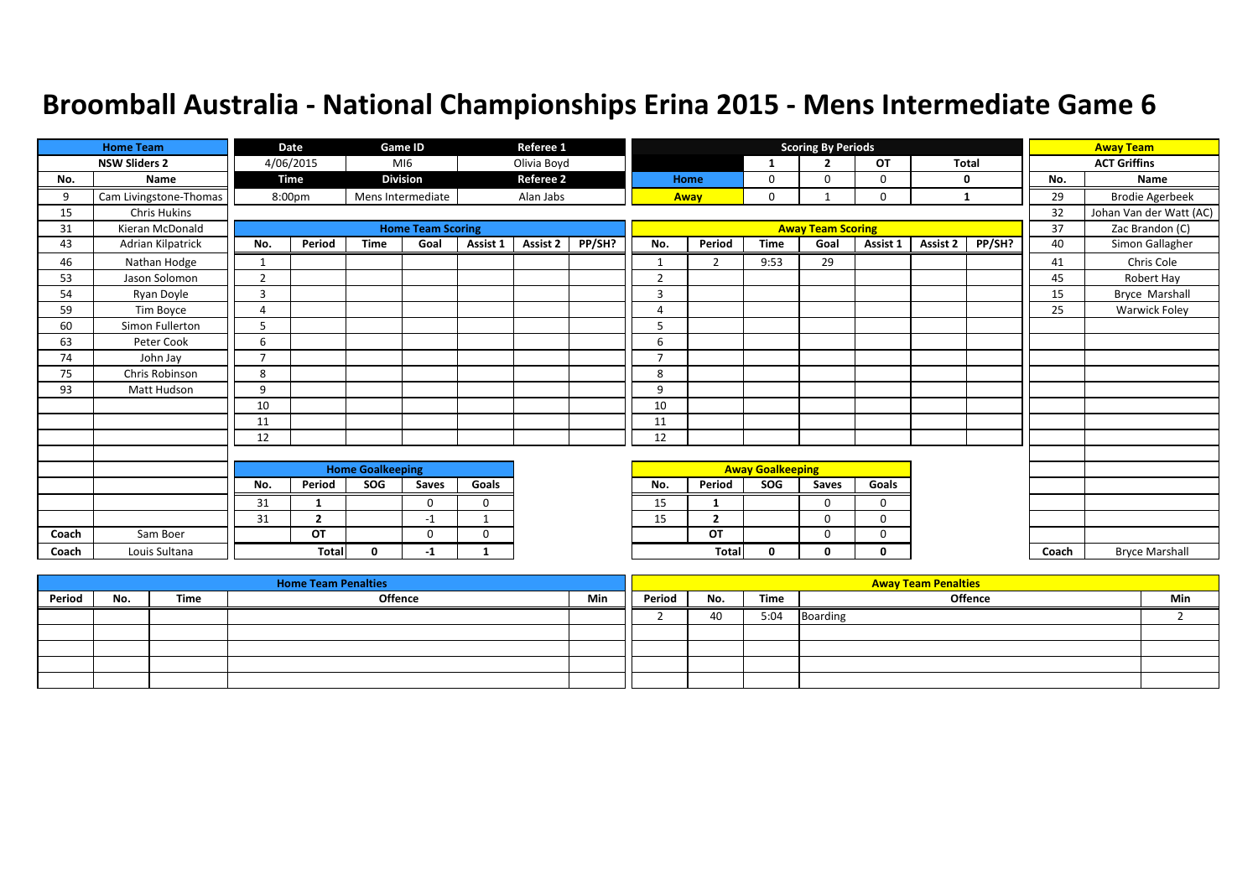|       | <b>Home Team</b>       |                | Date               |                         | <b>Game ID</b>           |              | Referee 1        |        |                |                |                         | <b>Scoring By Periods</b> |           |          |              |       | <b>Away Team</b>        |
|-------|------------------------|----------------|--------------------|-------------------------|--------------------------|--------------|------------------|--------|----------------|----------------|-------------------------|---------------------------|-----------|----------|--------------|-------|-------------------------|
|       | <b>NSW Sliders 2</b>   |                | 4/06/2015          |                         | MIG                      |              | Olivia Boyd      |        |                |                | $\mathbf{1}$            | $\overline{2}$            | <b>OT</b> |          | <b>Total</b> |       | <b>ACT Griffins</b>     |
| No.   | Name                   |                | <b>Time</b>        |                         | <b>Division</b>          |              | <b>Referee 2</b> |        |                | Home           | 0                       | $\Omega$                  | 0         | 0        |              | No.   | Name                    |
| 9     | Cam Livingstone-Thomas |                | 8:00 <sub>pm</sub> |                         | Mens Intermediate        |              | Alan Jabs        |        |                | Away           | $\mathbf 0$             |                           | 0         | 1        |              | 29    | <b>Brodie Agerbeek</b>  |
| 15    | <b>Chris Hukins</b>    |                |                    |                         |                          |              |                  |        |                |                |                         |                           |           |          |              | 32    | Johan Van der Watt (AC) |
| 31    | Kieran McDonald        |                |                    |                         | <b>Home Team Scoring</b> |              |                  |        |                |                |                         | <b>Away Team Scoring</b>  |           |          |              | 37    | Zac Brandon (C)         |
| 43    | Adrian Kilpatrick      | No.            | Period             | <b>Time</b>             | Goal                     | Assist 1     | <b>Assist 2</b>  | PP/SH? | No.            | Period         | <b>Time</b>             | Goal                      | Assist 1  | Assist 2 | PP/SH?       | 40    | Simon Gallagher         |
| 46    | Nathan Hodge           | 1              |                    |                         |                          |              |                  |        | 1              | $\overline{2}$ | 9:53                    | 29                        |           |          |              | 41    | Chris Cole              |
| 53    | Jason Solomon          | $\overline{2}$ |                    |                         |                          |              |                  |        | $\overline{2}$ |                |                         |                           |           |          |              | 45    | Robert Hay              |
| 54    | Ryan Doyle             | 3              |                    |                         |                          |              |                  |        | 3              |                |                         |                           |           |          |              | 15    | Bryce Marshall          |
| 59    | Tim Boyce              | Δ              |                    |                         |                          |              |                  |        | Δ              |                |                         |                           |           |          |              | 25    | <b>Warwick Foley</b>    |
| 60    | Simon Fullerton        |                |                    |                         |                          |              |                  |        | 5              |                |                         |                           |           |          |              |       |                         |
| 63    | Peter Cook             | 6              |                    |                         |                          |              |                  |        | 6              |                |                         |                           |           |          |              |       |                         |
| 74    | John Jay               | $\overline{7}$ |                    |                         |                          |              |                  |        | $\overline{7}$ |                |                         |                           |           |          |              |       |                         |
| 75    | Chris Robinson         | 8              |                    |                         |                          |              |                  |        | 8              |                |                         |                           |           |          |              |       |                         |
| 93    | Matt Hudson            | 9              |                    |                         |                          |              |                  |        | 9              |                |                         |                           |           |          |              |       |                         |
|       |                        | 10             |                    |                         |                          |              |                  |        | 10             |                |                         |                           |           |          |              |       |                         |
|       |                        | 11             |                    |                         |                          |              |                  |        | 11             |                |                         |                           |           |          |              |       |                         |
|       |                        | 12             |                    |                         |                          |              |                  |        | 12             |                |                         |                           |           |          |              |       |                         |
|       |                        |                |                    |                         |                          |              |                  |        |                |                |                         |                           |           |          |              |       |                         |
|       |                        |                |                    | <b>Home Goalkeeping</b> |                          |              |                  |        |                |                | <b>Away Goalkeeping</b> |                           |           |          |              |       |                         |
|       |                        | No.            | Period             | SOG                     | Saves                    | Goals        |                  |        | No.            | Period         | SOG                     | Saves                     | Goals     |          |              |       |                         |
|       |                        | 31             |                    |                         | $\Omega$                 | $\mathbf 0$  |                  |        | 15             | 1              |                         | $\Omega$                  | $\Omega$  |          |              |       |                         |
|       |                        | 31             | $\overline{2}$     |                         | $-1$                     | $\mathbf{1}$ |                  |        | 15             | $\overline{2}$ |                         | $\Omega$                  | $\Omega$  |          |              |       |                         |
| Coach | Sam Boer               |                | OT                 |                         | 0                        | $\mathbf 0$  |                  |        |                | OT             |                         | $\Omega$                  | 0         |          |              |       |                         |
| Coach | Louis Sultana          |                | <b>Total</b>       | $\mathbf{0}$            | -1                       | 1            |                  |        |                | <b>Total</b>   | $\mathbf{0}$            | n                         | $\Omega$  |          |              | Coach | <b>Bryce Marshall</b>   |

|        |     |      | <b>Home Team Penalties</b> |     |        |     |      | <b>Away Team Penalties</b> |     |
|--------|-----|------|----------------------------|-----|--------|-----|------|----------------------------|-----|
| Period | No. | Time | Offence                    | Min | Period | No. | Time | <b>Offence</b>             | Min |
|        |     |      |                            |     |        | 40  | 5:04 | Boarding                   |     |
|        |     |      |                            |     |        |     |      |                            |     |
|        |     |      |                            |     |        |     |      |                            |     |
|        |     |      |                            |     |        |     |      |                            |     |
|        |     |      |                            |     |        |     |      |                            |     |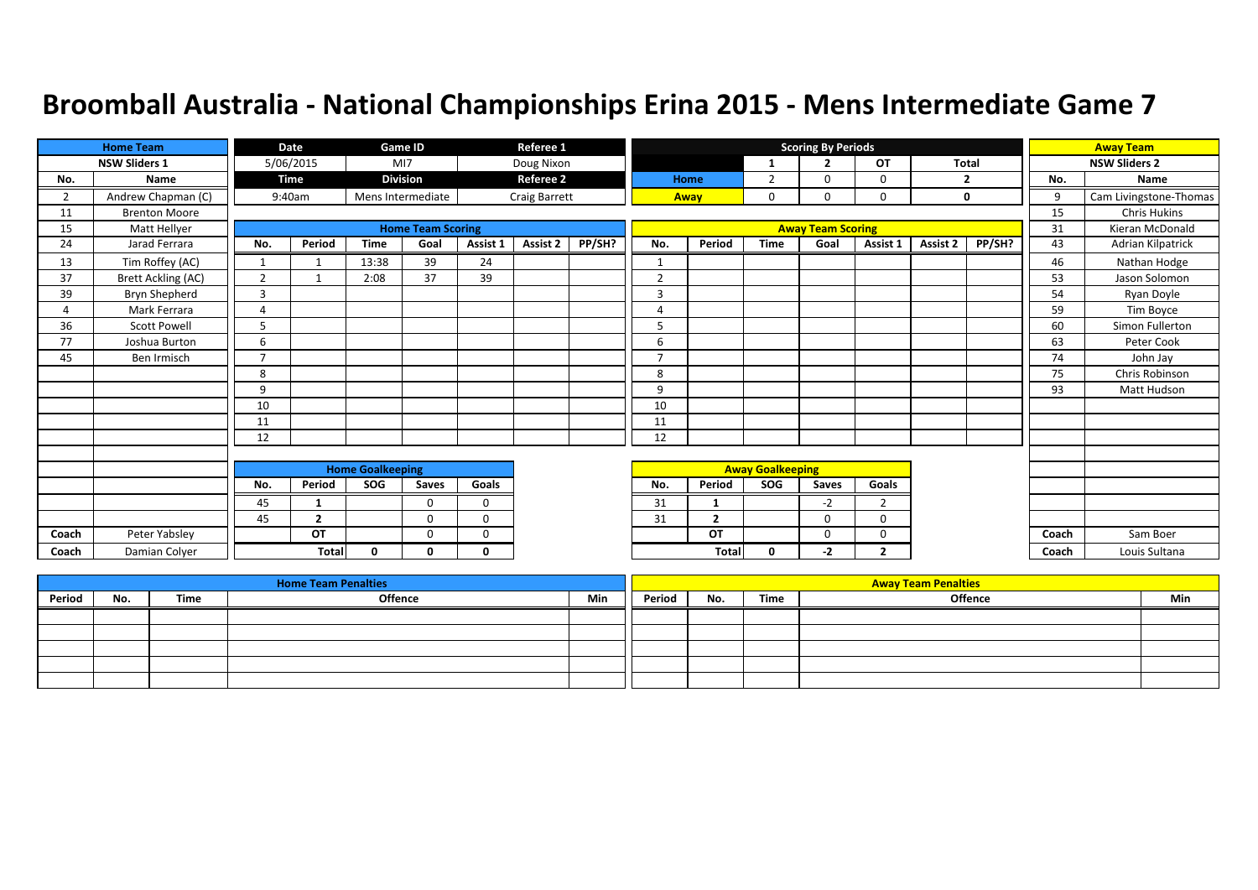|                | <b>Home Team</b>          |                | Date           |                         | <b>Game ID</b>           |              | Referee 1        |        |                |                |                         | <b>Scoring By Periods</b> |                |              |        |       | <b>Away Team</b>       |
|----------------|---------------------------|----------------|----------------|-------------------------|--------------------------|--------------|------------------|--------|----------------|----------------|-------------------------|---------------------------|----------------|--------------|--------|-------|------------------------|
|                | <b>NSW Sliders 1</b>      |                | 5/06/2015      |                         | MI7                      |              | Doug Nixon       |        |                |                | 1                       | $\overline{\phantom{a}}$  | <b>OT</b>      | <b>Total</b> |        |       | <b>NSW Sliders 2</b>   |
| No.            | <b>Name</b>               |                | <b>Time</b>    |                         | <b>Division</b>          |              | <b>Referee 2</b> |        |                | Home           | $\overline{2}$          | $\Omega$                  | $\mathbf 0$    |              | 2      | No.   | Name                   |
| $\overline{2}$ | Andrew Chapman (C)        |                | 9:40am         |                         | Mens Intermediate        |              | Craig Barrett    |        |                | Away           | $\mathbf 0$             | $\mathbf 0$               | $\mathbf 0$    |              | 0      | 9     | Cam Livingstone-Thomas |
| 11             | <b>Brenton Moore</b>      |                |                |                         |                          |              |                  |        |                |                |                         |                           |                |              |        | 15    | <b>Chris Hukins</b>    |
| 15             | Matt Hellyer              |                |                |                         | <b>Home Team Scoring</b> |              |                  |        |                |                |                         | <b>Away Team Scoring</b>  |                |              |        | 31    | Kieran McDonald        |
| 24             | Jarad Ferrara             | No.            | Period         | <b>Time</b>             | Goal                     | Assist 1     | Assist 2         | PP/SH? | No.            | Period         | <b>Time</b>             | Goal                      | Assist 1       | Assist 2     | PP/SH? | 43    | Adrian Kilpatrick      |
| 13             | Tim Roffey (AC)           | 1              |                | 13:38                   | 39                       | 24           |                  |        |                |                |                         |                           |                |              |        | 46    | Nathan Hodge           |
| 37             | <b>Brett Ackling (AC)</b> | $\overline{2}$ | $\mathbf{1}$   | 2:08                    | 37                       | 39           |                  |        | $\overline{2}$ |                |                         |                           |                |              |        | 53    | Jason Solomon          |
| 39             | Bryn Shepherd             | 3              |                |                         |                          |              |                  |        | $\overline{3}$ |                |                         |                           |                |              |        | 54    | Ryan Doyle             |
| 4              | Mark Ferrara              | $\overline{4}$ |                |                         |                          |              |                  |        | $\Delta$       |                |                         |                           |                |              |        | 59    | Tim Boyce              |
| 36             | <b>Scott Powell</b>       | 5              |                |                         |                          |              |                  |        | 5              |                |                         |                           |                |              |        | 60    | Simon Fullerton        |
| 77             | Joshua Burton             | 6              |                |                         |                          |              |                  |        | 6              |                |                         |                           |                |              |        | 63    | Peter Cook             |
| 45             | Ben Irmisch               | $\overline{7}$ |                |                         |                          |              |                  |        | $\overline{7}$ |                |                         |                           |                |              |        | 74    | John Jay               |
|                |                           | 8              |                |                         |                          |              |                  |        | 8              |                |                         |                           |                |              |        | 75    | Chris Robinson         |
|                |                           | 9              |                |                         |                          |              |                  |        | 9              |                |                         |                           |                |              |        | 93    | Matt Hudson            |
|                |                           | 10             |                |                         |                          |              |                  |        | 10             |                |                         |                           |                |              |        |       |                        |
|                |                           | 11             |                |                         |                          |              |                  |        | 11             |                |                         |                           |                |              |        |       |                        |
|                |                           | 12             |                |                         |                          |              |                  |        | 12             |                |                         |                           |                |              |        |       |                        |
|                |                           |                |                |                         |                          |              |                  |        |                |                |                         |                           |                |              |        |       |                        |
|                |                           |                |                | <b>Home Goalkeeping</b> |                          |              |                  |        |                |                | <b>Away Goalkeeping</b> |                           |                |              |        |       |                        |
|                |                           | No.            | Period         | SOG                     | Saves                    | Goals        |                  |        | No.            | Period         | SOG                     | Saves                     | Goals          |              |        |       |                        |
|                |                           | 45             | -1             |                         | $\Omega$                 | 0            |                  |        | 31             | 1              |                         | $-2$                      | $\overline{2}$ |              |        |       |                        |
|                |                           | 45             | $\overline{2}$ |                         | $\Omega$                 | $\Omega$     |                  |        | 31             | $\overline{2}$ |                         | $\mathbf 0$               | $\mathbf 0$    |              |        |       |                        |
| Coach          | Peter Yabsley             |                | OT             |                         | $\mathbf 0$              | 0            |                  |        |                | OT             |                         | $\mathbf 0$               | $\mathbf 0$    |              |        | Coach | Sam Boer               |
| Coach          | Damian Colver             |                | <b>Total</b>   | $\mathbf{0}$            | 0                        | $\mathbf{0}$ |                  |        |                | <b>Total</b>   | $\mathbf{0}$            | $-2$                      | $\overline{2}$ |              |        | Coach | Louis Sultana          |

|        |     |      | <b>Home Team Penalties</b> |     |        |     |      | <b>Away Team Penalties</b> |     |
|--------|-----|------|----------------------------|-----|--------|-----|------|----------------------------|-----|
| Period | No. | Time | Offence                    | Min | Period | No. | Time | Offence                    | Min |
|        |     |      |                            |     |        |     |      |                            |     |
|        |     |      |                            |     |        |     |      |                            |     |
|        |     |      |                            |     |        |     |      |                            |     |
|        |     |      |                            |     |        |     |      |                            |     |
|        |     |      |                            |     |        |     |      |                            |     |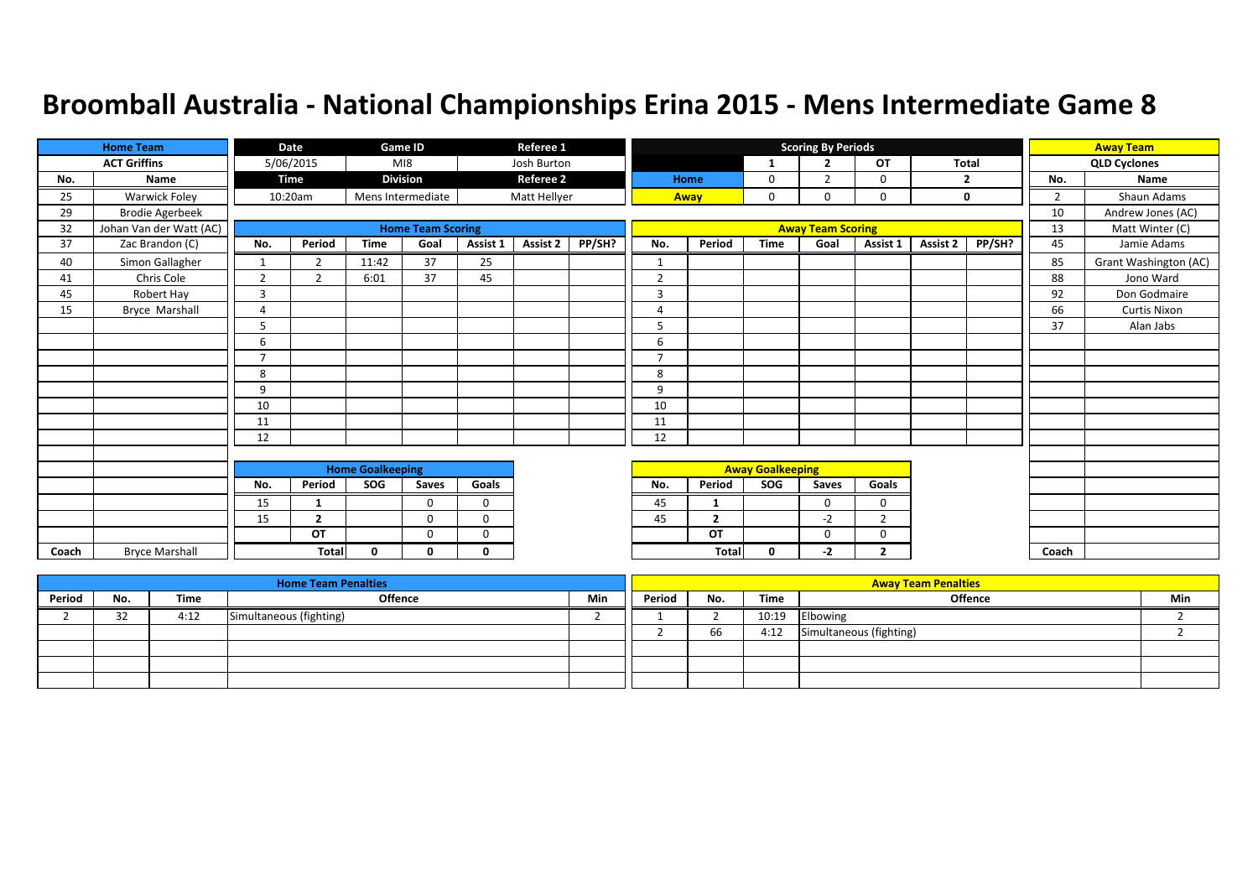|       | <b>Home Team</b>        |                | Date           |                         | <b>Game ID</b>           |             | Referee 1        |        |                |                |                         | <b>Scoring By Periods</b> |                |          |                |                | <b>Away Team</b>      |
|-------|-------------------------|----------------|----------------|-------------------------|--------------------------|-------------|------------------|--------|----------------|----------------|-------------------------|---------------------------|----------------|----------|----------------|----------------|-----------------------|
|       | <b>ACT Griffins</b>     |                | 5/06/2015      |                         | MI8                      |             | Josh Burton      |        |                |                | -1                      | $\overline{2}$            | <b>OT</b>      | Total    |                |                | <b>QLD Cyclones</b>   |
| No.   | Name                    |                | <b>Time</b>    |                         | <b>Division</b>          |             | <b>Referee 2</b> |        |                | Home           | 0                       | $\overline{2}$            | $\Omega$       |          | $\overline{2}$ | No.            | Name                  |
| 25    | Warwick Foley           |                | 10:20am        |                         | Mens Intermediate        |             | Matt Hellyer     |        |                | Away           | $\mathbf{0}$            | 0                         | 0              |          | 0              | $\overline{2}$ | Shaun Adams           |
| 29    | <b>Brodie Agerbeek</b>  |                |                |                         |                          |             |                  |        |                |                |                         |                           |                |          |                | 10             | Andrew Jones (AC)     |
| 32    | Johan Van der Watt (AC) |                |                |                         | <b>Home Team Scoring</b> |             |                  |        |                |                |                         | <b>Away Team Scoring</b>  |                |          |                | 13             | Matt Winter (C)       |
| 37    | Zac Brandon (C)         | No.            | Period         | <b>Time</b>             | Goal                     | Assist 1    | Assist 2         | PP/SH? | No.            | Period         | <b>Time</b>             | Goal                      | Assist 1       | Assist 2 | PP/SH?         | 45             | Jamie Adams           |
| 40    | Simon Gallagher         | $\mathbf{1}$   | $\overline{2}$ | 11:42                   | 37                       | 25          |                  |        | $\mathbf 1$    |                |                         |                           |                |          |                | 85             | Grant Washington (AC) |
| 41    | Chris Cole              | $\overline{2}$ | $\overline{2}$ | 6:01                    | 37                       | 45          |                  |        | $\overline{2}$ |                |                         |                           |                |          |                | 88             | Jono Ward             |
| 45    | Robert Hay              | 3              |                |                         |                          |             |                  |        | 3              |                |                         |                           |                |          |                | 92             | Don Godmaire          |
| 15    | Bryce Marshall          | 4              |                |                         |                          |             |                  |        | $\overline{A}$ |                |                         |                           |                |          |                | 66             | <b>Curtis Nixon</b>   |
|       |                         | 5              |                |                         |                          |             |                  |        | 5              |                |                         |                           |                |          |                | 37             | Alan Jabs             |
|       |                         | 6              |                |                         |                          |             |                  |        | 6              |                |                         |                           |                |          |                |                |                       |
|       |                         | $\overline{7}$ |                |                         |                          |             |                  |        | $\overline{7}$ |                |                         |                           |                |          |                |                |                       |
|       |                         | 8              |                |                         |                          |             |                  |        | 8              |                |                         |                           |                |          |                |                |                       |
|       |                         | 9              |                |                         |                          |             |                  |        | 9              |                |                         |                           |                |          |                |                |                       |
|       |                         | 10             |                |                         |                          |             |                  |        | 10             |                |                         |                           |                |          |                |                |                       |
|       |                         | 11             |                |                         |                          |             |                  |        | 11             |                |                         |                           |                |          |                |                |                       |
|       |                         | 12             |                |                         |                          |             |                  |        | 12             |                |                         |                           |                |          |                |                |                       |
|       |                         |                |                |                         |                          |             |                  |        |                |                |                         |                           |                |          |                |                |                       |
|       |                         |                |                | <b>Home Goalkeeping</b> |                          |             |                  |        |                |                | <b>Away Goalkeeping</b> |                           |                |          |                |                |                       |
|       |                         | No.            | Period         | SOG                     | Saves                    | Goals       |                  |        | No.            | Period         | SOG                     | Saves                     | Goals          |          |                |                |                       |
|       |                         | 15             | $\mathbf{1}$   |                         | $\Omega$                 | $\Omega$    |                  |        | 45             | 1              |                         | $\Omega$                  | $\Omega$       |          |                |                |                       |
|       |                         | 15             | $\overline{2}$ |                         | $\mathbf{0}$             | $\mathbf 0$ |                  |        | 45             | $\overline{2}$ |                         | $-2$                      | $\overline{2}$ |          |                |                |                       |
|       |                         |                | OT             |                         | $\Omega$                 | $\Omega$    |                  |        |                | OT             |                         | 0                         | 0              |          |                |                |                       |
| Coach | <b>Bryce Marshall</b>   |                | <b>Total</b>   | $\Omega$                | 0                        | $\Omega$    |                  |        |                | Total          | 0                       | -2                        | $\mathbf{2}$   |          |                | Coach          |                       |

|        |              |      | <b>Home Team Penalties</b> |     |        |     |       | <b>Away Team Penalties</b> |     |
|--------|--------------|------|----------------------------|-----|--------|-----|-------|----------------------------|-----|
| Period | No.          | Time | Offence                    | Min | Period | No. | Time  | <b>Offence</b>             | Min |
|        | $\sim$<br>32 | 4:12 | Simultaneous (fighting)    |     |        |     | 10:19 | Elbowing                   |     |
|        |              |      |                            |     |        | 66  | 4:12  | Simultaneous (fighting)    |     |
|        |              |      |                            |     |        |     |       |                            |     |
|        |              |      |                            |     |        |     |       |                            |     |
|        |              |      |                            |     |        |     |       |                            |     |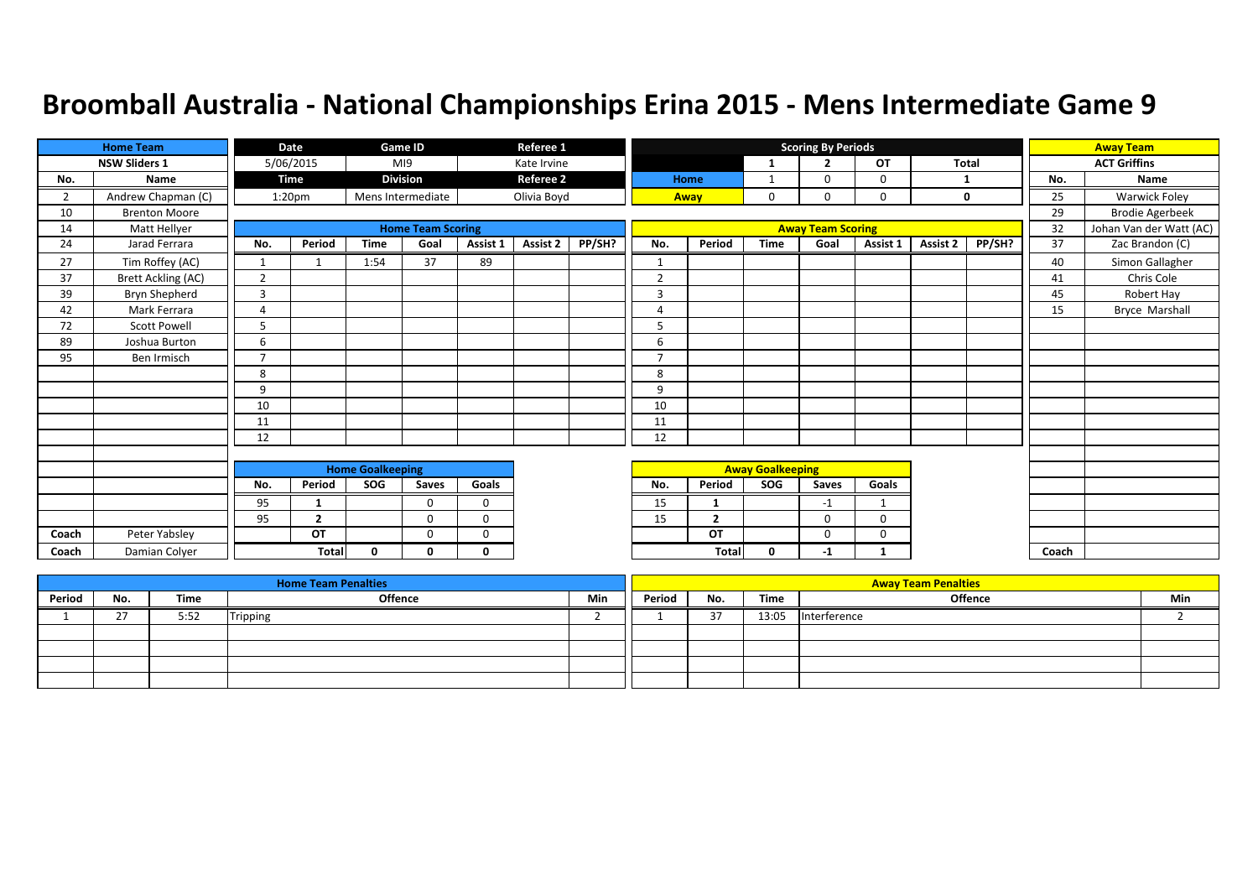|       | <b>Home Team</b>     |                | Date               |                         | Game ID                  |              | Referee 1        |        |                |                |                         | <b>Scoring By Periods</b> |              |          |        |       | <b>Away Team</b>        |
|-------|----------------------|----------------|--------------------|-------------------------|--------------------------|--------------|------------------|--------|----------------|----------------|-------------------------|---------------------------|--------------|----------|--------|-------|-------------------------|
|       | <b>NSW Sliders 1</b> |                | 5/06/2015          |                         | M19                      |              | Kate Irvine      |        |                |                | 1                       | $\overline{2}$            | OT           | Total    |        |       | <b>ACT Griffins</b>     |
| No.   | Name                 |                | Time               |                         | <b>Division</b>          |              | <b>Referee 2</b> |        |                | Home           | 1                       | 0                         | 0            |          |        | No.   | Name                    |
| 2     | Andrew Chapman (C)   |                | 1:20 <sub>pm</sub> |                         | Mens Intermediate        |              | Olivia Boyd      |        |                | Away           | 0                       | 0                         | 0            |          | 0      | 25    | <b>Warwick Foley</b>    |
| 10    | <b>Brenton Moore</b> |                |                    |                         |                          |              |                  |        |                |                |                         |                           |              |          |        | 29    | <b>Brodie Agerbeek</b>  |
| 14    | Matt Hellyer         |                |                    |                         | <b>Home Team Scoring</b> |              |                  |        |                |                |                         | <b>Away Team Scoring</b>  |              |          |        | 32    | Johan Van der Watt (AC) |
| 24    | Jarad Ferrara        | No.            | Period             | <b>Time</b>             | Goal                     | Assist 1     | Assist 2         | PP/SH? | No.            | Period         | <b>Time</b>             | Goal                      | Assist 1     | Assist 2 | PP/SH? | 37    | Zac Brandon (C)         |
| 27    | Tim Roffey (AC)      |                |                    | 1:54                    | 37                       | 89           |                  |        | $\mathbf 1$    |                |                         |                           |              |          |        | 40    | Simon Gallagher         |
| 37    | Brett Ackling (AC)   | $\overline{2}$ |                    |                         |                          |              |                  |        | $\overline{2}$ |                |                         |                           |              |          |        | 41    | Chris Cole              |
| 39    | Bryn Shepherd        | 3              |                    |                         |                          |              |                  |        | 3              |                |                         |                           |              |          |        | 45    | Robert Hay              |
| 42    | Mark Ferrara         | $\overline{4}$ |                    |                         |                          |              |                  |        | 4              |                |                         |                           |              |          |        | 15    | Bryce Marshall          |
| 72    | <b>Scott Powell</b>  | 5              |                    |                         |                          |              |                  |        | 5              |                |                         |                           |              |          |        |       |                         |
| 89    | Joshua Burton        | 6              |                    |                         |                          |              |                  |        | 6              |                |                         |                           |              |          |        |       |                         |
| 95    | Ben Irmisch          | $\overline{7}$ |                    |                         |                          |              |                  |        | 7              |                |                         |                           |              |          |        |       |                         |
|       |                      | 8              |                    |                         |                          |              |                  |        | 8              |                |                         |                           |              |          |        |       |                         |
|       |                      | 9              |                    |                         |                          |              |                  |        | 9              |                |                         |                           |              |          |        |       |                         |
|       |                      | 10             |                    |                         |                          |              |                  |        | 10             |                |                         |                           |              |          |        |       |                         |
|       |                      | 11             |                    |                         |                          |              |                  |        | 11             |                |                         |                           |              |          |        |       |                         |
|       |                      | 12             |                    |                         |                          |              |                  |        | 12             |                |                         |                           |              |          |        |       |                         |
|       |                      |                |                    |                         |                          |              |                  |        |                |                |                         |                           |              |          |        |       |                         |
|       |                      |                |                    | <b>Home Goalkeeping</b> |                          |              |                  |        |                |                | <b>Away Goalkeeping</b> |                           |              |          |        |       |                         |
|       |                      | No.            | Period             | SOG                     | Saves                    | Goals        |                  |        | No.            | Period         | SOG                     | Saves                     | Goals        |          |        |       |                         |
|       |                      | 95             |                    |                         | $\Omega$                 | $\mathbf 0$  |                  |        | 15             | -1             |                         | $-1$                      | $\mathbf{1}$ |          |        |       |                         |
|       |                      | 95             | $\overline{2}$     |                         | $\Omega$                 | $\mathbf 0$  |                  |        | 15             | $\overline{2}$ |                         | $\Omega$                  | $\Omega$     |          |        |       |                         |
| Coach | Peter Yabsley        |                | <b>OT</b>          |                         | $\Omega$                 | $\mathbf 0$  |                  |        |                | OT             |                         | 0                         | 0            |          |        |       |                         |
| Coach | Damian Colyer        |                | <b>Total</b>       | $\mathbf{0}$            | <sup>0</sup>             | $\mathbf{0}$ |                  |        |                | Total          | 0                       | $-1$                      | 1            |          |        | Coach |                         |

|        |                      |      | <b>Home Team Penalties</b> |     |        |        |       | <b>Away Team Penalties</b> |     |
|--------|----------------------|------|----------------------------|-----|--------|--------|-------|----------------------------|-----|
| Period | No.                  | Time | Offence                    | Min | Period | No.    | Time  | <b>Offence</b>             | Min |
|        | $\sim$<br><u>. i</u> | 5:52 | Tripping                   |     |        | $\sim$ | 13:05 | Interference               |     |
|        |                      |      |                            |     |        |        |       |                            |     |
|        |                      |      |                            |     |        |        |       |                            |     |
|        |                      |      |                            |     |        |        |       |                            |     |
|        |                      |      |                            |     |        |        |       |                            |     |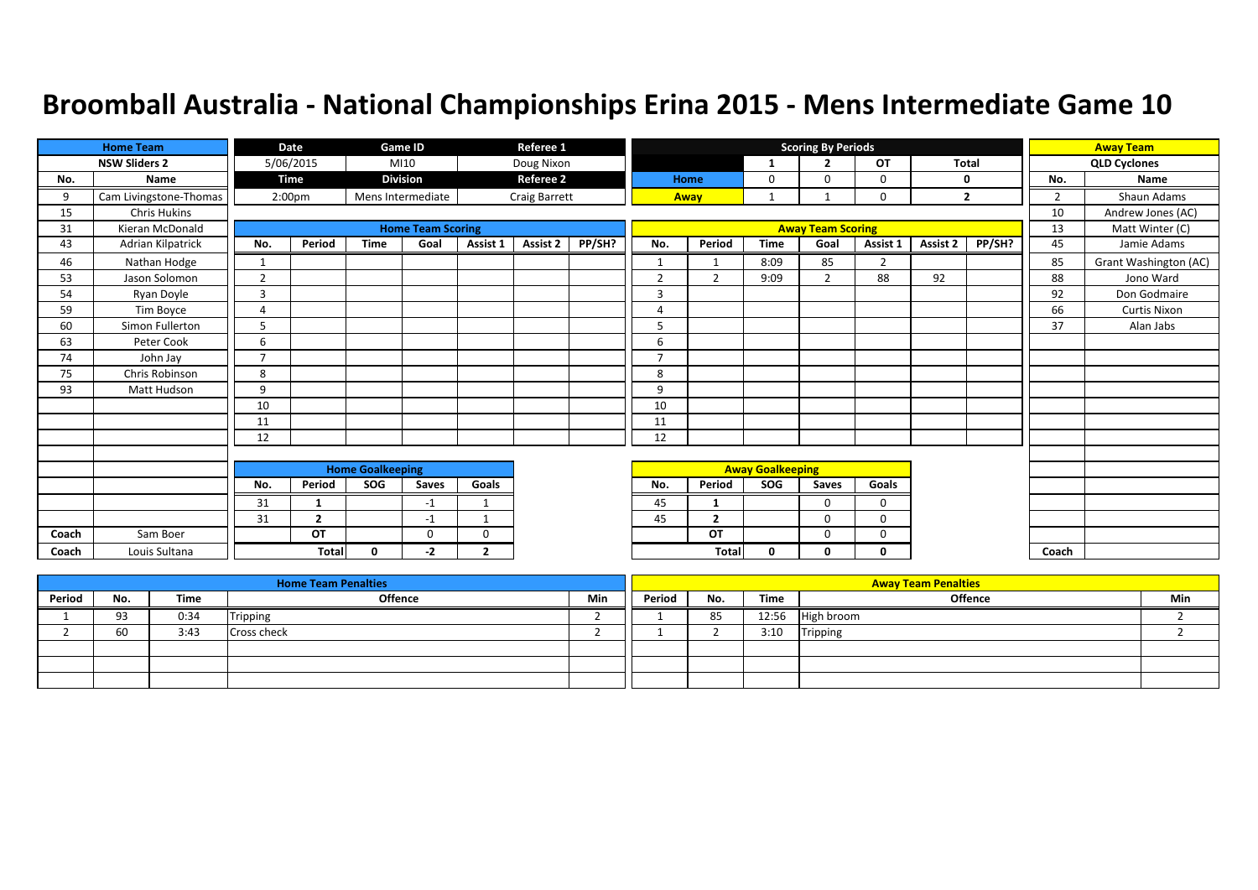|       | <b>Home Team</b>       |                | Date               |                         | Game ID                  |                | Referee 1            |        |                |                |                         | <b>Scoring By Periods</b> |                |          |                |                | <b>Away Team</b>      |
|-------|------------------------|----------------|--------------------|-------------------------|--------------------------|----------------|----------------------|--------|----------------|----------------|-------------------------|---------------------------|----------------|----------|----------------|----------------|-----------------------|
|       | <b>NSW Sliders 2</b>   |                | 5/06/2015          |                         | MI10                     |                | Doug Nixon           |        |                |                | 1                       | $\overline{2}$            | OT             |          | <b>Total</b>   |                | <b>QLD Cyclones</b>   |
| No.   | <b>Name</b>            |                | Time               |                         | <b>Division</b>          |                | <b>Referee 2</b>     |        |                | Home           | 0                       | ŋ                         | 0              |          | 0              | No.            | Name                  |
| 9     | Cam Livingstone-Thomas |                | 2:00 <sub>pm</sub> |                         | Mens Intermediate        |                | <b>Craig Barrett</b> |        |                | Away           |                         |                           | $\mathbf 0$    |          | $\overline{2}$ | $\overline{2}$ | Shaun Adams           |
| 15    | <b>Chris Hukins</b>    |                |                    |                         |                          |                |                      |        |                |                |                         |                           |                |          |                | 10             | Andrew Jones (AC)     |
| 31    | Kieran McDonald        |                |                    |                         | <b>Home Team Scoring</b> |                |                      |        |                |                |                         | <b>Away Team Scoring</b>  |                |          |                | 13             | Matt Winter (C)       |
| 43    | Adrian Kilpatrick      | No.            | Period             | <b>Time</b>             | Goal                     | Assist 1       | Assist 2             | PP/SH? | No.            | Period         | <b>Time</b>             | Goal                      | Assist 1       | Assist 2 | PP/SH?         | 45             | Jamie Adams           |
| 46    | Nathan Hodge           | 1              |                    |                         |                          |                |                      |        | 1              |                | 8:09                    | 85                        | $\overline{2}$ |          |                | 85             | Grant Washington (AC) |
| 53    | Jason Solomon          | $\overline{2}$ |                    |                         |                          |                |                      |        | $\overline{2}$ | $\overline{2}$ | 9:09                    | $\overline{2}$            | 88             | 92       |                | 88             | Jono Ward             |
| 54    | Ryan Doyle             | $\overline{3}$ |                    |                         |                          |                |                      |        | 3              |                |                         |                           |                |          |                | 92             | Don Godmaire          |
| 59    | Tim Boyce              | $\overline{4}$ |                    |                         |                          |                |                      |        | $\Delta$       |                |                         |                           |                |          |                | 66             | <b>Curtis Nixon</b>   |
| 60    | Simon Fullerton        | 5              |                    |                         |                          |                |                      |        | 5              |                |                         |                           |                |          |                | 37             | Alan Jabs             |
| 63    | Peter Cook             | 6              |                    |                         |                          |                |                      |        | 6              |                |                         |                           |                |          |                |                |                       |
| 74    | John Jay               | $\overline{7}$ |                    |                         |                          |                |                      |        | $\overline{7}$ |                |                         |                           |                |          |                |                |                       |
| 75    | Chris Robinson         | 8              |                    |                         |                          |                |                      |        | 8              |                |                         |                           |                |          |                |                |                       |
| 93    | Matt Hudson            | 9              |                    |                         |                          |                |                      |        | 9              |                |                         |                           |                |          |                |                |                       |
|       |                        | 10             |                    |                         |                          |                |                      |        | 10             |                |                         |                           |                |          |                |                |                       |
|       |                        | 11             |                    |                         |                          |                |                      |        | 11             |                |                         |                           |                |          |                |                |                       |
|       |                        | 12             |                    |                         |                          |                |                      |        | 12             |                |                         |                           |                |          |                |                |                       |
|       |                        |                |                    |                         |                          |                |                      |        |                |                |                         |                           |                |          |                |                |                       |
|       |                        |                |                    | <b>Home Goalkeeping</b> |                          |                |                      |        |                |                | <b>Away Goalkeeping</b> |                           |                |          |                |                |                       |
|       |                        | No.            | Period             | SOG                     | Saves                    | Goals          |                      |        | No.            | Period         | SOG                     | Saves                     | Goals          |          |                |                |                       |
|       |                        | 31             | $\mathbf{1}$       |                         | $-1$                     | -1             |                      |        | 45             |                |                         | $\Omega$                  | $\mathbf 0$    |          |                |                |                       |
|       |                        | 31             | $\overline{2}$     |                         | $-1$                     | $\mathbf{1}$   |                      |        | 45             | $\overline{2}$ |                         | $\Omega$                  | $\Omega$       |          |                |                |                       |
| Coach | Sam Boer               |                | OT                 |                         | $\Omega$                 | 0              |                      |        |                | OT             |                         | $\Omega$                  | 0              |          |                |                |                       |
| Coach | Louis Sultana          |                | <b>Total</b>       | $\mathbf{0}$            | -2                       | $\overline{2}$ |                      |        |                | <b>Total</b>   | 0                       | O                         | 0              |          |                | Coach          |                       |

|        |     |      | <b>Home Team Penalties</b> |     |        |     |       | <b>Away Team Penalties</b> |     |
|--------|-----|------|----------------------------|-----|--------|-----|-------|----------------------------|-----|
| Period | No. | Time | Offence                    | Min | Period | No. | Time  | <b>Offence</b>             | Min |
|        | 93  | 0:34 | Tripping                   |     |        | 85  | 12:56 | High broom                 |     |
|        | 60  | 3:43 | <b>Cross check</b>         |     |        |     | 3:10  | Tripping                   |     |
|        |     |      |                            |     |        |     |       |                            |     |
|        |     |      |                            |     |        |     |       |                            |     |
|        |     |      |                            |     |        |     |       |                            |     |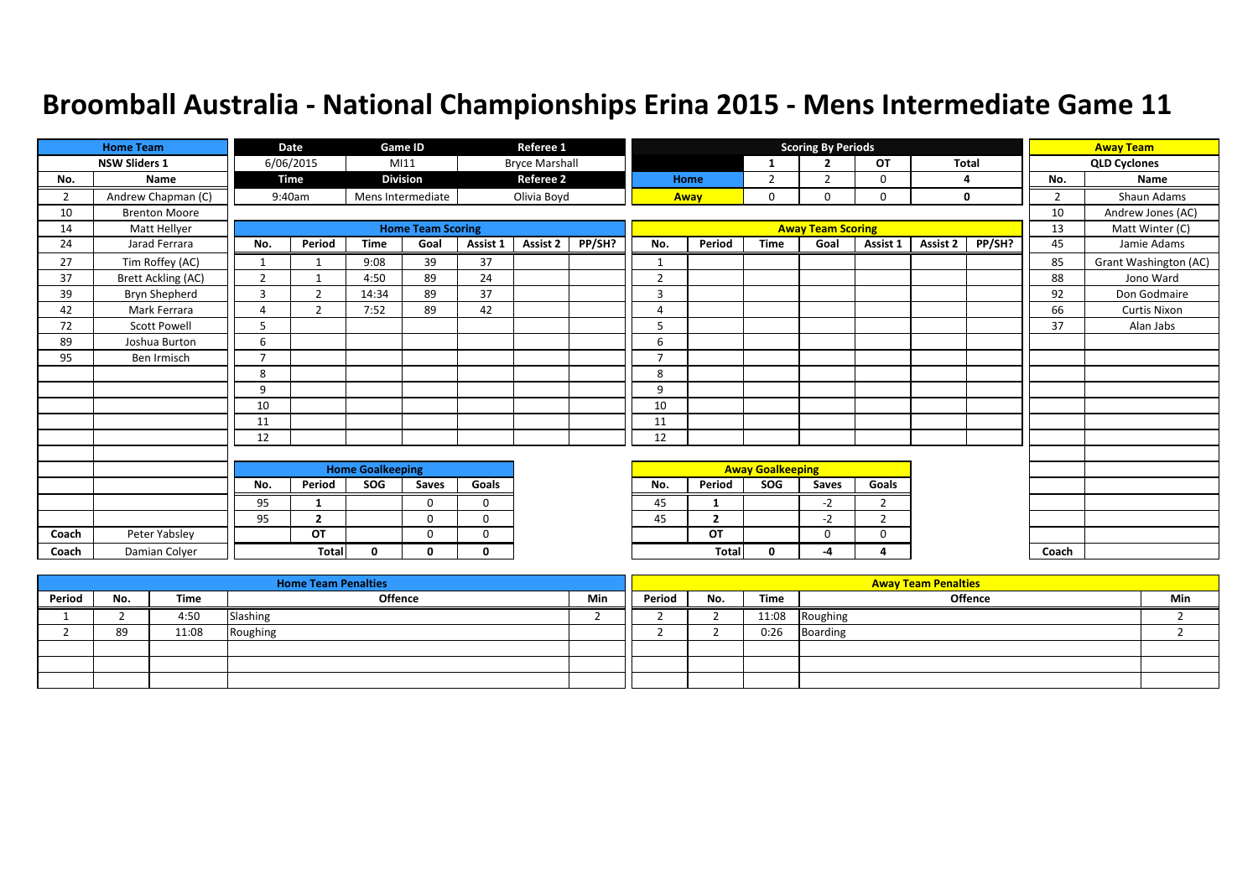|                | <b>Home Team</b>     |                | <b>Date</b>    |                         | Game ID                  |             | Referee 1             |        |                |                |                         | <b>Scoring By Periods</b> |                |              |             |       | <b>Away Team</b>      |
|----------------|----------------------|----------------|----------------|-------------------------|--------------------------|-------------|-----------------------|--------|----------------|----------------|-------------------------|---------------------------|----------------|--------------|-------------|-------|-----------------------|
|                | <b>NSW Sliders 1</b> |                | 6/06/2015      |                         | MI11                     |             | <b>Bryce Marshall</b> |        |                |                | -1                      | $\overline{2}$            | OT             | <b>Total</b> |             |       | <b>QLD Cyclones</b>   |
| No.            | Name                 |                | Time           |                         | <b>Division</b>          |             | <b>Referee 2</b>      |        |                | Home           | $\overline{2}$          | $\overline{2}$            | $\mathbf 0$    | 4            |             | No.   | Name                  |
| $\overline{2}$ | Andrew Chapman (C)   |                | 9:40am         |                         | Mens Intermediate        |             | Olivia Boyd           |        |                | Away           | $\mathbf 0$             | $\Omega$                  | $\mathbf 0$    |              | $\mathbf 0$ | 2     | Shaun Adams           |
| 10             | <b>Brenton Moore</b> |                |                |                         |                          |             |                       |        |                |                |                         |                           |                |              |             | 10    | Andrew Jones (AC)     |
| 14             | Matt Hellyer         |                |                |                         | <b>Home Team Scoring</b> |             |                       |        |                |                |                         | <b>Away Team Scoring</b>  |                |              |             | 13    | Matt Winter (C)       |
| 24             | Jarad Ferrara        | No.            | Period         | <b>Time</b>             | Goal                     | Assist 1    | Assist 2              | PP/SH? | No.            | Period         | <b>Time</b>             | Goal                      | Assist 1       | Assist 2     | PP/SH?      | 45    | Jamie Adams           |
| 27             | Tim Roffey (AC)      | $\mathbf{1}$   | $\mathbf{1}$   | 9:08                    | 39                       | 37          |                       |        |                |                |                         |                           |                |              |             | 85    | Grant Washington (AC) |
| 37             | Brett Ackling (AC)   | $\overline{2}$ | $\mathbf 1$    | 4:50                    | 89                       | 24          |                       |        | $\overline{2}$ |                |                         |                           |                |              |             | 88    | Jono Ward             |
| 39             | Bryn Shepherd        | 3              | $\overline{2}$ | 14:34                   | 89                       | 37          |                       |        | 3              |                |                         |                           |                |              |             | 92    | Don Godmaire          |
| 42             | Mark Ferrara         | Δ              | $\overline{2}$ | 7:52                    | 89                       | 42          |                       |        | $\overline{4}$ |                |                         |                           |                |              |             | 66    | <b>Curtis Nixon</b>   |
| 72             | <b>Scott Powell</b>  | 5              |                |                         |                          |             |                       |        | 5              |                |                         |                           |                |              |             | 37    | Alan Jabs             |
| 89             | Joshua Burton        | 6              |                |                         |                          |             |                       |        | 6              |                |                         |                           |                |              |             |       |                       |
| 95             | Ben Irmisch          | $\overline{7}$ |                |                         |                          |             |                       |        | $\overline{7}$ |                |                         |                           |                |              |             |       |                       |
|                |                      | 8              |                |                         |                          |             |                       |        | 8              |                |                         |                           |                |              |             |       |                       |
|                |                      | 9              |                |                         |                          |             |                       |        | 9              |                |                         |                           |                |              |             |       |                       |
|                |                      | 10             |                |                         |                          |             |                       |        | 10             |                |                         |                           |                |              |             |       |                       |
|                |                      | 11             |                |                         |                          |             |                       |        | 11             |                |                         |                           |                |              |             |       |                       |
|                |                      | 12             |                |                         |                          |             |                       |        | 12             |                |                         |                           |                |              |             |       |                       |
|                |                      |                |                |                         |                          |             |                       |        |                |                |                         |                           |                |              |             |       |                       |
|                |                      |                |                | <b>Home Goalkeeping</b> |                          |             |                       |        |                |                | <b>Away Goalkeeping</b> |                           |                |              |             |       |                       |
|                |                      | No.            | Period         | SOG                     | Saves                    | Goals       |                       |        | No.            | Period         | SOG                     | <b>Saves</b>              | Goals          |              |             |       |                       |
|                |                      | 95             | $\mathbf{1}$   |                         | $\Omega$                 | $\mathbf 0$ |                       |        | 45             | -1             |                         | $-2$                      | $\overline{2}$ |              |             |       |                       |
|                |                      | 95             | $\overline{2}$ |                         | $\Omega$                 | $\Omega$    |                       |        | 45             | $\overline{2}$ |                         | $-2$                      | $\overline{2}$ |              |             |       |                       |
| Coach          | Peter Yabsley        |                | OT             |                         | $\Omega$                 | 0           |                       |        |                | OT             |                         | $\mathbf 0$               | $\mathbf 0$    |              |             |       |                       |
| Coach          | Damian Colyer        |                | <b>Total</b>   | $\mathbf{0}$            | n.                       | 0           |                       |        |                | <b>Total</b>   | $\mathbf{0}$            | -4                        | $\Delta$       |              |             | Coach |                       |

|        |     |       | <b>Home Team Penalties</b> |     |        |     |       | <b>Away Team Penalties</b> |     |
|--------|-----|-------|----------------------------|-----|--------|-----|-------|----------------------------|-----|
| Period | No. | Time  | Offence                    | Min | Period | No. | Time  | Offence                    | Min |
|        |     | 4:50  | Slashing                   |     |        |     | 11:08 | Roughing                   |     |
|        | 89  | 11:08 | Roughing                   |     |        |     | 0:26  | Boarding                   |     |
|        |     |       |                            |     |        |     |       |                            |     |
|        |     |       |                            |     |        |     |       |                            |     |
|        |     |       |                            |     |        |     |       |                            |     |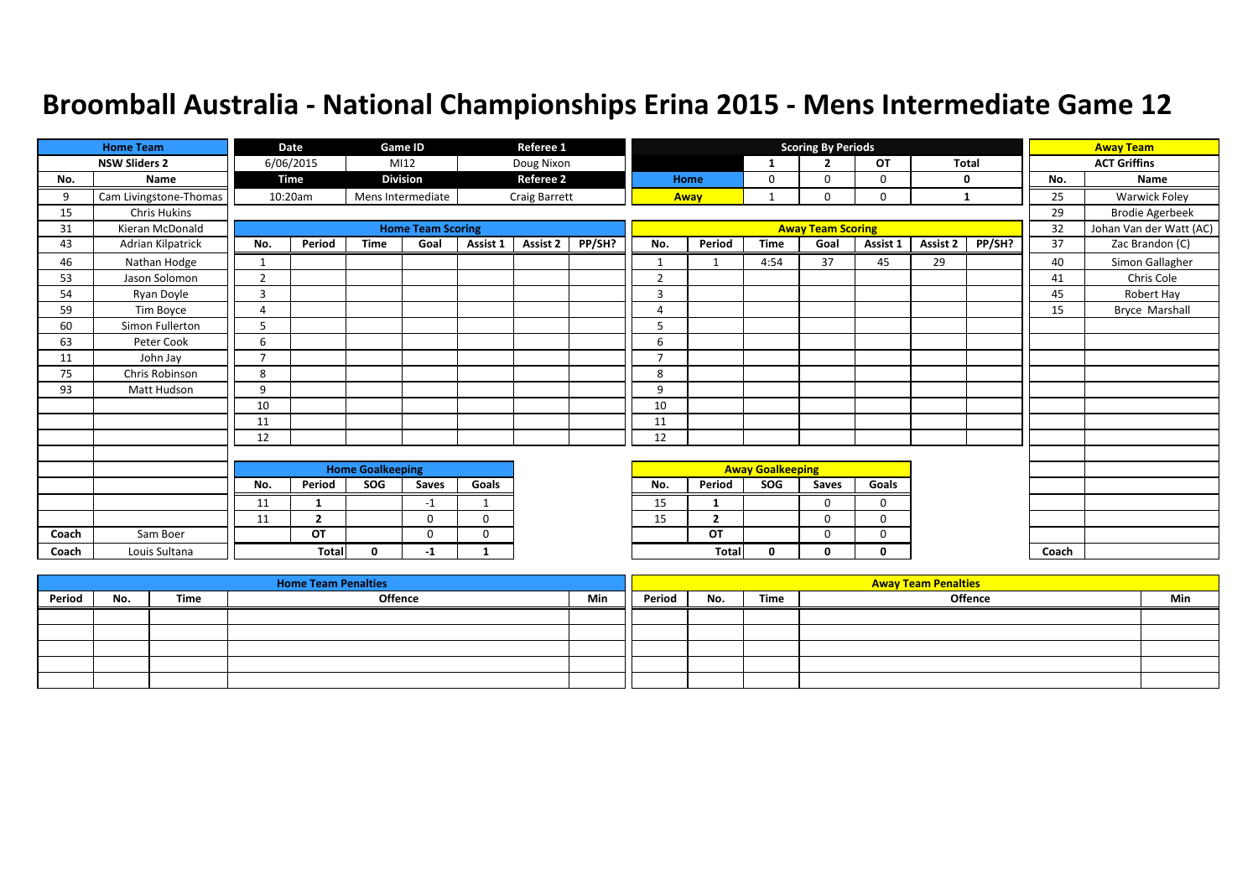|       | <b>Home Team</b>       |                | Date           |                         | Game ID                  |             | Referee 1        |        |                |                |                         | <b>Scoring By Periods</b> |              |          |              |       | <b>Away Team</b>        |
|-------|------------------------|----------------|----------------|-------------------------|--------------------------|-------------|------------------|--------|----------------|----------------|-------------------------|---------------------------|--------------|----------|--------------|-------|-------------------------|
|       | <b>NSW Sliders 2</b>   |                | 6/06/2015      |                         | MI12                     |             | Doug Nixon       |        |                |                | 1                       | $\overline{2}$            | OT           |          | <b>Total</b> |       | <b>ACT Griffins</b>     |
| No.   | Name                   |                | Time           |                         | <b>Division</b>          |             | <b>Referee 2</b> |        |                | Home           | 0                       | $\Omega$                  | 0            |          | 0            | No.   | Name                    |
| 9     | Cam Livingstone-Thomas |                | 10:20am        |                         | Mens Intermediate        |             | Craig Barrett    |        |                | Away           |                         |                           | $\Omega$     |          | 1            | 25    | <b>Warwick Foley</b>    |
| 15    | <b>Chris Hukins</b>    |                |                |                         |                          |             |                  |        |                |                |                         |                           |              |          |              | 29    | <b>Brodie Agerbeek</b>  |
| 31    | Kieran McDonald        |                |                |                         | <b>Home Team Scoring</b> |             |                  |        |                |                |                         | <b>Away Team Scoring</b>  |              |          |              | 32    | Johan Van der Watt (AC) |
| 43    | Adrian Kilpatrick      | No.            | Period         | <b>Time</b>             | Goal                     | Assist 1    | Assist 2         | PP/SH? | No.            | Period         | <b>Time</b>             | Goal                      | Assist 1     | Assist 2 | PP/SH?       | 37    | Zac Brandon (C)         |
| 46    | Nathan Hodge           | 1              |                |                         |                          |             |                  |        | $\mathbf{1}$   | $\mathbf{1}$   | 4:54                    | 37                        | 45           | 29       |              | 40    | Simon Gallagher         |
| 53    | Jason Solomon          | $\overline{2}$ |                |                         |                          |             |                  |        | $\overline{2}$ |                |                         |                           |              |          |              | 41    | Chris Cole              |
| 54    | Ryan Doyle             | 3              |                |                         |                          |             |                  |        | 3              |                |                         |                           |              |          |              | 45    | Robert Hay              |
| 59    | Tim Boyce              | 4              |                |                         |                          |             |                  |        | 4              |                |                         |                           |              |          |              | 15    | <b>Bryce Marshall</b>   |
| 60    | Simon Fullerton        | 5              |                |                         |                          |             |                  |        | 5              |                |                         |                           |              |          |              |       |                         |
| 63    | Peter Cook             | 6              |                |                         |                          |             |                  |        | 6              |                |                         |                           |              |          |              |       |                         |
| 11    | John Jay               | $\overline{7}$ |                |                         |                          |             |                  |        | $\overline{7}$ |                |                         |                           |              |          |              |       |                         |
| 75    | Chris Robinson         | 8              |                |                         |                          |             |                  |        | 8              |                |                         |                           |              |          |              |       |                         |
| 93    | Matt Hudson            | 9              |                |                         |                          |             |                  |        | 9              |                |                         |                           |              |          |              |       |                         |
|       |                        | 10             |                |                         |                          |             |                  |        | 10             |                |                         |                           |              |          |              |       |                         |
|       |                        | 11             |                |                         |                          |             |                  |        | 11             |                |                         |                           |              |          |              |       |                         |
|       |                        | 12             |                |                         |                          |             |                  |        | 12             |                |                         |                           |              |          |              |       |                         |
|       |                        |                |                |                         |                          |             |                  |        |                |                |                         |                           |              |          |              |       |                         |
|       |                        |                |                | <b>Home Goalkeeping</b> |                          |             |                  |        |                |                | <b>Away Goalkeeping</b> |                           |              |          |              |       |                         |
|       |                        | No.            | Period         | SOG                     | Saves                    | Goals       |                  |        | No.            | Period         | SOG                     | Saves                     | Goals        |          |              |       |                         |
|       |                        | 11             | 1              |                         | $-1$                     | -1          |                  |        | 15             |                |                         | $\Omega$                  | $\mathbf 0$  |          |              |       |                         |
|       |                        | 11             | $\overline{2}$ |                         | $\Omega$                 | 0           |                  |        | 15             | $\overline{2}$ |                         | $\Omega$                  | 0            |          |              |       |                         |
| Coach | Sam Boer               |                | OT             |                         | $\Omega$                 | $\mathbf 0$ |                  |        |                | OT             |                         | $\mathbf 0$               | $\mathbf 0$  |          |              |       |                         |
| Coach | Louis Sultana          |                | <b>Total</b>   | $\Omega$                | -1                       | 1           |                  |        |                | Total          | 0                       | 0                         | $\mathbf{0}$ |          |              | Coach |                         |

|        |     |      | <b>Home Team Penalties</b> |     |        |     |      | <b>Away Team Penalties</b> |     |
|--------|-----|------|----------------------------|-----|--------|-----|------|----------------------------|-----|
| Period | No. | Time | <b>Offence</b>             | Min | Period | No. | Time | <b>Offence</b>             | Min |
|        |     |      |                            |     |        |     |      |                            |     |
|        |     |      |                            |     |        |     |      |                            |     |
|        |     |      |                            |     |        |     |      |                            |     |
|        |     |      |                            |     |        |     |      |                            |     |
|        |     |      |                            |     |        |     |      |                            |     |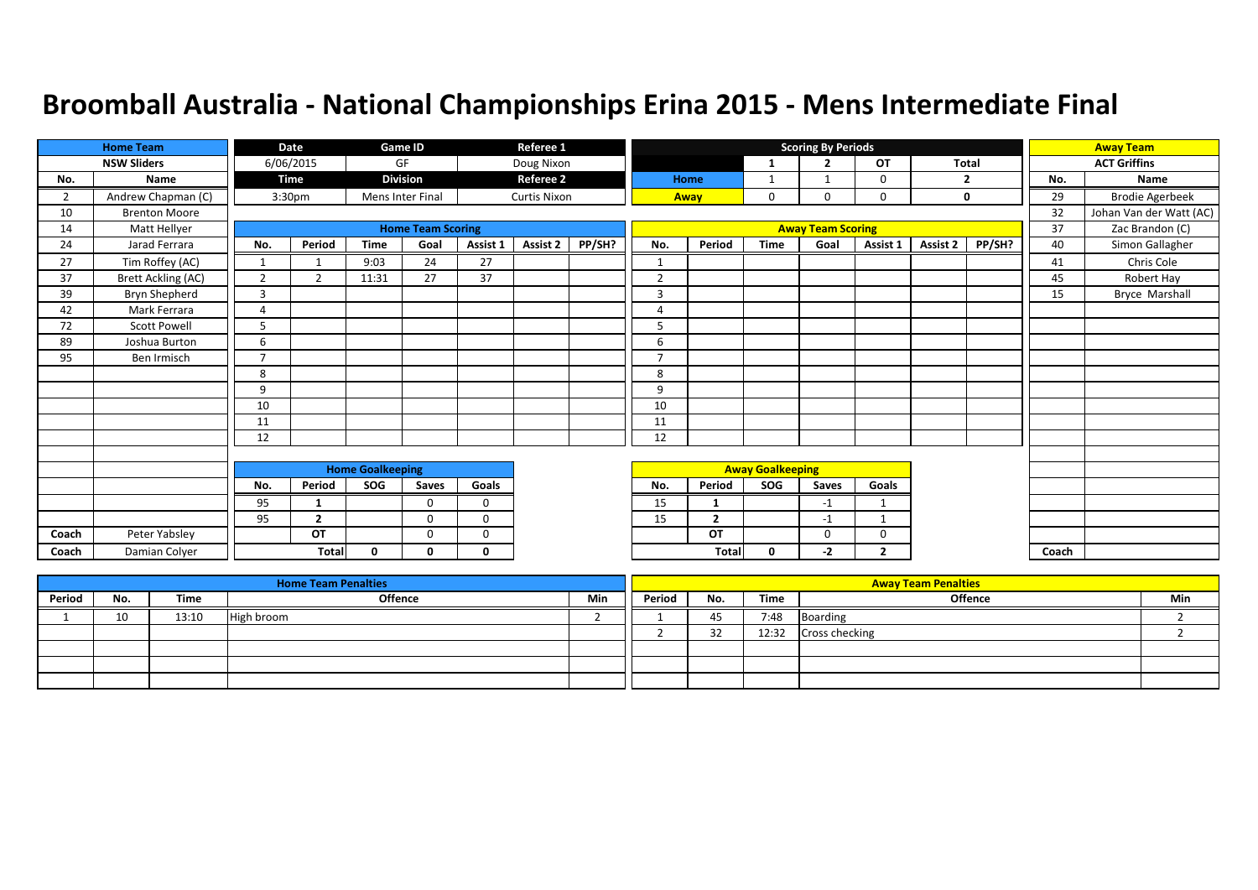|                | <b>Home Team</b>          |                | Date               |                         | Game ID                  |              | Referee 1           |        |                |                         |                         | <b>Scoring By Periods</b> |                |          |                |       | <b>Away Team</b>        |
|----------------|---------------------------|----------------|--------------------|-------------------------|--------------------------|--------------|---------------------|--------|----------------|-------------------------|-------------------------|---------------------------|----------------|----------|----------------|-------|-------------------------|
|                | <b>NSW Sliders</b>        |                | 6/06/2015          |                         | GF                       |              | Doug Nixon          |        |                |                         | -1                      | $\overline{2}$            | <b>OT</b>      | Total    |                |       | <b>ACT Griffins</b>     |
| No.            | Name                      |                | Time               |                         | <b>Division</b>          |              | <b>Referee 2</b>    |        |                | Home                    | 1                       |                           | 0              |          | $\overline{2}$ | No.   | Name                    |
| $\overline{2}$ | Andrew Chapman (C)        |                | 3:30 <sub>pm</sub> |                         | <b>Mens Inter Final</b>  |              | <b>Curtis Nixon</b> |        |                | Away                    | $\mathbf 0$             | 0                         | 0              |          | 0              | 29    | <b>Brodie Agerbeek</b>  |
| 10             | <b>Brenton Moore</b>      |                |                    |                         |                          |              |                     |        |                |                         |                         |                           |                |          |                | 32    | Johan Van der Watt (AC) |
| 14             | Matt Hellyer              |                |                    |                         | <b>Home Team Scoring</b> |              |                     |        |                |                         |                         | <b>Away Team Scoring</b>  |                |          |                | 37    | Zac Brandon (C)         |
| 24             | Jarad Ferrara             | No.            | Period             | <b>Time</b>             | Goal                     | Assist 1     | Assist 2            | PP/SH? | No.            | Period                  | <b>Time</b>             | Goal                      | Assist 1       | Assist 2 | PP/SH?         | 40    | Simon Gallagher         |
| 27             | Tim Roffey (AC)           | 1              |                    | 9:03                    | 24                       | 27           |                     |        | 1              |                         |                         |                           |                |          |                | 41    | Chris Cole              |
| 37             | <b>Brett Ackling (AC)</b> | $\overline{2}$ | $\overline{2}$     | 11:31                   | 27                       | 37           |                     |        | $\overline{2}$ |                         |                         |                           |                |          |                | 45    | Robert Hay              |
| 39             | Bryn Shepherd             | 3              |                    |                         |                          |              |                     |        | 3              |                         |                         |                           |                |          |                | 15    | <b>Bryce Marshall</b>   |
| 42             | Mark Ferrara              | 4              |                    |                         |                          |              |                     |        | $\overline{A}$ |                         |                         |                           |                |          |                |       |                         |
| 72             | <b>Scott Powell</b>       | 5              |                    |                         |                          |              |                     |        | 5              |                         |                         |                           |                |          |                |       |                         |
| 89             | Joshua Burton             | 6              |                    |                         |                          |              |                     |        | 6              |                         |                         |                           |                |          |                |       |                         |
| 95             | Ben Irmisch               | $\overline{7}$ |                    |                         |                          |              |                     |        | 7              |                         |                         |                           |                |          |                |       |                         |
|                |                           | 8              |                    |                         |                          |              |                     |        | 8              |                         |                         |                           |                |          |                |       |                         |
|                |                           | 9              |                    |                         |                          |              |                     |        | 9              |                         |                         |                           |                |          |                |       |                         |
|                |                           | 10             |                    |                         |                          |              |                     |        | 10             |                         |                         |                           |                |          |                |       |                         |
|                |                           | 11             |                    |                         |                          |              |                     |        | 11             |                         |                         |                           |                |          |                |       |                         |
|                |                           | 12             |                    |                         |                          |              |                     |        | 12             |                         |                         |                           |                |          |                |       |                         |
|                |                           |                |                    |                         |                          |              |                     |        |                |                         |                         |                           |                |          |                |       |                         |
|                |                           |                |                    | <b>Home Goalkeeping</b> |                          |              |                     |        |                |                         | <b>Away Goalkeeping</b> |                           |                |          |                |       |                         |
|                |                           | No.            | Period             | SOG                     | Saves                    | Goals        |                     |        | No.            | Period                  | SOG                     | Saves                     | Goals          |          |                |       |                         |
|                |                           | 95             | $\mathbf{1}$       |                         | $\Omega$                 | $\Omega$     |                     |        | 15             | 1                       |                         | $-1$                      | $\mathbf 1$    |          |                |       |                         |
|                |                           | 95             | $\overline{2}$     |                         | 0                        | 0            |                     |        | 15             | $\overline{\mathbf{z}}$ |                         | $-1$                      |                |          |                |       |                         |
| Coach          | Peter Yabsley             |                | OT                 |                         | 0                        | $\mathbf 0$  |                     |        |                | OT                      |                         | 0                         | 0              |          |                |       |                         |
| Coach          | Damian Colyer             |                | <b>Total</b>       | $\mathbf{0}$            | 0                        | $\mathbf{0}$ |                     |        |                | <b>Total</b>            | 0                       | $-2$                      | $\overline{2}$ |          |                | Coach |                         |

|        |     |       | <b>Home Team Penalties</b> |     |        |          |       | <b>Away Team Penalties</b> |     |
|--------|-----|-------|----------------------------|-----|--------|----------|-------|----------------------------|-----|
| Period | No. | Time  | <b>Offence</b>             | Min | Period | No.      | Time  | <b>Offence</b>             | Min |
|        | 10  | 13:10 | High broom                 |     |        | 45       | 7:48  | Boarding                   |     |
|        |     |       |                            |     |        | ົາ<br>ےر | 12:32 | <b>Cross checking</b>      |     |
|        |     |       |                            |     |        |          |       |                            |     |
|        |     |       |                            |     |        |          |       |                            |     |
|        |     |       |                            |     |        |          |       |                            |     |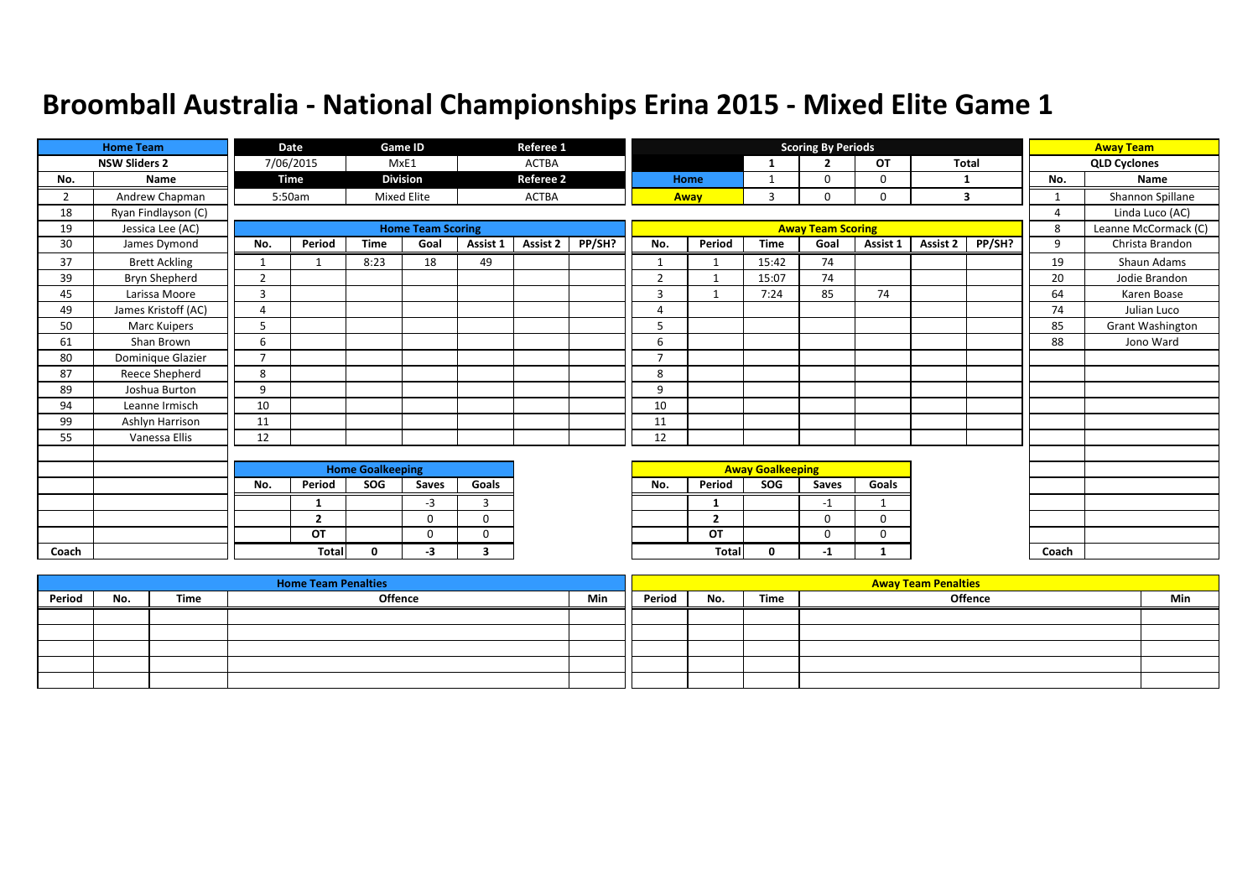|                | <b>Home Team</b>     |                         | Date           |             | <b>Game ID</b>           |          | Referee 1        |        |                |                |                         | <b>Scoring By Periods</b> |             |              |        |                | <b>Away Team</b>        |
|----------------|----------------------|-------------------------|----------------|-------------|--------------------------|----------|------------------|--------|----------------|----------------|-------------------------|---------------------------|-------------|--------------|--------|----------------|-------------------------|
|                | <b>NSW Sliders 2</b> |                         | 7/06/2015      |             | MxE1                     |          | <b>ACTBA</b>     |        |                |                | $\mathbf{1}$            | <u>ີ</u>                  | OT          | <b>Total</b> |        |                | <b>QLD Cyclones</b>     |
| No.            | Name                 |                         | Time           |             | <b>Division</b>          |          | <b>Referee 2</b> |        |                | Home           | 1                       | $\Omega$                  | 0           | -1           |        | No.            | Name                    |
| $\overline{2}$ | Andrew Chapman       |                         | 5:50am         |             | <b>Mixed Elite</b>       |          | <b>ACTBA</b>     |        |                | Away           | 3                       | 0                         | $\mathbf 0$ |              | 3      | $\mathbf{1}$   | Shannon Spillane        |
| 18             | Ryan Findlayson (C)  |                         |                |             |                          |          |                  |        |                |                |                         |                           |             |              |        | $\overline{4}$ | Linda Luco (AC)         |
| 19             | Jessica Lee (AC)     |                         |                |             | <b>Home Team Scoring</b> |          |                  |        |                |                |                         | <b>Away Team Scoring</b>  |             |              |        | 8              | Leanne McCormack (C)    |
| 30             | James Dymond         | No.                     | Period         | <b>Time</b> | Goal                     | Assist 1 | Assist 2         | PP/SH? | No.            | Period         | <b>Time</b>             | Goal                      | Assist 1    | Assist 2     | PP/SH? | 9              | Christa Brandon         |
| 37             | <b>Brett Ackling</b> | $\mathbf{1}$            |                | 8:23        | 18                       | 49       |                  |        | $\mathbf{1}$   |                | 15:42                   | 74                        |             |              |        | 19             | Shaun Adams             |
| 39             | Bryn Shepherd        | $\overline{2}$          |                |             |                          |          |                  |        | $\overline{2}$ | 1              | 15:07                   | 74                        |             |              |        | 20             | Jodie Brandon           |
| 45             | Larissa Moore        | 3                       |                |             |                          |          |                  |        | 3              |                | 7:24                    | 85                        | 74          |              |        | 64             | Karen Boase             |
| 49             | James Kristoff (AC)  | $\overline{4}$          |                |             |                          |          |                  |        | 4              |                |                         |                           |             |              |        | 74             | Julian Luco             |
| 50             | <b>Marc Kuipers</b>  | 5                       |                |             |                          |          |                  |        | 5              |                |                         |                           |             |              |        | 85             | <b>Grant Washington</b> |
| 61             | Shan Brown           | 6                       |                |             |                          |          |                  |        | 6              |                |                         |                           |             |              |        | 88             | Jono Ward               |
| 80             | Dominique Glazier    | $\overline{7}$          |                |             |                          |          |                  |        | $\overline{ }$ |                |                         |                           |             |              |        |                |                         |
| 87             | Reece Shepherd       | 8                       |                |             |                          |          |                  |        | 8              |                |                         |                           |             |              |        |                |                         |
| 89             | Joshua Burton        | 9                       |                |             |                          |          |                  |        | 9              |                |                         |                           |             |              |        |                |                         |
| 94             | Leanne Irmisch       | 10                      |                |             |                          |          |                  |        | 10             |                |                         |                           |             |              |        |                |                         |
| 99             | Ashlyn Harrison      | 11                      |                |             |                          |          |                  |        | 11             |                |                         |                           |             |              |        |                |                         |
| 55             | Vanessa Ellis        | 12                      |                |             |                          |          |                  |        | 12             |                |                         |                           |             |              |        |                |                         |
|                |                      |                         |                |             |                          |          |                  |        |                |                |                         |                           |             |              |        |                |                         |
|                |                      | <b>Home Goalkeeping</b> |                |             |                          |          |                  |        |                |                | <b>Away Goalkeeping</b> |                           |             |              |        |                |                         |
|                |                      | No.                     | Period         | SOG         | Saves                    | Goals    |                  |        | No.            | Period         | SOG                     | Saves                     | Goals       |              |        |                |                         |
|                |                      |                         | 1              |             | -3                       | 3        |                  |        |                | 1              |                         | $-1$                      | $\mathbf 1$ |              |        |                |                         |
|                |                      |                         | $\overline{2}$ |             | $\Omega$                 | $\Omega$ |                  |        |                | $\overline{2}$ |                         | 0                         | 0           |              |        |                |                         |
|                |                      |                         | OT             |             | $\Omega$                 | $\Omega$ |                  |        |                | OT             |                         | $\Omega$                  | 0           |              |        |                |                         |
| Coach          |                      |                         | <b>Total</b>   | $\Omega$    | -3                       | 3        |                  |        |                | Total          | $\mathbf 0$             | $-1$                      | 1           |              |        | Coach          |                         |

|        |     |      | <b>Home Team Penalties</b> |     |        |     |      | <b>Away Team Penalties</b> |     |
|--------|-----|------|----------------------------|-----|--------|-----|------|----------------------------|-----|
| Period | No. | Time | <b>Offence</b>             | Min | Period | No. | Time | Offence                    | Min |
|        |     |      |                            |     |        |     |      |                            |     |
|        |     |      |                            |     |        |     |      |                            |     |
|        |     |      |                            |     |        |     |      |                            |     |
|        |     |      |                            |     |        |     |      |                            |     |
|        |     |      |                            |     |        |     |      |                            |     |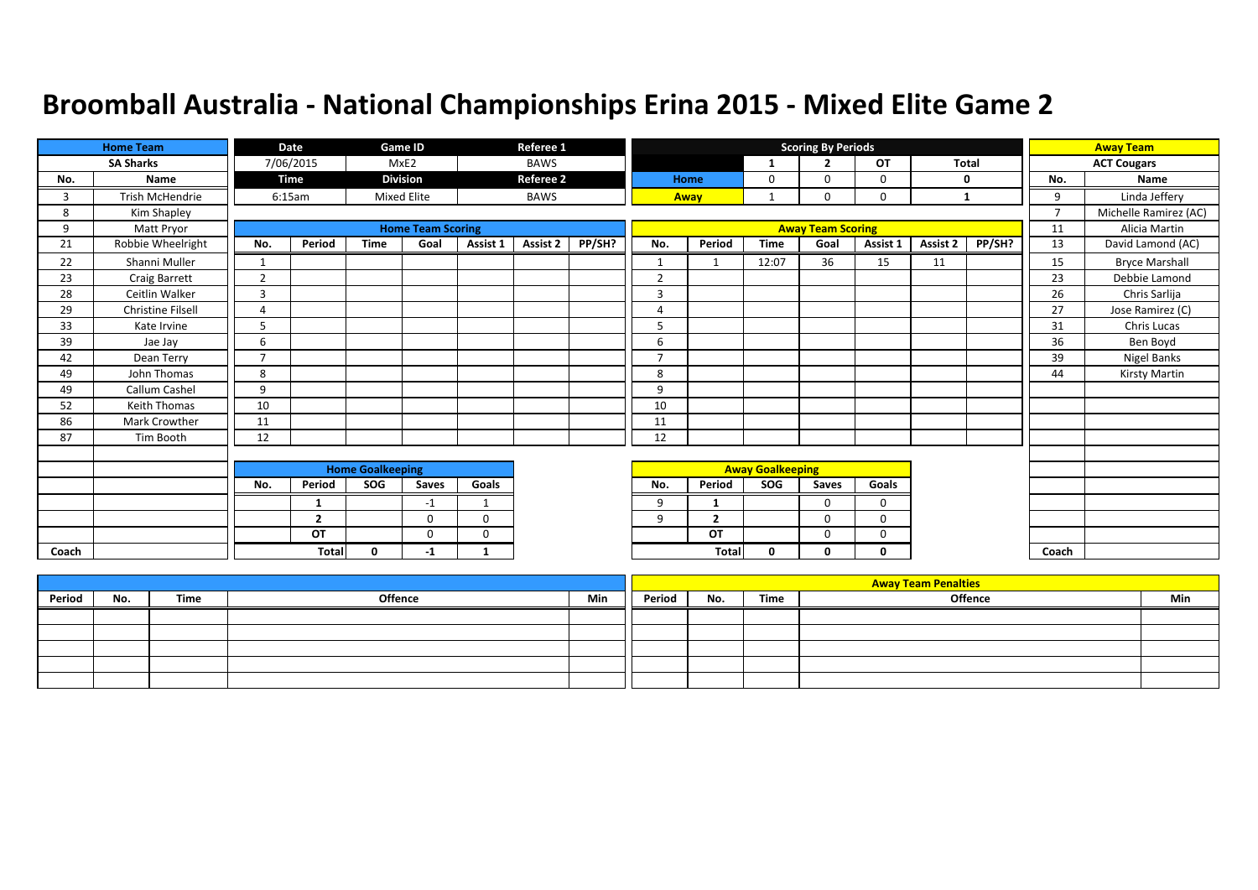|       | <b>Home Team</b>       |                          | Date           |                         | Game ID                  |             | Referee 1        |        |                         |                         |              | <b>Scoring By Periods</b> |           |          |              |                | <b>Away Team</b>      |
|-------|------------------------|--------------------------|----------------|-------------------------|--------------------------|-------------|------------------|--------|-------------------------|-------------------------|--------------|---------------------------|-----------|----------|--------------|----------------|-----------------------|
|       | <b>SA Sharks</b>       |                          | 7/06/2015      |                         | MxE2                     |             | <b>BAWS</b>      |        |                         |                         | -1           | $\overline{2}$            | <b>OT</b> |          | <b>Total</b> |                | <b>ACT Cougars</b>    |
| No.   | Name                   |                          | <b>Time</b>    |                         | <b>Division</b>          |             | <b>Referee 2</b> |        |                         | Home                    | $\mathbf{0}$ | $\Omega$                  | 0         |          | 0            | No.            | Name                  |
| 3     | <b>Trish McHendrie</b> |                          | 6:15am         |                         | <b>Mixed Elite</b>       |             | <b>BAWS</b>      |        |                         | Away                    |              | 0                         | 0         | 1        |              | 9              | Linda Jeffery         |
| 8     | Kim Shapley            |                          |                |                         |                          |             |                  |        |                         |                         |              |                           |           |          |              | $\overline{7}$ | Michelle Ramirez (AC) |
| 9     | Matt Pryor             |                          |                |                         | <b>Home Team Scoring</b> |             |                  |        |                         |                         |              | <b>Away Team Scoring</b>  |           |          |              | 11             | Alicia Martin         |
| 21    | Robbie Wheelright      | No.                      | Period         | <b>Time</b>             | Goal                     | Assist 1    | Assist 2         | PP/SH? | No.                     | Period                  | <b>Time</b>  | Goal                      | Assist 1  | Assist 2 | PP/SH?       | 13             | David Lamond (AC)     |
| 22    | Shanni Muller          |                          |                |                         |                          |             |                  |        | $\mathbf{1}$            | $\mathbf{\overline{1}}$ | 12:07        | 36                        | 15        | 11       |              | 15             | <b>Bryce Marshall</b> |
| 23    | Craig Barrett          | $\overline{2}$           |                |                         |                          |             |                  |        | $\overline{2}$          |                         |              |                           |           |          |              | 23             | Debbie Lamond         |
| 28    | Ceitlin Walker         | 3                        |                |                         |                          |             |                  |        | 3                       |                         |              |                           |           |          |              | 26             | Chris Sarlija         |
| 29    | Christine Filsell      | 4                        |                |                         |                          |             |                  |        | 4                       |                         |              |                           |           |          |              | 27             | Jose Ramirez (C)      |
| 33    | Kate Irvine            | 5                        |                |                         |                          |             |                  |        | 5                       |                         |              |                           |           |          |              | 31             | Chris Lucas           |
| 39    | Jae Jay                | 6                        |                |                         |                          |             |                  |        | 6                       |                         |              |                           |           |          |              | 36             | Ben Boyd              |
| 42    | Dean Terry             | $\overline{\phantom{a}}$ |                |                         |                          |             |                  |        | $\overline{ }$          |                         |              |                           |           |          |              | 39             | Nigel Banks           |
| 49    | John Thomas            | 8                        |                |                         |                          |             |                  |        | 8                       |                         |              |                           |           |          |              | 44             | Kirsty Martin         |
| 49    | Callum Cashel          | 9                        |                |                         |                          |             |                  |        | 9                       |                         |              |                           |           |          |              |                |                       |
| 52    | <b>Keith Thomas</b>    | 10                       |                |                         |                          |             |                  |        | 10                      |                         |              |                           |           |          |              |                |                       |
| 86    | Mark Crowther          | 11                       |                |                         |                          |             |                  |        | 11                      |                         |              |                           |           |          |              |                |                       |
| 87    | Tim Booth              | 12                       |                |                         |                          |             |                  |        | 12                      |                         |              |                           |           |          |              |                |                       |
|       |                        |                          |                |                         |                          |             |                  |        |                         |                         |              |                           |           |          |              |                |                       |
|       |                        |                          |                | <b>Home Goalkeeping</b> |                          |             |                  |        | <b>Away Goalkeeping</b> |                         |              |                           |           |          |              |                |                       |
|       |                        | No.                      | Period         | SOG                     | Saves                    | Goals       |                  |        | No.                     | Period                  | SOG          | Saves                     | Goals     |          |              |                |                       |
|       |                        |                          |                |                         | $-1$                     | 1           |                  |        | 9                       |                         |              | $\Omega$                  | 0         |          |              |                |                       |
|       |                        |                          | $\overline{2}$ |                         | $\Omega$                 | $\Omega$    |                  |        | 9                       | $\overline{2}$          |              | $\Omega$                  | $\Omega$  |          |              |                |                       |
|       |                        |                          | OT             |                         | $\Omega$                 | $\mathbf 0$ |                  |        |                         | OT                      |              | $\Omega$                  | 0         |          |              |                |                       |
| Coach |                        |                          | <b>Total</b>   | $\mathbf{0}$            | -1                       | 1           |                  |        |                         | Total                   | 0            | 0                         | 0         |          |              | Coach          |                       |

|        |     |      |         |     |        |     |      | <b>Away Team Penalties</b> |     |
|--------|-----|------|---------|-----|--------|-----|------|----------------------------|-----|
| Period | No. | Time | Offence | Min | Period | No. | Time | <b>Offence</b>             | Min |
|        |     |      |         |     |        |     |      |                            |     |
|        |     |      |         |     |        |     |      |                            |     |
|        |     |      |         |     |        |     |      |                            |     |
|        |     |      |         |     |        |     |      |                            |     |
|        |     |      |         |     |        |     |      |                            |     |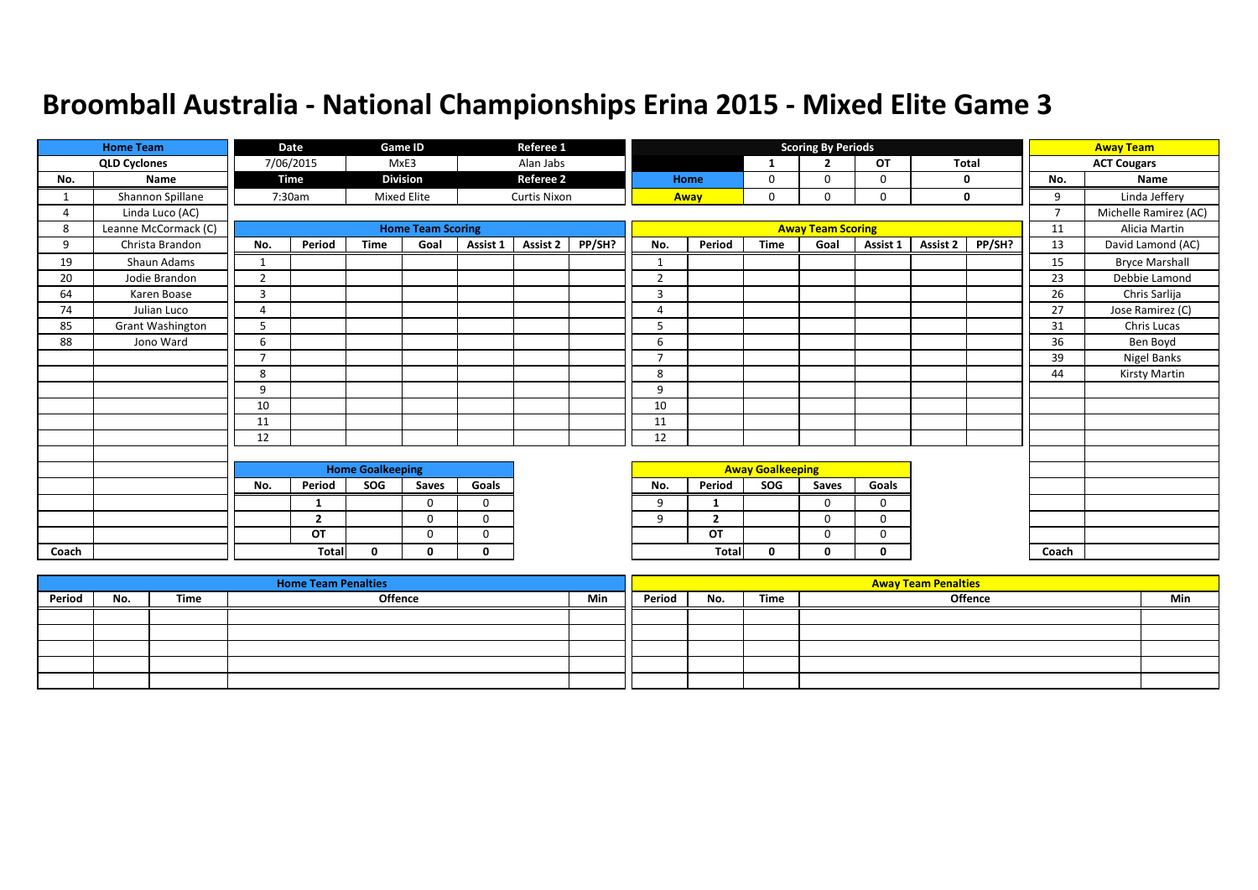|       | <b>Home Team</b>        |                          | Date           |                         | Game ID                  |             | Referee 1           |        |                |                |                         | <b>Scoring By Periods</b> |          |          |        |                | <b>Away Team</b>      |
|-------|-------------------------|--------------------------|----------------|-------------------------|--------------------------|-------------|---------------------|--------|----------------|----------------|-------------------------|---------------------------|----------|----------|--------|----------------|-----------------------|
|       | <b>QLD Cyclones</b>     |                          | 7/06/2015      |                         | MxE3                     |             | Alan Jabs           |        |                |                | -1                      | $\overline{2}$            | OT       | Total    |        |                | <b>ACT Cougars</b>    |
| No.   | Name                    |                          | Time           |                         | <b>Division</b>          |             | <b>Referee 2</b>    |        |                | Home           | 0                       | $\Omega$                  | 0        |          | 0      | No.            | Name                  |
|       | Shannon Spillane        |                          | 7:30am         |                         | <b>Mixed Elite</b>       |             | <b>Curtis Nixon</b> |        |                | Away           | 0                       | 0                         | 0        |          | 0      | 9              | Linda Jeffery         |
| 4     | Linda Luco (AC)         |                          |                |                         |                          |             |                     |        |                |                |                         |                           |          |          |        | $\overline{7}$ | Michelle Ramirez (AC) |
| 8     | Leanne McCormack (C)    |                          |                |                         | <b>Home Team Scoring</b> |             |                     |        |                |                |                         | <b>Away Team Scoring</b>  |          |          |        | 11             | Alicia Martin         |
| 9     | Christa Brandon         | No.                      | Period         | <b>Time</b>             | Goal                     | Assist 1    | <b>Assist 2</b>     | PP/SH? | No.            | Period         | <b>Time</b>             | Goal                      | Assist 1 | Assist 2 | PP/SH? | 13             | David Lamond (AC)     |
| 19    | Shaun Adams             | $\mathbf{1}$             |                |                         |                          |             |                     |        | $\mathbf{1}$   |                |                         |                           |          |          |        | 15             | <b>Bryce Marshall</b> |
| 20    | Jodie Brandon           | $\overline{2}$           |                |                         |                          |             |                     |        | $\overline{2}$ |                |                         |                           |          |          |        | 23             | Debbie Lamond         |
| 64    | Karen Boase             | 3                        |                |                         |                          |             |                     |        | 3              |                |                         |                           |          |          |        | 26             | Chris Sarlija         |
| 74    | Julian Luco             | $\overline{A}$           |                |                         |                          |             |                     |        | 4              |                |                         |                           |          |          |        | 27             | Jose Ramirez (C)      |
| 85    | <b>Grant Washington</b> | 5                        |                |                         |                          |             |                     |        | 5              |                |                         |                           |          |          |        | 31             | Chris Lucas           |
| 88    | Jono Ward               | 6                        |                |                         |                          |             |                     |        | 6              |                |                         |                           |          |          |        | 36             | Ben Boyd              |
|       |                         | $\overline{\phantom{a}}$ |                |                         |                          |             |                     |        | $\overline{7}$ |                |                         |                           |          |          |        | 39             | Nigel Banks           |
|       |                         | 8                        |                |                         |                          |             |                     |        | 8              |                |                         |                           |          |          |        | 44             | Kirsty Martin         |
|       |                         | 9                        |                |                         |                          |             |                     |        | 9              |                |                         |                           |          |          |        |                |                       |
|       |                         | 10                       |                |                         |                          |             |                     |        | 10             |                |                         |                           |          |          |        |                |                       |
|       |                         | 11                       |                |                         |                          |             |                     |        | 11             |                |                         |                           |          |          |        |                |                       |
|       |                         | 12                       |                |                         |                          |             |                     |        | 12             |                |                         |                           |          |          |        |                |                       |
|       |                         |                          |                |                         |                          |             |                     |        |                |                |                         |                           |          |          |        |                |                       |
|       |                         |                          |                | <b>Home Goalkeeping</b> |                          |             |                     |        |                |                | <b>Away Goalkeeping</b> |                           |          |          |        |                |                       |
|       |                         | No.                      | Period         | SOG                     | Saves                    | Goals       |                     |        | No.            | Period         | SOG                     | Saves                     | Goals    |          |        |                |                       |
|       |                         |                          | 1              |                         | $\Omega$                 | $\Omega$    |                     |        | 9              | -1             |                         | $\Omega$                  | $\Omega$ |          |        |                |                       |
|       |                         |                          | $\overline{2}$ |                         | $\Omega$                 | $\mathbf 0$ |                     |        | 9              | $\overline{2}$ |                         | 0                         | 0        |          |        |                |                       |
|       |                         |                          | OT             |                         | $\Omega$                 | $\Omega$    |                     |        |                | OT             |                         | $\Omega$                  | $\Omega$ |          |        |                |                       |
| Coach |                         |                          | <b>Total</b>   | $\mathbf{0}$            | $\Omega$                 | 0           |                     |        |                | <b>Tota</b>    | 0                       | 0                         | 0        |          |        | Coach          |                       |

|        |     |      | <b>Home Team Penalties</b> |     |        |     |      | <b>Away Team Penalties</b> |     |
|--------|-----|------|----------------------------|-----|--------|-----|------|----------------------------|-----|
| Period | No. | Time | Offence                    | Min | Period | No. | Time | <b>Offence</b>             | Min |
|        |     |      |                            |     |        |     |      |                            |     |
|        |     |      |                            |     |        |     |      |                            |     |
|        |     |      |                            |     |        |     |      |                            |     |
|        |     |      |                            |     |        |     |      |                            |     |
|        |     |      |                            |     |        |     |      |                            |     |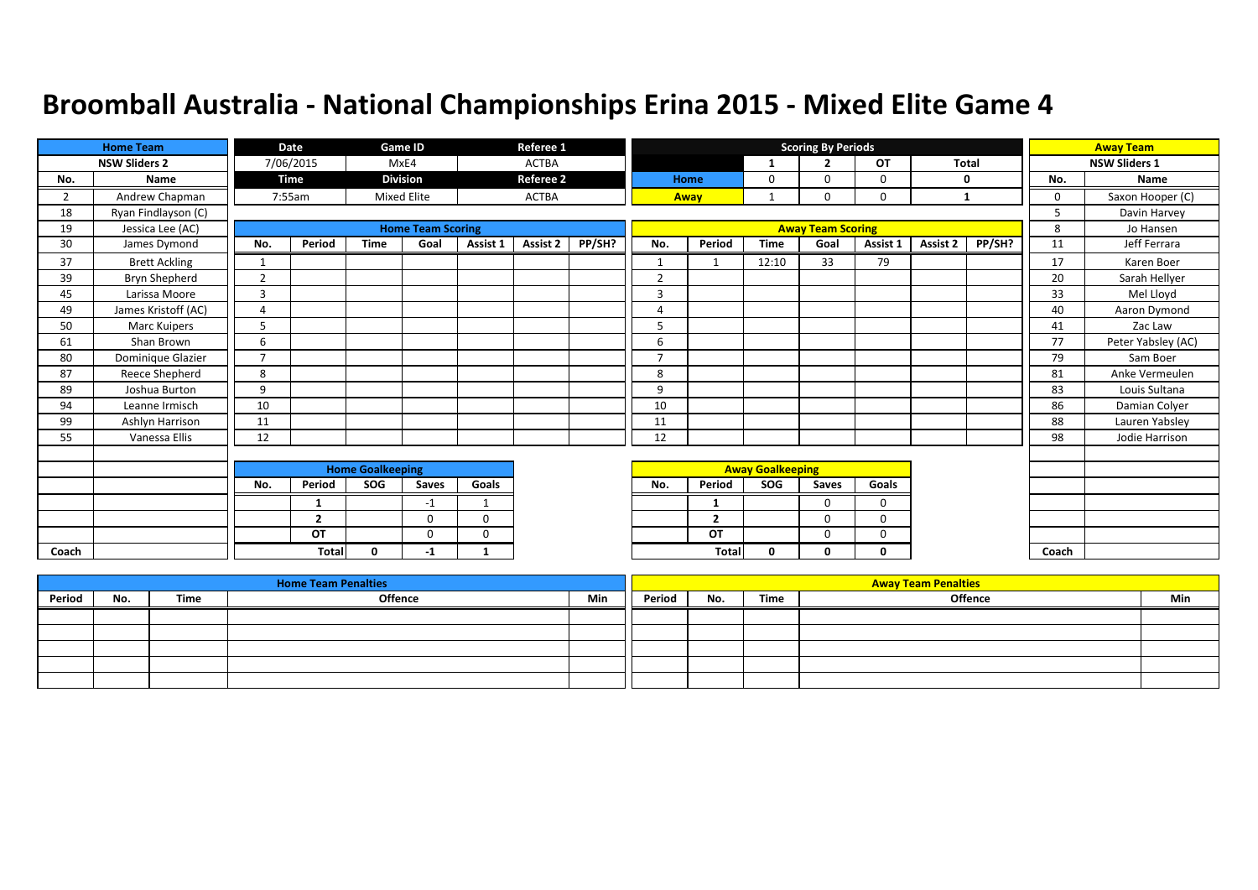|       | <b>Home Team</b>     |                         | Date           |             | Game ID                  |                         | Referee 1        |        |                |                         |              | <b>Scoring By Periods</b> |              |              |        |          | <b>Away Team</b>     |
|-------|----------------------|-------------------------|----------------|-------------|--------------------------|-------------------------|------------------|--------|----------------|-------------------------|--------------|---------------------------|--------------|--------------|--------|----------|----------------------|
|       | <b>NSW Sliders 2</b> |                         | 7/06/2015      |             | MxE4                     |                         | <b>ACTBA</b>     |        |                |                         | $\mathbf{1}$ | ∍                         | OT           | <b>Total</b> |        |          | <b>NSW Sliders 1</b> |
| No.   | Name                 |                         | Time           |             | <b>Division</b>          |                         | <b>Referee 2</b> |        |                | Home                    | 0            | $\Omega$                  | $\Omega$     | $\mathbf{0}$ |        | No.      | Name                 |
| 2     | Andrew Chapman       |                         | 7:55am         |             | <b>Mixed Elite</b>       |                         | <b>ACTBA</b>     |        |                | Away                    |              | $\Omega$                  | $\mathbf 0$  | 1            |        | $\Omega$ | Saxon Hooper (C)     |
| 18    | Ryan Findlayson (C)  |                         |                |             |                          |                         |                  |        |                |                         |              |                           |              |              |        | 5        | Davin Harvey         |
| 19    | Jessica Lee (AC)     |                         |                |             | <b>Home Team Scoring</b> |                         |                  |        |                |                         |              | <b>Away Team Scoring</b>  |              |              |        | 8        | Jo Hansen            |
| 30    | James Dymond         | No.                     | Period         | <b>Time</b> | Goal                     | Assist 1                | Assist 2         | PP/SH? | No.            | Period                  | <b>Time</b>  | Goal                      | Assist 1     | Assist 2     | PP/SH? | 11       | Jeff Ferrara         |
| 37    | <b>Brett Ackling</b> | 1                       |                |             |                          |                         |                  |        | $\mathbf{1}$   | $\mathbf 1$             | 12:10        | 33                        | 79           |              |        | 17       | Karen Boer           |
| 39    | Bryn Shepherd        | $\overline{2}$          |                |             |                          |                         |                  |        | $\overline{2}$ |                         |              |                           |              |              |        | 20       | Sarah Hellyer        |
| 45    | Larissa Moore        | $\overline{3}$          |                |             |                          |                         |                  |        | 3              |                         |              |                           |              |              |        | 33       | Mel Lloyd            |
| 49    | James Kristoff (AC)  | 4                       |                |             |                          |                         |                  |        | 4              |                         |              |                           |              |              |        | 40       | Aaron Dymond         |
| 50    | <b>Marc Kuipers</b>  | 5                       |                |             |                          |                         |                  |        | 5              |                         |              |                           |              |              |        | 41       | Zac Law              |
| 61    | Shan Brown           | 6                       |                |             |                          |                         |                  |        | 6              |                         |              |                           |              |              |        | 77       | Peter Yabsley (AC)   |
| 80    | Dominique Glazier    | $\overline{7}$          |                |             |                          |                         |                  |        | $\overline{7}$ |                         |              |                           |              |              |        | 79       | Sam Boer             |
| 87    | Reece Shepherd       | 8                       |                |             |                          |                         |                  |        | 8              |                         |              |                           |              |              |        | 81       | Anke Vermeulen       |
| 89    | Joshua Burton        | 9                       |                |             |                          |                         |                  |        | 9              |                         |              |                           |              |              |        | 83       | Louis Sultana        |
| 94    | Leanne Irmisch       | 10                      |                |             |                          |                         |                  |        | 10             |                         |              |                           |              |              |        | 86       | Damian Colyer        |
| 99    | Ashlyn Harrison      | 11                      |                |             |                          |                         |                  |        | 11             |                         |              |                           |              |              |        | 88       | Lauren Yabsley       |
| 55    | Vanessa Ellis        | 12                      |                |             |                          |                         |                  |        | 12             |                         |              |                           |              |              |        | 98       | Jodie Harrison       |
|       |                      |                         |                |             |                          |                         |                  |        |                |                         |              |                           |              |              |        |          |                      |
|       |                      | <b>Home Goalkeeping</b> |                |             |                          |                         |                  |        |                | <b>Away Goalkeeping</b> |              |                           |              |              |        |          |                      |
|       |                      | No.                     | Period         | SOG         | Saves                    | Goals                   |                  |        | No.            | Period                  | SOG          | Saves                     | Goals        |              |        |          |                      |
|       |                      |                         | 1              |             | $-1$                     | $\mathbf{\overline{1}}$ |                  |        |                | -1                      |              | $\Omega$                  | $\Omega$     |              |        |          |                      |
|       |                      |                         | $\overline{2}$ |             | $\mathbf 0$              | $\mathbf 0$             |                  |        |                | $\overline{2}$          |              | $\Omega$                  | $\mathbf 0$  |              |        |          |                      |
|       |                      |                         | OT             |             | $\Omega$                 | $\mathbf 0$             |                  |        |                | OT                      |              | $\mathbf 0$               | $\mathbf 0$  |              |        |          |                      |
| Coach |                      |                         | <b>Total</b>   | $\Omega$    | -1                       | 1                       |                  |        |                | Total                   | 0            | 0                         | $\mathbf{0}$ |              |        | Coach    |                      |

|        |     |      | <b>Home Team Penalties</b> |     |        |     |      | <b>Away Team Penalties</b> |     |
|--------|-----|------|----------------------------|-----|--------|-----|------|----------------------------|-----|
| Period | No. | Time | <b>Offence</b>             | Min | Period | No. | Time | Offence                    | Min |
|        |     |      |                            |     |        |     |      |                            |     |
|        |     |      |                            |     |        |     |      |                            |     |
|        |     |      |                            |     |        |     |      |                            |     |
|        |     |      |                            |     |        |     |      |                            |     |
|        |     |      |                            |     |        |     |      |                            |     |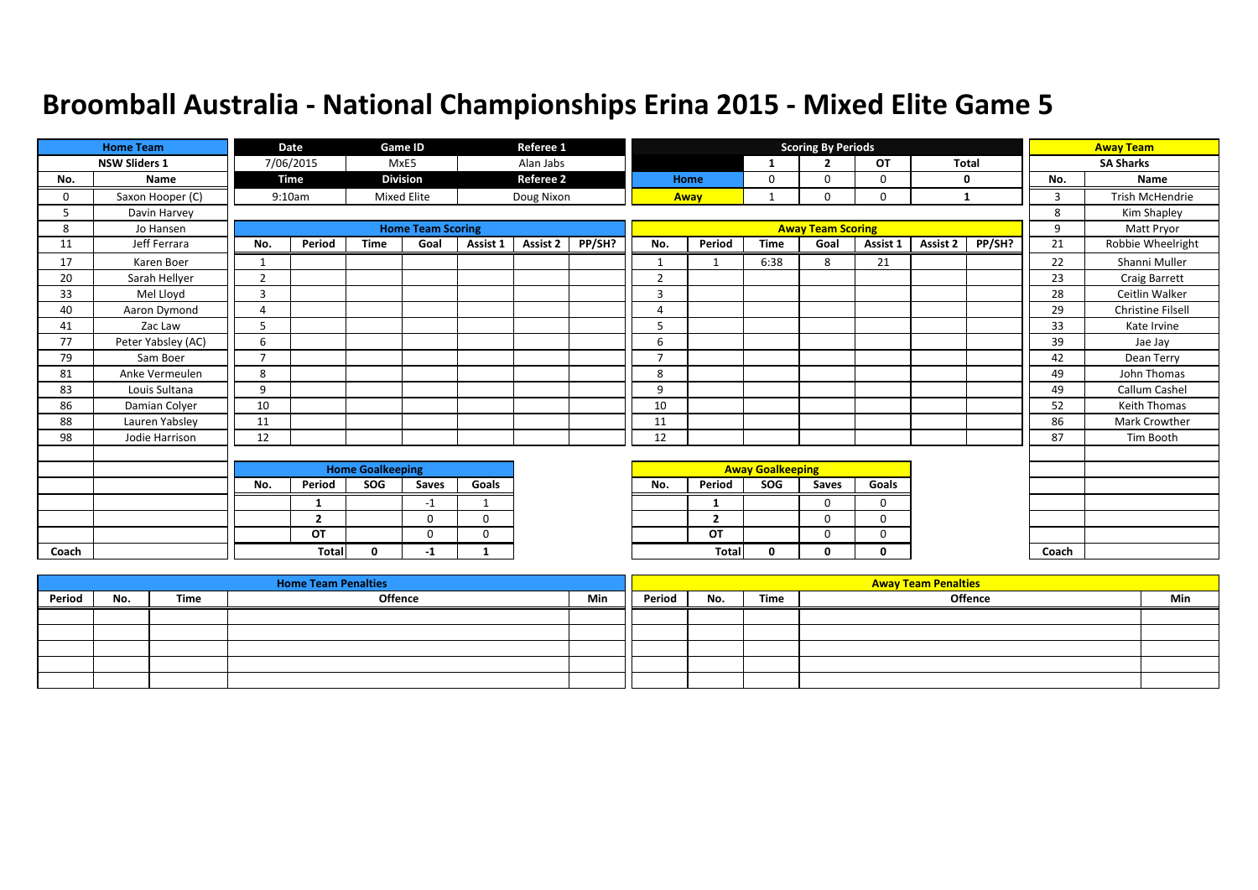|       | <b>Home Team</b>     |                | Date           |                         | Game ID                  |              | Referee 1        |        |                |                         |                         | <b>Scoring By Periods</b> |           |              |        |       | <b>Away Team</b>       |
|-------|----------------------|----------------|----------------|-------------------------|--------------------------|--------------|------------------|--------|----------------|-------------------------|-------------------------|---------------------------|-----------|--------------|--------|-------|------------------------|
|       | <b>NSW Sliders 1</b> |                | 7/06/2015      |                         | MxE5                     |              | Alan Jabs        |        |                |                         | -1                      | $\overline{2}$            | <b>OT</b> | <b>Total</b> |        |       | <b>SA Sharks</b>       |
| No.   | Name                 |                | <b>Time</b>    |                         | <b>Division</b>          |              | <b>Referee 2</b> |        |                | Home                    | $\mathbf 0$             | $\Omega$                  | 0         | $\mathbf 0$  |        | No.   | Name                   |
| 0     | Saxon Hooper (C)     |                | 9:10am         |                         | <b>Mixed Elite</b>       |              | Doug Nixon       |        |                | Away                    |                         | 0                         | 0         | 1            |        | 3     | <b>Trish McHendrie</b> |
| 5     | Davin Harvey         |                |                |                         |                          |              |                  |        |                |                         |                         |                           |           |              |        | 8     | Kim Shapley            |
| 8     | Jo Hansen            |                |                |                         | <b>Home Team Scoring</b> |              |                  |        |                |                         |                         | <b>Away Team Scoring</b>  |           |              |        | 9     | Matt Pryor             |
| 11    | Jeff Ferrara         | No.            | Period         | <b>Time</b>             | Goal                     | Assist 1     | Assist 2         | PP/SH? | No.            | Period                  | <b>Time</b>             | Goal                      | Assist 1  | Assist 2     | PP/SH? | 21    | Robbie Wheelright      |
| 17    | Karen Boer           |                |                |                         |                          |              |                  |        | $\mathbf{1}$   |                         | 6:38                    | 8                         | 21        |              |        | 22    | Shanni Muller          |
| 20    | Sarah Hellyer        | $\overline{2}$ |                |                         |                          |              |                  |        | $\overline{2}$ |                         |                         |                           |           |              |        | 23    | Craig Barrett          |
| 33    | Mel Lloyd            | 3              |                |                         |                          |              |                  |        | 3              |                         |                         |                           |           |              |        | 28    | Ceitlin Walker         |
| 40    | Aaron Dymond         | $\overline{4}$ |                |                         |                          |              |                  |        | 4              |                         |                         |                           |           |              |        | 29    | Christine Filsell      |
| 41    | Zac Law              |                |                |                         |                          |              |                  |        | 5              |                         |                         |                           |           |              |        | 33    | Kate Irvine            |
| 77    | Peter Yabsley (AC)   | 6              |                |                         |                          |              |                  |        | 6              |                         |                         |                           |           |              |        | 39    | Jae Jay                |
| 79    | Sam Boer             | $\overline{ }$ |                |                         |                          |              |                  |        | $\overline{7}$ |                         |                         |                           |           |              |        | 42    | Dean Terry             |
| 81    | Anke Vermeulen       | 8              |                |                         |                          |              |                  |        | 8              |                         |                         |                           |           |              |        | 49    | John Thomas            |
| 83    | Louis Sultana        | 9              |                |                         |                          |              |                  |        | 9              |                         |                         |                           |           |              |        | 49    | Callum Cashel          |
| 86    | Damian Colyer        | 10             |                |                         |                          |              |                  |        | 10             |                         |                         |                           |           |              |        | 52    | <b>Keith Thomas</b>    |
| 88    | Lauren Yabsley       | 11             |                |                         |                          |              |                  |        | 11             |                         |                         |                           |           |              |        | 86    | Mark Crowther          |
| 98    | Jodie Harrison       | 12             |                |                         |                          |              |                  |        | 12             |                         |                         |                           |           |              |        | 87    | Tim Booth              |
|       |                      |                |                |                         |                          |              |                  |        |                |                         |                         |                           |           |              |        |       |                        |
|       |                      |                |                | <b>Home Goalkeeping</b> |                          |              |                  |        |                |                         | <b>Away Goalkeeping</b> |                           |           |              |        |       |                        |
|       |                      | No.            | Period         | SOG                     | Saves                    | Goals        |                  |        | No.            | Period                  | <b>SOG</b>              | Saves                     | Goals     |              |        |       |                        |
|       |                      |                | 1              |                         | $-1$                     | $\mathbf{1}$ |                  |        |                | 1                       |                         | $\Omega$                  | $\Omega$  |              |        |       |                        |
|       |                      |                | $\overline{2}$ |                         | $\Omega$                 | $\mathbf 0$  |                  |        |                | $\overline{\mathbf{z}}$ |                         | $\Omega$                  | $\Omega$  |              |        |       |                        |
|       |                      |                | OT             |                         | $\Omega$                 | $\Omega$     |                  |        |                | OT                      |                         | $\Omega$                  | 0         |              |        |       |                        |
| Coach |                      |                | <b>Total</b>   | 0                       | -1                       | 1            |                  |        |                | Total                   | 0                       | 0                         | 0         |              |        | Coach |                        |

|        |     |      | <b>Home Team Penalties</b> |     |        |     |      | <b>Away Team Penalties</b> |     |
|--------|-----|------|----------------------------|-----|--------|-----|------|----------------------------|-----|
| Period | No. | Time | <b>Offence</b>             | Min | Period | No. | Time | <b>Offence</b>             | Min |
|        |     |      |                            |     |        |     |      |                            |     |
|        |     |      |                            |     |        |     |      |                            |     |
|        |     |      |                            |     |        |     |      |                            |     |
|        |     |      |                            |     |        |     |      |                            |     |
|        |     |      |                            |     |        |     |      |                            |     |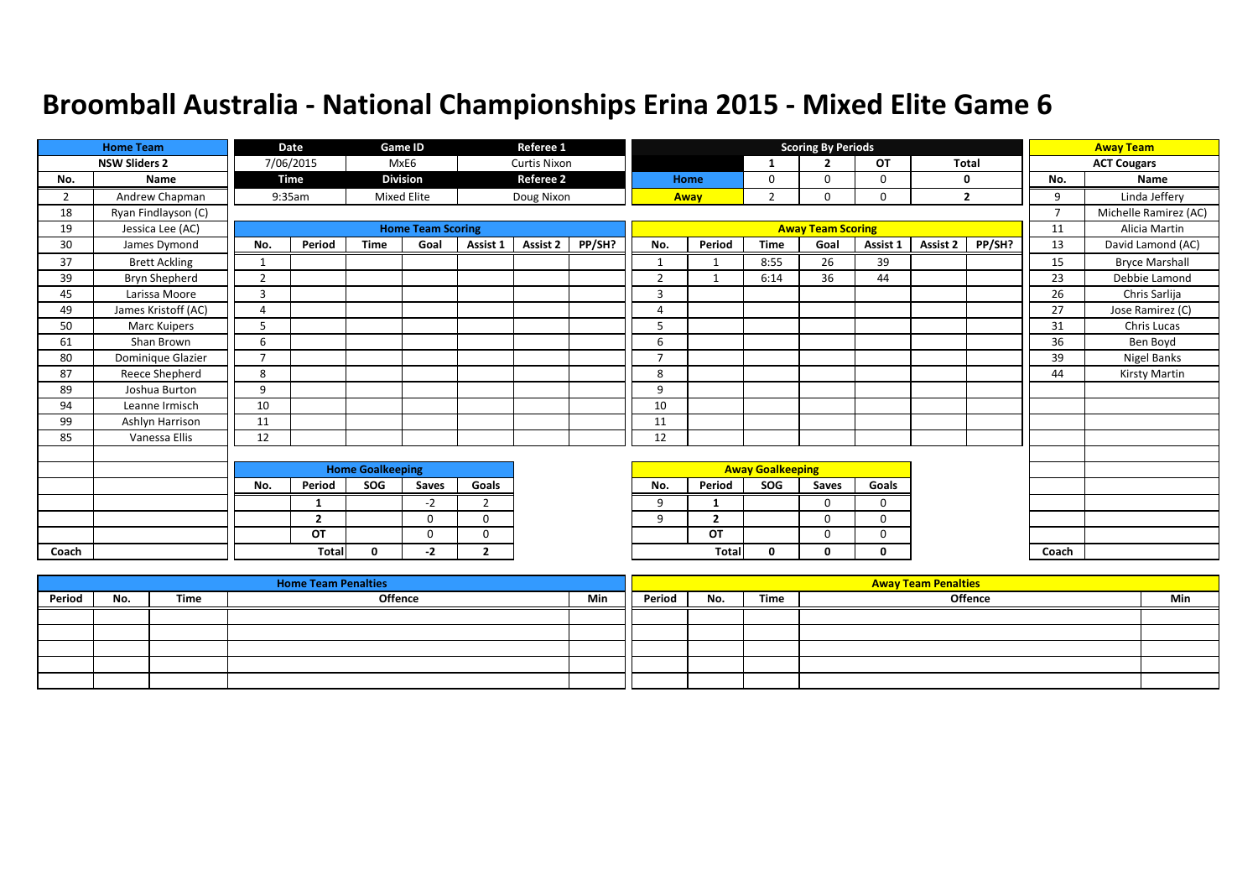|       | <b>Home Team</b>     |                | Date           |                         | <b>Game ID</b>           |                | Referee 1           |        |                |                          |                         | <b>Scoring By Periods</b> |          |              |              |                | <b>Away Team</b>      |
|-------|----------------------|----------------|----------------|-------------------------|--------------------------|----------------|---------------------|--------|----------------|--------------------------|-------------------------|---------------------------|----------|--------------|--------------|----------------|-----------------------|
|       | <b>NSW Sliders 2</b> |                | 7/06/2015      |                         | MxE6                     |                | <b>Curtis Nixon</b> |        |                |                          | $\mathbf{1}$            | $\overline{2}$            | OT       | <b>Total</b> |              |                | <b>ACT Cougars</b>    |
| No.   | Name                 |                | Time           |                         | <b>Division</b>          |                | <b>Referee 2</b>    |        |                | Home                     | 0                       | $\Omega$                  | 0        |              | 0            | No.            | Name                  |
| 2     | Andrew Chapman       |                | 9:35am         |                         | <b>Mixed Elite</b>       |                | Doug Nixon          |        |                | Away                     | $\overline{2}$          | 0                         | 0        |              | $\mathbf{2}$ | 9              | Linda Jeffery         |
| 18    | Ryan Findlayson (C)  |                |                |                         |                          |                |                     |        |                |                          |                         |                           |          |              |              | $\overline{7}$ | Michelle Ramirez (AC) |
| 19    | Jessica Lee (AC)     |                |                |                         | <b>Home Team Scoring</b> |                |                     |        |                |                          |                         | <b>Away Team Scoring</b>  |          |              |              | 11             | Alicia Martin         |
| 30    | James Dymond         | No.            | Period         | <b>Time</b>             | Goal                     | Assist 1       | Assist 2            | PP/SH? | No.            | Period                   | <b>Time</b>             | Goal                      | Assist 1 | Assist 2     | PP/SH?       | 13             | David Lamond (AC)     |
| 37    | <b>Brett Ackling</b> | 1              |                |                         |                          |                |                     |        | $\mathbf{1}$   | -1                       | 8:55                    | 26                        | 39       |              |              | 15             | <b>Bryce Marshall</b> |
| 39    | Bryn Shepherd        | $\overline{2}$ |                |                         |                          |                |                     |        | $\overline{2}$ | $\overline{\phantom{a}}$ | 6:14                    | 36                        | 44       |              |              | 23             | Debbie Lamond         |
| 45    | Larissa Moore        | $\overline{3}$ |                |                         |                          |                |                     |        | 3              |                          |                         |                           |          |              |              | 26             | Chris Sarlija         |
| 49    | James Kristoff (AC)  | $\overline{A}$ |                |                         |                          |                |                     |        | 4              |                          |                         |                           |          |              |              | 27             | Jose Ramirez (C)      |
| 50    | <b>Marc Kuipers</b>  | 5              |                |                         |                          |                |                     |        | 5              |                          |                         |                           |          |              |              | 31             | Chris Lucas           |
| 61    | Shan Brown           | 6              |                |                         |                          |                |                     |        | 6              |                          |                         |                           |          |              |              | 36             | Ben Boyd              |
| 80    | Dominique Glazier    | $\overline{7}$ |                |                         |                          |                |                     |        | $\overline{ }$ |                          |                         |                           |          |              |              | 39             | Nigel Banks           |
| 87    | Reece Shepherd       | 8              |                |                         |                          |                |                     |        | 8              |                          |                         |                           |          |              |              | 44             | Kirsty Martin         |
| 89    | Joshua Burton        | 9              |                |                         |                          |                |                     |        | 9              |                          |                         |                           |          |              |              |                |                       |
| 94    | Leanne Irmisch       | 10             |                |                         |                          |                |                     |        | 10             |                          |                         |                           |          |              |              |                |                       |
| 99    | Ashlyn Harrison      | 11             |                |                         |                          |                |                     |        | 11             |                          |                         |                           |          |              |              |                |                       |
| 85    | Vanessa Ellis        | 12             |                |                         |                          |                |                     |        | 12             |                          |                         |                           |          |              |              |                |                       |
|       |                      |                |                |                         |                          |                |                     |        |                |                          |                         |                           |          |              |              |                |                       |
|       |                      |                |                | <b>Home Goalkeeping</b> |                          |                |                     |        |                |                          | <b>Away Goalkeeping</b> |                           |          |              |              |                |                       |
|       |                      | No.            | Period         | SOG                     | Saves                    | Goals          |                     |        | No.            | Period                   | SOG                     | Saves                     | Goals    |              |              |                |                       |
|       |                      |                | 1              |                         | $-2$                     | $\overline{2}$ |                     |        | 9              | -1                       |                         | $\Omega$                  | $\Omega$ |              |              |                |                       |
|       |                      |                | $\overline{2}$ |                         | $\Omega$                 | $\Omega$       |                     |        | 9              | $\overline{2}$           |                         | $\Omega$                  | 0        |              |              |                |                       |
|       |                      |                | OT             |                         | $\Omega$                 | $\Omega$       |                     |        |                | OT                       |                         | $\Omega$                  | $\Omega$ |              |              |                |                       |
| Coach |                      |                | Total          | $\Omega$                | -2                       | $\overline{2}$ |                     |        |                | Tota                     | 0                       | 0                         | 0        |              |              | Coach          |                       |

|        |     |      | <b>Home Team Penalties</b> |     |        |     |      | <b>Away Team Penalties</b> |     |
|--------|-----|------|----------------------------|-----|--------|-----|------|----------------------------|-----|
| Period | No. | Time | Offence                    | Min | Period | No. | Time | Offence                    | Min |
|        |     |      |                            |     |        |     |      |                            |     |
|        |     |      |                            |     |        |     |      |                            |     |
|        |     |      |                            |     |        |     |      |                            |     |
|        |     |      |                            |     |        |     |      |                            |     |
|        |     |      |                            |     |        |     |      |                            |     |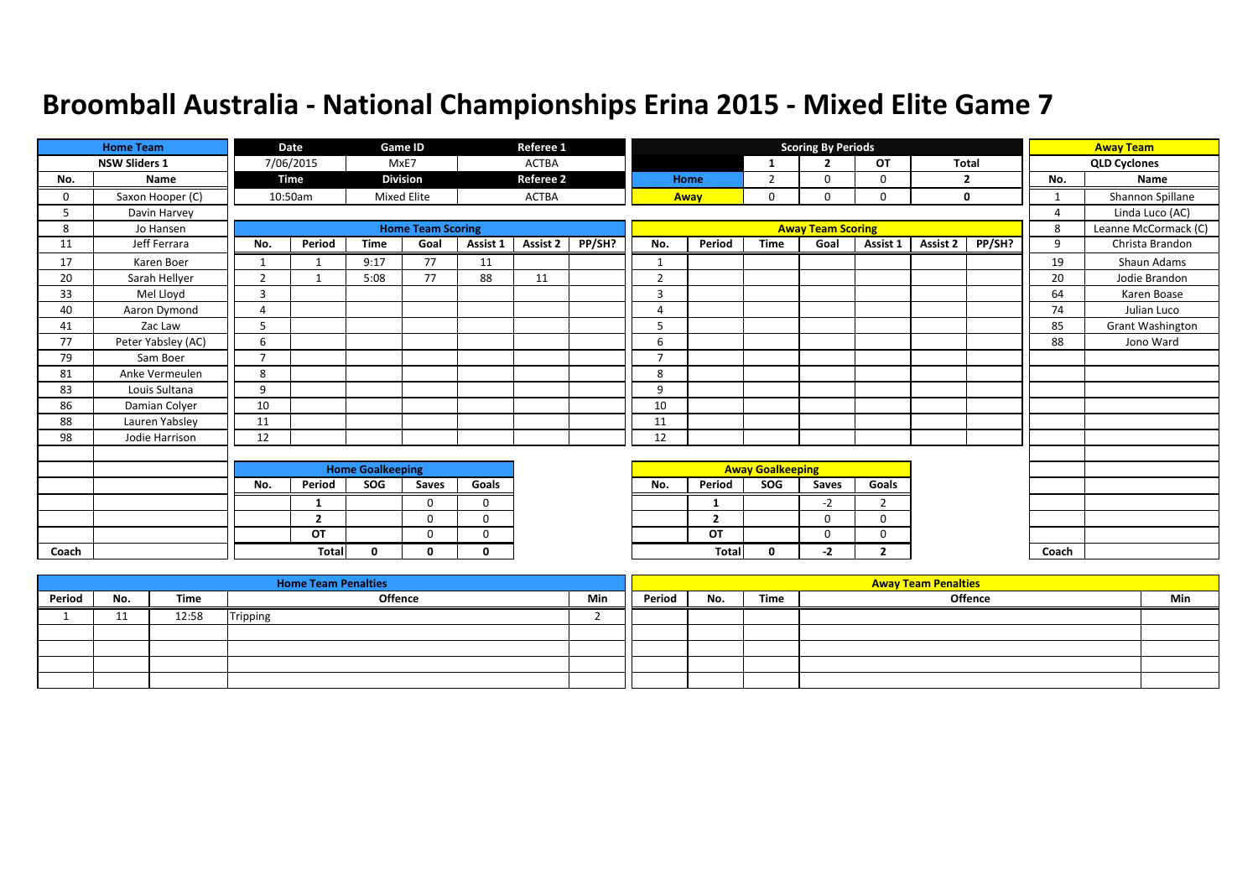|       | <b>Home Team</b>     |                | Date         |                         | Game ID                  |             | Referee 1        |        |                |                |                         | <b>Scoring By Periods</b> |                |          |             |                | <b>Away Team</b>     |
|-------|----------------------|----------------|--------------|-------------------------|--------------------------|-------------|------------------|--------|----------------|----------------|-------------------------|---------------------------|----------------|----------|-------------|----------------|----------------------|
|       | <b>NSW Sliders 1</b> |                | 7/06/2015    |                         | MxE7                     |             | <b>ACTBA</b>     |        |                |                | -1                      | $\overline{2}$            | OT             | Total    |             |                | <b>QLD Cyclones</b>  |
| No.   | Name                 |                | Time         |                         | <b>Division</b>          |             | <b>Referee 2</b> |        |                | Home           | $\overline{2}$          | $\Omega$                  | 0              |          | 2           | No.            | Name                 |
| 0     | Saxon Hooper (C)     |                | 10:50am      |                         | <b>Mixed Elite</b>       |             | <b>ACTBA</b>     |        |                | Away           | 0                       | 0                         | 0              |          | $\mathbf 0$ | $\mathbf{1}$   | Shannon Spillane     |
| 5     | Davin Harvey         |                |              |                         |                          |             |                  |        |                |                |                         |                           |                |          |             | $\overline{4}$ | Linda Luco (AC)      |
| 8     | Jo Hansen            |                |              |                         | <b>Home Team Scoring</b> |             |                  |        |                |                |                         | <b>Away Team Scoring</b>  |                |          |             | 8              | Leanne McCormack (C) |
| 11    | Jeff Ferrara         | No.            | Period       | <b>Time</b>             | Goal                     | Assist 1    | <b>Assist 2</b>  | PP/SH? | No.            | Period         | <b>Time</b>             | Goal                      | Assist 1       | Assist 2 | PP/SH?      | 9              | Christa Brandon      |
| 17    | Karen Boer           | $\mathbf{1}$   |              | 9:17                    | 77                       | 11          |                  |        | $\mathbf{1}$   |                |                         |                           |                |          |             | 19             | Shaun Adams          |
| 20    | Sarah Hellyer        | $\overline{2}$ |              | 5:08                    | 77                       | 88          | 11               |        | $\overline{2}$ |                |                         |                           |                |          |             | 20             | Jodie Brandon        |
| 33    | Mel Lloyd            | $\overline{3}$ |              |                         |                          |             |                  |        | $\overline{3}$ |                |                         |                           |                |          |             | 64             | Karen Boase          |
| 40    | Aaron Dymond         | $\overline{A}$ |              |                         |                          |             |                  |        | 4              |                |                         |                           |                |          |             | 74             | Julian Luco          |
| 41    | Zac Law              | 5              |              |                         |                          |             |                  |        | 5              |                |                         |                           |                |          |             | 85             | Grant Washington     |
| 77    | Peter Yabsley (AC)   | 6              |              |                         |                          |             |                  |        | 6              |                |                         |                           |                |          |             | 88             | Jono Ward            |
| 79    | Sam Boer             | $\overline{ }$ |              |                         |                          |             |                  |        | $\overline{ }$ |                |                         |                           |                |          |             |                |                      |
| 81    | Anke Vermeulen       | 8              |              |                         |                          |             |                  |        | 8              |                |                         |                           |                |          |             |                |                      |
| 83    | Louis Sultana        | 9              |              |                         |                          |             |                  |        | 9              |                |                         |                           |                |          |             |                |                      |
| 86    | Damian Colyer        | 10             |              |                         |                          |             |                  |        | 10             |                |                         |                           |                |          |             |                |                      |
| 88    | Lauren Yabsley       | 11             |              |                         |                          |             |                  |        | 11             |                |                         |                           |                |          |             |                |                      |
| 98    | Jodie Harrison       | 12             |              |                         |                          |             |                  |        | 12             |                |                         |                           |                |          |             |                |                      |
|       |                      |                |              |                         |                          |             |                  |        |                |                |                         |                           |                |          |             |                |                      |
|       |                      |                |              | <b>Home Goalkeeping</b> |                          |             |                  |        |                |                | <b>Away Goalkeeping</b> |                           |                |          |             |                |                      |
|       |                      | No.            | Period       | SOG                     | Saves                    | Goals       |                  |        | No.            | Period         | SOG                     | Saves                     | Goals          |          |             |                |                      |
|       |                      |                | 1            |                         | $\Omega$                 | $\mathbf 0$ |                  |        |                | -1             |                         | $-2$                      | $\overline{2}$ |          |             |                |                      |
|       |                      |                | $\mathbf{2}$ |                         | $\Omega$                 | $\mathbf 0$ |                  |        |                | $\overline{2}$ |                         | 0                         | 0              |          |             |                |                      |
|       |                      |                | OT           |                         | $\Omega$                 | $\Omega$    |                  |        |                | OT             |                         | $\Omega$                  | 0              |          |             |                |                      |
| Coach |                      |                | <b>Total</b> | $\Omega$                | n                        | $\Omega$    |                  |        |                | Total          | 0                       | $-2$                      | $\mathbf{2}$   |          |             | Coach          |                      |

|        |            |       | <b>Home Team Penalties</b> |     |        |     |      | <b>Away Team Penalties</b> |     |
|--------|------------|-------|----------------------------|-----|--------|-----|------|----------------------------|-----|
| Period | No.        | Time  | Offence                    | Min | Period | No. | Time | Offence                    | Min |
|        | <b>. .</b> | 12:58 | <b>Tripping</b>            |     |        |     |      |                            |     |
|        |            |       |                            |     |        |     |      |                            |     |
|        |            |       |                            |     |        |     |      |                            |     |
|        |            |       |                            |     |        |     |      |                            |     |
|        |            |       |                            |     |        |     |      |                            |     |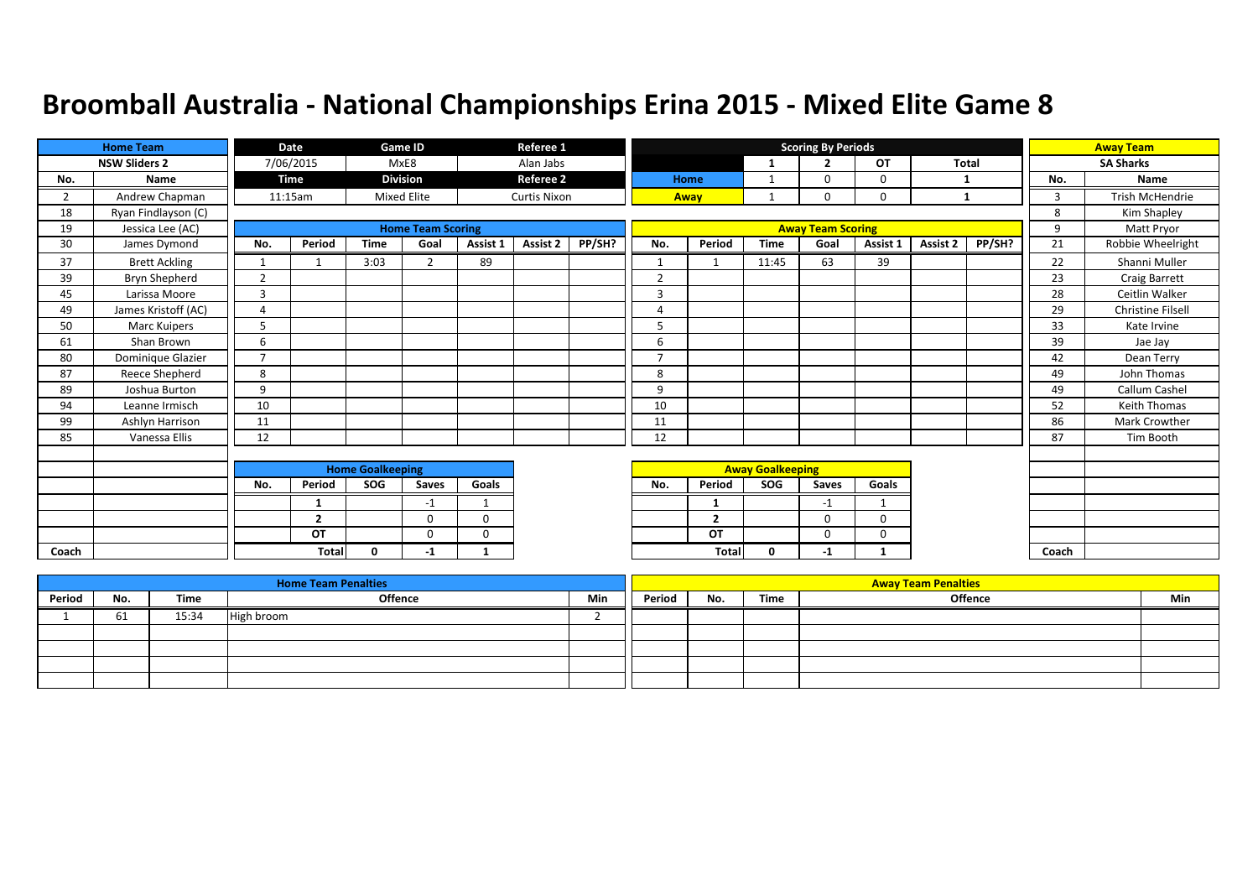|                | <b>Home Team</b>     |                | Date           |                         | Game ID                  |             | Referee 1           |        |                |                |                         | <b>Scoring By Periods</b> |           |              |        |       | <b>Away Team</b>    |
|----------------|----------------------|----------------|----------------|-------------------------|--------------------------|-------------|---------------------|--------|----------------|----------------|-------------------------|---------------------------|-----------|--------------|--------|-------|---------------------|
|                | <b>NSW Sliders 2</b> |                | 7/06/2015      |                         | MxE8                     |             | Alan Jabs           |        |                |                | $\mathbf{1}$            | $\overline{2}$            | <b>OT</b> | <b>Total</b> |        |       | <b>SA Sharks</b>    |
| No.            | Name                 |                | <b>Time</b>    |                         | <b>Division</b>          |             | <b>Referee 2</b>    |        |                | Home           | 1                       | 0                         | $\Omega$  |              |        | No.   | Name                |
| $\overline{2}$ | Andrew Chapman       |                | 11:15am        |                         | <b>Mixed Elite</b>       |             | <b>Curtis Nixon</b> |        |                | Away           |                         | 0                         | 0         | 1            |        | 3     | Trish McHendrie     |
| 18             | Ryan Findlayson (C)  |                |                |                         |                          |             |                     |        |                |                |                         |                           |           |              |        | 8     | Kim Shapley         |
| 19             | Jessica Lee (AC)     |                |                |                         | <b>Home Team Scoring</b> |             |                     |        |                |                |                         | <b>Away Team Scoring</b>  |           |              |        | 9     | Matt Pryor          |
| 30             | James Dymond         | No.            | Period         | <b>Time</b>             | Goal                     | Assist 1    | Assist 2            | PP/SH? | No.            | Period         | <b>Time</b>             | Goal                      | Assist 1  | Assist 2     | PP/SH? | 21    | Robbie Wheelright   |
| 37             | <b>Brett Ackling</b> |                |                | 3:03                    | $\overline{2}$           | 89          |                     |        | $\mathbf{1}$   |                | 11:45                   | 63                        | 39        |              |        | 22    | Shanni Muller       |
| 39             | Bryn Shepherd        | $\overline{2}$ |                |                         |                          |             |                     |        | $\overline{2}$ |                |                         |                           |           |              |        | 23    | Craig Barrett       |
| 45             | Larissa Moore        | 3              |                |                         |                          |             |                     |        | 3              |                |                         |                           |           |              |        | 28    | Ceitlin Walker      |
| 49             | James Kristoff (AC)  | $\overline{a}$ |                |                         |                          |             |                     |        | $\overline{A}$ |                |                         |                           |           |              |        | 29    | Christine Filsell   |
| 50             | Marc Kuipers         | 5              |                |                         |                          |             |                     |        | 5              |                |                         |                           |           |              |        | 33    | Kate Irvine         |
| 61             | Shan Brown           | 6              |                |                         |                          |             |                     |        | 6              |                |                         |                           |           |              |        | 39    | Jae Jay             |
| 80             | Dominique Glazier    | $\overline{7}$ |                |                         |                          |             |                     |        | $\overline{7}$ |                |                         |                           |           |              |        | 42    | Dean Terry          |
| 87             | Reece Shepherd       | 8              |                |                         |                          |             |                     |        | 8              |                |                         |                           |           |              |        | 49    | John Thomas         |
| 89             | Joshua Burton        | 9              |                |                         |                          |             |                     |        | 9              |                |                         |                           |           |              |        | 49    | Callum Cashel       |
| 94             | Leanne Irmisch       | 10             |                |                         |                          |             |                     |        | 10             |                |                         |                           |           |              |        | 52    | <b>Keith Thomas</b> |
| 99             | Ashlyn Harrison      | 11             |                |                         |                          |             |                     |        | 11             |                |                         |                           |           |              |        | 86    | Mark Crowther       |
| 85             | Vanessa Ellis        | 12             |                |                         |                          |             |                     |        | 12             |                |                         |                           |           |              |        | 87    | Tim Booth           |
|                |                      |                |                |                         |                          |             |                     |        |                |                |                         |                           |           |              |        |       |                     |
|                |                      |                |                | <b>Home Goalkeeping</b> |                          |             |                     |        |                |                | <b>Away Goalkeeping</b> |                           |           |              |        |       |                     |
|                |                      | No.            | Period         | SOG                     | Saves                    | Goals       |                     |        | No.            | Period         | SOG                     | Saves                     | Goals     |              |        |       |                     |
|                |                      |                | 1              |                         | $-1$                     | $\mathbf 1$ |                     |        |                | 1              |                         | $-1$                      |           |              |        |       |                     |
|                |                      |                | $\overline{2}$ |                         | $\Omega$                 | 0           |                     |        |                | $\overline{2}$ |                         | $\Omega$                  | 0         |              |        |       |                     |
|                |                      |                | OT             |                         | $\mathbf 0$              | $\mathbf 0$ |                     |        |                | OT             |                         | 0                         | 0         |              |        |       |                     |
| Coach          |                      |                | <b>Total</b>   | $\mathbf{0}$            | -1                       | 1           |                     |        |                | Total          | 0                       | $-1$                      |           |              |        | Coach |                     |

|        |     |       | <b>Home Team Penalties</b> |     |        |     |      | <b>Away Team Penalties</b> |     |
|--------|-----|-------|----------------------------|-----|--------|-----|------|----------------------------|-----|
| Period | No. | Time  | <b>Offence</b>             | Min | Period | No. | Time | <b>Offence</b>             | Min |
|        | 61  | 15:34 | High broom                 |     |        |     |      |                            |     |
|        |     |       |                            |     |        |     |      |                            |     |
|        |     |       |                            |     |        |     |      |                            |     |
|        |     |       |                            |     |        |     |      |                            |     |
|        |     |       |                            |     |        |     |      |                            |     |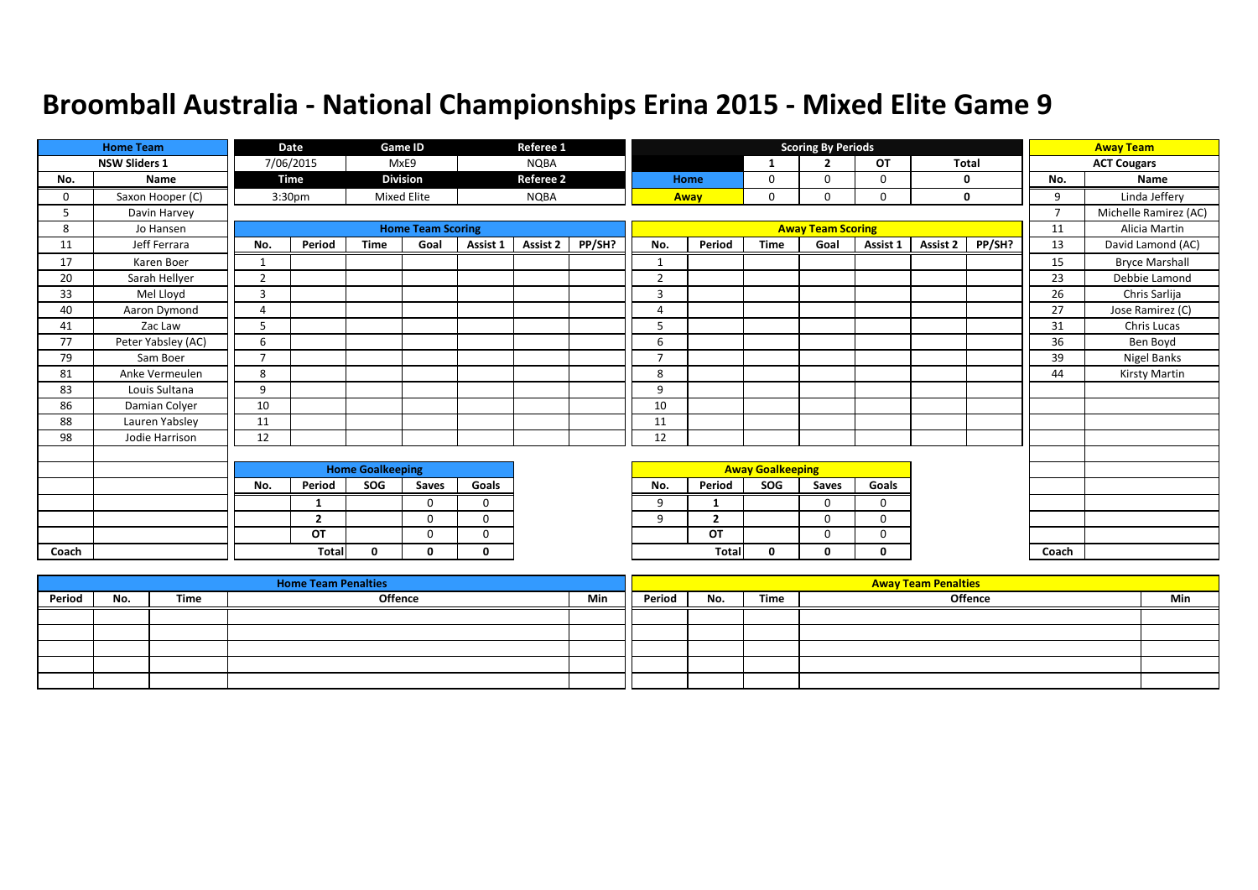|       | <b>Home Team</b>     |                | Date               |                         | Game ID                  |              | Referee 1        |        |                |                |                         | <b>Scoring By Periods</b> |             |              |             |                | <b>Away Team</b>      |
|-------|----------------------|----------------|--------------------|-------------------------|--------------------------|--------------|------------------|--------|----------------|----------------|-------------------------|---------------------------|-------------|--------------|-------------|----------------|-----------------------|
|       | <b>NSW Sliders 1</b> |                | 7/06/2015          |                         | MxE9                     |              | <b>NQBA</b>      |        |                |                | 1                       | ∍                         | OT          | <b>Total</b> |             |                | <b>ACT Cougars</b>    |
| No.   | Name                 |                | Time               |                         | <b>Division</b>          |              | <b>Referee 2</b> |        |                | Home           | 0                       | $\Omega$                  | 0           |              | 0           | No.            | Name                  |
| 0     | Saxon Hooper (C)     |                | 3:30 <sub>pm</sub> |                         | <b>Mixed Elite</b>       |              | <b>NQBA</b>      |        |                | Away           | 0                       | 0                         | $\mathbf 0$ |              | $\mathbf 0$ | 9              | Linda Jeffery         |
| 5     | Davin Harvey         |                |                    |                         |                          |              |                  |        |                |                |                         |                           |             |              |             | $\overline{7}$ | Michelle Ramirez (AC) |
| 8     | Jo Hansen            |                |                    |                         | <b>Home Team Scoring</b> |              |                  |        |                |                |                         | <b>Away Team Scoring</b>  |             |              |             | 11             | Alicia Martin         |
| 11    | Jeff Ferrara         | No.            | Period             | <b>Time</b>             | Goal                     | Assist 1     | Assist 2         | PP/SH? | No.            | Period         | <b>Time</b>             | Goal                      | Assist 1    | Assist 2     | PP/SH?      | 13             | David Lamond (AC)     |
| 17    | Karen Boer           |                |                    |                         |                          |              |                  |        | $\mathbf{1}$   |                |                         |                           |             |              |             | 15             | <b>Bryce Marshall</b> |
| 20    | Sarah Hellyer        | 2              |                    |                         |                          |              |                  |        | <sup>-</sup>   |                |                         |                           |             |              |             | 23             | Debbie Lamond         |
| 33    | Mel Lloyd            | 3              |                    |                         |                          |              |                  |        | 3              |                |                         |                           |             |              |             | 26             | Chris Sarlija         |
| 40    | Aaron Dymond         | $\overline{4}$ |                    |                         |                          |              |                  |        | 4              |                |                         |                           |             |              |             | 27             | Jose Ramirez (C)      |
| 41    | Zac Law              | 5              |                    |                         |                          |              |                  |        | 5              |                |                         |                           |             |              |             | 31             | Chris Lucas           |
| 77    | Peter Yabsley (AC)   | 6              |                    |                         |                          |              |                  |        | 6              |                |                         |                           |             |              |             | 36             | Ben Boyd              |
| 79    | Sam Boer             | $\overline{7}$ |                    |                         |                          |              |                  |        | $\overline{7}$ |                |                         |                           |             |              |             | 39             | Nigel Banks           |
| 81    | Anke Vermeulen       | 8              |                    |                         |                          |              |                  |        | 8              |                |                         |                           |             |              |             | 44             | Kirsty Martin         |
| 83    | Louis Sultana        | 9              |                    |                         |                          |              |                  |        | 9              |                |                         |                           |             |              |             |                |                       |
| 86    | Damian Colyer        | 10             |                    |                         |                          |              |                  |        | 10             |                |                         |                           |             |              |             |                |                       |
| 88    | Lauren Yabsley       | 11             |                    |                         |                          |              |                  |        | 11             |                |                         |                           |             |              |             |                |                       |
| 98    | Jodie Harrison       | 12             |                    |                         |                          |              |                  |        | 12             |                |                         |                           |             |              |             |                |                       |
|       |                      |                |                    |                         |                          |              |                  |        |                |                |                         |                           |             |              |             |                |                       |
|       |                      |                |                    | <b>Home Goalkeeping</b> |                          |              |                  |        |                |                | <b>Away Goalkeeping</b> |                           |             |              |             |                |                       |
|       |                      | No.            | Period             | SOG                     | Saves                    | Goals        |                  |        | No.            | Period         | SOG                     | Saves                     | Goals       |              |             |                |                       |
|       |                      |                | 1                  |                         | $\Omega$                 | $\Omega$     |                  |        | 9              | 1              |                         | 0                         | 0           |              |             |                |                       |
|       |                      |                | $\overline{2}$     |                         | $\Omega$                 | $\Omega$     |                  |        | 9              | $\overline{2}$ |                         | 0                         | 0           |              |             |                |                       |
|       |                      |                | OT                 |                         | $\Omega$                 | $\Omega$     |                  |        |                | OT             |                         | $\Omega$                  | $\Omega$    |              |             |                |                       |
| Coach |                      |                | Total              | 0                       | 0                        | $\mathbf{0}$ |                  |        |                | Tota           | $\mathbf 0$             | 0                         | 0           |              |             | Coach          |                       |

|        |     |      | <b>Home Team Penalties</b> |     |        |     |      | <b>Away Team Penalties</b> |     |
|--------|-----|------|----------------------------|-----|--------|-----|------|----------------------------|-----|
| Period | No. | Time | Offence                    | Min | Period | No. | Time | Offence                    | Min |
|        |     |      |                            |     |        |     |      |                            |     |
|        |     |      |                            |     |        |     |      |                            |     |
|        |     |      |                            |     |        |     |      |                            |     |
|        |     |      |                            |     |        |     |      |                            |     |
|        |     |      |                            |     |        |     |      |                            |     |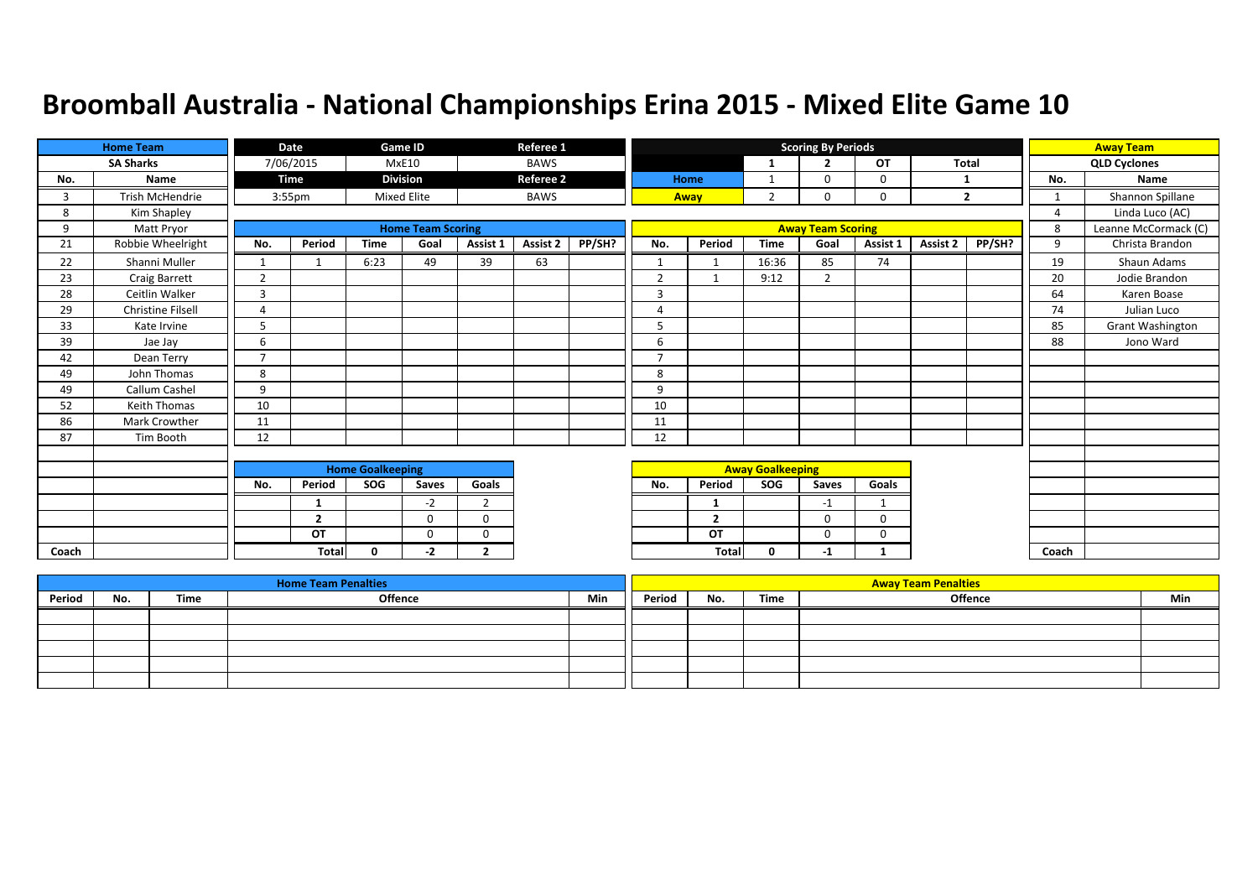|       | <b>Home Team</b>         |                | Date               |                         | Game ID                  |                | Referee 1        |        |                          |                |                         | <b>Scoring By Periods</b> |          |                 |                |                | <b>Away Team</b>     |
|-------|--------------------------|----------------|--------------------|-------------------------|--------------------------|----------------|------------------|--------|--------------------------|----------------|-------------------------|---------------------------|----------|-----------------|----------------|----------------|----------------------|
|       | <b>SA Sharks</b>         |                | 7/06/2015          |                         | <b>MxE10</b>             |                | <b>BAWS</b>      |        |                          |                | $\mathbf{1}$            | $\overline{2}$            | OT       | Total           |                |                | <b>QLD Cyclones</b>  |
| No.   | Name                     |                | Time               |                         | <b>Division</b>          |                | <b>Referee 2</b> |        |                          | Home           | 1                       | $\Omega$                  | 0        | -1              |                | No.            | Name                 |
| 3     | <b>Trish McHendrie</b>   |                | 3:55 <sub>pm</sub> |                         | <b>Mixed Elite</b>       |                | <b>BAWS</b>      |        |                          | Away           | $\overline{2}$          | 0                         | 0        |                 | $\overline{2}$ | 1              | Shannon Spillane     |
| 8     | Kim Shapley              |                |                    |                         |                          |                |                  |        |                          |                |                         |                           |          |                 |                | $\overline{A}$ | Linda Luco (AC)      |
| 9     | Matt Pryor               |                |                    |                         | <b>Home Team Scoring</b> |                |                  |        |                          |                |                         | <b>Away Team Scoring</b>  |          |                 |                | 8              | Leanne McCormack (C) |
| 21    | Robbie Wheelright        | No.            | Period             | <b>Time</b>             | Goal                     | Assist 1       | <b>Assist 2</b>  | PP/SH? | No.                      | Period         | <b>Time</b>             | Goal                      | Assist 1 | <b>Assist 2</b> | PP/SH?         | 9              | Christa Brandon      |
| 22    | Shanni Muller            | 1              |                    | 6:23                    | 49                       | 39             | 63               |        | $\mathbf{1}$             | -1             | 16:36                   | 85                        | 74       |                 |                | 19             | Shaun Adams          |
| 23    | Craig Barrett            | $\overline{2}$ |                    |                         |                          |                |                  |        | $\overline{2}$           | $\mathbf 1$    | 9:12                    | 2                         |          |                 |                | 20             | Jodie Brandon        |
| 28    | Ceitlin Walker           | 3              |                    |                         |                          |                |                  |        | 3                        |                |                         |                           |          |                 |                | 64             | Karen Boase          |
| 29    | <b>Christine Filsell</b> | $\Delta$       |                    |                         |                          |                |                  |        | 4                        |                |                         |                           |          |                 |                | 74             | Julian Luco          |
| 33    | Kate Irvine              | .5             |                    |                         |                          |                |                  |        | 5                        |                |                         |                           |          |                 |                | 85             | Grant Washington     |
| 39    | Jae Jay                  | 6              |                    |                         |                          |                |                  |        | 6                        |                |                         |                           |          |                 |                | 88             | Jono Ward            |
| 42    | Dean Terry               | $\overline{7}$ |                    |                         |                          |                |                  |        | $\overline{\phantom{a}}$ |                |                         |                           |          |                 |                |                |                      |
| 49    | John Thomas              | 8              |                    |                         |                          |                |                  |        | 8                        |                |                         |                           |          |                 |                |                |                      |
| 49    | Callum Cashel            | 9              |                    |                         |                          |                |                  |        | 9                        |                |                         |                           |          |                 |                |                |                      |
| 52    | Keith Thomas             | 10             |                    |                         |                          |                |                  |        | 10                       |                |                         |                           |          |                 |                |                |                      |
| 86    | Mark Crowther            | 11             |                    |                         |                          |                |                  |        | 11                       |                |                         |                           |          |                 |                |                |                      |
| 87    | Tim Booth                | 12             |                    |                         |                          |                |                  |        | 12                       |                |                         |                           |          |                 |                |                |                      |
|       |                          |                |                    |                         |                          |                |                  |        |                          |                |                         |                           |          |                 |                |                |                      |
|       |                          |                |                    | <b>Home Goalkeeping</b> |                          |                |                  |        |                          |                | <b>Away Goalkeeping</b> |                           |          |                 |                |                |                      |
|       |                          | No.            | Period             | SOG                     | Saves                    | Goals          |                  |        | No.                      | Period         | <b>SOG</b>              | Saves                     | Goals    |                 |                |                |                      |
|       |                          |                | 1                  |                         | $-2$                     | $\overline{2}$ |                  |        |                          | 1              |                         | $-1$                      | 1        |                 |                |                |                      |
|       |                          |                | $\overline{2}$     |                         | $\Omega$                 | $\Omega$       |                  |        |                          | $\overline{2}$ |                         | 0                         | 0        |                 |                |                |                      |
|       |                          |                | OT                 |                         | $\Omega$                 | $\Omega$       |                  |        |                          | OT             |                         | $\Omega$                  | 0        |                 |                |                |                      |
| Coach |                          |                | Total              | $\Omega$                | -2                       | $\overline{2}$ |                  |        |                          | Total          | $\mathbf{0}$            | $-1$                      | 1        |                 |                | Coach          |                      |

|        |     |      | <b>Home Team Penalties</b> |     |        |     |      | <b>Away Team Penalties</b> |     |
|--------|-----|------|----------------------------|-----|--------|-----|------|----------------------------|-----|
| Period | No. | Time | <b>Offence</b>             | Min | Period | No. | Time | <b>Offence</b>             | Min |
|        |     |      |                            |     |        |     |      |                            |     |
|        |     |      |                            |     |        |     |      |                            |     |
|        |     |      |                            |     |        |     |      |                            |     |
|        |     |      |                            |     |        |     |      |                            |     |
|        |     |      |                            |     |        |     |      |                            |     |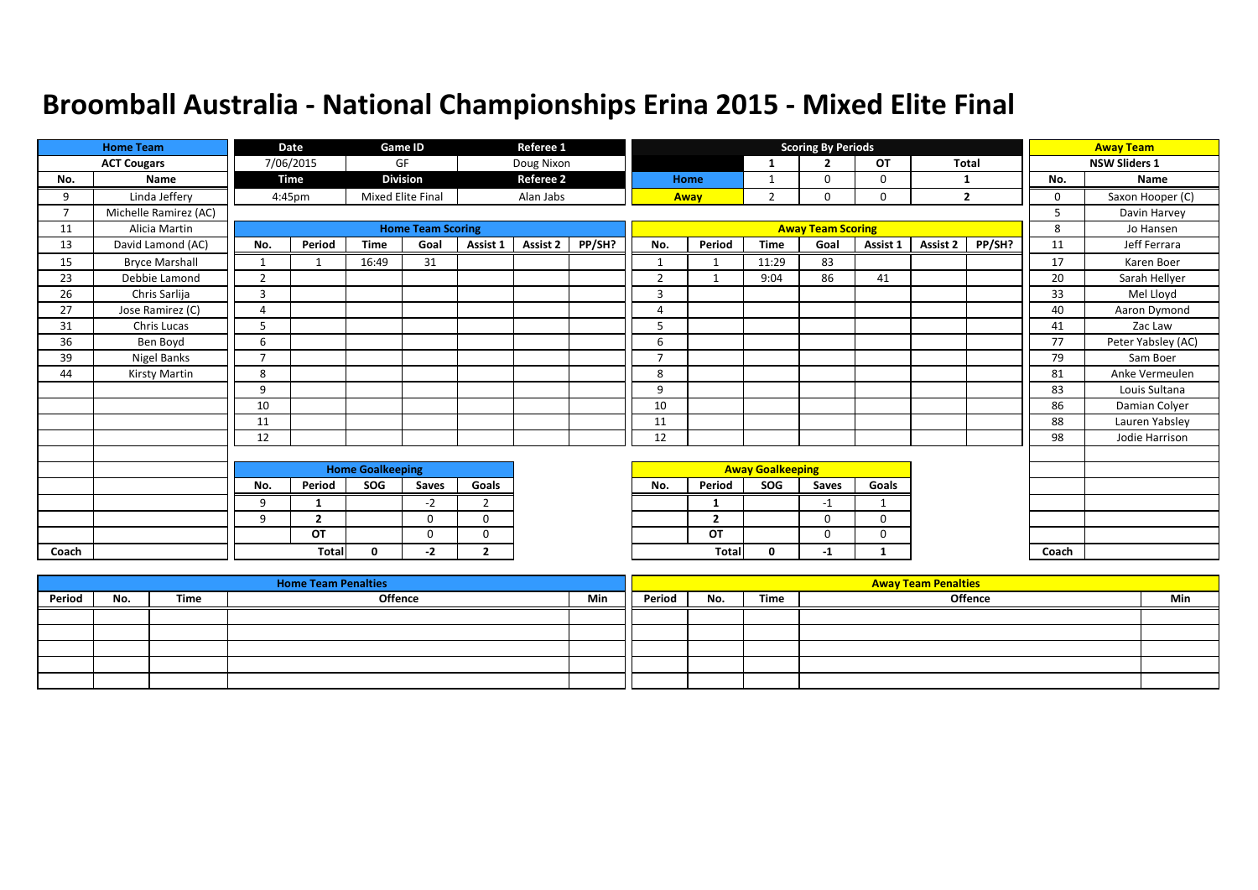|                          | <b>Home Team</b>      |                          | Date           |                         | Game ID                  |                | Referee 1        |        |                          |                |                         | <b>Scoring By Periods</b> |          |          |                |             | <b>Away Team</b>     |
|--------------------------|-----------------------|--------------------------|----------------|-------------------------|--------------------------|----------------|------------------|--------|--------------------------|----------------|-------------------------|---------------------------|----------|----------|----------------|-------------|----------------------|
|                          | <b>ACT Cougars</b>    |                          | 7/06/2015      |                         | GF                       |                | Doug Nixon       |        |                          |                | -1                      | $\overline{2}$            | OT       | Total    |                |             | <b>NSW Sliders 1</b> |
| No.                      | Name                  |                          | Time           |                         | <b>Division</b>          |                | <b>Referee 2</b> |        |                          | Home           | $\mathbf{1}$            | $\Omega$                  | 0        | 1        |                | No.         | Name                 |
| 9                        | Linda Jeffery         |                          | 4:45pm         |                         | Mixed Elite Final        |                | Alan Jabs        |        |                          | Away           | $\overline{2}$          | 0                         | 0        |          | $\overline{2}$ | $\mathbf 0$ | Saxon Hooper (C)     |
| $\overline{\phantom{a}}$ | Michelle Ramirez (AC) |                          |                |                         |                          |                |                  |        |                          |                |                         |                           |          |          |                | 5           | Davin Harvey         |
| 11                       | Alicia Martin         |                          |                |                         | <b>Home Team Scoring</b> |                |                  |        |                          |                |                         | <b>Away Team Scoring</b>  |          |          |                | 8           | Jo Hansen            |
| 13                       | David Lamond (AC)     | No.                      | Period         | <b>Time</b>             | Goal                     | Assist 1       | <b>Assist 2</b>  | PP/SH? | No.                      | Period         | <b>Time</b>             | Goal                      | Assist 1 | Assist 2 | PP/SH?         | 11          | Jeff Ferrara         |
| 15                       | <b>Bryce Marshall</b> | $\mathbf{1}$             |                | 16:49                   | 31                       |                |                  |        | $\mathbf{1}$             | $\mathbf 1$    | 11:29                   | 83                        |          |          |                | 17          | Karen Boer           |
| 23                       | Debbie Lamond         | $\overline{2}$           |                |                         |                          |                |                  |        | $\overline{2}$           |                | 9:04                    | 86                        | 41       |          |                | 20          | Sarah Hellyer        |
| 26                       | Chris Sarlija         | $\mathbf{a}$             |                |                         |                          |                |                  |        | $\overline{3}$           |                |                         |                           |          |          |                | 33          | Mel Lloyd            |
| 27                       | Jose Ramirez (C)      | $\overline{4}$           |                |                         |                          |                |                  |        | 4                        |                |                         |                           |          |          |                | 40          | Aaron Dymond         |
| 31                       | Chris Lucas           | 5                        |                |                         |                          |                |                  |        | 5                        |                |                         |                           |          |          |                | 41          | Zac Law              |
| 36                       | Ben Boyd              | 6                        |                |                         |                          |                |                  |        | 6                        |                |                         |                           |          |          |                | 77          | Peter Yabsley (AC)   |
| 39                       | Nigel Banks           | $\overline{\phantom{a}}$ |                |                         |                          |                |                  |        | $\overline{\phantom{a}}$ |                |                         |                           |          |          |                | 79          | Sam Boer             |
| 44                       | Kirsty Martin         | 8                        |                |                         |                          |                |                  |        | 8                        |                |                         |                           |          |          |                | 81          | Anke Vermeulen       |
|                          |                       | 9                        |                |                         |                          |                |                  |        | 9                        |                |                         |                           |          |          |                | 83          | Louis Sultana        |
|                          |                       | 10                       |                |                         |                          |                |                  |        | 10                       |                |                         |                           |          |          |                | 86          | Damian Colyer        |
|                          |                       | 11                       |                |                         |                          |                |                  |        | 11                       |                |                         |                           |          |          |                | 88          | Lauren Yabsley       |
|                          |                       | 12                       |                |                         |                          |                |                  |        | 12                       |                |                         |                           |          |          |                | 98          | Jodie Harrison       |
|                          |                       |                          |                |                         |                          |                |                  |        |                          |                |                         |                           |          |          |                |             |                      |
|                          |                       |                          |                | <b>Home Goalkeeping</b> |                          |                |                  |        |                          |                | <b>Away Goalkeeping</b> |                           |          |          |                |             |                      |
|                          |                       | No.                      | Period         | SOG                     | Saves                    | Goals          |                  |        | No.                      | Period         | <b>SOG</b>              | Saves                     | Goals    |          |                |             |                      |
|                          |                       | 9                        |                |                         | $-2$                     | 2              |                  |        |                          | 1              |                         | $-1$                      |          |          |                |             |                      |
|                          |                       | 9                        | $\overline{2}$ |                         | $\Omega$                 | $\Omega$       |                  |        |                          | $\overline{2}$ |                         | 0                         | $\Omega$ |          |                |             |                      |
|                          |                       |                          | OT             |                         | $\Omega$                 | $\mathbf 0$    |                  |        |                          | OT             |                         | $\Omega$                  | 0        |          |                |             |                      |
| Coach                    |                       |                          | <b>Total</b>   | $\Omega$                | -2                       | $\overline{2}$ |                  |        |                          | Tota           | 0                       | $-1$                      | 1        |          |                | Coach       |                      |

|        |     |      | <b>Home Team Penalties</b> |     |        |     |      | <b>Away Team Penalties</b> |     |
|--------|-----|------|----------------------------|-----|--------|-----|------|----------------------------|-----|
| Period | No. | Time | Offence                    | Min | Period | No. | Time | Offence                    | Min |
|        |     |      |                            |     |        |     |      |                            |     |
|        |     |      |                            |     |        |     |      |                            |     |
|        |     |      |                            |     |        |     |      |                            |     |
|        |     |      |                            |     |        |     |      |                            |     |
|        |     |      |                            |     |        |     |      |                            |     |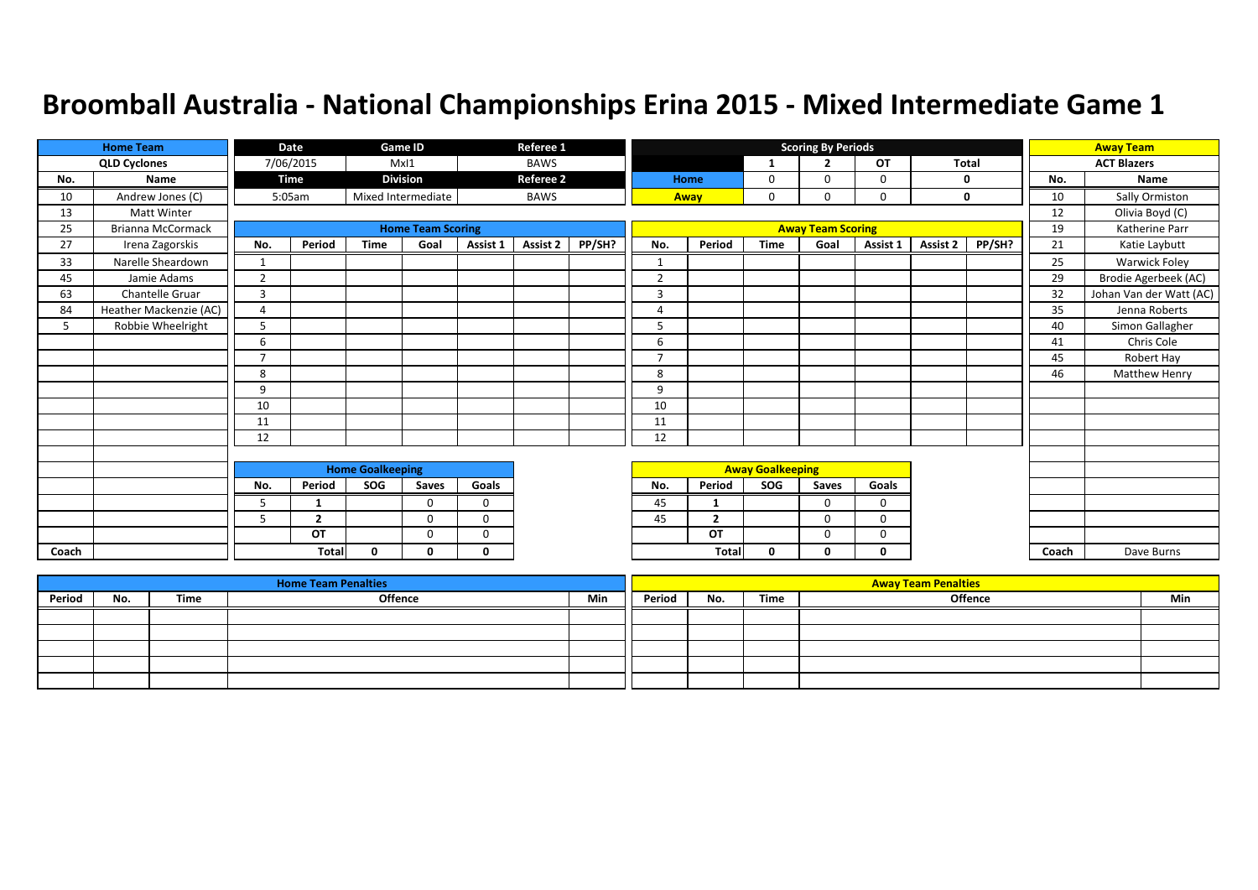|       | <b>Home Team</b>         |                | Date           |                         | Game ID                  |              | Referee 1        |        |                |                          |                         | <b>Scoring By Periods</b> |          |          |        |       | <b>Away Team</b>        |
|-------|--------------------------|----------------|----------------|-------------------------|--------------------------|--------------|------------------|--------|----------------|--------------------------|-------------------------|---------------------------|----------|----------|--------|-------|-------------------------|
|       | <b>QLD Cyclones</b>      |                | 7/06/2015      |                         | MxI1                     |              | <b>BAWS</b>      |        |                |                          | $\mathbf{1}$            | ຳ                         | OT       | Total    |        |       | <b>ACT Blazers</b>      |
| No.   | Name                     |                | <b>Time</b>    |                         | <b>Division</b>          |              | <b>Referee 2</b> |        |                | Home                     | 0                       | $\Omega$                  | 0        |          | 0      | No.   | Name                    |
| 10    | Andrew Jones (C)         |                | 5:05am         |                         | Mixed Intermediate       |              | <b>BAWS</b>      |        |                | Away                     | 0                       | $\Omega$                  | 0        |          | 0      | 10    | Sally Ormiston          |
| 13    | <b>Matt Winter</b>       |                |                |                         |                          |              |                  |        |                |                          |                         |                           |          |          |        | 12    | Olivia Boyd (C)         |
| 25    | <b>Brianna McCormack</b> |                |                |                         | <b>Home Team Scoring</b> |              |                  |        |                |                          |                         | <b>Away Team Scoring</b>  |          |          |        | 19    | Katherine Parr          |
| 27    | Irena Zagorskis          | No.            | Period         | <b>Time</b>             | Goal                     | Assist 1     | <b>Assist 2</b>  | PP/SH? | No.            | Period                   | <b>Time</b>             | Goal                      | Assist 1 | Assist 2 | PP/SH? | 21    | Katie Laybutt           |
| 33    | Narelle Sheardown        | $\mathbf{1}$   |                |                         |                          |              |                  |        | 1              |                          |                         |                           |          |          |        | 25    | <b>Warwick Foley</b>    |
| 45    | Jamie Adams              | $\overline{2}$ |                |                         |                          |              |                  |        | $\overline{2}$ |                          |                         |                           |          |          |        | 29    | Brodie Agerbeek (AC)    |
| 63    | Chantelle Gruar          | 3              |                |                         |                          |              |                  |        | 3              |                          |                         |                           |          |          |        | 32    | Johan Van der Watt (AC) |
| 84    | Heather Mackenzie (AC)   | $\overline{4}$ |                |                         |                          |              |                  |        | 4              |                          |                         |                           |          |          |        | 35    | Jenna Roberts           |
| 5     | Robbie Wheelright        | 5              |                |                         |                          |              |                  |        | 5              |                          |                         |                           |          |          |        | 40    | Simon Gallagher         |
|       |                          | 6              |                |                         |                          |              |                  |        | 6              |                          |                         |                           |          |          |        | 41    | Chris Cole              |
|       |                          | $\overline{ }$ |                |                         |                          |              |                  |        | E              |                          |                         |                           |          |          |        | 45    | Robert Hay              |
|       |                          | 8              |                |                         |                          |              |                  |        | 8              |                          |                         |                           |          |          |        | 46    | <b>Matthew Henry</b>    |
|       |                          | 9              |                |                         |                          |              |                  |        | 9              |                          |                         |                           |          |          |        |       |                         |
|       |                          | 10             |                |                         |                          |              |                  |        | 10             |                          |                         |                           |          |          |        |       |                         |
|       |                          | 11             |                |                         |                          |              |                  |        | 11             |                          |                         |                           |          |          |        |       |                         |
|       |                          | 12             |                |                         |                          |              |                  |        | 12             |                          |                         |                           |          |          |        |       |                         |
|       |                          |                |                |                         |                          |              |                  |        |                |                          |                         |                           |          |          |        |       |                         |
|       |                          |                |                | <b>Home Goalkeeping</b> |                          |              |                  |        |                |                          | <b>Away Goalkeeping</b> |                           |          |          |        |       |                         |
|       |                          | No.            | Period         | SOG                     | Saves                    | Goals        |                  |        | No.            | Period                   | SOG                     | Saves                     | Goals    |          |        |       |                         |
|       |                          | 5              | 1              |                         | $\Omega$                 | $\Omega$     |                  |        | 45             | 1                        |                         | $\Omega$                  | $\Omega$ |          |        |       |                         |
|       |                          | 5              | $\overline{2}$ |                         | $\Omega$                 | 0            |                  |        | 45             | $\overline{\phantom{a}}$ |                         | 0                         | 0        |          |        |       |                         |
|       |                          |                | OT             |                         | $\mathbf 0$              | $\mathbf 0$  |                  |        |                | OT                       |                         | 0                         | 0        |          |        |       |                         |
| Coach |                          |                | <b>Total</b>   | 0                       | 0                        | $\mathbf{0}$ |                  |        |                | <b>Total</b>             | 0                       | 0                         | 0        |          |        | Coach | Dave Burns              |

|        |     |      | <b>Home Team Penalties</b> |     |        |     |      | <b>Away Team Penalties</b> |     |
|--------|-----|------|----------------------------|-----|--------|-----|------|----------------------------|-----|
| Period | No. | Time | Offence                    | Min | Period | No. | Time | Offence                    | Min |
|        |     |      |                            |     |        |     |      |                            |     |
|        |     |      |                            |     |        |     |      |                            |     |
|        |     |      |                            |     |        |     |      |                            |     |
|        |     |      |                            |     |        |     |      |                            |     |
|        |     |      |                            |     |        |     |      |                            |     |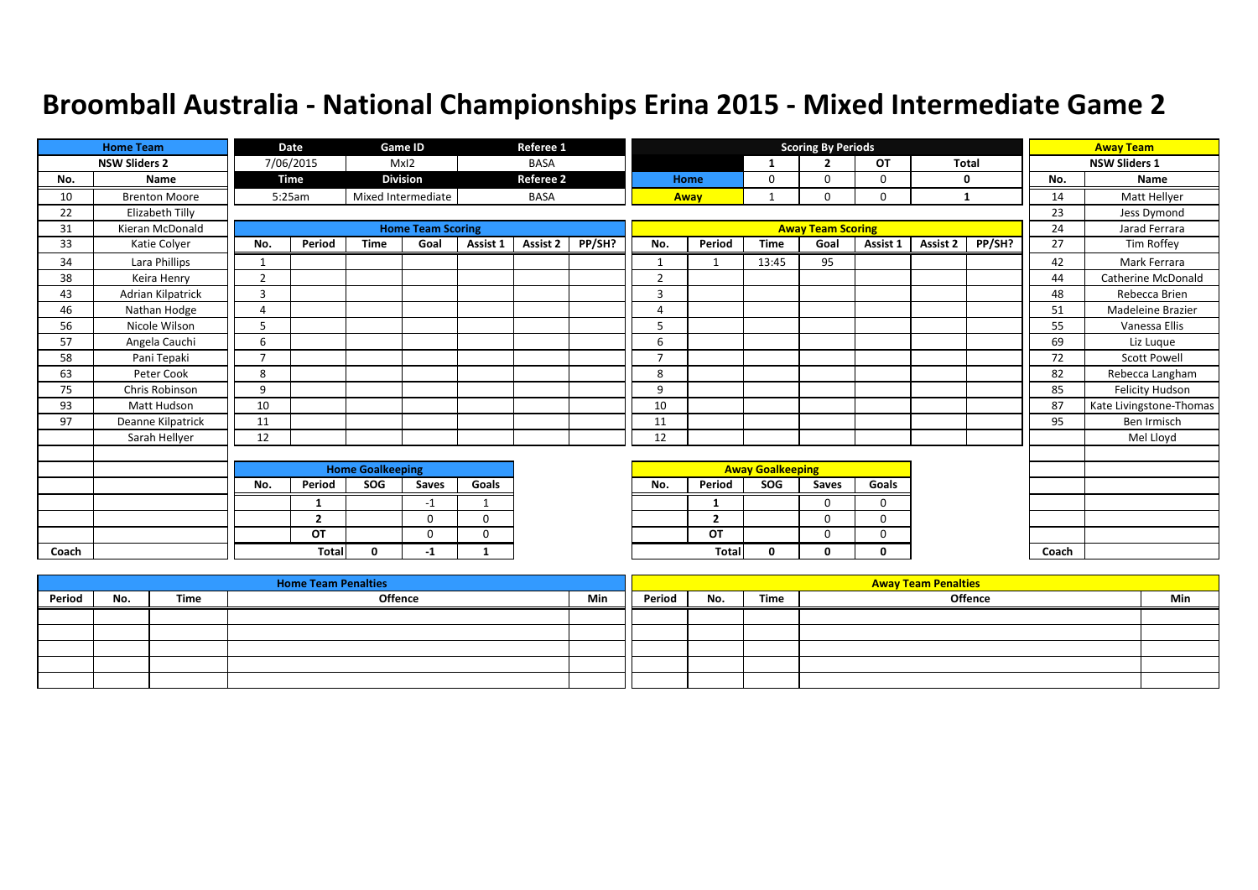|       | <b>Home Team</b>     |                          | Date           |                         | Game ID                  |                | Referee 1        |        |                |                         |                         | <b>Scoring By Periods</b> |             |              |        |       | <b>Away Team</b>        |
|-------|----------------------|--------------------------|----------------|-------------------------|--------------------------|----------------|------------------|--------|----------------|-------------------------|-------------------------|---------------------------|-------------|--------------|--------|-------|-------------------------|
|       | <b>NSW Sliders 2</b> |                          | 7/06/2015      |                         | MxI2                     |                | <b>BASA</b>      |        |                |                         |                         | ∍                         | OT          | <b>Total</b> |        |       | <b>NSW Sliders 1</b>    |
| No.   | Name                 |                          | Time           |                         | <b>Division</b>          |                | <b>Referee 2</b> |        |                | Home                    | 0                       | $\Omega$                  | 0           |              | 0      | No.   | Name                    |
| 10    | <b>Brenton Moore</b> |                          | 5:25am         |                         | Mixed Intermediate       |                | <b>BASA</b>      |        |                | Away                    |                         | $\Omega$                  | $\mathbf 0$ |              | 1      | 14    | Matt Hellyer            |
| 22    | Elizabeth Tilly      |                          |                |                         |                          |                |                  |        |                |                         |                         |                           |             |              |        | 23    | Jess Dymond             |
| 31    | Kieran McDonald      |                          |                |                         | <b>Home Team Scoring</b> |                |                  |        |                |                         |                         | <b>Away Team Scoring</b>  |             |              |        | 24    | Jarad Ferrara           |
| 33    | Katie Colyer         | No.                      | Period         | <b>Time</b>             | Goal                     | Assist 1       | Assist 2         | PP/SH? | No.            | Period                  | <b>Time</b>             | Goal                      | Assist 1    | Assist 2     | PP/SH? | 27    | Tim Roffey              |
| 34    | Lara Phillips        | 1                        |                |                         |                          |                |                  |        | $\mathbf{1}$   |                         | 13:45                   | 95                        |             |              |        | 42    | Mark Ferrara            |
| 38    | Keira Henry          | $\overline{2}$           |                |                         |                          |                |                  |        | $\overline{2}$ |                         |                         |                           |             |              |        | 44    | Catherine McDonald      |
| 43    | Adrian Kilpatrick    | $\overline{3}$           |                |                         |                          |                |                  |        | 3              |                         |                         |                           |             |              |        | 48    | Rebecca Brien           |
| 46    | Nathan Hodge         | $\overline{4}$           |                |                         |                          |                |                  |        | 4              |                         |                         |                           |             |              |        | 51    | Madeleine Brazier       |
| 56    | Nicole Wilson        | 5                        |                |                         |                          |                |                  |        | 5              |                         |                         |                           |             |              |        | 55    | Vanessa Ellis           |
| 57    | Angela Cauchi        | 6                        |                |                         |                          |                |                  |        | 6              |                         |                         |                           |             |              |        | 69    | Liz Luque               |
| 58    | Pani Tepaki          | $\overline{\phantom{a}}$ |                |                         |                          |                |                  |        | $\overline{7}$ |                         |                         |                           |             |              |        | 72    | <b>Scott Powell</b>     |
| 63    | Peter Cook           | 8                        |                |                         |                          |                |                  |        | 8              |                         |                         |                           |             |              |        | 82    | Rebecca Langham         |
| 75    | Chris Robinson       | 9                        |                |                         |                          |                |                  |        | 9              |                         |                         |                           |             |              |        | 85    | Felicity Hudson         |
| 93    | Matt Hudson          | 10                       |                |                         |                          |                |                  |        | 10             |                         |                         |                           |             |              |        | 87    | Kate Livingstone-Thomas |
| 97    | Deanne Kilpatrick    | 11                       |                |                         |                          |                |                  |        | 11             |                         |                         |                           |             |              |        | 95    | Ben Irmisch             |
|       | Sarah Hellyer        | 12                       |                |                         |                          |                |                  |        | 12             |                         |                         |                           |             |              |        |       | Mel Lloyd               |
|       |                      |                          |                |                         |                          |                |                  |        |                |                         |                         |                           |             |              |        |       |                         |
|       |                      |                          |                | <b>Home Goalkeeping</b> |                          |                |                  |        |                |                         | <b>Away Goalkeeping</b> |                           |             |              |        |       |                         |
|       |                      | No.                      | Period         | SOG                     | Saves                    | Goals          |                  |        | No.            | Period                  | <b>SOG</b>              | Saves                     | Goals       |              |        |       |                         |
|       |                      |                          | 1              |                         | -1                       | $\overline{1}$ |                  |        |                | -1                      |                         | $\Omega$                  | $\Omega$    |              |        |       |                         |
|       |                      |                          | $\overline{2}$ |                         | $\Omega$                 | $\mathbf 0$    |                  |        |                | $\overline{\mathbf{z}}$ |                         | $\Omega$                  | $\Omega$    |              |        |       |                         |
|       |                      |                          | OT             |                         | $\Omega$                 | $\Omega$       |                  |        |                | OT                      |                         | $\Omega$                  | $\Omega$    |              |        |       |                         |
| Coach |                      |                          | <b>Total</b>   | $\Omega$                | -1                       | 1              |                  |        |                | <b>Total</b>            | 0                       | 0                         | $\mathbf 0$ |              |        | Coach |                         |

|        |     |      | <b>Home Team Penalties</b> |     |        |     |      | <b>Away Team Penalties</b> |     |
|--------|-----|------|----------------------------|-----|--------|-----|------|----------------------------|-----|
| Period | No. | Time | Offence                    | Min | Period | No. | Time | Offence                    | Min |
|        |     |      |                            |     |        |     |      |                            |     |
|        |     |      |                            |     |        |     |      |                            |     |
|        |     |      |                            |     |        |     |      |                            |     |
|        |     |      |                            |     |        |     |      |                            |     |
|        |     |      |                            |     |        |     |      |                            |     |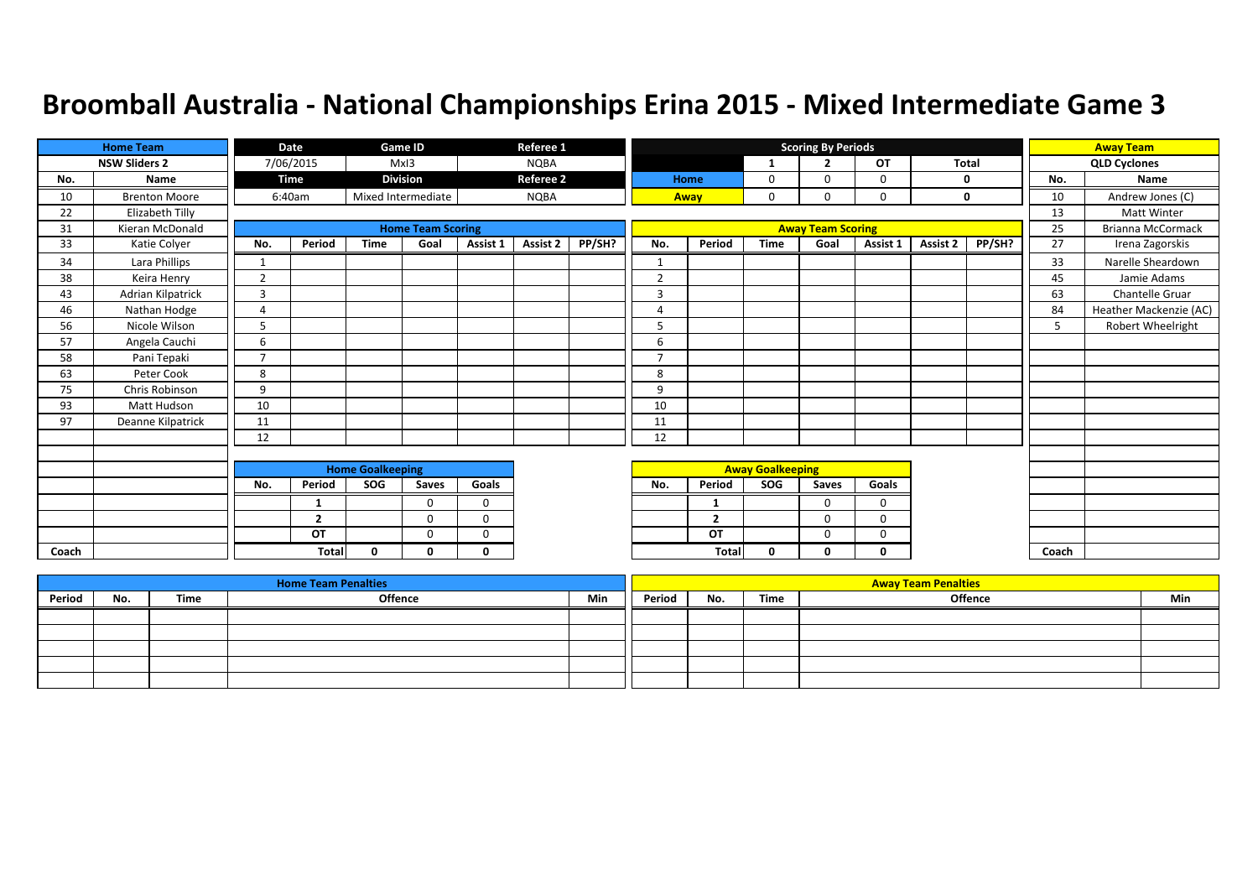|       | <b>Home Team</b>     |                | Date           |                         | Game ID                  |             | Referee 1        |        |                |                |                         | <b>Scoring By Periods</b> |             |              |        |       | <b>Away Team</b>         |
|-------|----------------------|----------------|----------------|-------------------------|--------------------------|-------------|------------------|--------|----------------|----------------|-------------------------|---------------------------|-------------|--------------|--------|-------|--------------------------|
|       | <b>NSW Sliders 2</b> |                | 7/06/2015      |                         | MxI3                     |             | <b>NQBA</b>      |        |                |                | 1                       | $\overline{2}$            | <b>OT</b>   | <b>Total</b> |        |       | <b>QLD Cyclones</b>      |
| No.   | Name                 |                | Time           |                         | <b>Division</b>          |             | <b>Referee 2</b> |        |                | Home           | 0                       | $\Omega$                  | 0           | 0            |        | No.   | Name                     |
| 10    | <b>Brenton Moore</b> |                | 6:40am         |                         | Mixed Intermediate       |             | <b>NQBA</b>      |        |                | Away           | 0                       | $\Omega$                  | 0           | $\mathbf 0$  |        | 10    | Andrew Jones (C)         |
| 22    | Elizabeth Tilly      |                |                |                         |                          |             |                  |        |                |                |                         |                           |             |              |        | 13    | <b>Matt Winter</b>       |
| 31    | Kieran McDonald      |                |                |                         | <b>Home Team Scoring</b> |             |                  |        |                |                |                         | <b>Away Team Scoring</b>  |             |              |        | 25    | <b>Brianna McCormack</b> |
| 33    | Katie Colyer         | No.            | Period         | <b>Time</b>             | Goal                     | Assist 1    | Assist 2         | PP/SH? | No.            | Period         | <b>Time</b>             | Goal                      | Assist 1    | Assist 2     | PP/SH? | 27    | Irena Zagorskis          |
| 34    | Lara Phillips        | 1              |                |                         |                          |             |                  |        | $\mathbf{1}$   |                |                         |                           |             |              |        | 33    | Narelle Sheardown        |
| 38    | Keira Henry          | $\overline{2}$ |                |                         |                          |             |                  |        | $\overline{2}$ |                |                         |                           |             |              |        | 45    | Jamie Adams              |
| 43    | Adrian Kilpatrick    | $\overline{3}$ |                |                         |                          |             |                  |        | 3              |                |                         |                           |             |              |        | 63    | Chantelle Gruar          |
| 46    | Nathan Hodge         | $\overline{4}$ |                |                         |                          |             |                  |        | $\overline{a}$ |                |                         |                           |             |              |        | 84    | Heather Mackenzie (AC)   |
| 56    | Nicole Wilson        | 5              |                |                         |                          |             |                  |        | 5              |                |                         |                           |             |              |        | 5     | Robert Wheelright        |
| 57    | Angela Cauchi        | 6              |                |                         |                          |             |                  |        | 6              |                |                         |                           |             |              |        |       |                          |
| 58    | Pani Tepaki          | $\overline{ }$ |                |                         |                          |             |                  |        | $\overline{7}$ |                |                         |                           |             |              |        |       |                          |
| 63    | Peter Cook           | 8              |                |                         |                          |             |                  |        | 8              |                |                         |                           |             |              |        |       |                          |
| 75    | Chris Robinson       | 9              |                |                         |                          |             |                  |        | 9              |                |                         |                           |             |              |        |       |                          |
| 93    | Matt Hudson          | 10             |                |                         |                          |             |                  |        | 10             |                |                         |                           |             |              |        |       |                          |
| 97    | Deanne Kilpatrick    | 11             |                |                         |                          |             |                  |        | 11             |                |                         |                           |             |              |        |       |                          |
|       |                      | 12             |                |                         |                          |             |                  |        | 12             |                |                         |                           |             |              |        |       |                          |
|       |                      |                |                |                         |                          |             |                  |        |                |                |                         |                           |             |              |        |       |                          |
|       |                      |                |                | <b>Home Goalkeeping</b> |                          |             |                  |        |                |                | <b>Away Goalkeeping</b> |                           |             |              |        |       |                          |
|       |                      | No.            | Period         | SOG                     | Saves                    | Goals       |                  |        | No.            | Period         | SOG                     | Saves                     | Goals       |              |        |       |                          |
|       |                      |                | 1              |                         | $\Omega$                 | $\mathbf 0$ |                  |        |                | -1             |                         | $\Omega$                  | $\mathbf 0$ |              |        |       |                          |
|       |                      |                | $\overline{2}$ |                         | $\Omega$                 | $\mathbf 0$ |                  |        |                | $\overline{2}$ |                         | $\Omega$                  | $\mathbf 0$ |              |        |       |                          |
|       |                      |                | OT             |                         | $\Omega$                 | $\Omega$    |                  |        |                | OT             |                         | $\Omega$                  | 0           |              |        |       |                          |
| Coach |                      |                | <b>Total</b>   | $\Omega$                | n                        | $\Omega$    |                  |        |                | <b>Total</b>   | 0                       | Ω                         | 0           |              |        | Coach |                          |

|        |     |      | <b>Home Team Penalties</b> |     |        |     |      | <b>Away Team Penalties</b> |     |
|--------|-----|------|----------------------------|-----|--------|-----|------|----------------------------|-----|
| Period | No. | Time | <b>Offence</b>             | Min | Period | No. | Time | <b>Offence</b>             | Min |
|        |     |      |                            |     |        |     |      |                            |     |
|        |     |      |                            |     |        |     |      |                            |     |
|        |     |      |                            |     |        |     |      |                            |     |
|        |     |      |                            |     |        |     |      |                            |     |
|        |     |      |                            |     |        |     |      |                            |     |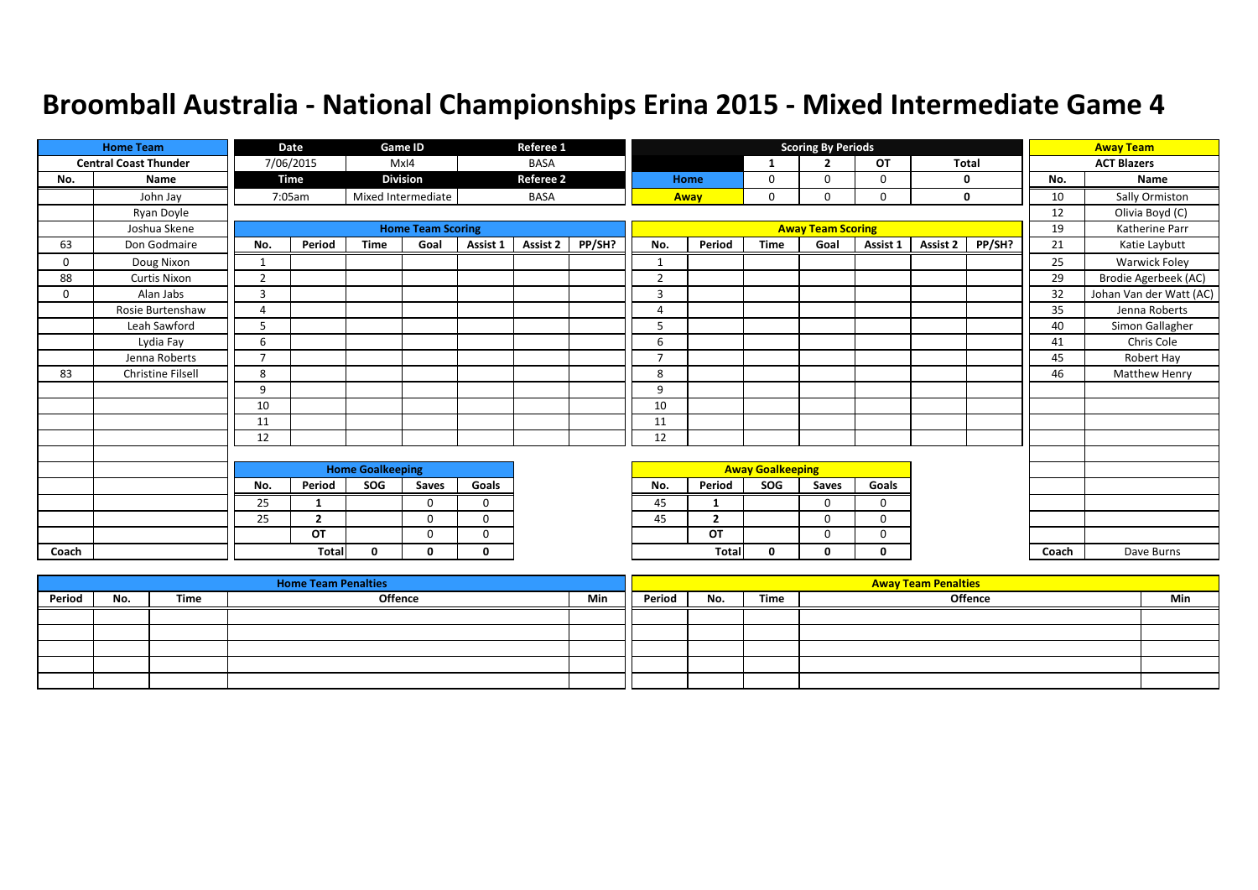|          | <b>Home Team</b>             |                         | Date           |              | Game ID                  |              | Referee 1        |        |                         |                |             | <b>Scoring By Periods</b> |             |              |        |       | <b>Away Team</b>        |
|----------|------------------------------|-------------------------|----------------|--------------|--------------------------|--------------|------------------|--------|-------------------------|----------------|-------------|---------------------------|-------------|--------------|--------|-------|-------------------------|
|          | <b>Central Coast Thunder</b> |                         | 7/06/2015      |              | MxI4                     |              | <b>BASA</b>      |        |                         |                | 1           | $\overline{2}$            | OT          | <b>Total</b> |        |       | <b>ACT Blazers</b>      |
| No.      | Name                         |                         | <b>Time</b>    |              | <b>Division</b>          |              | <b>Referee 2</b> |        |                         | Home           | 0           | $\Omega$                  | 0           |              | 0      | No.   | Name                    |
|          | John Jay                     |                         | 7:05am         |              | Mixed Intermediate       |              | <b>BASA</b>      |        |                         | Away           | 0           |                           | $\Omega$    |              | 0      | 10    | Sally Ormiston          |
|          | Ryan Doyle                   |                         |                |              |                          |              |                  |        |                         |                |             |                           |             |              |        | 12    | Olivia Boyd (C)         |
|          | Joshua Skene                 |                         |                |              | <b>Home Team Scoring</b> |              |                  |        |                         |                |             | <b>Away Team Scoring</b>  |             |              |        | 19    | Katherine Parr          |
| 63       | Don Godmaire                 | No.                     | Period         | <b>Time</b>  | Goal                     | Assist 1     | <b>Assist 2</b>  | PP/SH? | No.                     | Period         | <b>Time</b> | Goal                      | Assist 1    | Assist 2     | PP/SH? | 21    | Katie Laybutt           |
| $\Omega$ | Doug Nixon                   | 1                       |                |              |                          |              |                  |        |                         |                |             |                           |             |              |        | 25    | Warwick Foley           |
| 88       | <b>Curtis Nixon</b>          | $\overline{2}$          |                |              |                          |              |                  |        | $\overline{2}$          |                |             |                           |             |              |        | 29    | Brodie Agerbeek (AC)    |
| $\Omega$ | Alan Jabs                    | 3                       |                |              |                          |              |                  |        | $\overline{3}$          |                |             |                           |             |              |        | 32    | Johan Van der Watt (AC) |
|          | Rosie Burtenshaw             | $\overline{a}$          |                |              |                          |              |                  |        | $\overline{4}$          |                |             |                           |             |              |        | 35    | Jenna Roberts           |
|          | Leah Sawford                 | 5                       |                |              |                          |              |                  |        | 5                       |                |             |                           |             |              |        | 40    | Simon Gallagher         |
|          | Lydia Fay                    | 6                       |                |              |                          |              |                  |        | 6                       |                |             |                           |             |              |        | 41    | Chris Cole              |
|          | Jenna Roberts                | $\overline{7}$          |                |              |                          |              |                  |        | ⇁                       |                |             |                           |             |              |        | 45    | Robert Hay              |
| 83       | Christine Filsell            | 8                       |                |              |                          |              |                  |        | 8                       |                |             |                           |             |              |        | 46    | <b>Matthew Henry</b>    |
|          |                              | 9                       |                |              |                          |              |                  |        | 9                       |                |             |                           |             |              |        |       |                         |
|          |                              | 10                      |                |              |                          |              |                  |        | 10                      |                |             |                           |             |              |        |       |                         |
|          |                              | 11                      |                |              |                          |              |                  |        | 11                      |                |             |                           |             |              |        |       |                         |
|          |                              | 12                      |                |              |                          |              |                  |        | 12                      |                |             |                           |             |              |        |       |                         |
|          |                              |                         |                |              |                          |              |                  |        |                         |                |             |                           |             |              |        |       |                         |
|          |                              | <b>Home Goalkeeping</b> |                |              |                          |              |                  |        | <b>Away Goalkeeping</b> |                |             |                           |             |              |        |       |                         |
|          |                              | No.                     | Period         | <b>SOG</b>   | Saves                    | Goals        |                  |        | No.                     | Period         | SOG         | Saves                     | Goals       |              |        |       |                         |
|          |                              | 25                      | 1              |              | $\Omega$                 | $\mathbf 0$  |                  |        | 45                      |                |             | $\Omega$                  | $\mathbf 0$ |              |        |       |                         |
|          |                              | 25                      | $\overline{2}$ |              | 0                        | $\mathbf 0$  |                  |        | 45                      | $\overline{2}$ |             | $\Omega$                  | 0           |              |        |       |                         |
|          |                              |                         | OT             |              | $\mathbf 0$              | $\mathbf 0$  |                  |        |                         | OT             |             | 0                         | $\mathbf 0$ |              |        |       |                         |
| Coach    |                              |                         | Total          | $\mathbf{0}$ | 0                        | $\mathbf{0}$ |                  |        |                         | <b>Total</b>   | 0           | 0                         | 0           |              |        | Coach | Dave Burns              |

|        |     |      | <b>Home Team Penalties</b> |     |        |     |      | <b>Away Team Penalties</b> |     |
|--------|-----|------|----------------------------|-----|--------|-----|------|----------------------------|-----|
| Period | No. | Time | <b>Offence</b>             | Min | Period | No. | Time | <b>Offence</b>             | Min |
|        |     |      |                            |     |        |     |      |                            |     |
|        |     |      |                            |     |        |     |      |                            |     |
|        |     |      |                            |     |        |     |      |                            |     |
|        |     |      |                            |     |        |     |      |                            |     |
|        |     |      |                            |     |        |     |      |                            |     |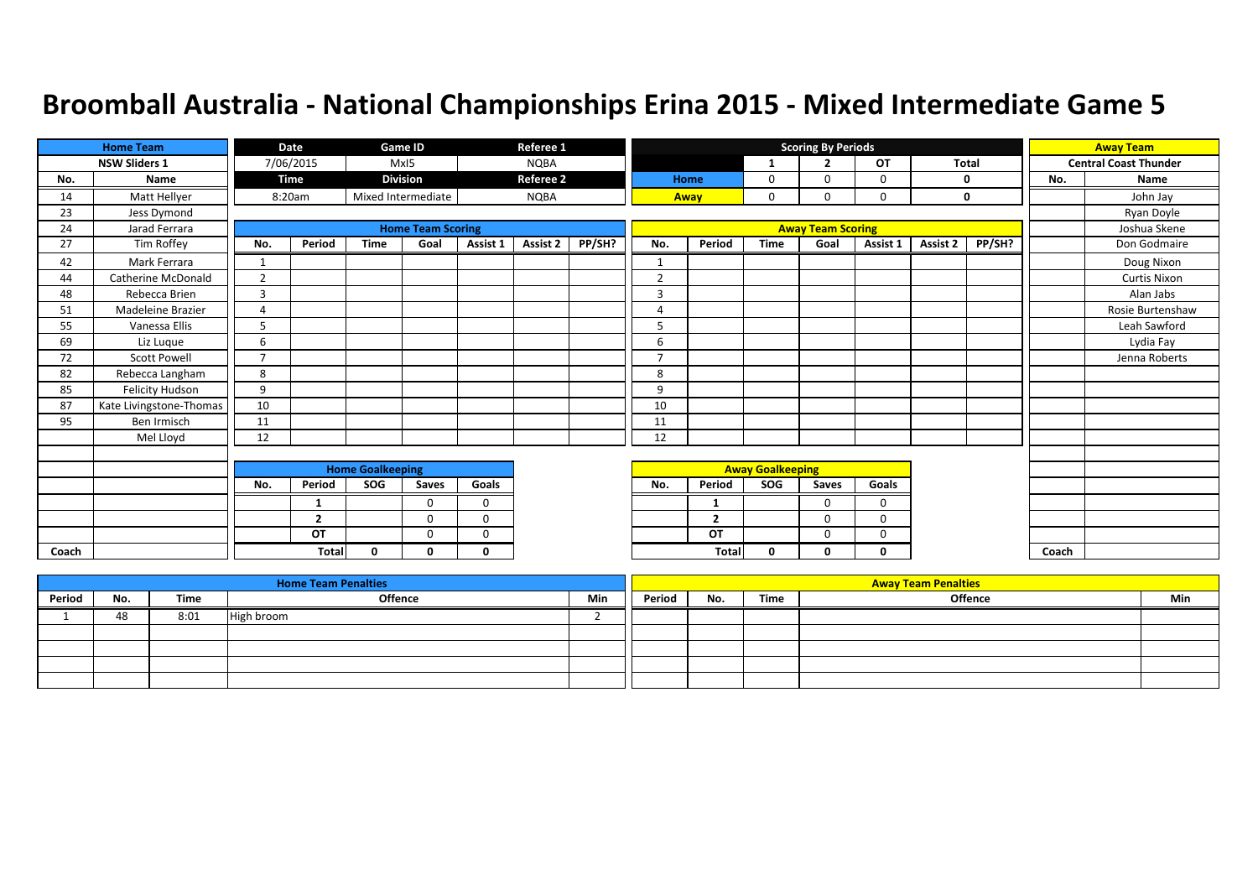|       | Referee 1<br><b>Home Team</b><br>Game ID<br>Date<br><b>NSW Sliders 1</b><br>7/06/2015<br>MxI5<br><b>NQBA</b><br><b>Division</b><br><b>Referee 2</b><br>Time<br>Name |                |                |                         |                          |              |             |        | <b>Scoring By Periods</b> |                |                         |                          |             | <b>Away Team</b> |        |       |                              |
|-------|---------------------------------------------------------------------------------------------------------------------------------------------------------------------|----------------|----------------|-------------------------|--------------------------|--------------|-------------|--------|---------------------------|----------------|-------------------------|--------------------------|-------------|------------------|--------|-------|------------------------------|
|       |                                                                                                                                                                     |                |                |                         |                          |              |             |        |                           |                | 1                       | $\overline{2}$           | OT          | <b>Total</b>     |        |       | <b>Central Coast Thunder</b> |
| No.   |                                                                                                                                                                     |                |                |                         |                          |              |             |        |                           | Home           | 0                       | $\Omega$                 | 0           | 0                |        | No.   | Name                         |
| 14    | Matt Hellyer                                                                                                                                                        |                | 8:20am         |                         | Mixed Intermediate       |              | <b>NQBA</b> |        |                           | Away           | 0                       | $\Omega$                 | 0           | $\mathbf 0$      |        |       | John Jay                     |
| 23    | Jess Dymond                                                                                                                                                         |                |                |                         |                          |              |             |        |                           |                |                         |                          |             |                  |        |       | Ryan Doyle                   |
| 24    | Jarad Ferrara                                                                                                                                                       |                |                |                         | <b>Home Team Scoring</b> |              |             |        |                           |                |                         | <b>Away Team Scoring</b> |             |                  |        |       | Joshua Skene                 |
| 27    | Tim Roffey                                                                                                                                                          | No.            | Period         | <b>Time</b>             | Goal                     | Assist 1     | Assist 2    | PP/SH? | No.                       | Period         | <b>Time</b>             | Goal                     | Assist 1    | Assist 2         | PP/SH? |       | Don Godmaire                 |
| 42    | Mark Ferrara                                                                                                                                                        | 1              |                |                         |                          |              |             |        | 1                         |                |                         |                          |             |                  |        |       | Doug Nixon                   |
| 44    | <b>Catherine McDonald</b>                                                                                                                                           | $\overline{2}$ |                |                         |                          |              |             |        | $\overline{2}$            |                |                         |                          |             |                  |        |       | <b>Curtis Nixon</b>          |
| 48    | Rebecca Brien                                                                                                                                                       | $\overline{3}$ |                |                         |                          |              |             |        | 3                         |                |                         |                          |             |                  |        |       | Alan Jabs                    |
| 51    | Madeleine Brazier                                                                                                                                                   | $\overline{A}$ |                |                         |                          |              |             |        | $\Delta$                  |                |                         |                          |             |                  |        |       | Rosie Burtenshaw             |
| 55    | Vanessa Ellis                                                                                                                                                       | 5              |                |                         |                          |              |             |        | 5                         |                |                         |                          |             |                  |        |       | Leah Sawford                 |
| 69    | Liz Luque                                                                                                                                                           | 6              |                |                         |                          |              |             |        | 6                         |                |                         |                          |             |                  |        |       | Lydia Fay                    |
| 72    | <b>Scott Powell</b>                                                                                                                                                 | $\overline{7}$ |                |                         |                          |              |             |        | $\overline{7}$            |                |                         |                          |             |                  |        |       | Jenna Roberts                |
| 82    | Rebecca Langham                                                                                                                                                     | 8              |                |                         |                          |              |             |        | 8                         |                |                         |                          |             |                  |        |       |                              |
| 85    | Felicity Hudson                                                                                                                                                     | 9              |                |                         |                          |              |             |        | 9                         |                |                         |                          |             |                  |        |       |                              |
| 87    | Kate Livingstone-Thomas                                                                                                                                             | 10             |                |                         |                          |              |             |        | 10                        |                |                         |                          |             |                  |        |       |                              |
| 95    | Ben Irmisch                                                                                                                                                         | 11             |                |                         |                          |              |             |        | 11                        |                |                         |                          |             |                  |        |       |                              |
|       | Mel Lloyd                                                                                                                                                           | 12             |                |                         |                          |              |             |        | 12                        |                |                         |                          |             |                  |        |       |                              |
|       |                                                                                                                                                                     |                |                |                         |                          |              |             |        |                           |                |                         |                          |             |                  |        |       |                              |
|       |                                                                                                                                                                     |                |                | <b>Home Goalkeeping</b> |                          |              |             |        |                           |                | <b>Away Goalkeeping</b> |                          |             |                  |        |       |                              |
|       |                                                                                                                                                                     | No.            | Period         | SOG                     | Saves                    | Goals        |             |        | No.                       | Period         | SOG                     | Saves                    | Goals       |                  |        |       |                              |
|       |                                                                                                                                                                     |                | 1              |                         | $\Omega$                 | $\mathbf 0$  |             |        |                           |                |                         | $\Omega$                 | $\mathbf 0$ |                  |        |       |                              |
|       |                                                                                                                                                                     |                | $\overline{2}$ |                         | $\Omega$                 | $\mathbf 0$  |             |        |                           | $\overline{2}$ |                         | $\mathbf 0$              | $\mathbf 0$ |                  |        |       |                              |
|       |                                                                                                                                                                     |                | OT             |                         | $\Omega$                 | $\mathbf 0$  |             |        |                           | OT             |                         | $\Omega$                 | 0           |                  |        |       |                              |
| Coach |                                                                                                                                                                     |                | <b>Total</b>   | $\Omega$                | n                        | $\mathbf{0}$ |             |        |                           | Total          | 0                       | O                        | $\Omega$    |                  |        | Coach |                              |

|        |     |      | <b>Home Team Penalties</b> |            |        |     |      | <b>Away Team Penalties</b> |     |
|--------|-----|------|----------------------------|------------|--------|-----|------|----------------------------|-----|
| Period | No. | Time | <b>Offence</b>             | <b>Min</b> | Period | No. | Time | Offence                    | Min |
|        | 48  | 8:01 | High broom                 |            |        |     |      |                            |     |
|        |     |      |                            |            |        |     |      |                            |     |
|        |     |      |                            |            |        |     |      |                            |     |
|        |     |      |                            |            |        |     |      |                            |     |
|        |     |      |                            |            |        |     |      |                            |     |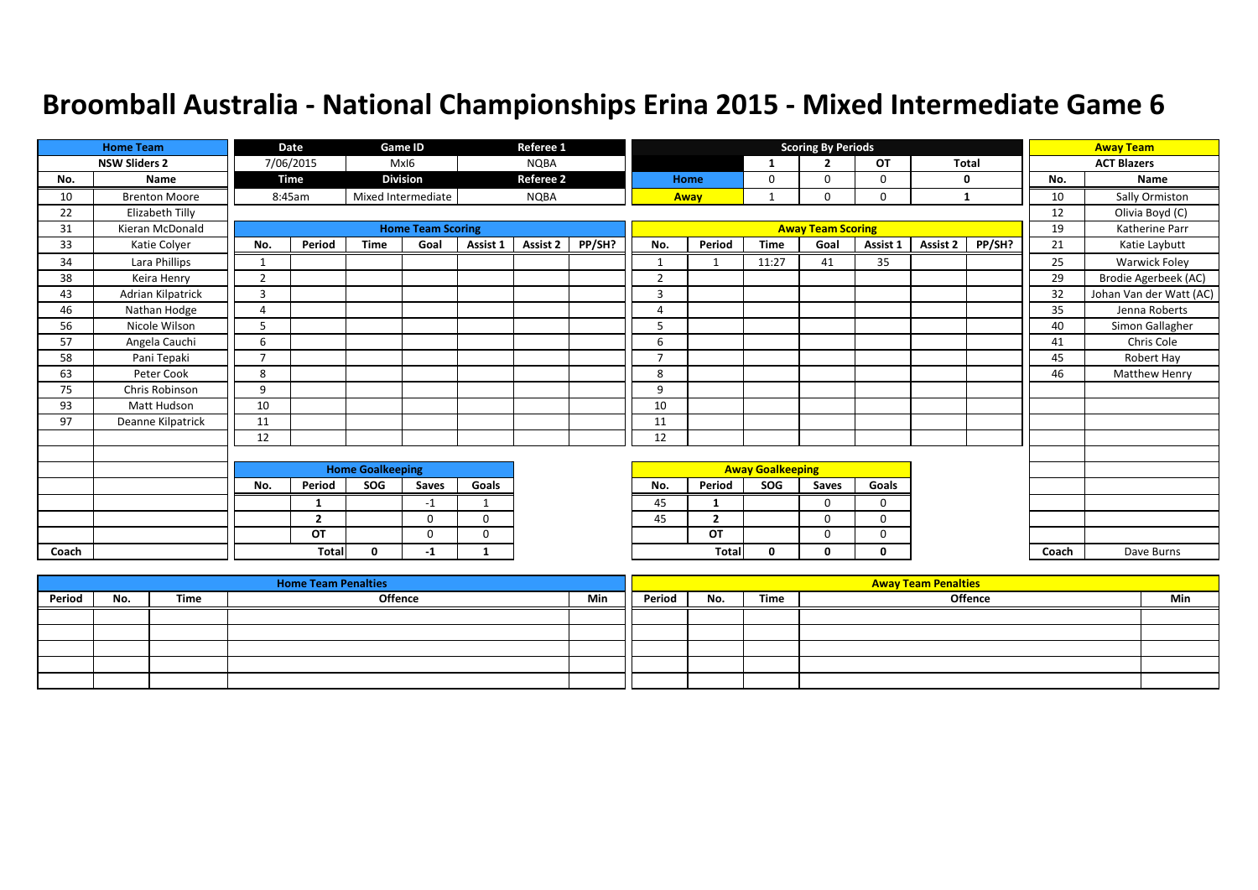|       | <b>Home Team</b>     |                         | Date           |             | Game ID                  |             | Referee 1        |        |                          |                         |             | <b>Scoring By Periods</b> |             |              |        |       | <b>Away Team</b>        |
|-------|----------------------|-------------------------|----------------|-------------|--------------------------|-------------|------------------|--------|--------------------------|-------------------------|-------------|---------------------------|-------------|--------------|--------|-------|-------------------------|
|       | <b>NSW Sliders 2</b> |                         | 7/06/2015      |             | MxI6                     |             | <b>NQBA</b>      |        |                          |                         | 1           | $\overline{2}$            | OT          | <b>Total</b> |        |       | <b>ACT Blazers</b>      |
| No.   | Name                 |                         | <b>Time</b>    |             | <b>Division</b>          |             | <b>Referee 2</b> |        |                          | Home                    | 0           | $\Omega$                  | $\mathbf 0$ | 0            |        | No.   | Name                    |
| 10    | <b>Brenton Moore</b> |                         | 8:45am         |             | Mixed Intermediate       |             | <b>NQBA</b>      |        |                          | Away                    |             |                           | $\Omega$    | 1            |        | 10    | Sally Ormiston          |
| 22    | Elizabeth Tilly      |                         |                |             |                          |             |                  |        |                          |                         |             |                           |             |              |        | 12    | Olivia Boyd (C)         |
| 31    | Kieran McDonald      |                         |                |             | <b>Home Team Scoring</b> |             |                  |        |                          |                         |             | <b>Away Team Scoring</b>  |             |              |        | 19    | Katherine Parr          |
| 33    | Katie Colyer         | No.                     | Period         | <b>Time</b> | Goal                     | Assist 1    | Assist 2         | PP/SH? | No.                      | Period                  | <b>Time</b> | Goal                      | Assist 1    | Assist 2     | PP/SH? | 21    | Katie Laybutt           |
| 34    | Lara Phillips        | 1                       |                |             |                          |             |                  |        | $\mathbf{1}$             |                         | 11:27       | 41                        | 35          |              |        | 25    | <b>Warwick Foley</b>    |
| 38    | Keira Henry          | $\overline{2}$          |                |             |                          |             |                  |        | $\overline{2}$           |                         |             |                           |             |              |        | 29    | Brodie Agerbeek (AC)    |
| 43    | Adrian Kilpatrick    | $\overline{3}$          |                |             |                          |             |                  |        | 3                        |                         |             |                           |             |              |        | 32    | Johan Van der Watt (AC) |
| 46    | Nathan Hodge         | $\overline{4}$          |                |             |                          |             |                  |        | 4                        |                         |             |                           |             |              |        | 35    | Jenna Roberts           |
| 56    | Nicole Wilson        | 5                       |                |             |                          |             |                  |        | 5                        |                         |             |                           |             |              |        | 40    | Simon Gallagher         |
| 57    | Angela Cauchi        | 6                       |                |             |                          |             |                  |        | 6                        |                         |             |                           |             |              |        | 41    | Chris Cole              |
| 58    | Pani Tepaki          | $\overline{7}$          |                |             |                          |             |                  |        | $\overline{\phantom{a}}$ |                         |             |                           |             |              |        | 45    | Robert Hay              |
| 63    | Peter Cook           | 8                       |                |             |                          |             |                  |        | 8                        |                         |             |                           |             |              |        | 46    | Matthew Henry           |
| 75    | Chris Robinson       | 9                       |                |             |                          |             |                  |        | 9                        |                         |             |                           |             |              |        |       |                         |
| 93    | <b>Matt Hudson</b>   | 10                      |                |             |                          |             |                  |        | 10                       |                         |             |                           |             |              |        |       |                         |
| 97    | Deanne Kilpatrick    | 11                      |                |             |                          |             |                  |        | 11                       |                         |             |                           |             |              |        |       |                         |
|       |                      | 12                      |                |             |                          |             |                  |        | 12                       |                         |             |                           |             |              |        |       |                         |
|       |                      |                         |                |             |                          |             |                  |        |                          |                         |             |                           |             |              |        |       |                         |
|       |                      | <b>Home Goalkeeping</b> |                |             |                          |             |                  |        |                          | <b>Away Goalkeeping</b> |             |                           |             |              |        |       |                         |
|       |                      | No.                     | Period         | SOG         | Saves                    | Goals       |                  |        | No.                      | Period                  | SOG         | Saves                     | Goals       |              |        |       |                         |
|       |                      |                         | 1              |             | $-1$                     | -1          |                  |        | 45                       |                         |             | $\Omega$                  | $\mathbf 0$ |              |        |       |                         |
|       |                      |                         | $\overline{2}$ |             | $\Omega$                 | $\mathbf 0$ |                  |        | 45                       | ,                       |             | $\Omega$                  | 0           |              |        |       |                         |
|       |                      |                         | OT             |             | $\Omega$                 | $\mathbf 0$ |                  |        |                          | OT                      |             | $\Omega$                  | $\mathbf 0$ |              |        |       |                         |
| Coach |                      |                         | <b>Total</b>   | $\Omega$    | -1                       | 1           |                  |        |                          | <b>Total</b>            | 0           | 0                         | 0           |              |        | Coach | Dave Burns              |

|        |     |      | <b>Home Team Penalties</b> |     |        |     |      | <b>Away Team Penalties</b> |     |
|--------|-----|------|----------------------------|-----|--------|-----|------|----------------------------|-----|
| Period | No. | Time | <b>Offence</b>             | Min | Period | No. | Time | Offence                    | Min |
|        |     |      |                            |     |        |     |      |                            |     |
|        |     |      |                            |     |        |     |      |                            |     |
|        |     |      |                            |     |        |     |      |                            |     |
|        |     |      |                            |     |        |     |      |                            |     |
|        |     |      |                            |     |        |     |      |                            |     |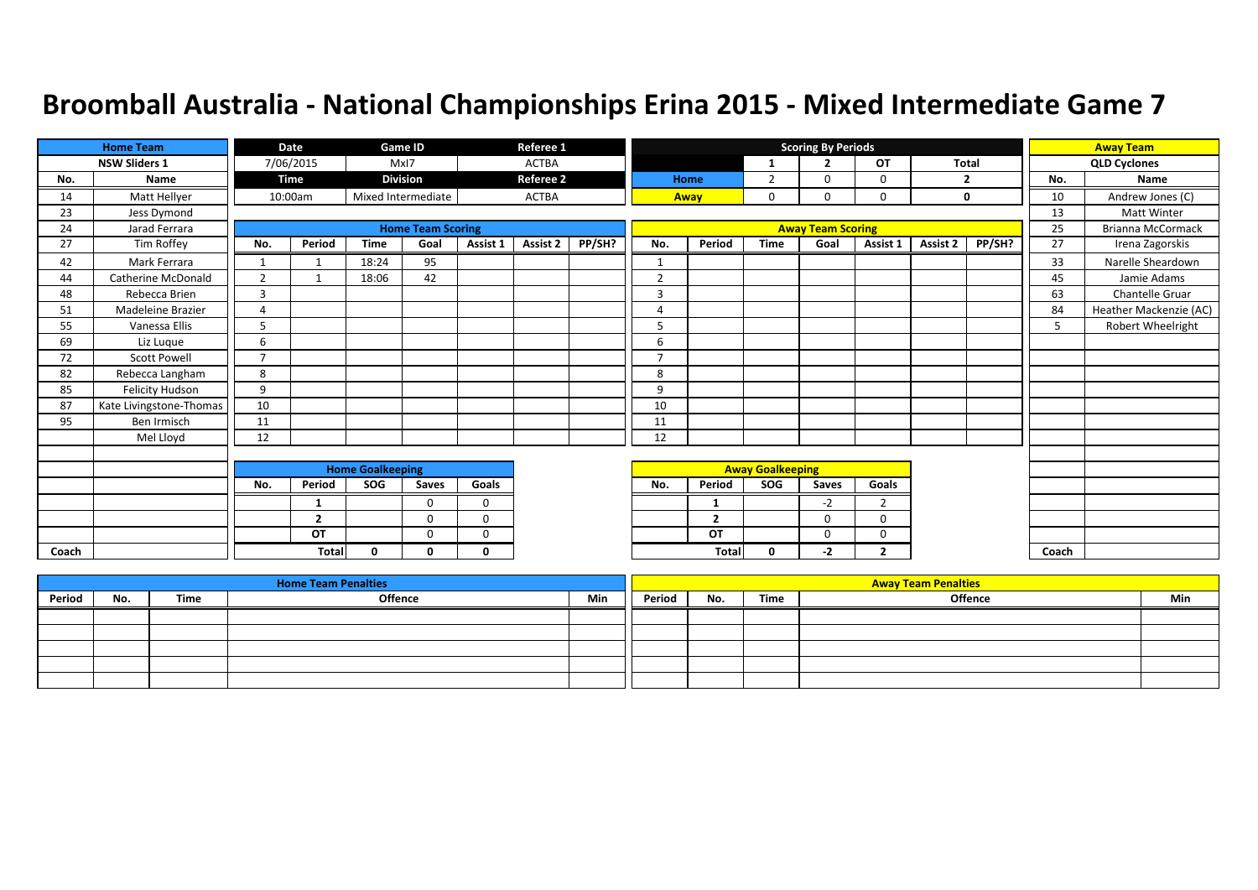|       | <b>Home Team</b>          |                         | Date           |             | Game ID                  |              | Referee 1        |        |                |                         |             | <b>Scoring By Periods</b> |                |              |        |       | <b>Away Team</b>       |
|-------|---------------------------|-------------------------|----------------|-------------|--------------------------|--------------|------------------|--------|----------------|-------------------------|-------------|---------------------------|----------------|--------------|--------|-------|------------------------|
|       | <b>NSW Sliders 1</b>      |                         | 7/06/2015      |             | MxI7                     |              | <b>ACTBA</b>     |        |                |                         | 1           | $\overline{2}$            | OT             | <b>Total</b> |        |       | <b>QLD Cyclones</b>    |
| No.   | Name                      |                         | Time           |             | <b>Division</b>          |              | <b>Referee 2</b> |        |                | Home                    | 2           | n                         | 0              | 2            |        | No.   | Name                   |
| 14    | Matt Hellyer              |                         | 10:00am        |             | Mixed Intermediate       |              | <b>ACTBA</b>     |        | Away           |                         | 0           | $\Omega$                  | 0              | $\mathbf 0$  |        | 10    | Andrew Jones (C)       |
| 23    | Jess Dymond               |                         |                |             |                          |              |                  |        |                |                         |             |                           |                |              |        | 13    | <b>Matt Winter</b>     |
| 24    | Jarad Ferrara             |                         |                |             | <b>Home Team Scoring</b> |              |                  |        |                |                         |             | <b>Away Team Scoring</b>  |                |              |        | 25    | Brianna McCormack      |
| 27    | Tim Roffey                | No.                     | Period         | <b>Time</b> | Goal                     | Assist 1     | Assist 2         | PP/SH? | No.            | Period                  | <b>Time</b> | Goal                      | Assist 1       | Assist 2     | PP/SH? | 27    | Irena Zagorskis        |
| 42    | Mark Ferrara              | 1                       |                | 18:24       | 95                       |              |                  |        | 1              |                         |             |                           |                |              |        | 33    | Narelle Sheardown      |
| 44    | <b>Catherine McDonald</b> | $\overline{2}$          |                | 18:06       | 42                       |              |                  |        | $\overline{2}$ |                         |             |                           |                |              |        | 45    | Jamie Adams            |
| 48    | Rebecca Brien             | $\overline{3}$          |                |             |                          |              |                  |        | 3              |                         |             |                           |                |              |        | 63    | Chantelle Gruar        |
| 51    | Madeleine Brazier         | $\overline{A}$          |                |             |                          |              |                  |        | $\Delta$       |                         |             |                           |                |              |        | 84    | Heather Mackenzie (AC) |
| 55    | Vanessa Ellis             | 5                       |                |             |                          |              |                  |        | 5              |                         |             |                           |                |              |        | 5     | Robert Wheelright      |
| 69    | Liz Luque                 | 6                       |                |             |                          |              |                  |        | 6              |                         |             |                           |                |              |        |       |                        |
| 72    | <b>Scott Powell</b>       | $\overline{7}$          |                |             |                          |              |                  |        | $\overline{7}$ |                         |             |                           |                |              |        |       |                        |
| 82    | Rebecca Langham           | 8                       |                |             |                          |              |                  |        | 8              |                         |             |                           |                |              |        |       |                        |
| 85    | Felicity Hudson           | 9                       |                |             |                          |              |                  |        | 9              |                         |             |                           |                |              |        |       |                        |
| 87    | Kate Livingstone-Thomas   | 10                      |                |             |                          |              |                  |        | 10             |                         |             |                           |                |              |        |       |                        |
| 95    | Ben Irmisch               | 11                      |                |             |                          |              |                  |        | 11             |                         |             |                           |                |              |        |       |                        |
|       | Mel Lloyd                 | 12                      |                |             |                          |              |                  |        | 12             |                         |             |                           |                |              |        |       |                        |
|       |                           |                         |                |             |                          |              |                  |        |                |                         |             |                           |                |              |        |       |                        |
|       |                           | <b>Home Goalkeeping</b> |                |             |                          |              |                  |        |                | <b>Away Goalkeeping</b> |             |                           |                |              |        |       |                        |
|       |                           | No.                     | Period         | SOG         | Saves                    | Goals        |                  |        | No.            | Period                  | SOG         | Saves                     | Goals          |              |        |       |                        |
|       |                           |                         |                |             | $\Omega$                 | $\mathbf 0$  |                  |        |                |                         |             | $-2$                      | $\overline{2}$ |              |        |       |                        |
|       |                           |                         | $\overline{2}$ |             | $\Omega$                 | $\mathbf 0$  |                  |        |                | $\overline{2}$          |             | $\Omega$                  | $\mathbf 0$    |              |        |       |                        |
|       |                           |                         | OT             |             | $\Omega$                 | $\Omega$     |                  |        |                | OT                      |             | $\Omega$                  | 0              |              |        |       |                        |
| Coach |                           |                         | <b>Total</b>   | $\Omega$    | n                        | $\mathbf{0}$ |                  |        |                | <b>Total</b>            | $\Omega$    | $-2$                      | $\overline{2}$ |              |        | Coach |                        |

|        |     |      | <b>Home Team Penalties</b> |     |        |     |      | <b>Away Team Penalties</b> |     |
|--------|-----|------|----------------------------|-----|--------|-----|------|----------------------------|-----|
| Period | No. | Time | Offence                    | Min | Period | No. | Time | <b>Offence</b>             | Min |
|        |     |      |                            |     |        |     |      |                            |     |
|        |     |      |                            |     |        |     |      |                            |     |
|        |     |      |                            |     |        |     |      |                            |     |
|        |     |      |                            |     |        |     |      |                            |     |
|        |     |      |                            |     |        |     |      |                            |     |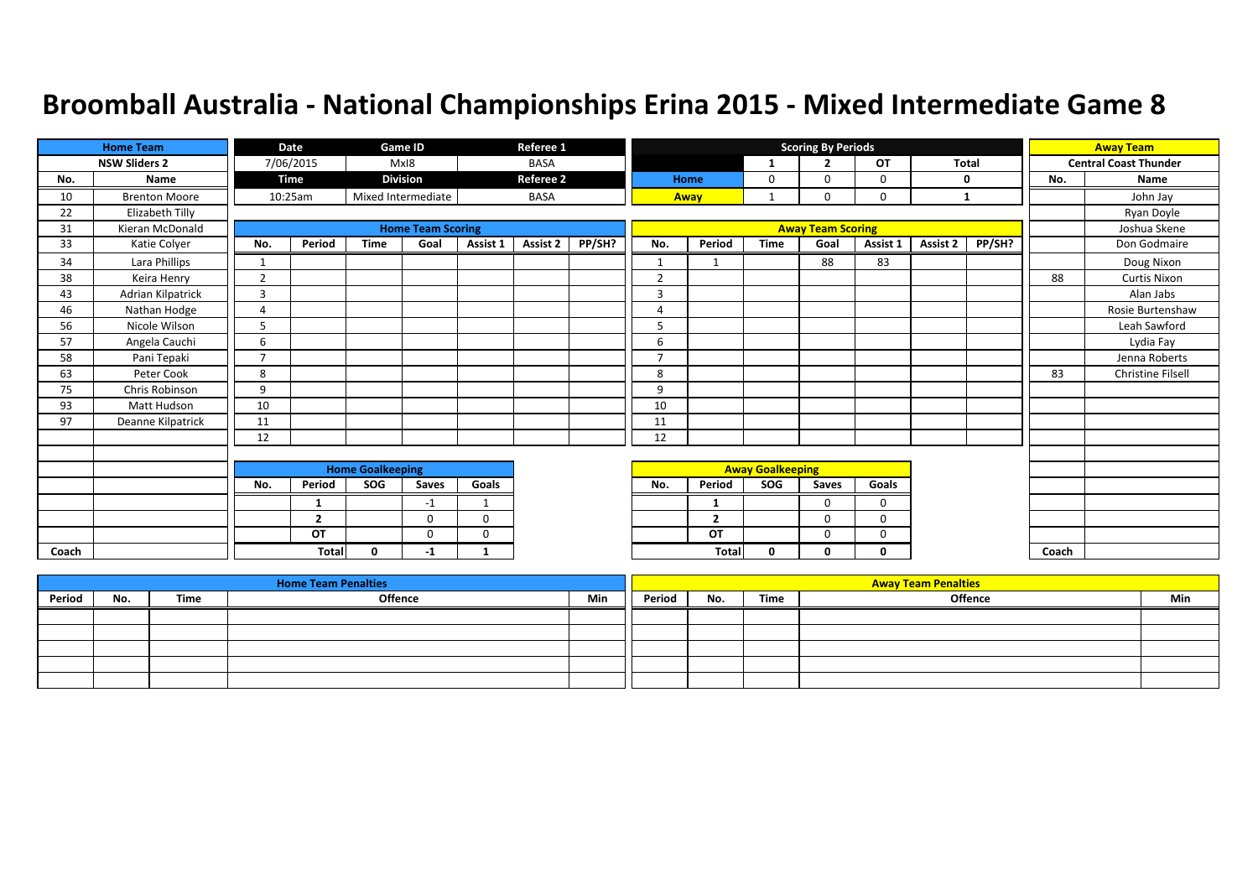|       | <b>Home Team</b>     |                | Date           |                         | Game ID                  |                         | Referee 1        |        |                |                |                         | <b>Scoring By Periods</b> |             |              |        |       | <b>Away Team</b>             |
|-------|----------------------|----------------|----------------|-------------------------|--------------------------|-------------------------|------------------|--------|----------------|----------------|-------------------------|---------------------------|-------------|--------------|--------|-------|------------------------------|
|       | <b>NSW Sliders 2</b> |                | 7/06/2015      |                         | MxI8                     |                         | <b>BASA</b>      |        |                |                | -1                      | $\overline{2}$            | <b>OT</b>   | <b>Total</b> |        |       | <b>Central Coast Thunder</b> |
| No.   | Name                 |                | Time           |                         | <b>Division</b>          |                         | <b>Referee 2</b> |        |                | Home           | 0                       | $\Omega$                  | $\mathbf 0$ |              | 0      | No.   | Name                         |
| 10    | <b>Brenton Moore</b> |                | 10:25am        |                         | Mixed Intermediate       |                         | <b>BASA</b>      |        | Away           |                |                         | $\Omega$                  | 0           | 1            |        |       | John Jay                     |
| 22    | Elizabeth Tilly      |                |                |                         |                          |                         |                  |        |                |                |                         |                           |             |              |        |       | Ryan Doyle                   |
| 31    | Kieran McDonald      |                |                |                         | <b>Home Team Scoring</b> |                         |                  |        |                |                |                         | <b>Away Team Scoring</b>  |             |              |        |       | Joshua Skene                 |
| 33    | Katie Colyer         | No.            | Period         | <b>Time</b>             | Goal                     | Assist 1                | Assist 2         | PP/SH? | No.            | Period         | <b>Time</b>             | Goal                      | Assist 1    | Assist 2     | PP/SH? |       | Don Godmaire                 |
| 34    | Lara Phillips        | 1              |                |                         |                          |                         |                  |        | $\mathbf{1}$   | $\mathbf 1$    |                         | 88                        | 83          |              |        |       | Doug Nixon                   |
| 38    | Keira Henry          | $\overline{2}$ |                |                         |                          |                         |                  |        | $\overline{2}$ |                |                         |                           |             |              |        | 88    | <b>Curtis Nixon</b>          |
| 43    | Adrian Kilpatrick    | $\overline{3}$ |                |                         |                          |                         |                  |        | 3              |                |                         |                           |             |              |        |       | Alan Jabs                    |
| 46    | Nathan Hodge         | 4              |                |                         |                          |                         |                  |        | 4              |                |                         |                           |             |              |        |       | Rosie Burtenshaw             |
| 56    | Nicole Wilson        | 5              |                |                         |                          |                         |                  |        | 5              |                |                         |                           |             |              |        |       | Leah Sawford                 |
| 57    | Angela Cauchi        | 6              |                |                         |                          |                         |                  |        | 6              |                |                         |                           |             |              |        |       | Lydia Fay                    |
| 58    | Pani Tepaki          | $\overline{ }$ |                |                         |                          |                         |                  |        | $\overline{7}$ |                |                         |                           |             |              |        |       | Jenna Roberts                |
| 63    | Peter Cook           | 8              |                |                         |                          |                         |                  |        | 8              |                |                         |                           |             |              |        | 83    | <b>Christine Filsell</b>     |
| 75    | Chris Robinson       | 9              |                |                         |                          |                         |                  |        | 9              |                |                         |                           |             |              |        |       |                              |
| 93    | Matt Hudson          | 10             |                |                         |                          |                         |                  |        | 10             |                |                         |                           |             |              |        |       |                              |
| 97    | Deanne Kilpatrick    | 11             |                |                         |                          |                         |                  |        | 11             |                |                         |                           |             |              |        |       |                              |
|       |                      | 12             |                |                         |                          |                         |                  |        | 12             |                |                         |                           |             |              |        |       |                              |
|       |                      |                |                |                         |                          |                         |                  |        |                |                |                         |                           |             |              |        |       |                              |
|       |                      |                |                | <b>Home Goalkeeping</b> |                          |                         |                  |        |                |                | <b>Away Goalkeeping</b> |                           |             |              |        |       |                              |
|       |                      | No.            | Period         | SOG                     | Saves                    | Goals                   |                  |        | No.            | Period         | SOG                     | Saves                     | Goals       |              |        |       |                              |
|       |                      |                | 1              |                         | $-1$                     | $\mathbf{\overline{1}}$ |                  |        |                | -1             |                         | $\Omega$                  | $\mathbf 0$ |              |        |       |                              |
|       |                      |                | $\overline{2}$ |                         | $\Omega$                 | $\mathbf 0$             |                  |        |                | $\overline{2}$ |                         | $\Omega$                  | $\Omega$    |              |        |       |                              |
|       |                      |                | OT             |                         | $\Omega$                 | $\mathbf 0$             |                  |        |                | OT             |                         | $\mathbf 0$               | $\mathbf 0$ |              |        |       |                              |
| Coach |                      |                | <b>Total</b>   | $\Omega$                | -1                       | 1                       |                  |        |                | Total          | 0                       | 0                         | 0           |              |        | Coach |                              |

|        |     |      | <b>Home Team Penalties</b> |     |        |     |      | <b>Away Team Penalties</b> |     |
|--------|-----|------|----------------------------|-----|--------|-----|------|----------------------------|-----|
| Period | No. | Time | <b>Offence</b>             | Min | Period | No. | Time | <b>Offence</b>             | Min |
|        |     |      |                            |     |        |     |      |                            |     |
|        |     |      |                            |     |        |     |      |                            |     |
|        |     |      |                            |     |        |     |      |                            |     |
|        |     |      |                            |     |        |     |      |                            |     |
|        |     |      |                            |     |        |     |      |                            |     |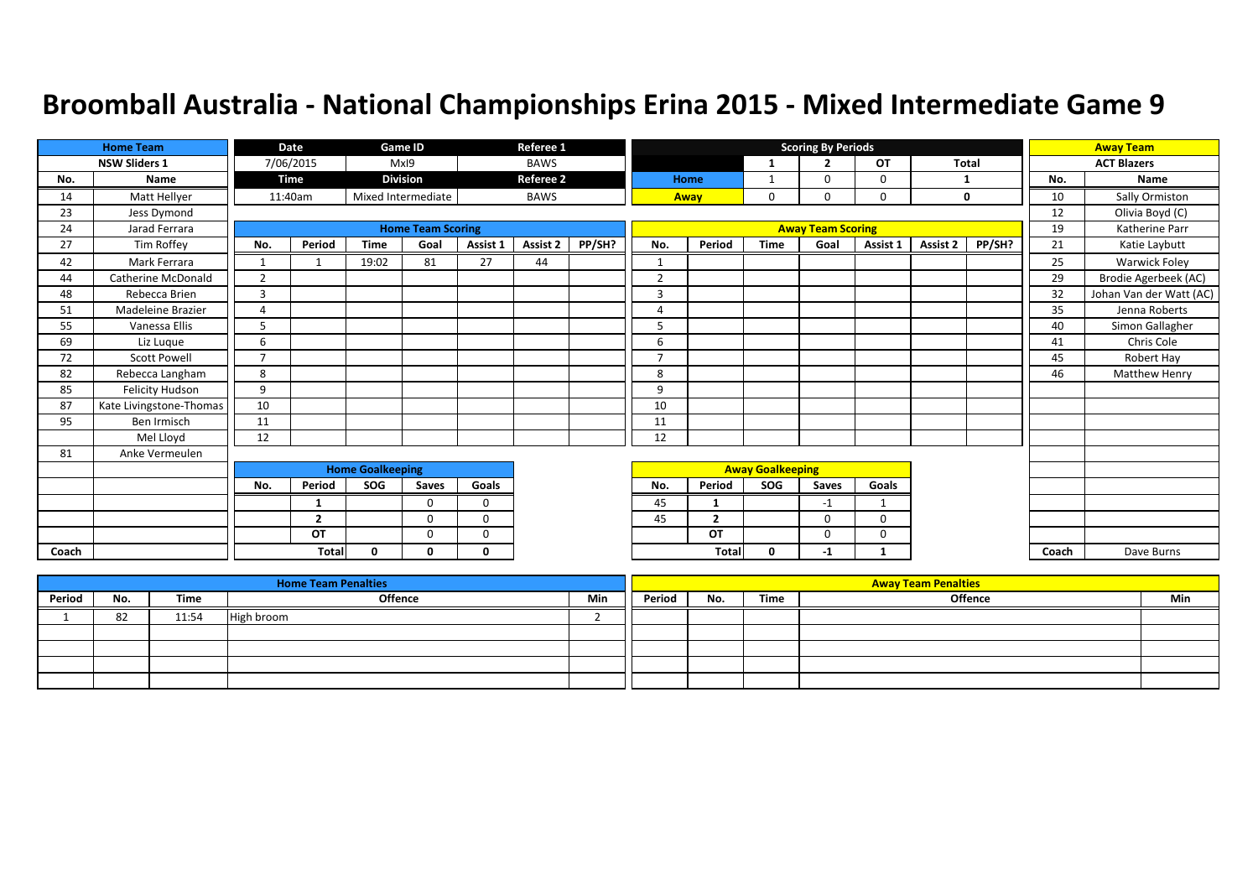|       | <b>Home Team</b>        |                | Date           |                         | <b>Game ID</b>           |              | Referee 1        |        |                |                |                         | <b>Scoring By Periods</b> |          |          |        |       | <b>Away Team</b>        |
|-------|-------------------------|----------------|----------------|-------------------------|--------------------------|--------------|------------------|--------|----------------|----------------|-------------------------|---------------------------|----------|----------|--------|-------|-------------------------|
|       | <b>NSW Sliders 1</b>    |                | 7/06/2015      |                         | MxI9                     |              | <b>BAWS</b>      |        |                |                | $\mathbf{1}$            | $\overline{2}$            | OT       | Total    |        |       | <b>ACT Blazers</b>      |
| No.   | Name                    |                | Time           |                         | <b>Division</b>          |              | <b>Referee 2</b> |        |                | Home           | 1                       | $\Omega$                  | $\Omega$ | 1        |        | No.   | Name                    |
| 14    | Matt Hellyer            |                | 11:40am        |                         | Mixed Intermediate       |              | <b>BAWS</b>      |        |                | Away           | 0                       | 0                         | 0        |          | 0      | 10    | Sally Ormiston          |
| 23    | Jess Dymond             |                |                |                         |                          |              |                  |        |                |                |                         |                           |          |          |        | 12    | Olivia Boyd (C)         |
| 24    | Jarad Ferrara           |                |                |                         | <b>Home Team Scoring</b> |              |                  |        |                |                |                         | <b>Away Team Scoring</b>  |          |          |        | 19    | Katherine Parr          |
| 27    | Tim Roffey              | No.            | Period         | <b>Time</b>             | Goal                     | Assist 1     | Assist 2         | PP/SH? | No.            | Period         | <b>Time</b>             | Goal                      | Assist 1 | Assist 2 | PP/SH? | 21    | Katie Laybutt           |
| 42    | Mark Ferrara            | $\mathbf{1}$   |                | 19:02                   | 81                       | 27           | 44               |        | 1              |                |                         |                           |          |          |        | 25    | Warwick Foley           |
| 44    | Catherine McDonald      | $\overline{2}$ |                |                         |                          |              |                  |        | $\overline{2}$ |                |                         |                           |          |          |        | 29    | Brodie Agerbeek (AC)    |
| 48    | Rebecca Brien           | 3              |                |                         |                          |              |                  |        | 3              |                |                         |                           |          |          |        | 32    | Johan Van der Watt (AC) |
| 51    | Madeleine Brazier       | Δ              |                |                         |                          |              |                  |        | 4              |                |                         |                           |          |          |        | 35    | Jenna Roberts           |
| 55    | Vanessa Ellis           | 5              |                |                         |                          |              |                  |        | 5              |                |                         |                           |          |          |        | 40    | Simon Gallagher         |
| 69    | Liz Luque               | 6              |                |                         |                          |              |                  |        | 6              |                |                         |                           |          |          |        | 41    | Chris Cole              |
| 72    | <b>Scott Powell</b>     | $\overline{7}$ |                |                         |                          |              |                  |        | $\overline{7}$ |                |                         |                           |          |          |        | 45    | Robert Hay              |
| 82    | Rebecca Langham         | 8              |                |                         |                          |              |                  |        | 8              |                |                         |                           |          |          |        | 46    | Matthew Henry           |
| 85    | <b>Felicity Hudson</b>  | 9              |                |                         |                          |              |                  |        | 9              |                |                         |                           |          |          |        |       |                         |
| 87    | Kate Livingstone-Thomas | 10             |                |                         |                          |              |                  |        | 10             |                |                         |                           |          |          |        |       |                         |
| 95    | Ben Irmisch             | 11             |                |                         |                          |              |                  |        | 11             |                |                         |                           |          |          |        |       |                         |
|       | Mel Lloyd               | 12             |                |                         |                          |              |                  |        | 12             |                |                         |                           |          |          |        |       |                         |
| 81    | Anke Vermeulen          |                |                |                         |                          |              |                  |        |                |                |                         |                           |          |          |        |       |                         |
|       |                         |                |                | <b>Home Goalkeeping</b> |                          |              |                  |        |                |                | <b>Away Goalkeeping</b> |                           |          |          |        |       |                         |
|       |                         | No.            | Period         | SOG                     | Saves                    | Goals        |                  |        | No.            | Period         | SOG                     | Saves                     | Goals    |          |        |       |                         |
|       |                         |                | 1              |                         | $\Omega$                 | $\Omega$     |                  |        | 45             | 1              |                         | $-1$                      | 1        |          |        |       |                         |
|       |                         |                | $\overline{2}$ |                         | $\Omega$                 | $\Omega$     |                  |        | 45             | $\overline{2}$ |                         | $\Omega$                  | $\Omega$ |          |        |       |                         |
|       |                         |                | OT             |                         | $\Omega$                 | $\Omega$     |                  |        |                | OT             |                         | $\Omega$                  | 0        |          |        |       |                         |
| Coach |                         |                | Total          | $\Omega$                | n                        | <sup>0</sup> |                  |        |                | Total          | 0                       | -1                        |          |          |        | Coach | Dave Burns              |

|        |     |       | <b>Home Team Penalties</b> |     |        |     |      | <b>Away Team Penalties</b> |     |
|--------|-----|-------|----------------------------|-----|--------|-----|------|----------------------------|-----|
| Period | No. | Time  | <b>Offence</b>             | Min | Period | No. | Time | <b>Offence</b>             | Min |
|        | 82  | 11:54 | High broom                 |     |        |     |      |                            |     |
|        |     |       |                            |     |        |     |      |                            |     |
|        |     |       |                            |     |        |     |      |                            |     |
|        |     |       |                            |     |        |     |      |                            |     |
|        |     |       |                            |     |        |     |      |                            |     |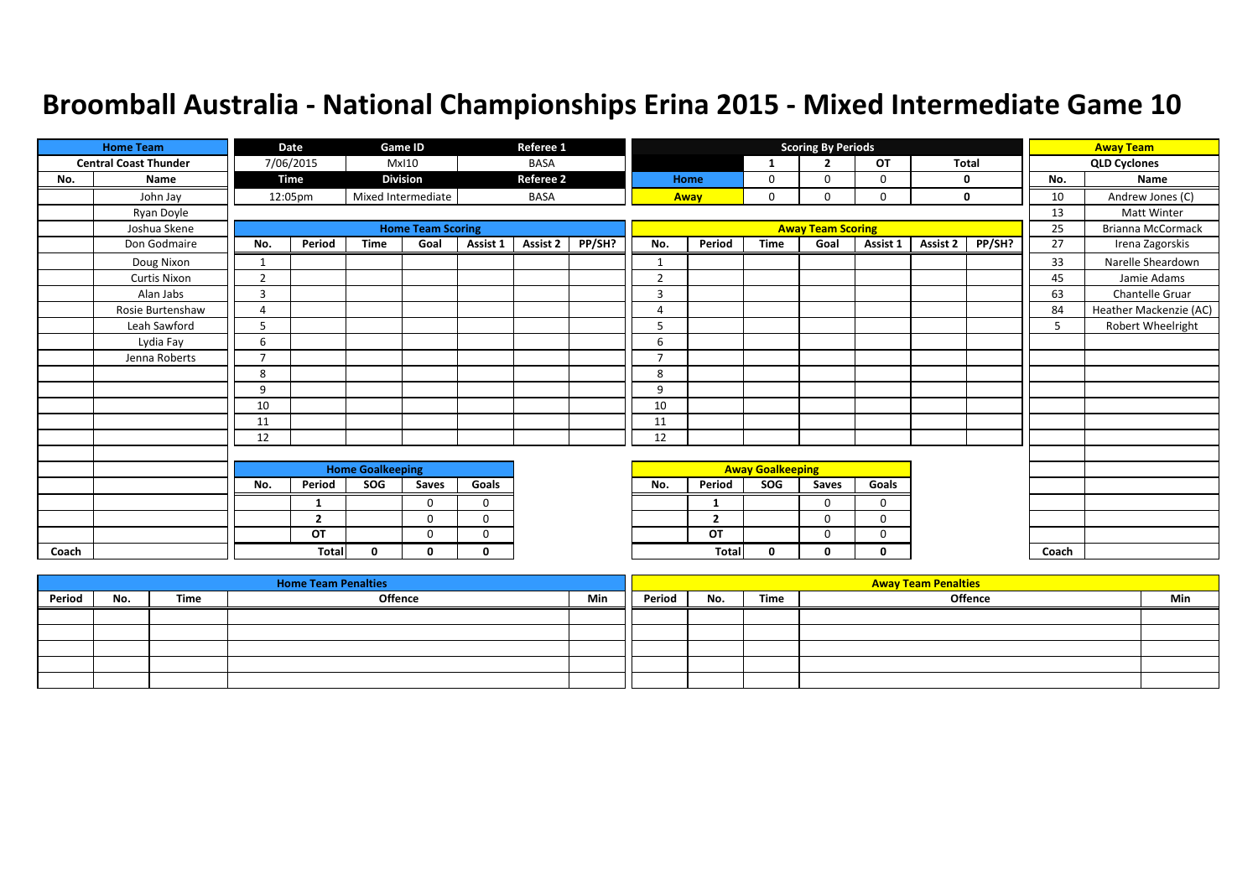|       | <b>Home Team</b>             |                | Date           |                         | <b>Game ID</b>           |              | Referee 1        |        |                |                |                         | <b>Scoring By Periods</b> |             |              |        |       | <b>Away Team</b>         |
|-------|------------------------------|----------------|----------------|-------------------------|--------------------------|--------------|------------------|--------|----------------|----------------|-------------------------|---------------------------|-------------|--------------|--------|-------|--------------------------|
|       | <b>Central Coast Thunder</b> |                | 7/06/2015      |                         | <b>MxI10</b>             |              | <b>BASA</b>      |        |                |                | 1                       | $\overline{2}$            | OT          | <b>Total</b> |        |       | <b>QLD Cyclones</b>      |
| No.   | Name                         |                | <b>Time</b>    |                         | <b>Division</b>          |              | <b>Referee 2</b> |        |                | Home           | 0                       | $\Omega$                  | 0           |              | 0      | No.   | Name                     |
|       | John Jay                     |                | 12:05pm        |                         | Mixed Intermediate       |              | <b>BASA</b>      |        |                | Away           | 0                       | $\Omega$                  | 0           |              | 0      | 10    | Andrew Jones (C)         |
|       | Ryan Doyle                   |                |                |                         |                          |              |                  |        |                |                |                         |                           |             |              |        | 13    | <b>Matt Winter</b>       |
|       | Joshua Skene                 |                |                |                         | <b>Home Team Scoring</b> |              |                  |        |                |                |                         | <b>Away Team Scoring</b>  |             |              |        | 25    | <b>Brianna McCormack</b> |
|       | Don Godmaire                 | No.            | Period         | <b>Time</b>             | Goal                     | Assist 1     | <b>Assist 2</b>  | PP/SH? | No.            | Period         | <b>Time</b>             | Goal                      | Assist 1    | Assist 2     | PP/SH? | 27    | Irena Zagorskis          |
|       | Doug Nixon                   | 1              |                |                         |                          |              |                  |        |                |                |                         |                           |             |              |        | 33    | Narelle Sheardown        |
|       | <b>Curtis Nixon</b>          | $\overline{2}$ |                |                         |                          |              |                  |        | $\overline{2}$ |                |                         |                           |             |              |        | 45    | Jamie Adams              |
|       | Alan Jabs                    | 3              |                |                         |                          |              |                  |        | $\overline{3}$ |                |                         |                           |             |              |        | 63    | Chantelle Gruar          |
|       | Rosie Burtenshaw             | 4              |                |                         |                          |              |                  |        | $\overline{4}$ |                |                         |                           |             |              |        | 84    | Heather Mackenzie (AC)   |
|       | Leah Sawford                 | 5              |                |                         |                          |              |                  |        | 5              |                |                         |                           |             |              |        | 5     | Robert Wheelright        |
|       | Lydia Fay                    | 6              |                |                         |                          |              |                  |        | 6              |                |                         |                           |             |              |        |       |                          |
|       | Jenna Roberts                | $\overline{7}$ |                |                         |                          |              |                  |        | $\mathbf{z}$   |                |                         |                           |             |              |        |       |                          |
|       |                              | 8              |                |                         |                          |              |                  |        | 8              |                |                         |                           |             |              |        |       |                          |
|       |                              | 9              |                |                         |                          |              |                  |        | 9              |                |                         |                           |             |              |        |       |                          |
|       |                              | 10             |                |                         |                          |              |                  |        | 10             |                |                         |                           |             |              |        |       |                          |
|       |                              | 11             |                |                         |                          |              |                  |        | 11             |                |                         |                           |             |              |        |       |                          |
|       |                              | 12             |                |                         |                          |              |                  |        | 12             |                |                         |                           |             |              |        |       |                          |
|       |                              |                |                |                         |                          |              |                  |        |                |                |                         |                           |             |              |        |       |                          |
|       |                              |                |                | <b>Home Goalkeeping</b> |                          |              |                  |        |                |                | <b>Away Goalkeeping</b> |                           |             |              |        |       |                          |
|       |                              | No.            | Period         | <b>SOG</b>              | Saves                    | Goals        |                  |        | No.            | Period         | <b>SOG</b>              | Saves                     | Goals       |              |        |       |                          |
|       |                              |                | $\mathbf{1}$   |                         | $\Omega$                 | $\mathbf 0$  |                  |        |                | -1             |                         | $\Omega$                  | $\mathbf 0$ |              |        |       |                          |
|       |                              |                | $\overline{2}$ |                         | 0                        | $\mathbf 0$  |                  |        |                | $\overline{2}$ |                         | $\Omega$                  | $\Omega$    |              |        |       |                          |
|       |                              |                | OT             |                         | 0                        | $\mathbf 0$  |                  |        |                | OT             |                         | 0                         | 0           |              |        |       |                          |
| Coach |                              |                | <b>Total</b>   | $\mathbf{0}$            | 0                        | $\mathbf{0}$ |                  |        |                | <b>Total</b>   | $\mathbf{0}$            | 0                         | 0           |              |        | Coach |                          |

|        |     |      | <b>Home Team Penalties</b> |     |        |     |      | <b>Away Team Penalties</b> |     |
|--------|-----|------|----------------------------|-----|--------|-----|------|----------------------------|-----|
| Period | No. | Time | Offence                    | Min | Period | No. | Time | <b>Offence</b>             | Min |
|        |     |      |                            |     |        |     |      |                            |     |
|        |     |      |                            |     |        |     |      |                            |     |
|        |     |      |                            |     |        |     |      |                            |     |
|        |     |      |                            |     |        |     |      |                            |     |
|        |     |      |                            |     |        |     |      |                            |     |